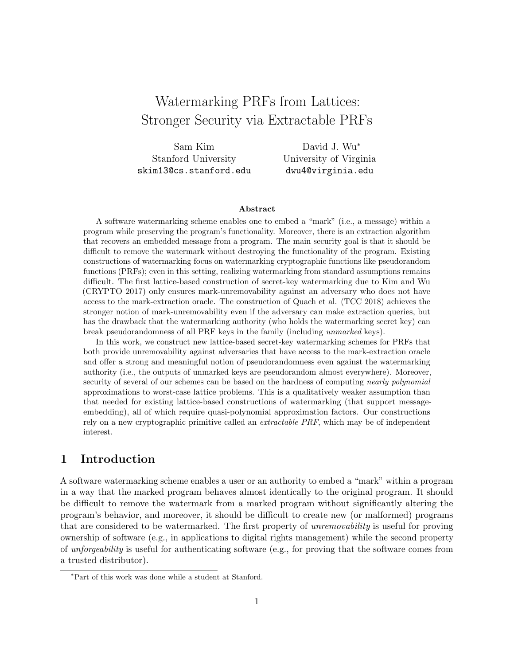# <span id="page-0-0"></span>Watermarking PRFs from Lattices: Stronger Security via Extractable PRFs

Sam Kim Stanford University skim13@cs.stanford.edu

David J. Wu<sup>∗</sup> University of Virginia dwu4@virginia.edu

## Abstract

A software watermarking scheme enables one to embed a "mark" (i.e., a message) within a program while preserving the program's functionality. Moreover, there is an extraction algorithm that recovers an embedded message from a program. The main security goal is that it should be difficult to remove the watermark without destroying the functionality of the program. Existing constructions of watermarking focus on watermarking cryptographic functions like pseudorandom functions (PRFs); even in this setting, realizing watermarking from standard assumptions remains difficult. The first lattice-based construction of secret-key watermarking due to Kim and Wu (CRYPTO 2017) only ensures mark-unremovability against an adversary who does not have access to the mark-extraction oracle. The construction of Quach et al. (TCC 2018) achieves the stronger notion of mark-unremovability even if the adversary can make extraction queries, but has the drawback that the watermarking authority (who holds the watermarking secret key) can break pseudorandomness of all PRF keys in the family (including unmarked keys).

In this work, we construct new lattice-based secret-key watermarking schemes for PRFs that both provide unremovability against adversaries that have access to the mark-extraction oracle and offer a strong and meaningful notion of pseudorandomness even against the watermarking authority (i.e., the outputs of unmarked keys are pseudorandom almost everywhere). Moreover, security of several of our schemes can be based on the hardness of computing *nearly polynomial* approximations to worst-case lattice problems. This is a qualitatively weaker assumption than that needed for existing lattice-based constructions of watermarking (that support messageembedding), all of which require quasi-polynomial approximation factors. Our constructions rely on a new cryptographic primitive called an extractable PRF, which may be of independent interest.

# <span id="page-0-1"></span>1 Introduction

A software watermarking scheme enables a user or an authority to embed a "mark" within a program in a way that the marked program behaves almost identically to the original program. It should be difficult to remove the watermark from a marked program without significantly altering the program's behavior, and moreover, it should be difficult to create new (or malformed) programs that are considered to be watermarked. The first property of unremovability is useful for proving ownership of software (e.g., in applications to digital rights management) while the second property of unforgeability is useful for authenticating software (e.g., for proving that the software comes from a trusted distributor).

<sup>∗</sup>Part of this work was done while a student at Stanford.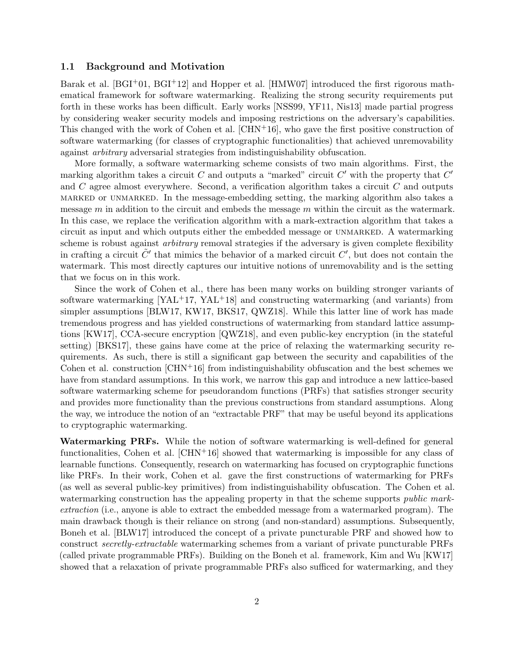## <span id="page-1-0"></span>1.1 Background and Motivation

Barak et al.  $[BGI^+01, BGI^+12]$  $[BGI^+01, BGI^+12]$  $[BGI^+01, BGI^+12]$  $[BGI^+01, BGI^+12]$  and Hopper et al.  $[HMW07]$  introduced the first rigorous mathematical framework for software watermarking. Realizing the strong security requirements put forth in these works has been difficult. Early works [\[NSS99,](#page-44-0) [YF11,](#page-45-0) [Nis13\]](#page-44-1) made partial progress by considering weaker security models and imposing restrictions on the adversary's capabilities. This changed with the work of Cohen et al.  $[CHN<sup>+</sup>16]$  $[CHN<sup>+</sup>16]$ , who gave the first positive construction of software watermarking (for classes of cryptographic functionalities) that achieved unremovability against arbitrary adversarial strategies from indistinguishability obfuscation.

More formally, a software watermarking scheme consists of two main algorithms. First, the marking algorithm takes a circuit  $C$  and outputs a "marked" circuit  $C'$  with the property that  $C'$ and  $C$  agree almost everywhere. Second, a verification algorithm takes a circuit  $C$  and outputs marked or unmarked. In the message-embedding setting, the marking algorithm also takes a message  $m$  in addition to the circuit and embeds the message  $m$  within the circuit as the watermark. In this case, we replace the verification algorithm with a mark-extraction algorithm that takes a circuit as input and which outputs either the embedded message or UNMARKED. A watermarking scheme is robust against *arbitrary* removal strategies if the adversary is given complete flexibility in crafting a circuit  $\tilde{C}'$  that mimics the behavior of a marked circuit  $C'$ , but does not contain the watermark. This most directly captures our intuitive notions of unremovability and is the setting that we focus on in this work.

Since the work of Cohen et al., there has been many works on building stronger variants of software watermarking  $[YAL+17, YAL+18]$  $[YAL+17, YAL+18]$  $[YAL+17, YAL+18]$  $[YAL+17, YAL+18]$  and constructing watermarking (and variants) from simpler assumptions [\[BLW17,](#page-42-2) [KW17,](#page-44-3) [BKS17,](#page-42-3) [QWZ18\]](#page-44-4). While this latter line of work has made tremendous progress and has yielded constructions of watermarking from standard lattice assumptions [\[KW17\]](#page-44-3), CCA-secure encryption [\[QWZ18\]](#page-44-4), and even public-key encryption (in the stateful setting) [\[BKS17\]](#page-42-3), these gains have come at the price of relaxing the watermarking security requirements. As such, there is still a significant gap between the security and capabilities of the Cohen et al. construction  $\text{[CHN+16]}$  $\text{[CHN+16]}$  $\text{[CHN+16]}$  from indistinguishability obfuscation and the best schemes we have from standard assumptions. In this work, we narrow this gap and introduce a new lattice-based software watermarking scheme for pseudorandom functions (PRFs) that satisfies stronger security and provides more functionality than the previous constructions from standard assumptions. Along the way, we introduce the notion of an "extractable PRF" that may be useful beyond its applications to cryptographic watermarking.

Watermarking PRFs. While the notion of software watermarking is well-defined for general functionalities, Cohen et al.  $[CHN+16]$  $[CHN+16]$  showed that watermarking is impossible for any class of learnable functions. Consequently, research on watermarking has focused on cryptographic functions like PRFs. In their work, Cohen et al. gave the first constructions of watermarking for PRFs (as well as several public-key primitives) from indistinguishability obfuscation. The Cohen et al. watermarking construction has the appealing property in that the scheme supports *public mark*extraction (i.e., anyone is able to extract the embedded message from a watermarked program). The main drawback though is their reliance on strong (and non-standard) assumptions. Subsequently, Boneh et al. [\[BLW17\]](#page-42-2) introduced the concept of a private puncturable PRF and showed how to construct secretly-extractable watermarking schemes from a variant of private puncturable PRFs (called private programmable PRFs). Building on the Boneh et al. framework, Kim and Wu [\[KW17\]](#page-44-3) showed that a relaxation of private programmable PRFs also sufficed for watermarking, and they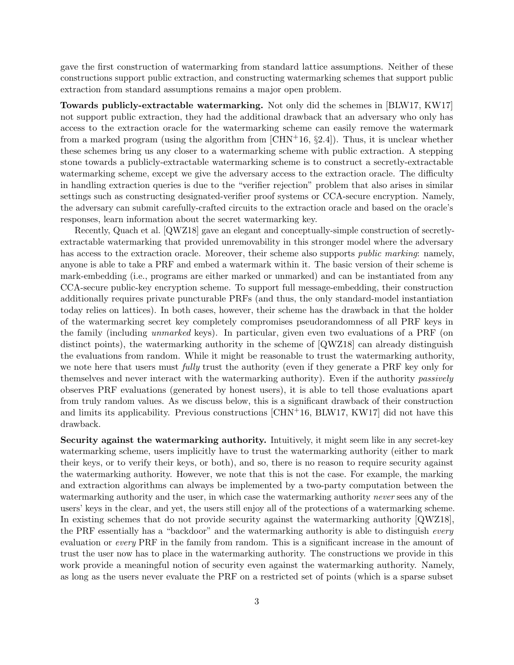gave the first construction of watermarking from standard lattice assumptions. Neither of these constructions support public extraction, and constructing watermarking schemes that support public extraction from standard assumptions remains a major open problem.

Towards publicly-extractable watermarking. Not only did the schemes in [\[BLW17,](#page-42-2) [KW17\]](#page-44-3) not support public extraction, they had the additional drawback that an adversary who only has access to the extraction oracle for the watermarking scheme can easily remove the watermark from a marked program (using the algorithm from  $\text{[CHN+16, §2.4]}$  $\text{[CHN+16, §2.4]}$  $\text{[CHN+16, §2.4]}$ ). Thus, it is unclear whether these schemes bring us any closer to a watermarking scheme with public extraction. A stepping stone towards a publicly-extractable watermarking scheme is to construct a secretly-extractable watermarking scheme, except we give the adversary access to the extraction oracle. The difficulty in handling extraction queries is due to the "verifier rejection" problem that also arises in similar settings such as constructing designated-verifier proof systems or CCA-secure encryption. Namely, the adversary can submit carefully-crafted circuits to the extraction oracle and based on the oracle's responses, learn information about the secret watermarking key.

Recently, Quach et al. [\[QWZ18\]](#page-44-4) gave an elegant and conceptually-simple construction of secretlyextractable watermarking that provided unremovability in this stronger model where the adversary has access to the extraction oracle. Moreover, their scheme also supports *public marking*: namely, anyone is able to take a PRF and embed a watermark within it. The basic version of their scheme is mark-embedding (i.e., programs are either marked or unmarked) and can be instantiated from any CCA-secure public-key encryption scheme. To support full message-embedding, their construction additionally requires private puncturable PRFs (and thus, the only standard-model instantiation today relies on lattices). In both cases, however, their scheme has the drawback in that the holder of the watermarking secret key completely compromises pseudorandomness of all PRF keys in the family (including unmarked keys). In particular, given even two evaluations of a PRF (on distinct points), the watermarking authority in the scheme of [\[QWZ18\]](#page-44-4) can already distinguish the evaluations from random. While it might be reasonable to trust the watermarking authority, we note here that users must fully trust the authority (even if they generate a PRF key only for themselves and never interact with the watermarking authority). Even if the authority passively observes PRF evaluations (generated by honest users), it is able to tell those evaluations apart from truly random values. As we discuss below, this is a significant drawback of their construction and limits its applicability. Previous constructions  $\text{[CHN+16, BLW17, KW17]}$  $\text{[CHN+16, BLW17, KW17]}$  $\text{[CHN+16, BLW17, KW17]}$  $\text{[CHN+16, BLW17, KW17]}$  $\text{[CHN+16, BLW17, KW17]}$  $\text{[CHN+16, BLW17, KW17]}$  $\text{[CHN+16, BLW17, KW17]}$  did not have this drawback.

Security against the watermarking authority. Intuitively, it might seem like in any secret-key watermarking scheme, users implicitly have to trust the watermarking authority (either to mark their keys, or to verify their keys, or both), and so, there is no reason to require security against the watermarking authority. However, we note that this is not the case. For example, the marking and extraction algorithms can always be implemented by a two-party computation between the watermarking authority and the user, in which case the watermarking authority never sees any of the users' keys in the clear, and yet, the users still enjoy all of the protections of a watermarking scheme. In existing schemes that do not provide security against the watermarking authority [\[QWZ18\]](#page-44-4), the PRF essentially has a "backdoor" and the watermarking authority is able to distinguish every evaluation or *every* PRF in the family from random. This is a significant increase in the amount of trust the user now has to place in the watermarking authority. The constructions we provide in this work provide a meaningful notion of security even against the watermarking authority. Namely, as long as the users never evaluate the PRF on a restricted set of points (which is a sparse subset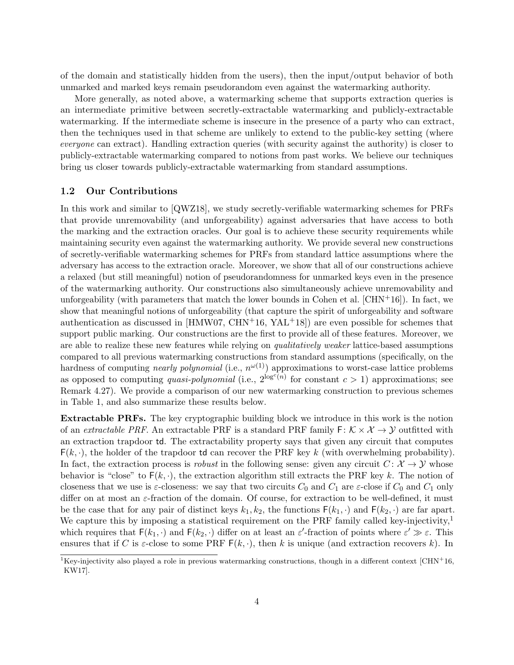of the domain and statistically hidden from the users), then the input/output behavior of both unmarked and marked keys remain pseudorandom even against the watermarking authority.

More generally, as noted above, a watermarking scheme that supports extraction queries is an intermediate primitive between secretly-extractable watermarking and publicly-extractable watermarking. If the intermediate scheme is insecure in the presence of a party who can extract, then the techniques used in that scheme are unlikely to extend to the public-key setting (where everyone can extract). Handling extraction queries (with security against the authority) is closer to publicly-extractable watermarking compared to notions from past works. We believe our techniques bring us closer towards publicly-extractable watermarking from standard assumptions.

## <span id="page-3-0"></span>1.2 Our Contributions

In this work and similar to [\[QWZ18\]](#page-44-4), we study secretly-verifiable watermarking schemes for PRFs that provide unremovability (and unforgeability) against adversaries that have access to both the marking and the extraction oracles. Our goal is to achieve these security requirements while maintaining security even against the watermarking authority. We provide several new constructions of secretly-verifiable watermarking schemes for PRFs from standard lattice assumptions where the adversary has access to the extraction oracle. Moreover, we show that all of our constructions achieve a relaxed (but still meaningful) notion of pseudorandomness for unmarked keys even in the presence of the watermarking authority. Our constructions also simultaneously achieve unremovability and unforgeability (with parameters that match the lower bounds in Cohen et al.  $[CHN<sup>+</sup>16]$  $[CHN<sup>+</sup>16]$ ). In fact, we show that meaningful notions of unforgeability (that capture the spirit of unforgeability and software authentication as discussed in  $[HMW07, CHN<sup>+</sup>16, YAL<sup>+</sup>18]$  $[HMW07, CHN<sup>+</sup>16, YAL<sup>+</sup>18]$  $[HMW07, CHN<sup>+</sup>16, YAL<sup>+</sup>18]$  $[HMW07, CHN<sup>+</sup>16, YAL<sup>+</sup>18]$  $[HMW07, CHN<sup>+</sup>16, YAL<sup>+</sup>18]$  $[HMW07, CHN<sup>+</sup>16, YAL<sup>+</sup>18]$  are even possible for schemes that support public marking. Our constructions are the first to provide all of these features. Moreover, we are able to realize these new features while relying on qualitatively weaker lattice-based assumptions compared to all previous watermarking constructions from standard assumptions (specifically, on the hardness of computing *nearly polynomial* (i.e.,  $n^{\omega(1)}$ ) approximations to worst-case lattice problems as opposed to computing quasi-polynomial (i.e.,  $2^{\log^c(n)}$  for constant  $c > 1$ ) approximations; see Remark [4.27\)](#page-29-0). We provide a comparison of our new watermarking construction to previous schemes in Table [1,](#page-4-0) and also summarize these results below.

Extractable PRFs. The key cryptographic building block we introduce in this work is the notion of an extractable PRF. An extractable PRF is a standard PRF family  $F: \mathcal{K} \times \mathcal{X} \to \mathcal{Y}$  outfitted with an extraction trapdoor td. The extractability property says that given any circuit that computes  $F(k, \cdot)$ , the holder of the trapdoor td can recover the PRF key k (with overwhelming probability). In fact, the extraction process is *robust* in the following sense: given any circuit  $C: \mathcal{X} \to \mathcal{Y}$  whose behavior is "close" to  $F(k, \cdot)$ , the extraction algorithm still extracts the PRF key k. The notion of closeness that we use is  $\varepsilon$ -closeness: we say that two circuits  $C_0$  and  $C_1$  are  $\varepsilon$ -close if  $C_0$  and  $C_1$  only differ on at most an  $\varepsilon$ -fraction of the domain. Of course, for extraction to be well-defined, it must be the case that for any pair of distinct keys  $k_1, k_2$ , the functions  $F(k_1, \cdot)$  and  $F(k_2, \cdot)$  are far apart. We capture this by imposing a statistical requirement on the PRF family called key-injectivity,<sup>[1](#page-0-0)</sup> which requires that  $F(k_1, \cdot)$  and  $F(k_2, \cdot)$  differ on at least an  $\varepsilon'$ -fraction of points where  $\varepsilon' \gg \varepsilon$ . This ensures that if C is  $\varepsilon$ -close to some PRF  $F(k, \cdot)$ , then k is unique (and extraction recovers k). In

<sup>&</sup>lt;sup>1</sup>Key-injectivity also played a role in previous watermarking constructions, though in a different context  $\text{[CHN+16]}$  $\text{[CHN+16]}$  $\text{[CHN+16]}$ [KW17\]](#page-44-3).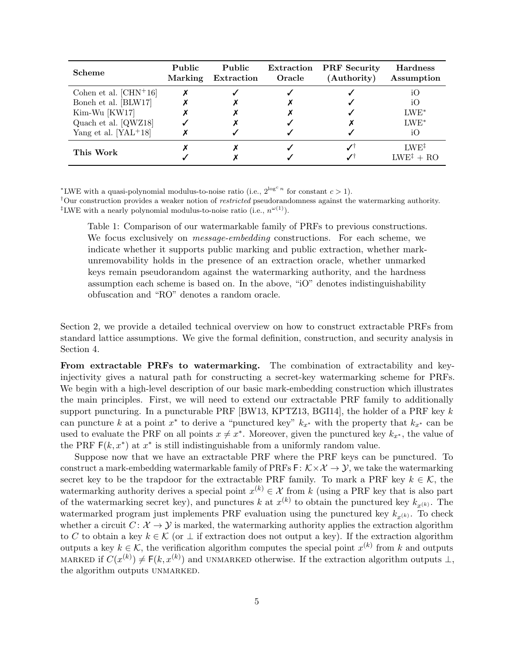<span id="page-4-0"></span>

| <b>Scheme</b>           | Public<br>Marking | Public<br>Extraction | Extraction<br>Oracle | <b>PRF</b> Security<br>(Authority) | <b>Hardness</b><br>Assumption |
|-------------------------|-------------------|----------------------|----------------------|------------------------------------|-------------------------------|
| Cohen et al. $[CHN+16]$ |                   |                      |                      |                                    | iO                            |
| Boneh et al. [BLW17]    |                   |                      |                      |                                    | $i$ O                         |
| Kim-Wu [KW17]           |                   |                      |                      |                                    | $IME^*$                       |
| Quach et al. [QWZ18]    |                   |                      |                      |                                    | $LWE^*$                       |
| Yang et al. $[YAL+18]$  |                   |                      |                      |                                    | iO                            |
| This Work               |                   |                      |                      |                                    | $IWE^{\ddagger}$              |
|                         |                   |                      |                      |                                    | $LWE^{\ddagger} + RO$         |

<span id="page-4-1"></span>\*LWE with a quasi-polynomial modulus-to-noise ratio (i.e.,  $2^{\log^c n}$  for constant  $c > 1$ ).

<span id="page-4-3"></span><span id="page-4-2"></span>†Our construction provides a weaker notion of restricted pseudorandomness against the watermarking authority. <sup>‡</sup>LWE with a nearly polynomial modulus-to-noise ratio (i.e.,  $n^{\omega(1)}$ ).

Table 1: Comparison of our watermarkable family of PRFs to previous constructions. We focus exclusively on *message-embedding* constructions. For each scheme, we indicate whether it supports public marking and public extraction, whether markunremovability holds in the presence of an extraction oracle, whether unmarked keys remain pseudorandom against the watermarking authority, and the hardness assumption each scheme is based on. In the above, "iO" denotes indistinguishability obfuscation and "RO" denotes a random oracle.

Section [2,](#page-9-0) we provide a detailed technical overview on how to construct extractable PRFs from standard lattice assumptions. We give the formal definition, construction, and security analysis in Section [4.](#page-18-0)

From extractable PRFs to watermarking. The combination of extractability and keyinjectivity gives a natural path for constructing a secret-key watermarking scheme for PRFs. We begin with a high-level description of our basic mark-embedding construction which illustrates the main principles. First, we will need to extend our extractable PRF family to additionally support puncturing. In a puncturable PRF [\[BW13,](#page-43-2) [KPTZ13,](#page-43-3) [BGI14\]](#page-42-4), the holder of a PRF key  $k$ can puncture k at a point  $x^*$  to derive a "punctured key"  $k_{x^*}$  with the property that  $k_{x^*}$  can be used to evaluate the PRF on all points  $x \neq x^*$ . Moreover, given the punctured key  $k_{x^*}$ , the value of the PRF  $F(k, x^*)$  at  $x^*$  is still indistinguishable from a uniformly random value.

Suppose now that we have an extractable PRF where the PRF keys can be punctured. To construct a mark-embedding watermarkable family of PRFs  $F: K \times X \rightarrow Y$ , we take the watermarking secret key to be the trapdoor for the extractable PRF family. To mark a PRF key  $k \in \mathcal{K}$ , the watermarking authority derives a special point  $x^{(k)} \in \mathcal{X}$  from k (using a PRF key that is also part of the watermarking secret key), and punctures k at  $x^{(k)}$  to obtain the punctured key  $k_{x^{(k)}}$ . The watermarked program just implements PRF evaluation using the punctured key  $k_{r(k)}$ . To check whether a circuit  $C: \mathcal{X} \to \mathcal{Y}$  is marked, the watermarking authority applies the extraction algorithm to C to obtain a key  $k \in \mathcal{K}$  (or  $\perp$  if extraction does not output a key). If the extraction algorithm outputs a key  $k \in \mathcal{K}$ , the verification algorithm computes the special point  $x^{(k)}$  from k and outputs MARKED if  $C(x^{(k)}) \neq F(k, x^{(k)})$  and UNMARKED otherwise. If the extraction algorithm outputs  $\perp$ , the algorithm outputs UNMARKED.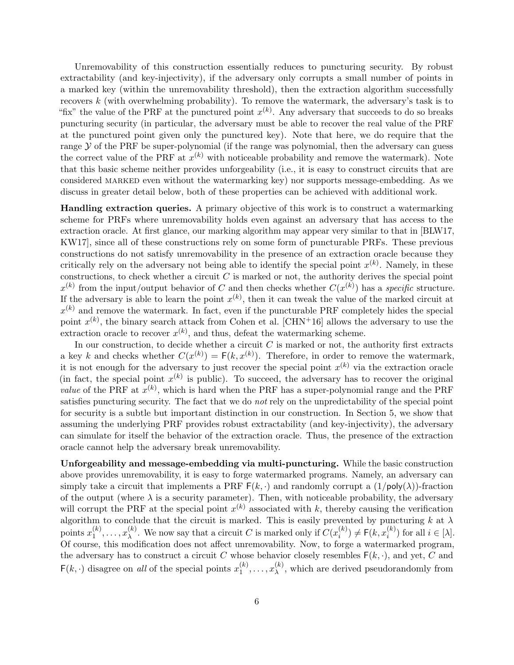Unremovability of this construction essentially reduces to puncturing security. By robust extractability (and key-injectivity), if the adversary only corrupts a small number of points in a marked key (within the unremovability threshold), then the extraction algorithm successfully recovers  $k$  (with overwhelming probability). To remove the watermark, the adversary's task is to "fix" the value of the PRF at the punctured point  $x^{(k)}$ . Any adversary that succeeds to do so breaks puncturing security (in particular, the adversary must be able to recover the real value of the PRF at the punctured point given only the punctured key). Note that here, we do require that the range  $Y$  of the PRF be super-polynomial (if the range was polynomial, then the adversary can guess the correct value of the PRF at  $x^{(k)}$  with noticeable probability and remove the watermark). Note that this basic scheme neither provides unforgeability (i.e., it is easy to construct circuits that are considered marked even without the watermarking key) nor supports message-embedding. As we discuss in greater detail below, both of these properties can be achieved with additional work.

Handling extraction queries. A primary objective of this work is to construct a watermarking scheme for PRFs where unremovability holds even against an adversary that has access to the extraction oracle. At first glance, our marking algorithm may appear very similar to that in [\[BLW17,](#page-42-2) [KW17\]](#page-44-3), since all of these constructions rely on some form of puncturable PRFs. These previous constructions do not satisfy unremovability in the presence of an extraction oracle because they critically rely on the adversary not being able to identify the special point  $x^{(k)}$ . Namely, in these constructions, to check whether a circuit  $C$  is marked or not, the authority derives the special point  $x^{(k)}$  from the input/output behavior of C and then checks whether  $C(x^{(k)})$  has a specific structure. If the adversary is able to learn the point  $x^{(k)}$ , then it can tweak the value of the marked circuit at  $x^{(k)}$  and remove the watermark. In fact, even if the puncturable PRF completely hides the special point  $x^{(k)}$ , the binary search attack from Cohen et al. [\[CHN](#page-43-1)+16] allows the adversary to use the extraction oracle to recover  $x^{(k)}$ , and thus, defeat the watermarking scheme.

In our construction, to decide whether a circuit  $C$  is marked or not, the authority first extracts a key k and checks whether  $C(x^{(k)}) = F(k, x^{(k)})$ . Therefore, in order to remove the watermark, it is not enough for the adversary to just recover the special point  $x^{(k)}$  via the extraction oracle (in fact, the special point  $x^{(k)}$  is public). To succeed, the adversary has to recover the original *value* of the PRF at  $x^{(k)}$ , which is hard when the PRF has a super-polynomial range and the PRF satisfies puncturing security. The fact that we do not rely on the unpredictability of the special point for security is a subtle but important distinction in our construction. In Section [5,](#page-29-1) we show that assuming the underlying PRF provides robust extractability (and key-injectivity), the adversary can simulate for itself the behavior of the extraction oracle. Thus, the presence of the extraction oracle cannot help the adversary break unremovability.

Unforgeability and message-embedding via multi-puncturing. While the basic construction above provides unremovability, it is easy to forge watermarked programs. Namely, an adversary can simply take a circuit that implements a PRF  $F(k, \cdot)$  and randomly corrupt a  $(1/\text{poly}(\lambda))$ -fraction of the output (where  $\lambda$  is a security parameter). Then, with noticeable probability, the adversary will corrupt the PRF at the special point  $x^{(k)}$  associated with k, thereby causing the verification algorithm to conclude that the circuit is marked. This is easily prevented by puncturing  $k$  at  $\lambda$ points  $x_1^{(k)}$  $\binom{k}{1},\ldots,\binom{k}{\lambda}$  $\chi^{(k)}$ . We now say that a circuit C is marked only if  $C(x_i^{(k)})$  $i^{(k)}$   $\neq$   $\mathsf{F}(k, x_i^{(k)})$  for all  $i \in [\lambda]$ . Of course, this modification does not affect unremovability. Now, to forge a watermarked program, the adversary has to construct a circuit C whose behavior closely resembles  $F(k, \cdot)$ , and yet, C and  $F(k, \cdot)$  disagree on all of the special points  $x_1^{(k)}$  $\binom{k}{1},\ldots,\binom{k}{\lambda}$  $\chi^{(k)}$ , which are derived pseudorandomly from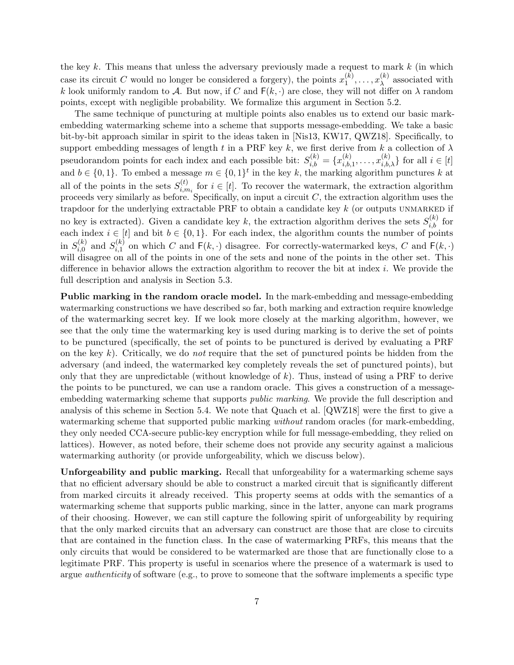the key  $k$ . This means that unless the adversary previously made a request to mark  $k$  (in which case its circuit C would no longer be considered a forgery), the points  $x_1^{(k)}$  $\binom{k}{1}, \ldots, x_{\lambda}^{(k)}$  $\lambda^{(\kappa)}$  associated with k look uniformly random to A. But now, if C and  $F(k, \cdot)$  are close, they will not differ on  $\lambda$  random points, except with negligible probability. We formalize this argument in Section [5.2.](#page-34-0)

The same technique of puncturing at multiple points also enables us to extend our basic markembedding watermarking scheme into a scheme that supports message-embedding. We take a basic bit-by-bit approach similar in spirit to the ideas taken in [\[Nis13,](#page-44-1) [KW17,](#page-44-3) [QWZ18\]](#page-44-4). Specifically, to support embedding messages of length t in a PRF key k, we first derive from k a collection of  $\lambda$ pseudorandom points for each index and each possible bit:  $S_{i,b}^{(k)} = \{x_{i,b}^{(k)}\}$  $\{a,b,1,\ldots,x_{i,b,\lambda}^{(k)}\}$  for all  $i \in [t]$ and  $b \in \{0,1\}$ . To embed a message  $m \in \{0,1\}^t$  in the key k, the marking algorithm punctures k at all of the points in the sets  $S_{i,n}^{(t)}$  $i_{i,m_i}^{(t)}$  for  $i \in [t]$ . To recover the watermark, the extraction algorithm proceeds very similarly as before. Specifically, on input a circuit  $C$ , the extraction algorithm uses the trapdoor for the underlying extractable PRF to obtain a candidate key  $k$  (or outputs UNMARKED if no key is extracted). Given a candidate key k, the extraction algorithm derives the sets  $S_{i,b}^{(k)}$  for each index  $i \in [t]$  and bit  $b \in \{0, 1\}$ . For each index, the algorithm counts the number of points in  $S_{i,0}^{(k)}$  $s_{i,0}^{(k)}$  and  $S_{i,1}^{(k)}$  $i_{i,1}^{(k)}$  on which C and  $F(k, \cdot)$  disagree. For correctly-watermarked keys, C and  $F(k, \cdot)$ will disagree on all of the points in one of the sets and none of the points in the other set. This difference in behavior allows the extraction algorithm to recover the bit at index i. We provide the full description and analysis in Section [5.3.](#page-37-0)

Public marking in the random oracle model. In the mark-embedding and message-embedding watermarking constructions we have described so far, both marking and extraction require knowledge of the watermarking secret key. If we look more closely at the marking algorithm, however, we see that the only time the watermarking key is used during marking is to derive the set of points to be punctured (specifically, the set of points to be punctured is derived by evaluating a PRF on the key  $k$ ). Critically, we do *not* require that the set of punctured points be hidden from the adversary (and indeed, the watermarked key completely reveals the set of punctured points), but only that they are unpredictable (without knowledge of  $k$ ). Thus, instead of using a PRF to derive the points to be punctured, we can use a random oracle. This gives a construction of a messageembedding watermarking scheme that supports *public marking*. We provide the full description and analysis of this scheme in Section [5.4.](#page-38-0) We note that Quach et al. [\[QWZ18\]](#page-44-4) were the first to give a watermarking scheme that supported public marking *without* random oracles (for mark-embedding, they only needed CCA-secure public-key encryption while for full message-embedding, they relied on lattices). However, as noted before, their scheme does not provide any security against a malicious watermarking authority (or provide unforgeability, which we discuss below).

Unforgeability and public marking. Recall that unforgeability for a watermarking scheme says that no efficient adversary should be able to construct a marked circuit that is significantly different from marked circuits it already received. This property seems at odds with the semantics of a watermarking scheme that supports public marking, since in the latter, anyone can mark programs of their choosing. However, we can still capture the following spirit of unforgeability by requiring that the only marked circuits that an adversary can construct are those that are close to circuits that are contained in the function class. In the case of watermarking PRFs, this means that the only circuits that would be considered to be watermarked are those that are functionally close to a legitimate PRF. This property is useful in scenarios where the presence of a watermark is used to argue authenticity of software (e.g., to prove to someone that the software implements a specific type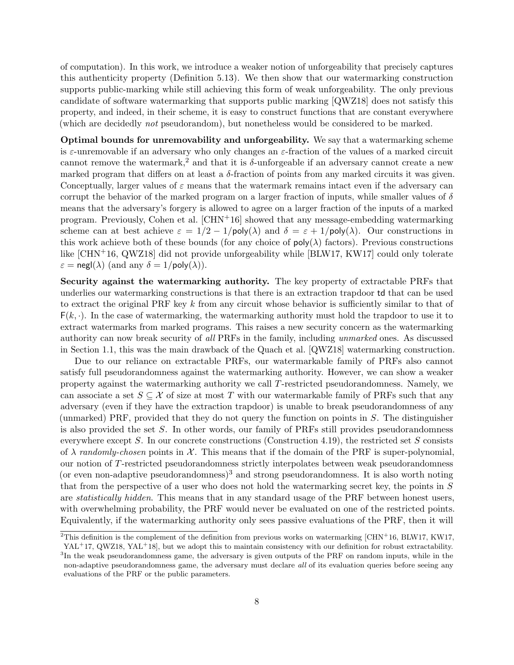of computation). In this work, we introduce a weaker notion of unforgeability that precisely captures this authenticity property (Definition [5.13\)](#page-33-0). We then show that our watermarking construction supports public-marking while still achieving this form of weak unforgeability. The only previous candidate of software watermarking that supports public marking [\[QWZ18\]](#page-44-4) does not satisfy this property, and indeed, in their scheme, it is easy to construct functions that are constant everywhere (which are decidedly not pseudorandom), but nonetheless would be considered to be marked.

Optimal bounds for unremovability and unforgeability. We say that a watermarking scheme is  $\varepsilon$ -unremovable if an adversary who only changes an  $\varepsilon$ -fraction of the values of a marked circuit cannot remove the watermark,<sup>[2](#page-0-0)</sup> and that it is  $\delta$ -unforgeable if an adversary cannot create a new marked program that differs on at least a  $\delta$ -fraction of points from any marked circuits it was given. Conceptually, larger values of  $\varepsilon$  means that the watermark remains intact even if the adversary can corrupt the behavior of the marked program on a larger fraction of inputs, while smaller values of  $\delta$ means that the adversary's forgery is allowed to agree on a larger fraction of the inputs of a marked program. Previously, Cohen et al. [\[CHN](#page-43-1)+16] showed that any message-embedding watermarking scheme can at best achieve  $\varepsilon = 1/2 - 1/poly(\lambda)$  and  $\delta = \varepsilon + 1/poly(\lambda)$ . Our constructions in this work achieve both of these bounds (for any choice of  $poly(\lambda)$  factors). Previous constructions like [\[CHN](#page-43-1)+16, [QWZ18\]](#page-44-4) did not provide unforgeability while [\[BLW17,](#page-42-2) [KW17\]](#page-44-3) could only tolerate  $\varepsilon = \text{negl}(\lambda)$  (and any  $\delta = 1/\text{poly}(\lambda)$ ).

Security against the watermarking authority. The key property of extractable PRFs that underlies our watermarking constructions is that there is an extraction trapdoor td that can be used to extract the original PRF key  $k$  from any circuit whose behavior is sufficiently similar to that of  $F(k, \cdot)$ . In the case of watermarking, the watermarking authority must hold the trapdoor to use it to extract watermarks from marked programs. This raises a new security concern as the watermarking authority can now break security of all PRFs in the family, including unmarked ones. As discussed in Section [1.1,](#page-1-0) this was the main drawback of the Quach et al. [\[QWZ18\]](#page-44-4) watermarking construction.

Due to our reliance on extractable PRFs, our watermarkable family of PRFs also cannot satisfy full pseudorandomness against the watermarking authority. However, we can show a weaker property against the watermarking authority we call T-restricted pseudorandomness. Namely, we can associate a set  $S \subseteq \mathcal{X}$  of size at most T with our watermarkable family of PRFs such that any adversary (even if they have the extraction trapdoor) is unable to break pseudorandomness of any (unmarked) PRF, provided that they do not query the function on points in  $S$ . The distinguisher is also provided the set S. In other words, our family of PRFs still provides pseudorandomness everywhere except  $S$ . In our concrete constructions (Construction [4.19\)](#page-24-0), the restricted set  $S$  consists of  $\lambda$  randomly-chosen points in  $\mathcal{X}$ . This means that if the domain of the PRF is super-polynomial, our notion of T-restricted pseudorandomness strictly interpolates between weak pseudorandomness (or even non-adaptive pseudorandomness)<sup>[3](#page-0-0)</sup> and strong pseudorandomness. It is also worth noting that from the perspective of a user who does not hold the watermarking secret key, the points in S are *statistically hidden*. This means that in any standard usage of the PRF between honest users, with overwhelming probability, the PRF would never be evaluated on one of the restricted points. Equivalently, if the watermarking authority only sees passive evaluations of the PRF, then it will

<sup>2</sup>This definition is the complement of the definition from previous works on watermarking [\[CHN](#page-43-1)<sup>+</sup>16, [BLW17,](#page-42-2) [KW17,](#page-44-3) [YAL](#page-45-1)<sup>+</sup>17, [QWZ18,](#page-44-4) YAL<sup>+</sup>18], but we adopt this to maintain consistency with our definition for robust extractability.

<sup>&</sup>lt;sup>3</sup>In the weak pseudorandomness game, the adversary is given outputs of the PRF on random inputs, while in the non-adaptive pseudorandomness game, the adversary must declare all of its evaluation queries before seeing any evaluations of the PRF or the public parameters.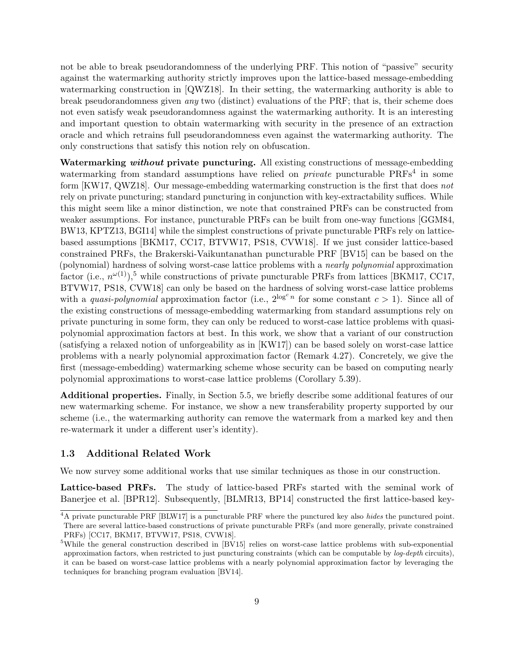not be able to break pseudorandomness of the underlying PRF. This notion of "passive" security against the watermarking authority strictly improves upon the lattice-based message-embedding watermarking construction in [\[QWZ18\]](#page-44-4). In their setting, the watermarking authority is able to break pseudorandomness given any two (distinct) evaluations of the PRF; that is, their scheme does not even satisfy weak pseudorandomness against the watermarking authority. It is an interesting and important question to obtain watermarking with security in the presence of an extraction oracle and which retrains full pseudorandomness even against the watermarking authority. The only constructions that satisfy this notion rely on obfuscation.

Watermarking without private puncturing. All existing constructions of message-embedding watermarking from standard assumptions have relied on *private* puncturable  $PRFs<sup>4</sup>$  $PRFs<sup>4</sup>$  $PRFs<sup>4</sup>$  in some form [\[KW17,](#page-44-3) [QWZ18\]](#page-44-4). Our message-embedding watermarking construction is the first that does not rely on private puncturing; standard puncturing in conjunction with key-extractability suffices. While this might seem like a minor distinction, we note that constrained PRFs can be constructed from weaker assumptions. For instance, puncturable PRFs can be built from one-way functions [\[GGM84,](#page-43-4) [BW13,](#page-43-2) [KPTZ13,](#page-43-3) [BGI14\]](#page-42-4) while the simplest constructions of private puncturable PRFs rely on latticebased assumptions [\[BKM17,](#page-42-5) [CC17,](#page-43-5) [BTVW17,](#page-42-6) [PS18,](#page-44-5) [CVW18\]](#page-43-6). If we just consider lattice-based constrained PRFs, the Brakerski-Vaikuntanathan puncturable PRF [\[BV15\]](#page-42-7) can be based on the (polynomial) hardness of solving worst-case lattice problems with a nearly polynomial approximation factor (i.e.,  $n^{\omega(1)}$ ),<sup>[5](#page-0-0)</sup> while constructions of private puncturable PRFs from lattices [\[BKM17,](#page-42-5) [CC17,](#page-43-5) [BTVW17,](#page-42-6) [PS18,](#page-44-5) [CVW18\]](#page-43-6) can only be based on the hardness of solving worst-case lattice problems with a *quasi-polynomial* approximation factor (i.e.,  $2^{\log^c n}$  for some constant  $c > 1$ ). Since all of the existing constructions of message-embedding watermarking from standard assumptions rely on private puncturing in some form, they can only be reduced to worst-case lattice problems with quasipolynomial approximation factors at best. In this work, we show that a variant of our construction (satisfying a relaxed notion of unforgeability as in [\[KW17\]](#page-44-3)) can be based solely on worst-case lattice problems with a nearly polynomial approximation factor (Remark [4.27\)](#page-29-0). Concretely, we give the first (message-embedding) watermarking scheme whose security can be based on computing nearly polynomial approximations to worst-case lattice problems (Corollary [5.39\)](#page-40-0).

Additional properties. Finally, in Section [5.5,](#page-40-1) we briefly describe some additional features of our new watermarking scheme. For instance, we show a new transferability property supported by our scheme (i.e., the watermarking authority can remove the watermark from a marked key and then re-watermark it under a different user's identity).

### <span id="page-8-0"></span>1.3 Additional Related Work

We now survey some additional works that use similar techniques as those in our construction.

Lattice-based PRFs. The study of lattice-based PRFs started with the seminal work of Banerjee et al. [\[BPR12\]](#page-42-8). Subsequently, [\[BLMR13,](#page-42-9) [BP14\]](#page-42-10) constructed the first lattice-based key-

 $4A$  private puncturable PRF [\[BLW17\]](#page-42-2) is a puncturable PRF where the punctured key also hides the punctured point. There are several lattice-based constructions of private puncturable PRFs (and more generally, private constrained PRFs) [\[CC17,](#page-43-5) [BKM17,](#page-42-5) [BTVW17,](#page-42-6) [PS18,](#page-44-5) [CVW18\]](#page-43-6).

<sup>&</sup>lt;sup>5</sup>While the general construction described in [\[BV15\]](#page-42-7) relies on worst-case lattice problems with sub-exponential approximation factors, when restricted to just puncturing constraints (which can be computable by log-depth circuits), it can be based on worst-case lattice problems with a nearly polynomial approximation factor by leveraging the techniques for branching program evaluation [\[BV14\]](#page-42-11).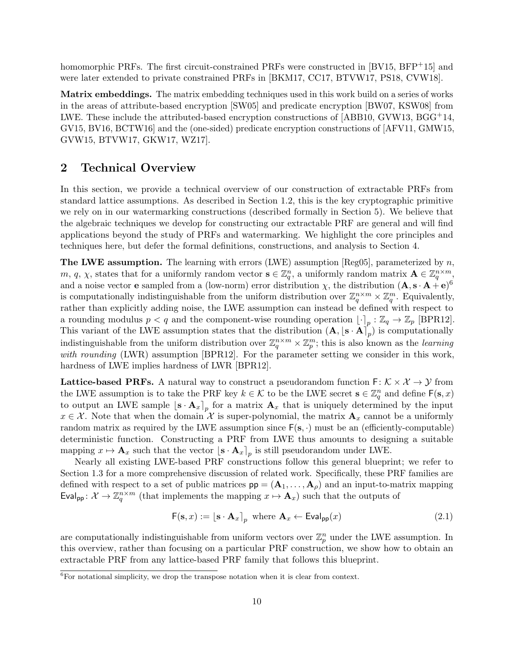homomorphic PRFs. The first circuit-constrained PRFs were constructed in [\[BV15,](#page-42-7) [BFP](#page-42-12)+15] and were later extended to private constrained PRFs in [\[BKM17,](#page-42-5) [CC17,](#page-43-5) [BTVW17,](#page-42-6) [PS18,](#page-44-5) [CVW18\]](#page-43-6).

Matrix embeddings. The matrix embedding techniques used in this work build on a series of works in the areas of attribute-based encryption [\[SW05\]](#page-44-6) and predicate encryption [\[BW07,](#page-43-7) [KSW08\]](#page-43-8) from LWE. These include the attributed-based encryption constructions of  $[ABB10, \text{GVM13}, \text{BGG}^+14,$  $[ABB10, \text{GVM13}, \text{BGG}^+14,$  $[ABB10, \text{GVM13}, \text{BGG}^+14,$  $[ABB10, \text{GVM13}, \text{BGG}^+14,$ [GV15,](#page-43-10) [BV16,](#page-43-11) [BCTW16\]](#page-41-1) and the (one-sided) predicate encryption constructions of [\[AFV11,](#page-41-2) [GMW15,](#page-43-12) [GVW15,](#page-43-13) [BTVW17,](#page-42-6) [GKW17,](#page-43-14) [WZ17\]](#page-44-7).

## <span id="page-9-0"></span>2 Technical Overview

In this section, we provide a technical overview of our construction of extractable PRFs from standard lattice assumptions. As described in Section [1.2,](#page-3-0) this is the key cryptographic primitive we rely on in our watermarking constructions (described formally in Section [5\)](#page-29-1). We believe that the algebraic techniques we develop for constructing our extractable PRF are general and will find applications beyond the study of PRFs and watermarking. We highlight the core principles and techniques here, but defer the formal definitions, constructions, and analysis to Section [4.](#page-18-0)

**The LWE assumption.** The learning with errors (LWE) assumption [\[Reg05\]](#page-44-8), parameterized by  $n$ , m, q,  $\chi$ , states that for a uniformly random vector  $\mathbf{s} \in \mathbb{Z}_q^n$ , a uniformly random matrix  $\mathbf{A} \in \mathbb{Z}_q^{n \times m}$ , and a noise vector **e** sampled from a (low-norm) error distribution  $\chi$ , the distribution  $(A, s \cdot A + e)^6$  $(A, s \cdot A + e)^6$ is computationally indistinguishable from the uniform distribution over  $\mathbb{Z}_q^{n \times m} \times \mathbb{Z}_q^m$ . Equivalently, rather than explicitly adding noise, the LWE assumption can instead be defined with respect to a rounding modulus  $p < q$  and the component-wise rounding operation  $\lfloor \cdot \rceil_p : \mathbb{Z}_q \to \mathbb{Z}_p$  [\[BPR12\]](#page-42-8). This variant of the LWE assumption states that the distribution  $(A, [s \cdot A]_p)$  is computationally indistinguishable from the uniform distribution over  $\mathbb{Z}_q^{n \times m} \times \mathbb{Z}_p^m$ ; this is also known as the *learning* with rounding (LWR) assumption [\[BPR12\]](#page-42-8). For the parameter setting we consider in this work, hardness of LWE implies hardness of LWR [\[BPR12\]](#page-42-8).

Lattice-based PRFs. A natural way to construct a pseudorandom function  $F: \mathcal{K} \times \mathcal{X} \to \mathcal{Y}$  from the LWE assumption is to take the PRF key  $k \in \mathcal{K}$  to be the LWE secret  $\mathbf{s} \in \mathbb{Z}_q^n$  and define  $\mathsf{F}(\mathbf{s},x)$ to output an LWE sample  $[s \cdot A_x]_p$  for a matrix  $A_x$  that is uniquely determined by the input  $x \in \mathcal{X}$ . Note that when the domain X is super-polynomial, the matrix  $\mathbf{A}_x$  cannot be a uniformly random matrix as required by the LWE assumption since  $F(s, \cdot)$  must be an (efficiently-computable) deterministic function. Constructing a PRF from LWE thus amounts to designing a suitable mapping  $x \mapsto \mathbf{A}_x$  such that the vector  $\lfloor \mathbf{s} \cdot \mathbf{A}_x \rfloor_p$  is still pseudorandom under LWE.

Nearly all existing LWE-based PRF constructions follow this general blueprint; we refer to Section [1.3](#page-8-0) for a more comprehensive discussion of related work. Specifically, these PRF families are defined with respect to a set of public matrices  $pp = (\mathbf{A}_1, \dots, \mathbf{A}_\rho)$  and an input-to-matrix mapping Eval<sub>pp</sub>:  $\mathcal{X} \to \mathbb{Z}_q^{n \times m}$  (that implements the mapping  $x \mapsto \mathbf{A}_x$ ) such that the outputs of

<span id="page-9-1"></span>
$$
\mathsf{F}(\mathbf{s},x) := [\mathbf{s} \cdot \mathbf{A}_x]_p \text{ where } \mathbf{A}_x \leftarrow \mathsf{Eval_{pp}}(x) \tag{2.1}
$$

are computationally indistinguishable from uniform vectors over  $\mathbb{Z}_p^n$  under the LWE assumption. In this overview, rather than focusing on a particular PRF construction, we show how to obtain an extractable PRF from any lattice-based PRF family that follows this blueprint.

 ${}^{6}$ For notational simplicity, we drop the transpose notation when it is clear from context.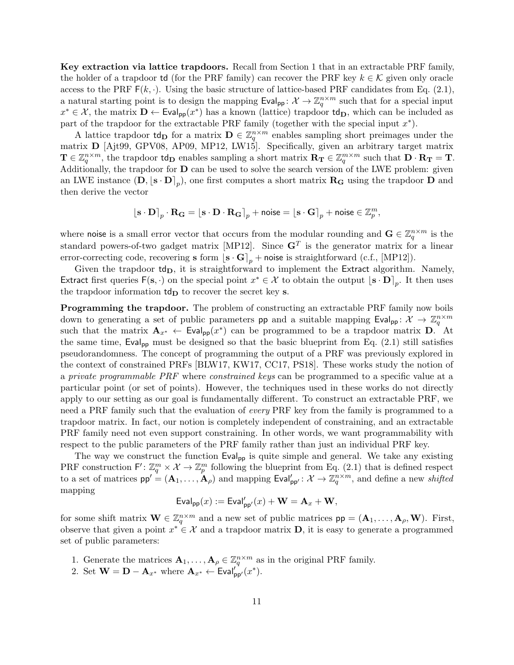Key extraction via lattice trapdoors. Recall from Section [1](#page-0-1) that in an extractable PRF family, the holder of a trapdoor td (for the PRF family) can recover the PRF key  $k \in \mathcal{K}$  given only oracle access to the PRF  $F(k, \cdot)$ . Using the basic structure of lattice-based PRF candidates from Eq. [\(2.1\)](#page-9-1), a natural starting point is to design the mapping  $\text{Eval}_{\text{pp}}: \mathcal{X} \to \mathbb{Z}_q^{n \times m}$  such that for a special input  $x^* \in \mathcal{X}$ , the matrix  $\mathbf{D} \leftarrow \mathsf{Eval}_{\mathsf{pp}}(x^*)$  has a known (lattice) trapdoor  $\mathsf{td}_{\mathbf{D}}$ , which can be included as part of the trapdoor for the extractable PRF family (together with the special input  $x^*$ ).

A lattice trapdoor  $td_D$  for a matrix  $D \in \mathbb{Z}_q^{n \times m}$  enables sampling short preimages under the matrix D [\[Ajt99,](#page-41-3) [GPV08,](#page-43-15) [AP09,](#page-41-4) [MP12,](#page-44-9) [LW15\]](#page-44-10). Specifically, given an arbitrary target matrix  $\mathbf{T} \in \mathbb{Z}_q^{n \times m}$ , the trapdoor  $\mathsf{td}_{\mathbf{D}}$  enables sampling a short matrix  $\mathbf{R}_{\mathbf{T}} \in \mathbb{Z}_q^{m \times m}$  such that  $\mathbf{D} \cdot \mathbf{R}_{\mathbf{T}} = \mathbf{T}$ . Additionally, the trapdoor for  **can be used to solve the search version of the LWE problem: given** an LWE instance  $(D, [s \cdot D]_p)$ , one first computes a short matrix  $R_G$  using the trapdoor D and then derive the vector

$$
\lfloor \mathbf{s} \cdot \mathbf{D} \rceil_p \cdot \mathbf{R_G} = \lfloor \mathbf{s} \cdot \mathbf{D} \cdot \mathbf{R_G} \rceil_p + \text{noise} = \lfloor \mathbf{s} \cdot \mathbf{G} \rceil_p + \text{noise} \in \mathbb{Z}_p^m,
$$

where noise is a small error vector that occurs from the modular rounding and  $\mathbf{G} \in \mathbb{Z}_q^{n \times m}$  is the standard powers-of-two gadget matrix [\[MP12\]](#page-44-9). Since  $G<sup>T</sup>$  is the generator matrix for a linear error-correcting code, recovering s form  $[s \cdot G]_p$  + noise is straightforward (c.f., [\[MP12\]](#page-44-9)).

Given the trapdoor  $td<sub>D</sub>$ , it is straightforward to implement the Extract algorithm. Namely, Extract first queries  $F(s, \cdot)$  on the special point  $x^* \in \mathcal{X}$  to obtain the output  $[s \cdot D]_p$ . It then uses the trapdoor information  $td<sub>D</sub>$  to recover the secret key s.

Programming the trapdoor. The problem of constructing an extractable PRF family now boils down to generating a set of public parameters pp and a suitable mapping  $\textsf{Eval}_{\textsf{pp}}\colon\mathcal{X}\to\mathbb{Z}_q^{n\times m}$ such that the matrix  $\mathbf{A}_{x^*} \leftarrow \text{Eval}_{\text{pp}}(x^*)$  can be programmed to be a trapdoor matrix D. At the same time,  $Eval_{\text{pp}}$  must be designed so that the basic blueprint from Eq. [\(2.1\)](#page-9-1) still satisfies pseudorandomness. The concept of programming the output of a PRF was previously explored in the context of constrained PRFs [\[BLW17,](#page-42-2) [KW17,](#page-44-3) [CC17,](#page-43-5) [PS18\]](#page-44-5). These works study the notion of a private programmable PRF where constrained keys can be programmed to a specific value at a particular point (or set of points). However, the techniques used in these works do not directly apply to our setting as our goal is fundamentally different. To construct an extractable PRF, we need a PRF family such that the evaluation of *every* PRF key from the family is programmed to a trapdoor matrix. In fact, our notion is completely independent of constraining, and an extractable PRF family need not even support constraining. In other words, we want programmability with respect to the public parameters of the PRF family rather than just an individual PRF key.

The way we construct the function Eval<sub>pp</sub> is quite simple and general. We take any existing PRF construction  $\mathsf{F}'$ :  $\mathbb{Z}_q^m \times \mathcal{X} \to \mathbb{Z}_p^m$  following the blueprint from Eq. [\(2.1\)](#page-9-1) that is defined respect to a set of matrices  $pp' = (\mathbf{A}_1, \ldots, \mathbf{A}_{\rho})$  and mapping  $Eval'_{pp'} : \mathcal{X} \to \mathbb{Z}_q^{n \times m}$ , and define a new shifted mapping

$$
\text{Eval}_{\textsf{pp}}(x) \mathrel{\mathop:}= \text{Eval}_{\textsf{pp}'}'(x) + \mathbf{W} = \mathbf{A}_x + \mathbf{W},
$$

for some shift matrix  $\mathbf{W} \in \mathbb{Z}_q^{n \times m}$  and a new set of public matrices  $pp = (\mathbf{A}_1, \dots, \mathbf{A}_\rho, \mathbf{W})$ . First, observe that given a point  $x^* \in \mathcal{X}$  and a trapdoor matrix **D**, it is easy to generate a programmed set of public parameters:

- 1. Generate the matrices  $\mathbf{A}_1, \ldots, \mathbf{A}_{\rho} \in \mathbb{Z}_q^{n \times m}$  as in the original PRF family.
- 2. Set  $\mathbf{W} = \mathbf{D} \mathbf{A}_{x^*}$  where  $\mathbf{A}_{x^*} \leftarrow \text{Eval}^{\prime}_{\text{pp}'}(x^*)$ .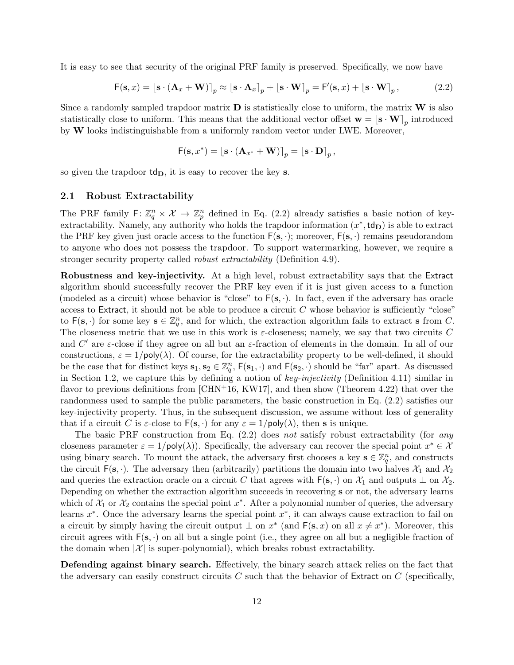It is easy to see that security of the original PRF family is preserved. Specifically, we now have

$$
\mathsf{F}(\mathbf{s},x) = [\mathbf{s} \cdot (\mathbf{A}_x + \mathbf{W})]_p \approx [\mathbf{s} \cdot \mathbf{A}_x]_p + [\mathbf{s} \cdot \mathbf{W}]_p = \mathsf{F}'(\mathbf{s},x) + [\mathbf{s} \cdot \mathbf{W}]_p, \qquad (2.2)
$$

Since a randomly sampled trapdoor matrix  $\bf{D}$  is statistically close to uniform, the matrix  $\bf{W}$  is also statistically close to uniform. This means that the additional vector offset  $\mathbf{w} = [\mathbf{s} \cdot \mathbf{W}]_p$  introduced by W looks indistinguishable from a uniformly random vector under LWE. Moreover,

<span id="page-11-0"></span>
$$
\mathsf{F}(\mathbf{s},x^*) = \left[\mathbf{s} \cdot (\mathbf{A}_{x^*} + \mathbf{W})\right]_p = \left[\mathbf{s} \cdot \mathbf{D}\right]_p,
$$

so given the trapdoor  $td<sub>D</sub>$ , it is easy to recover the key s.

## <span id="page-11-1"></span>2.1 Robust Extractability

The PRF family  $F: \mathbb{Z}_q^n \times \mathcal{X} \to \mathbb{Z}_p^n$  defined in Eq. [\(2.2\)](#page-11-0) already satisfies a basic notion of keyextractability. Namely, any authority who holds the trapdoor information  $(x^*, \text{td}_D)$  is able to extract the PRF key given just oracle access to the function  $F(s, \cdot)$ ; moreover,  $F(s, \cdot)$  remains pseudorandom to anyone who does not possess the trapdoor. To support watermarking, however, we require a stronger security property called robust extractability (Definition [4.9\)](#page-20-0).

Robustness and key-injectivity. At a high level, robust extractability says that the Extract algorithm should successfully recover the PRF key even if it is just given access to a function (modeled as a circuit) whose behavior is "close" to  $F(s, \cdot)$ . In fact, even if the adversary has oracle access to Extract, it should not be able to produce a circuit  $C$  whose behavior is sufficiently "close" to  $F(\mathbf{s},\cdot)$  for some key  $\mathbf{s} \in \mathbb{Z}_q^n$ , and for which, the extraction algorithm fails to extract s from C. The closeness metric that we use in this work is  $\varepsilon$ -closeness; namely, we say that two circuits C and  $C'$  are  $\varepsilon$ -close if they agree on all but an  $\varepsilon$ -fraction of elements in the domain. In all of our constructions,  $\varepsilon = 1/\text{poly}(\lambda)$ . Of course, for the extractability property to be well-defined, it should be the case that for distinct keys  $\mathbf{s}_1, \mathbf{s}_2 \in \mathbb{Z}_q^n$ ,  $\mathsf{F}(\mathbf{s}_1, \cdot)$  and  $\mathsf{F}(\mathbf{s}_2, \cdot)$  should be "far" apart. As discussed in Section [1.2,](#page-3-0) we capture this by defining a notion of key-injectivity (Definition [4.11\)](#page-21-0) similar in flavor to previous definitions from  $\text{[CHN}^+16, \text{KW17}]$  $\text{[CHN}^+16, \text{KW17}]$  $\text{[CHN}^+16, \text{KW17}]$ , and then show (Theorem [4.22\)](#page-27-0) that over the randomness used to sample the public parameters, the basic construction in Eq. [\(2.2\)](#page-11-0) satisfies our key-injectivity property. Thus, in the subsequent discussion, we assume without loss of generality that if a circuit C is  $\varepsilon$ -close to  $F(s, \cdot)$  for any  $\varepsilon = 1/\text{poly}(\lambda)$ , then s is unique.

The basic PRF construction from Eq.  $(2.2)$  does not satisfy robust extractability (for any closeness parameter  $\varepsilon = 1/\text{poly}(\lambda)$ . Specifically, the adversary can recover the special point  $x^* \in \mathcal{X}$ using binary search. To mount the attack, the adversary first chooses a key  $\mathbf{s} \in \mathbb{Z}_q^n$ , and constructs the circuit  $F(s, \cdot)$ . The adversary then (arbitrarily) partitions the domain into two halves  $\mathcal{X}_1$  and  $\mathcal{X}_2$ and queries the extraction oracle on a circuit C that agrees with  $F(s, \cdot)$  on  $\mathcal{X}_1$  and outputs  $\perp$  on  $\mathcal{X}_2$ . Depending on whether the extraction algorithm succeeds in recovering s or not, the adversary learns which of  $X_1$  or  $X_2$  contains the special point  $x^*$ . After a polynomial number of queries, the adversary learns  $x^*$ . Once the adversary learns the special point  $x^*$ , it can always cause extraction to fail on a circuit by simply having the circuit output  $\perp$  on  $x^*$  (and  $\mathsf{F}(\mathbf{s},x)$  on all  $x \neq x^*$ ). Moreover, this circuit agrees with  $F(s, \cdot)$  on all but a single point (i.e., they agree on all but a negligible fraction of the domain when  $|\mathcal{X}|$  is super-polynomial), which breaks robust extractability.

Defending against binary search. Effectively, the binary search attack relies on the fact that the adversary can easily construct circuits  $C$  such that the behavior of Extract on  $C$  (specifically,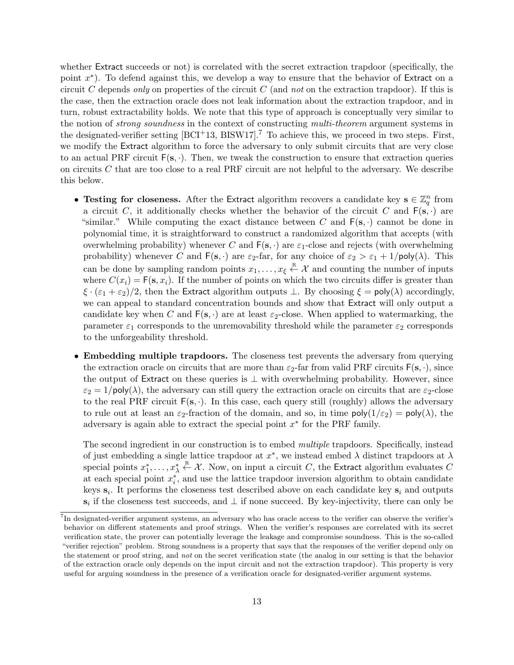whether Extract succeeds or not) is correlated with the secret extraction trapdoor (specifically, the point  $x^*$ ). To defend against this, we develop a way to ensure that the behavior of Extract on a circuit C depends only on properties of the circuit C (and not on the extraction trapdoor). If this is the case, then the extraction oracle does not leak information about the extraction trapdoor, and in turn, robust extractability holds. We note that this type of approach is conceptually very similar to the notion of *strong soundness* in the context of constructing *multi-theorem* argument systems in the designated-verifier setting  $[BCI^+13, BISW17]<sup>7</sup>$  $[BCI^+13, BISW17]<sup>7</sup>$  $[BCI^+13, BISW17]<sup>7</sup>$  $[BCI^+13, BISW17]<sup>7</sup>$  $[BCI^+13, BISW17]<sup>7</sup>$  $[BCI^+13, BISW17]<sup>7</sup>$  To achieve this, we proceed in two steps. First, we modify the Extract algorithm to force the adversary to only submit circuits that are very close to an actual PRF circuit  $F(s, \cdot)$ . Then, we tweak the construction to ensure that extraction queries on circuits C that are too close to a real PRF circuit are not helpful to the adversary. We describe this below.

- Testing for closeness. After the Extract algorithm recovers a candidate key  $s \in \mathbb{Z}_q^n$  from a circuit C, it additionally checks whether the behavior of the circuit C and  $F(s, \cdot)$  are "similar." While computing the exact distance between C and  $F(s, \cdot)$  cannot be done in polynomial time, it is straightforward to construct a randomized algorithm that accepts (with overwhelming probability) whenever C and  $F(s, \cdot)$  are  $\varepsilon_1$ -close and rejects (with overwhelming probability) whenever C and  $F(s, \cdot)$  are  $\varepsilon_2$ -far, for any choice of  $\varepsilon_2 > \varepsilon_1 + 1/\text{poly}(\lambda)$ . This can be done by sampling random points  $x_1, \ldots, x_\xi \stackrel{\mathbb{R}}{\leftarrow} \mathcal{X}$  and counting the number of inputs where  $C(x_i) = F(\mathbf{s}, x_i)$ . If the number of points on which the two circuits differ is greater than  $\xi \cdot (\varepsilon_1 + \varepsilon_2)/2$ , then the Extract algorithm outputs  $\bot$ . By choosing  $\xi = \text{poly}(\lambda)$  accordingly, we can appeal to standard concentration bounds and show that Extract will only output a candidate key when C and  $F(s, \cdot)$  are at least  $\varepsilon_2$ -close. When applied to watermarking, the parameter  $\varepsilon_1$  corresponds to the unremovability threshold while the parameter  $\varepsilon_2$  corresponds to the unforgeability threshold.
- Embedding multiple trapdoors. The closeness test prevents the adversary from querying the extraction oracle on circuits that are more than  $\varepsilon_2$ -far from valid PRF circuits  $F(s, \cdot)$ , since the output of Extract on these queries is  $\perp$  with overwhelming probability. However, since  $\varepsilon_2 = 1/\text{poly}(\lambda)$ , the adversary can still query the extraction oracle on circuits that are  $\varepsilon_2$ -close to the real PRF circuit  $F(s, \cdot)$ . In this case, each query still (roughly) allows the adversary to rule out at least an  $\varepsilon_2$ -fraction of the domain, and so, in time  $\text{poly}(1/\varepsilon_2) = \text{poly}(\lambda)$ , the adversary is again able to extract the special point  $x^*$  for the PRF family.

The second ingredient in our construction is to embed *multiple* trapdoors. Specifically, instead of just embedding a single lattice trapdoor at  $x^*$ , we instead embed  $\lambda$  distinct trapdoors at  $\lambda$ special points  $x_1^*, \ldots, x_k^* \stackrel{\text{R}}{\leftarrow} \mathcal{X}$ . Now, on input a circuit C, the Extract algorithm evaluates C at each special point  $x_i^*$ , and use the lattice trapdoor inversion algorithm to obtain candidate keys  $s_i$ . It performs the closeness test described above on each candidate key  $s_i$  and outputs  $s_i$  if the closeness test succeeds, and  $\perp$  if none succeed. By key-injectivity, there can only be

<sup>&</sup>lt;sup>7</sup>In designated-verifier argument systems, an adversary who has oracle access to the verifier can observe the verifier's behavior on different statements and proof strings. When the verifier's responses are correlated with its secret verification state, the prover can potentially leverage the leakage and compromise soundness. This is the so-called "verifier rejection" problem. Strong soundness is a property that says that the responses of the verifier depend only on the statement or proof string, and not on the secret verification state (the analog in our setting is that the behavior of the extraction oracle only depends on the input circuit and not the extraction trapdoor). This property is very useful for arguing soundness in the presence of a verification oracle for designated-verifier argument systems.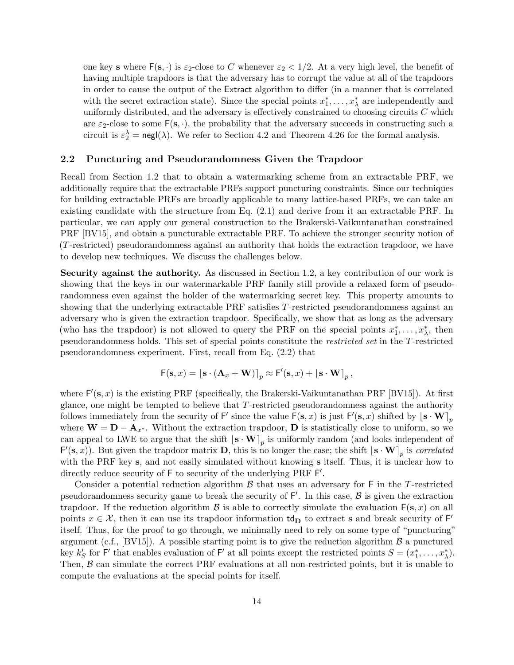one key s where  $F(s, \cdot)$  is  $\varepsilon_2$ -close to C whenever  $\varepsilon_2 < 1/2$ . At a very high level, the benefit of having multiple trapdoors is that the adversary has to corrupt the value at all of the trapdoors in order to cause the output of the Extract algorithm to differ (in a manner that is correlated with the secret extraction state). Since the special points  $x_1^*, \ldots, x_\lambda^*$  are independently and uniformly distributed, and the adversary is effectively constrained to choosing circuits  $C$  which are  $\varepsilon_2$ -close to some  $F(s, \cdot)$ , the probability that the adversary succeeds in constructing such a circuit is  $\varepsilon_2^{\lambda} = \text{negl}(\lambda)$ . We refer to Section [4.2](#page-24-1) and Theorem [4.26](#page-28-0) for the formal analysis.

## <span id="page-13-0"></span>2.2 Puncturing and Pseudorandomness Given the Trapdoor

Recall from Section [1.2](#page-3-0) that to obtain a watermarking scheme from an extractable PRF, we additionally require that the extractable PRFs support puncturing constraints. Since our techniques for building extractable PRFs are broadly applicable to many lattice-based PRFs, we can take an existing candidate with the structure from Eq. [\(2.1\)](#page-9-1) and derive from it an extractable PRF. In particular, we can apply our general construction to the Brakerski-Vaikuntanathan constrained PRF [\[BV15\]](#page-42-7), and obtain a puncturable extractable PRF. To achieve the stronger security notion of (T-restricted) pseudorandomness against an authority that holds the extraction trapdoor, we have to develop new techniques. We discuss the challenges below.

Security against the authority. As discussed in Section [1.2,](#page-3-0) a key contribution of our work is showing that the keys in our watermarkable PRF family still provide a relaxed form of pseudorandomness even against the holder of the watermarking secret key. This property amounts to showing that the underlying extractable PRF satisfies T-restricted pseudorandomness against an adversary who is given the extraction trapdoor. Specifically, we show that as long as the adversary (who has the trapdoor) is not allowed to query the PRF on the special points  $x_1^*, \ldots, x_\lambda^*$ , then pseudorandomness holds. This set of special points constitute the restricted set in the T-restricted pseudorandomness experiment. First, recall from Eq. [\(2.2\)](#page-11-0) that

$$
\mathsf{F}(\mathbf{s},x) = \left[\mathbf{s} \cdot (\mathbf{A}_x + \mathbf{W})\right]_p \approx \mathsf{F}'(\mathbf{s},x) + \left[\mathbf{s} \cdot \mathbf{W}\right]_p,
$$

where  $F'(s, x)$  is the existing PRF (specifically, the Brakerski-Vaikuntanathan PRF [\[BV15\]](#page-42-7)). At first glance, one might be tempted to believe that T-restricted pseudorandomness against the authority follows immediately from the security of  $\mathsf{F}'$  since the value  $\mathsf{F}(\mathbf{s},x)$  is just  $\mathsf{F}'(\mathbf{s},x)$  shifted by  $\lfloor \mathbf{s} \cdot \mathbf{W} \rfloor_p$ where  $W = D - A_{x^*}$ . Without the extraction trapdoor, D is statistically close to uniform, so we can appeal to LWE to argue that the shift  $[s \cdot W]_p$  is uniformly random (and looks independent of  $F'(\mathbf{s},x)$ ). But given the trapdoor matrix **D**, this is no longer the case; the shift  $[\mathbf{s} \cdot \mathbf{W}]_p$  is *correlated* with the PRF key s, and not easily simulated without knowing s itself. Thus, it is unclear how to directly reduce security of F to security of the underlying PRF F'.

Consider a potential reduction algorithm  $\beta$  that uses an adversary for  $\mathsf F$  in the T-restricted pseudorandomness security game to break the security of  $F'$ . In this case,  $\beta$  is given the extraction trapdoor. If the reduction algorithm  $\mathcal B$  is able to correctly simulate the evaluation  $F(\mathbf{s}, x)$  on all points  $x \in \mathcal{X}$ , then it can use its trapdoor information  $\mathsf{td}_{\mathbf{D}}$  to extract s and break security of  $\mathsf{F}'$ itself. Thus, for the proof to go through, we minimally need to rely on some type of "puncturing" argument (c.f., [\[BV15\]](#page-42-7)). A possible starting point is to give the reduction algorithm  $\beta$  a punctured key  $k'_{S}$  for F' that enables evaluation of F' at all points except the restricted points  $S = (x_1^*, \ldots, x_{\lambda}^*)$ . Then,  $\beta$  can simulate the correct PRF evaluations at all non-restricted points, but it is unable to compute the evaluations at the special points for itself.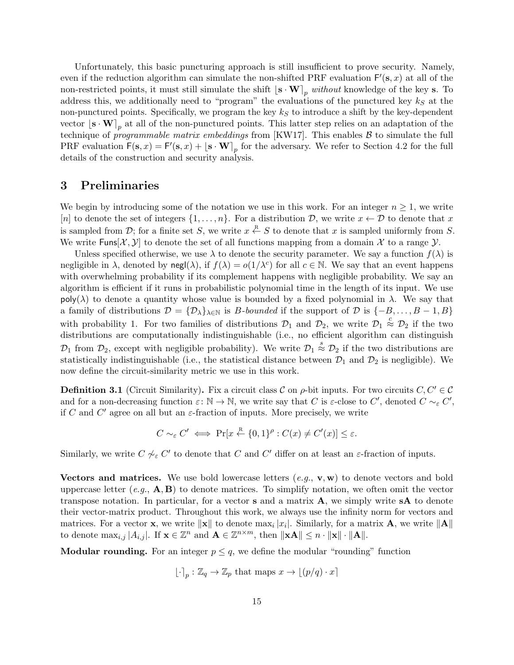Unfortunately, this basic puncturing approach is still insufficient to prove security. Namely, even if the reduction algorithm can simulate the non-shifted PRF evaluation  $F'(s, x)$  at all of the non-restricted points, it must still simulate the shift  $\left[\mathbf{s} \cdot \mathbf{W}\right]_p$  without knowledge of the key s. To address this, we additionally need to "program" the evaluations of the punctured key  $k<sub>S</sub>$  at the non-punctured points. Specifically, we program the key  $k<sub>S</sub>$  to introduce a shift by the key-dependent vector  $[s \cdot W]_p$  at all of the non-punctured points. This latter step relies on an adaptation of the technique of *programmable matrix embeddings* from [\[KW17\]](#page-44-3). This enables  $\beta$  to simulate the full PRF evaluation  $F(\mathbf{s}, x) = F'(\mathbf{s}, x) + [\mathbf{s} \cdot \mathbf{W}]_p$  for the adversary. We refer to Section [4.2](#page-24-1) for the full details of the construction and security analysis.

# 3 Preliminaries

We begin by introducing some of the notation we use in this work. For an integer  $n \geq 1$ , we write [n] to denote the set of integers  $\{1,\ldots,n\}$ . For a distribution D, we write  $x \leftarrow \mathcal{D}$  to denote that x is sampled from D; for a finite set S, we write  $x \stackrel{R}{\leftarrow} S$  to denote that x is sampled uniformly from S. We write Funs  $[\mathcal{X}, \mathcal{Y}]$  to denote the set of all functions mapping from a domain X to a range Y.

Unless specified otherwise, we use  $\lambda$  to denote the security parameter. We say a function  $f(\lambda)$  is negligible in  $\lambda$ , denoted by negl( $\lambda$ ), if  $f(\lambda) = o(1/\lambda^c)$  for all  $c \in \mathbb{N}$ . We say that an event happens with overwhelming probability if its complement happens with negligible probability. We say an algorithm is efficient if it runs in probabilistic polynomial time in the length of its input. We use  $\text{poly}(\lambda)$  to denote a quantity whose value is bounded by a fixed polynomial in  $\lambda$ . We say that a family of distributions  $\mathcal{D} = {\mathcal{D}_{\lambda}}_{\lambda \in \mathbb{N}}$  is B-bounded if the support of  $\mathcal{D}$  is  $\{-B, \ldots, B-1, B\}$ with probability 1. For two families of distributions  $\mathcal{D}_1$  and  $\mathcal{D}_2$ , we write  $\mathcal{D}_1 \stackrel{c}{\approx} \mathcal{D}_2$  if the two distributions are computationally indistinguishable (i.e., no efficient algorithm can distinguish  $\mathcal{D}_1$  from  $\mathcal{D}_2$ , except with negligible probability). We write  $\mathcal{D}_1 \stackrel{s}{\approx} \mathcal{D}_2$  if the two distributions are statistically indistinguishable (i.e., the statistical distance between  $\mathcal{D}_1$  and  $\mathcal{D}_2$  is negligible). We now define the circuit-similarity metric we use in this work.

**Definition 3.1** (Circuit Similarity). Fix a circuit class C on  $\rho$ -bit inputs. For two circuits  $C, C' \in \mathcal{C}$ and for a non-decreasing function  $\varepsilon: \mathbb{N} \to \mathbb{N}$ , we write say that C is  $\varepsilon$ -close to C', denoted  $C \sim_{\varepsilon} C'$ , if C and  $C'$  agree on all but an  $\varepsilon$ -fraction of inputs. More precisely, we write

$$
C \sim_{\varepsilon} C' \iff \Pr[x \stackrel{\text{R}}{\longleftrightarrow} \{0,1\}^{\rho} : C(x) \neq C'(x)] \leq \varepsilon.
$$

Similarly, we write  $C \not\sim_{\varepsilon} C'$  to denote that C and C' differ on at least an  $\varepsilon$ -fraction of inputs.

**Vectors and matrices.** We use bold lowercase letters  $(e.g., \mathbf{v}, \mathbf{w})$  to denote vectors and bold uppercase letter  $(e.g., \mathbf{A}, \mathbf{B})$  to denote matrices. To simplify notation, we often omit the vector transpose notation. In particular, for a vector  $s$  and a matrix  $A$ , we simply write  $sA$  to denote their vector-matrix product. Throughout this work, we always use the infinity norm for vectors and matrices. For a vector **x**, we write  $\|\mathbf{x}\|$  to denote  $\max_i |x_i|$ . Similarly, for a matrix **A**, we write  $\|\mathbf{A}\|$ to denote  $\max_{i,j} |A_{i,j}|$ . If  $\mathbf{x} \in \mathbb{Z}^n$  and  $\mathbf{A} \in \mathbb{Z}^{n \times m}$ , then  $\|\mathbf{x}\mathbf{A}\| \leq n \cdot \|\mathbf{x}\| \cdot \|\mathbf{A}\|$ .

**Modular rounding.** For an integer  $p \leq q$ , we define the modular "rounding" function

$$
\lfloor \cdot \rceil_p : \mathbb{Z}_q \to \mathbb{Z}_p \text{ that maps } x \to \lfloor (p/q) \cdot x \rceil
$$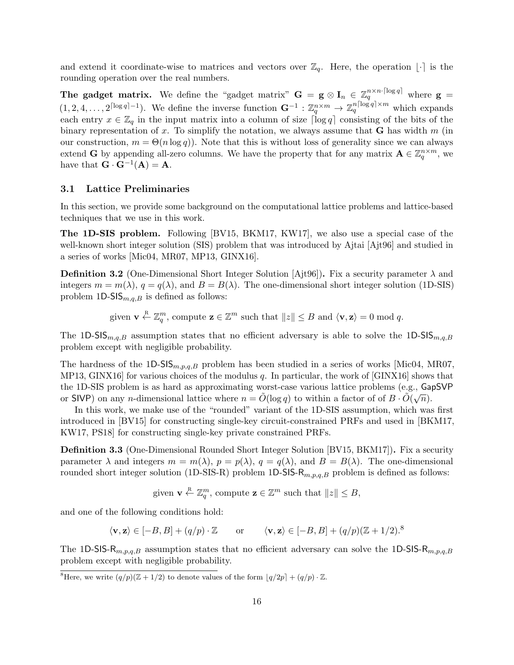and extend it coordinate-wise to matrices and vectors over  $\mathbb{Z}_q$ . Here, the operation  $\lfloor \cdot \rfloor$  is the rounding operation over the real numbers.

The gadget matrix. We define the "gadget matrix"  $G = g \otimes I_n \in \mathbb{Z}_q^{n \times n \cdot \lceil \log q \rceil}$  where  $g =$  $(1, 2, 4, \ldots, 2^{\lceil \log q \rceil - 1})$ . We define the inverse function  $\mathbf{G}^{-1} : \mathbb{Z}_q^{n \times m} \to \mathbb{Z}_q^{n \lceil \log q \rceil \times m}$  which expands each entry  $x \in \mathbb{Z}_q$  in the input matrix into a column of size  $\lceil \log q \rceil$  consisting of the bits of the binary representation of x. To simplify the notation, we always assume that **G** has width  $m$  (in our construction,  $m = \Theta(n \log q)$ . Note that this is without loss of generality since we can always extend G by appending all-zero columns. We have the property that for any matrix  $\mathbf{A} \in \mathbb{Z}_q^{n \times m}$ , we have that  $\mathbf{G} \cdot \mathbf{G}^{-1}(\mathbf{A}) = \mathbf{A}$ .

## <span id="page-15-0"></span>3.1 Lattice Preliminaries

In this section, we provide some background on the computational lattice problems and lattice-based techniques that we use in this work.

The 1D-SIS problem. Following [\[BV15,](#page-42-7) [BKM17,](#page-42-5) [KW17\]](#page-44-3), we also use a special case of the well-known short integer solution (SIS) problem that was introduced by Ajtai [\[Ajt96\]](#page-41-6) and studied in a series of works [\[Mic04,](#page-44-11) [MR07,](#page-44-12) [MP13,](#page-44-13) [GINX16\]](#page-43-16).

**Definition 3.2** (One-Dimensional Short Integer Solution [A]t96]). Fix a security parameter  $\lambda$  and integers  $m = m(\lambda)$ ,  $q = q(\lambda)$ , and  $B = B(\lambda)$ . The one-dimensional short integer solution (1D-SIS) problem  $1D\text{-}SIS_{m,q,B}$  is defined as follows:

given 
$$
\mathbf{v} \stackrel{R}{\leftarrow} \mathbb{Z}_q^m
$$
, compute  $\mathbf{z} \in \mathbb{Z}^m$  such that  $||z|| \leq B$  and  $\langle \mathbf{v}, \mathbf{z} \rangle = 0 \mod q$ .

The 1D-SIS<sub>m,q,B</sub> assumption states that no efficient adversary is able to solve the 1D-SIS<sub>m,q,B</sub> problem except with negligible probability.

The hardness of the 1D-SIS<sub>m,p,q,B</sub> problem has been studied in a series of works [\[Mic04,](#page-44-11) [MR07,](#page-44-12) [MP13,](#page-44-13) GINX16 for various choices of the modulus q. In particular, the work of  $\text{[GINX16]}$  $\text{[GINX16]}$  $\text{[GINX16]}$  shows that the 1D-SIS problem is as hard as approximating worst-case various lattice problems (e.g., GapSVP) or SIVP) on any *n*-dimensional lattice where  $n = \tilde{O}(\log q)$  to within a factor of of  $B \cdot \tilde{O}(\sqrt{n})$ .

In this work, we make use of the "rounded" variant of the 1D-SIS assumption, which was first introduced in [\[BV15\]](#page-42-7) for constructing single-key circuit-constrained PRFs and used in [\[BKM17,](#page-42-5) [KW17,](#page-44-3) [PS18\]](#page-44-5) for constructing single-key private constrained PRFs.

Definition 3.3 (One-Dimensional Rounded Short Integer Solution [\[BV15,](#page-42-7) [BKM17\]](#page-42-5)). Fix a security parameter  $\lambda$  and integers  $m = m(\lambda)$ ,  $p = p(\lambda)$ ,  $q = q(\lambda)$ , and  $B = B(\lambda)$ . The one-dimensional rounded short integer solution (1D-SIS-R) problem 1D-SIS- $R_{m,p,q,B}$  problem is defined as follows:

given 
$$
\mathbf{v} \stackrel{\text{R}}{\leftarrow} \mathbb{Z}_q^m
$$
, compute  $\mathbf{z} \in \mathbb{Z}^m$  such that  $||z|| \leq B$ ,

and one of the following conditions hold:

$$
\langle \mathbf{v}, \mathbf{z} \rangle \in [-B, B] + (q/p) \cdot \mathbb{Z}
$$
 or  $\langle \mathbf{v}, \mathbf{z} \rangle \in [-B, B] + (q/p)(\mathbb{Z} + 1/2)^8$ 

The 1D-SIS-R<sub>m,p,q,B</sub> assumption states that no efficient adversary can solve the 1D-SIS-R<sub>m,p,q,B</sub> problem except with negligible probability.

<sup>8</sup>Here, we write  $\left(\frac{q}{p}\right)(\mathbb{Z}+1/2)$  to denote values of the form  $\left\lfloor \frac{q}{2p} \right\rfloor + \left(\frac{q}{p}\right) \cdot \mathbb{Z}$ .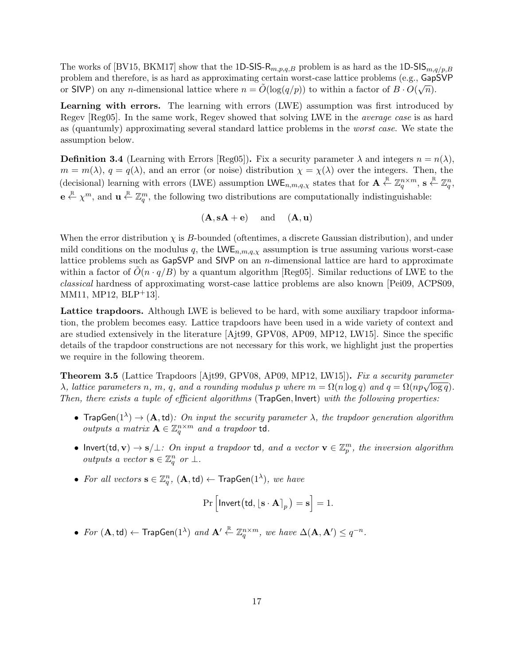The works of [\[BV15,](#page-42-7) [BKM17\]](#page-42-5) show that the 1D-SIS- $R_{m,p,q,B}$  problem is as hard as the 1D-SIS $_{m,q/p,B}$ problem and therefore, is as hard as approximating certain worst-case lattice problems (e.g., GapSVP) or SIVP) on any *n*-dimensional lattice where  $n = \tilde{O}(\log(q/p))$  to within a factor of  $B \cdot O(\sqrt{n})$ .

Learning with errors. The learning with errors (LWE) assumption was first introduced by Regev [\[Reg05\]](#page-44-8). In the same work, Regev showed that solving LWE in the average case is as hard as (quantumly) approximating several standard lattice problems in the worst case. We state the assumption below.

**Definition 3.4** (Learning with Errors [\[Reg05\]](#page-44-8)). Fix a security parameter  $\lambda$  and integers  $n = n(\lambda)$ ,  $m = m(\lambda)$ ,  $q = q(\lambda)$ , and an error (or noise) distribution  $\chi = \chi(\lambda)$  over the integers. Then, the (decisional) learning with errors (LWE) assumption  $LWE_{n,m,q,\chi}$  states that for  $\mathbf{A} \stackrel{\text{R}}{\leftarrow} \mathbb{Z}_q^{n \times m}$ ,  $\mathbf{s} \stackrel{\text{R}}{\leftarrow} \mathbb{Z}_q^n$ ,  $e \stackrel{R}{\leftarrow} \chi^m$ , and  $\mathbf{u} \stackrel{R}{\leftarrow} \mathbb{Z}_q^m$ , the following two distributions are computationally indistinguishable:

$$
(\mathbf{A}, \mathbf{s}\mathbf{A} + \mathbf{e}) \quad \text{and} \quad (\mathbf{A}, \mathbf{u})
$$

When the error distribution  $\chi$  is B-bounded (oftentimes, a discrete Gaussian distribution), and under mild conditions on the modulus q, the  $LWE_{n,m,q,\chi}$  assumption is true assuming various worst-case lattice problems such as GapSVP and SIVP on an n-dimensional lattice are hard to approximate within a factor of  $\tilde{O}(n \cdot q/B)$  by a quantum algorithm [\[Reg05\]](#page-44-8). Similar reductions of LWE to the classical hardness of approximating worst-case lattice problems are also known [\[Pei09,](#page-44-14) [ACPS09,](#page-41-7) [MM11,](#page-44-15) [MP12,](#page-44-9)  $BLP+13$  $BLP+13$ .

Lattice trapdoors. Although LWE is believed to be hard, with some auxiliary trapdoor information, the problem becomes easy. Lattice trapdoors have been used in a wide variety of context and are studied extensively in the literature [\[Ajt99,](#page-41-3) [GPV08,](#page-43-15) [AP09,](#page-41-4) [MP12,](#page-44-9) [LW15\]](#page-44-10). Since the specific details of the trapdoor constructions are not necessary for this work, we highlight just the properties we require in the following theorem.

<span id="page-16-0"></span>**Theorem 3.5** (Lattice Trapdoors [\[Ajt99,](#page-41-3) [GPV08,](#page-43-15) [AP09,](#page-41-4) [MP12,](#page-44-9) [LW15\]](#page-44-10)). Fix a security parameter **Theorem 3.3** (Lattice Trapdoors [A](39, GF V08, AF09, MF12, LW13]). Fut a security parameter  $\lambda$ , lattice parameters n, m, q, and a rounding modulus p where  $m = \Omega(n \log q)$  and  $q = \Omega(np\sqrt{\log q})$ . Then, there exists a tuple of efficient algorithms (TrapGen, Invert) with the following properties:

- TrapGen(1<sup> $\lambda$ </sup>)  $\rightarrow$  (**A**,td): On input the security parameter  $\lambda$ , the trapdoor generation algorithm outputs a matrix  $\mathbf{A} \in \mathbb{Z}_q^{n \times m}$  and a trapdoor td.
- Invert(td, v)  $\rightarrow$  s/ $\perp$ : On input a trapdoor td, and a vector  $\mathbf{v} \in \mathbb{Z}_p^m$ , the inversion algorithm *outputs a vector*  $\mathbf{s} \in \mathbb{Z}_q^n$  *or*  $\perp$ *.*
- For all vectors  $\mathbf{s} \in \mathbb{Z}_q^n$ ,  $(\mathbf{A}, \mathsf{td}) \leftarrow \mathsf{TrapGen}(1^\lambda)$ , we have

$$
\Pr\Big[\mathsf{Invert}\big(\mathsf{td},\lfloor \mathbf{s}\cdot\mathbf{A}\rceil_p\big)=\mathbf{s}\Big]=1.
$$

• For  $(\mathbf{A}, \mathsf{td}) \leftarrow \mathsf{TrapGen}(1^{\lambda})$  and  $\mathbf{A}' \stackrel{\mathbb{R}}{\leftarrow} \mathbb{Z}_q^{n \times m}$ , we have  $\Delta(\mathbf{A}, \mathbf{A}') \leq q^{-n}$ .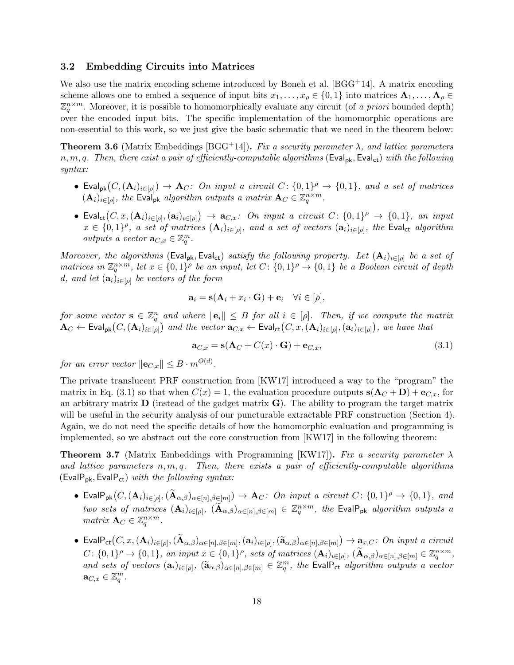## 3.2 Embedding Circuits into Matrices

We also use the matrix encoding scheme introduced by Boneh et al.  $[\text{BGG}^+14]$ . A matrix encoding scheme allows one to embed a sequence of input bits  $x_1, \ldots, x_\rho \in \{0,1\}$  into matrices  $\mathbf{A}_1, \ldots, \mathbf{A}_\rho \in$  $\mathbb{Z}_q^{n \times m}$ . Moreover, it is possible to homomorphically evaluate any circuit (of a priori bounded depth) over the encoded input bits. The specific implementation of the homomorphic operations are non-essential to this work, so we just give the basic schematic that we need in the theorem below:

<span id="page-17-1"></span>**Theorem 3.6** (Matrix Embeddings [\[BGG](#page-42-13)<sup>+</sup>14]). Fix a security parameter  $\lambda$ , and lattice parameters  $n, m, q$ . Then, there exist a pair of efficiently-computable algorithms (Eval<sub>pk</sub>, Eval<sub>ct</sub>) with the following syntax:

- Eval<sub>pk</sub> $(C, (\mathbf{A}_i)_{i \in [p]}) \to \mathbf{A}_C$ : On input a circuit  $C: \{0,1\}^{\rho} \to \{0,1\}$ , and a set of matrices  $(\mathbf{A}_i)_{i \in [p]},$  the Eval<sub>pk</sub> algorithm outputs a matrix  $\mathbf{A}_C \in \mathbb{Z}_q^{n \times m}$ .
- Eval<sub>ct</sub>  $(C, x, (A_i)_{i \in [\rho]}, (a_i)_{i \in [\rho]}) \rightarrow a_{C,x}$ : On input a circuit  $C: \{0,1\}^{\rho} \rightarrow \{0,1\}$ , an input  $x \in \{0,1\}^{\rho}$ , a set of matrices  $(A_i)_{i \in [\rho]}$ , and a set of vectors  $(a_i)_{i \in [\rho]}$ , the Eval<sub>ct</sub> algorithm outputs a vector  $\mathbf{a}_{C,x} \in \mathbb{Z}_q^m$ .

Moreover, the algorithms (Eval<sub>pk</sub>, Eval<sub>ct</sub>) satisfy the following property. Let  $(A_i)_{i\in[\rho]}$  be a set of matrices in  $\mathbb{Z}_q^{n \times m}$ , let  $x \in \{0,1\}^{\rho}$  be an input, let  $C: \{0,1\}^{\rho} \to \{0,1\}$  be a Boolean circuit of depth d, and let  $(a_i)_{i\in[\rho]}$  be vectors of the form

$$
\mathbf{a}_i = \mathbf{s}(\mathbf{A}_i + x_i \cdot \mathbf{G}) + \mathbf{e}_i \quad \forall i \in [\rho],
$$

for some vector  $\mathbf{s} \in \mathbb{Z}_q^n$  and where  $\|\mathbf{e}_i\| \leq B$  for all  $i \in [\rho]$ . Then, if we compute the matrix  $\mathbf{A}_C \leftarrow \mathsf{Eval}_{\mathsf{pk}}(C, (\mathbf{A}_i)_{i \in [\rho]})$  and the vector  $\mathbf{a}_{C,x} \leftarrow \mathsf{Eval}_{\mathsf{ct}}(C, x, (\mathbf{A}_i)_{i \in [\rho]}, (\mathbf{a}_i)_{i \in [\rho]}),$  we have that

<span id="page-17-0"></span>
$$
\mathbf{a}_{C,x} = \mathbf{s}(\mathbf{A}_C + C(x) \cdot \mathbf{G}) + \mathbf{e}_{C,x},\tag{3.1}
$$

for an error vector  $\|\mathbf{e}_{C,x}\| \leq B \cdot m^{O(d)}$ .

The private translucent PRF construction from [\[KW17\]](#page-44-3) introduced a way to the "program" the matrix in Eq. [\(3.1\)](#page-17-0) so that when  $C(x) = 1$ , the evaluation procedure outputs  $s(A_C + D) + e_{C,x}$ , for an arbitrary matrix  $\bf{D}$  (instead of the gadget matrix  $\bf{G}$ ). The ability to program the target matrix will be useful in the security analysis of our puncturable extractable PRF construction (Section [4\)](#page-18-0). Again, we do not need the specific details of how the homomorphic evaluation and programming is implemented, so we abstract out the core construction from [\[KW17\]](#page-44-3) in the following theorem:

<span id="page-17-2"></span>**Theorem 3.7** (Matrix Embeddings with Programming [\[KW17\]](#page-44-3)). Fix a security parameter  $\lambda$ and lattice parameters  $n, m, q$ . Then, there exists a pair of efficiently-computable algorithms (Eval $P_{pk}$ , Eval $P_{ct}$ ) with the following syntax:

- Eval $P_{\mathsf{pk}}(C,(\mathbf{A}_i)_{i\in[\rho]},(\widetilde{\mathbf{A}}_{\alpha,\beta})_{\alpha\in[n],\beta\in[m]}) \to \mathbf{A}_C$ : On input a circuit  $C\colon\{0,1\}^{\rho} \to \{0,1\},$  and two sets of matrices  $(\mathbf{A}_i)_{i\in[p]}, \; (\widetilde{\mathbf{A}}_{\alpha,\beta})_{\alpha\in[n],\beta\in[m]} \in \mathbb{Z}_q^{n\times m}$ , the EvalP<sub>pk</sub> algorithm outputs a matrix  $\mathbf{A}_C \in \mathbb{Z}_q^{n \times m}$ .
- Eval $P_{\text{ct}}(C, x, (\mathbf{A}_i)_{i\in[\rho]}, (\mathbf{A}_{\alpha,\beta})_{\alpha\in[n],\beta\in[m]}, (\mathbf{a}_i)_{i\in[\rho]}, (\widetilde{\mathbf{a}}_{\alpha,\beta})_{\alpha\in[n],\beta\in[m]}) \rightarrow \mathbf{a}_{x,C}$ : On input a circuit  $C: \{0,1\}^{\rho} \to \{0,1\},\$ an input  $x \in \{0,1\}^{\rho}$ , sets of matrices  $(\mathbf{A}_i)_{i \in [\rho]},$   $(\widetilde{\mathbf{A}}_{\alpha,\beta})_{\alpha \in [n],\beta \in [m]} \in \mathbb{Z}_q^{n \times m}$ , and sets of vectors  $(\mathbf{a}_i)_{i\in[p]}, (\widetilde{\mathbf{a}}_{\alpha,\beta})_{\alpha\in[n],\beta\in[m]} \in \mathbb{Z}_q^m$ , the EvalP<sub>ct</sub> algorithm outputs a vector  $\mathbf{a}_{C,x} \in \mathbb{Z}_q^m$  .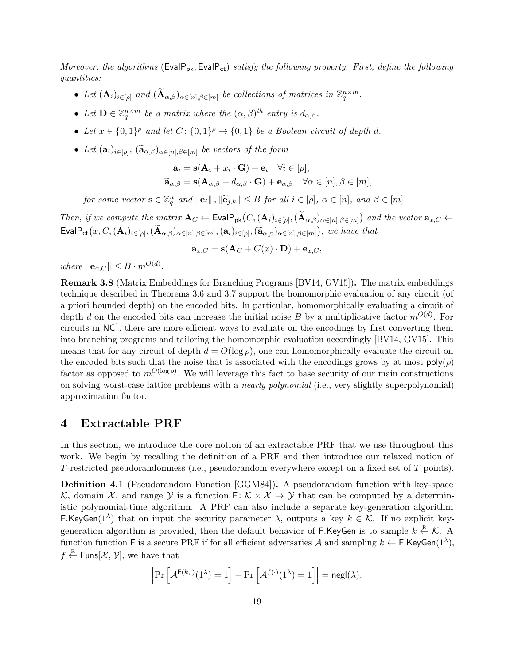Moreover, the algorithms (EvalP<sub>pk</sub>, EvalP<sub>ct</sub>) satisfy the following property. First, define the following quantities:

- Let  $(\mathbf{A}_i)_{i \in [p]}$  and  $(\widetilde{\mathbf{A}}_{\alpha,\beta})_{\alpha \in [n], \beta \in [m]}$  be collections of matrices in  $\mathbb{Z}_q^{n \times m}$ .
- Let  $\mathbf{D} \in \mathbb{Z}_q^{n \times m}$  be a matrix where the  $(\alpha, \beta)^{th}$  entry is  $d_{\alpha, \beta}$ .
- Let  $x \in \{0,1\}^{\rho}$  and let  $C: \{0,1\}^{\rho} \to \{0,1\}$  be a Boolean circuit of depth d.
- Let  $(a_i)_{i \in [\rho]}, (\tilde{a}_{\alpha,\beta})_{\alpha \in [n], \beta \in [m]}$  be vectors of the form

$$
\mathbf{a}_{i} = \mathbf{s}(\mathbf{A}_{i} + x_{i} \cdot \mathbf{G}) + \mathbf{e}_{i} \quad \forall i \in [\rho],
$$
  

$$
\widetilde{\mathbf{a}}_{\alpha,\beta} = \mathbf{s}(\mathbf{A}_{\alpha,\beta} + d_{\alpha,\beta} \cdot \mathbf{G}) + \mathbf{e}_{\alpha,\beta} \quad \forall \alpha \in [n], \beta \in [m],
$$

for some vector  $\mathbf{s} \in \mathbb{Z}_q^n$  and  $\|\mathbf{e}_i\|$ ,  $\|\widetilde{\mathbf{e}}_{j,k}\| \leq B$  for all  $i \in [\rho]$ ,  $\alpha \in [n]$ , and  $\beta \in [m]$ .

Then, if we compute the matrix  $\mathbf{A}_C \leftarrow \text{EvalP}_{\text{pk}}(C, (\mathbf{A}_i)_{i \in [p]}, (\mathbf{A}_{\alpha,\beta})_{\alpha \in [n], \beta \in [m]})$  and the vector  $\mathbf{a}_{x,C} \leftarrow$  $\mathsf{EvalP}_{\mathsf{ct}}(x, C, (\mathbf{A}_i)_{i \in [\rho]}, (\mathbf{\tilde{A}}_{\alpha, \beta})_{\alpha \in [n], \beta \in [m]}, (\mathbf{a}_i)_{i \in [\rho]}, (\widetilde{\mathbf{a}}_{\alpha, \beta})_{\alpha \in [n], \beta \in [m]})$ , we have that

$$
\mathbf{a}_{x,C} = \mathbf{s}(\mathbf{A}_C + C(x) \cdot \mathbf{D}) + \mathbf{e}_{x,C},
$$

where  $\|\mathbf{e}_{x,C}\| \leq B \cdot m^{O(d)}$ .

<span id="page-18-2"></span>Remark 3.8 (Matrix Embeddings for Branching Programs [\[BV14,](#page-42-11) [GV15\]](#page-43-10)). The matrix embeddings technique described in Theorems [3.6](#page-17-1) and [3.7](#page-17-2) support the homomorphic evaluation of any circuit (of a priori bounded depth) on the encoded bits. In particular, homomorphically evaluating a circuit of depth d on the encoded bits can increase the initial noise B by a multiplicative factor  $m^{O(d)}$ . For circuits in  $NC<sup>1</sup>$ , there are more efficient ways to evaluate on the encodings by first converting them into branching programs and tailoring the homomorphic evaluation accordingly [\[BV14,](#page-42-11) [GV15\]](#page-43-10). This means that for any circuit of depth  $d = O(\log \rho)$ , one can homomorphically evaluate the circuit on the encoded bits such that the noise that is associated with the encodings grows by at most  $\mathsf{poly}(\rho)$ factor as opposed to  $m^{O(\log \rho)}$ . We will leverage this fact to base security of our main constructions on solving worst-case lattice problems with a nearly polynomial (i.e., very slightly superpolynomial) approximation factor.

## <span id="page-18-0"></span>4 Extractable PRF

In this section, we introduce the core notion of an extractable PRF that we use throughout this work. We begin by recalling the definition of a PRF and then introduce our relaxed notion of T-restricted pseudorandomness (i.e., pseudorandom everywhere except on a fixed set of T points).

<span id="page-18-1"></span>Definition 4.1 (Pseudorandom Function [\[GGM84\]](#page-43-4)). A pseudorandom function with key-space K, domain X, and range Y is a function  $F: K \times X \to Y$  that can be computed by a deterministic polynomial-time algorithm. A PRF can also include a separate key-generation algorithm F.KeyGen(1<sup> $\lambda$ </sup>) that on input the security parameter  $\lambda$ , outputs a key  $k \in \mathcal{K}$ . If no explicit keygeneration algorithm is provided, then the default behavior of F.KeyGen is to sample  $k \stackrel{R}{\leftarrow} \mathcal{K}$ . A function function F is a secure PRF if for all efficient adversaries A and sampling  $k \leftarrow \mathsf{F}.\mathsf{KeyGen}(1^{\lambda}),$  $f \stackrel{\text{R}}{\leftarrow}$  Funs $[\mathcal{X}, \mathcal{Y}]$ , we have that

$$
\left|\Pr\left[\mathcal{A}^{\mathsf{F}(k,\cdot)}(1^\lambda)=1\right]-\Pr\left[\mathcal{A}^{f(\cdot)}(1^\lambda)=1\right]\right|=\mathsf{negl}(\lambda).
$$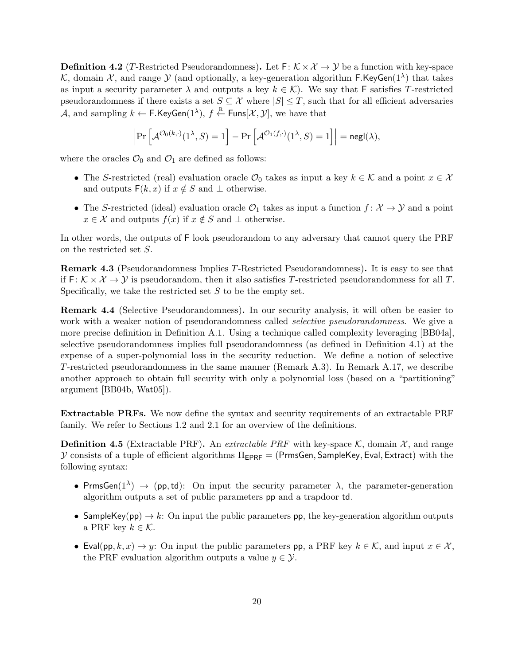**Definition 4.2** (T-Restricted Pseudorandomness). Let  $F: K \times X \rightarrow Y$  be a function with key-space K, domain X, and range  $\mathcal Y$  (and optionally, a key-generation algorithm F.KeyGen(1<sup> $\lambda$ </sup>) that takes as input a security parameter  $\lambda$  and outputs a key  $k \in \mathcal{K}$ ). We say that F satisfies T-restricted pseudorandomness if there exists a set  $S \subseteq \mathcal{X}$  where  $|S| \leq T$ , such that for all efficient adversaries A, and sampling  $k \leftarrow \mathsf{F}.\mathsf{KeyGen}(1^{\lambda}), f \leftarrow \mathsf{Funs}[\mathcal{X}, \mathcal{Y}],$  we have that

$$
\left|\Pr\left[\mathcal{A}^{\mathcal{O}_0(k,\cdot)}(1^\lambda,S)=1\right]-\Pr\left[\mathcal{A}^{\mathcal{O}_1(f,\cdot)}(1^\lambda,S)=1\right]\right|=\mathsf{negl}(\lambda),
$$

where the oracles  $\mathcal{O}_0$  and  $\mathcal{O}_1$  are defined as follows:

- The S-restricted (real) evaluation oracle  $\mathcal{O}_0$  takes as input a key  $k \in \mathcal{K}$  and a point  $x \in \mathcal{X}$ and outputs  $F(k, x)$  if  $x \notin S$  and  $\bot$  otherwise.
- The S-restricted (ideal) evaluation oracle  $\mathcal{O}_1$  takes as input a function  $f: \mathcal{X} \to \mathcal{Y}$  and a point  $x \in \mathcal{X}$  and outputs  $f(x)$  if  $x \notin S$  and  $\perp$  otherwise.

In other words, the outputs of F look pseudorandom to any adversary that cannot query the PRF on the restricted set S.

Remark 4.3 (Pseudorandomness Implies T-Restricted Pseudorandomness). It is easy to see that if  $F: K \times X \rightarrow Y$  is pseudorandom, then it also satisfies T-restricted pseudorandomness for all T. Specifically, we take the restricted set  $S$  to be the empty set.

<span id="page-19-1"></span>Remark 4.4 (Selective Pseudorandomness). In our security analysis, it will often be easier to work with a weaker notion of pseudorandomness called *selective pseudorandomness*. We give a more precise definition in Definition [A.1.](#page-45-2) Using a technique called complexity leveraging [\[BB04a\]](#page-41-8), selective pseudorandomness implies full pseudorandomness (as defined in Definition [4.1\)](#page-18-1) at the expense of a super-polynomial loss in the security reduction. We define a notion of selective T-restricted pseudorandomness in the same manner (Remark [A.3\)](#page-46-0). In Remark [A.17,](#page-59-0) we describe another approach to obtain full security with only a polynomial loss (based on a "partitioning" argument [\[BB04b,](#page-41-9) [Wat05\]](#page-44-16)).

Extractable PRFs. We now define the syntax and security requirements of an extractable PRF family. We refer to Sections [1.2](#page-3-0) and [2.1](#page-11-1) for an overview of the definitions.

<span id="page-19-0"></span>**Definition 4.5** (Extractable PRF). An extractable PRF with key-space  $\mathcal{K}$ , domain  $\mathcal{X}$ , and range  $\mathcal Y$  consists of a tuple of efficient algorithms  $\Pi_{\text{EPRF}} = (\text{PrmsGen}, \text{SampleKey}, \text{Eval}, \text{Extract})$  with the following syntax:

- PrmsGen( $1^{\lambda}$ )  $\rightarrow$  (pp, td): On input the security parameter  $\lambda$ , the parameter-generation algorithm outputs a set of public parameters pp and a trapdoor td.
- SampleKey(pp)  $\rightarrow k$ : On input the public parameters pp, the key-generation algorithm outputs a PRF key  $k \in \mathcal{K}$ .
- Eval(pp, k, x)  $\rightarrow$  y: On input the public parameters pp, a PRF key  $k \in \mathcal{K}$ , and input  $x \in \mathcal{X}$ , the PRF evaluation algorithm outputs a value  $y \in \mathcal{Y}$ .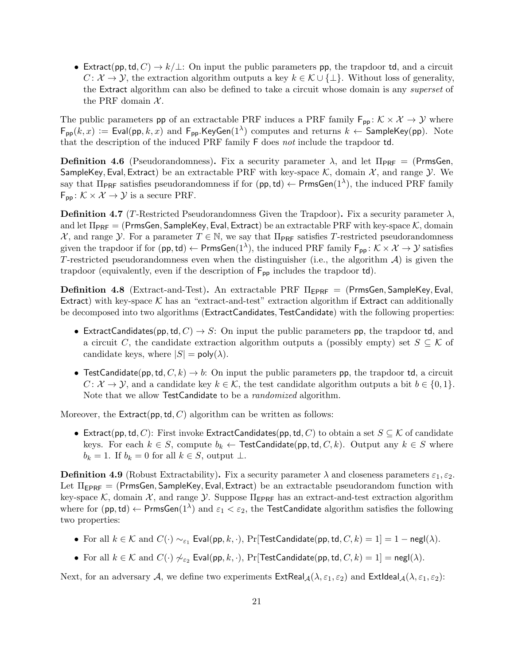• Extract(pp, td, C)  $\rightarrow k/\perp$ : On input the public parameters pp, the trapdoor td, and a circuit  $C: \mathcal{X} \to \mathcal{Y}$ , the extraction algorithm outputs a key  $k \in \mathcal{K} \cup \{\perp\}$ . Without loss of generality, the Extract algorithm can also be defined to take a circuit whose domain is any *superset* of the PRF domain  $\mathcal{X}$ .

The public parameters pp of an extractable PRF induces a PRF family  $F_{pp}$ :  $K \times X \rightarrow Y$  where  $F_{pp}(k,x) := \text{Eval}(pp, k, x)$  and  $F_{pp}$ .KeyGen $(1^{\lambda})$  computes and returns  $k \leftarrow$  SampleKey(pp). Note that the description of the induced PRF family F does not include the trapdoor td.

<span id="page-20-2"></span>**Definition 4.6** (Pseudorandomness). Fix a security parameter  $\lambda$ , and let  $\Pi_{PRF} = (PrmsGen,$ SampleKey, Eval, Extract) be an extractable PRF with key-space  $K$ , domain  $X$ , and range  $Y$ . We say that  $\Pi_{\mathsf{PRF}}$  satisfies pseudorandomness if for  $(\mathsf{pp},\mathsf{td}) \leftarrow \mathsf{PrmsGen}(1^\lambda)$ , the induced PRF family  $F_{\text{pp}}: \mathcal{K} \times \mathcal{X} \rightarrow \mathcal{Y}$  is a secure PRF.

<span id="page-20-3"></span>**Definition 4.7** (T-Restricted Pseudorandomness Given the Trapdoor). Fix a security parameter  $\lambda$ , and let  $\Pi_{\text{PRF}} = (\text{PrmsGen}, \text{SampleKey}, \text{Eval}, \text{Extract})$  be an extractable PRF with key-space K, domain  $\mathcal{X}$ , and range  $\mathcal{Y}$ . For a parameter  $T \in \mathbb{N}$ , we say that  $\Pi_{\text{PRF}}$  satisfies T-restricted pseudorandomness given the trapdoor if for  $(pp, td) \leftarrow PrmsGen(1^{\lambda}),$  the induced PRF family  $\mathsf{F}_{pp} \colon \mathcal{K} \times \mathcal{X} \to \mathcal{Y}$  satisfies T-restricted pseudorandomness even when the distinguisher (i.e., the algorithm  $\mathcal{A}$ ) is given the trapdoor (equivalently, even if the description of  $F_{pp}$  includes the trapdoor  $td$ ).

<span id="page-20-1"></span>**Definition 4.8** (Extract-and-Test). An extractable PRF  $\Pi_{\text{EPRF}} =$  (PrmsGen, SampleKey, Eval, Extract) with key-space  $K$  has an "extract-and-test" extraction algorithm if Extract can additionally be decomposed into two algorithms (ExtractCandidates, TestCandidate) with the following properties:

- ExtractCandidates(pp, td, C)  $\rightarrow$  S: On input the public parameters pp, the trapdoor td, and a circuit C, the candidate extraction algorithm outputs a (possibly empty) set  $S \subseteq \mathcal{K}$  of candidate keys, where  $|S| = \text{poly}(\lambda)$ .
- TestCandidate(pp, td,  $C, k$ )  $\rightarrow b$ : On input the public parameters pp, the trapdoor td, a circuit  $C: \mathcal{X} \to \mathcal{Y}$ , and a candidate key  $k \in \mathcal{K}$ , the test candidate algorithm outputs a bit  $b \in \{0,1\}$ . Note that we allow TestCandidate to be a *randomized* algorithm.

Moreover, the Extract( $pp, td, C$ ) algorithm can be written as follows:

• Extract(pp, td, C): First invoke ExtractCandidates(pp, td, C) to obtain a set  $S \subseteq \mathcal{K}$  of candidate keys. For each  $k \in S$ , compute  $b_k \leftarrow$  TestCandidate(pp, td, C, k). Output any  $k \in S$  where  $b_k = 1$ . If  $b_k = 0$  for all  $k \in S$ , output  $\perp$ .

<span id="page-20-0"></span>**Definition 4.9** (Robust Extractability). Fix a security parameter  $\lambda$  and closeness parameters  $\varepsilon_1, \varepsilon_2$ . Let  $\Pi_{\text{FPRF}} = (\text{PrmsGen}, \text{SampleKey}, \text{Eval}, \text{Extract})$  be an extractable pseudorandom function with key-space K, domain X, and range Y. Suppose  $\Pi_{\text{EPRF}}$  has an extract-and-test extraction algorithm where for  $(pp, td) \leftarrow PrmsGen(1^{\lambda})$  and  $\varepsilon_1 < \varepsilon_2$ , the TestCandidate algorithm satisfies the following two properties:

- For all  $k \in \mathcal{K}$  and  $C(\cdot) \sim_{\varepsilon_1}$  Eval(pp,  $k, \cdot$ ), Pr[TestCandidate(pp, td,  $C, k$ ) = 1] = 1 negl( $\lambda$ ).
- For all  $k \in \mathcal{K}$  and  $C(\cdot) \not\sim_{\varepsilon_2}$  Eval(pp,  $k, \cdot$ ), Pr[TestCandidate(pp, td,  $C, k$ ) = 1] = negl( $\lambda$ ).

Next, for an adversary A, we define two experiments  $\mathsf{ExtReal}_{\mathcal{A}}(\lambda, \varepsilon_1, \varepsilon_2)$  and  $\mathsf{ExtIdeal}_{\mathcal{A}}(\lambda, \varepsilon_1, \varepsilon_2)$ :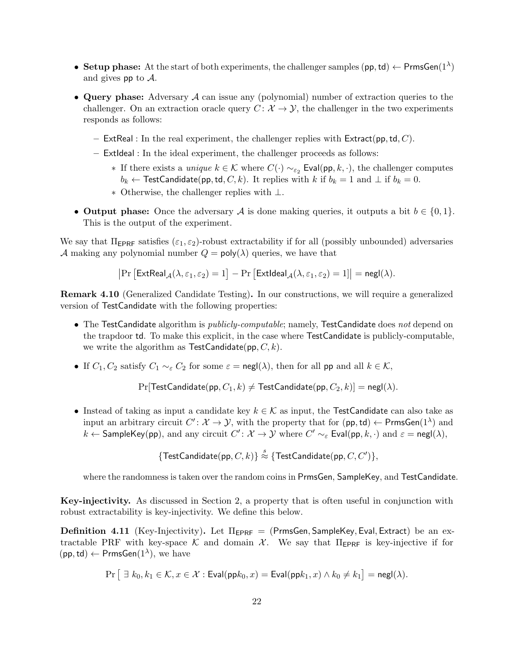- Setup phase: At the start of both experiments, the challenger samples  $(pp, td) \leftarrow PrmsGen(1^{\lambda})$ and gives pp to  $A$ .
- Query phase: Adversary  $A$  can issue any (polynomial) number of extraction queries to the challenger. On an extraction oracle query  $C: \mathcal{X} \to \mathcal{Y}$ , the challenger in the two experiments responds as follows:
	- ExtReal : In the real experiment, the challenger replies with  $Extract(p, td, C)$ .
	- ExtIdeal : In the ideal experiment, the challenger proceeds as follows:
		- ∗ If there exists a *unique*  $k \in \mathcal{K}$  where  $C(\cdot) \sim_{\varepsilon_2}$  Eval(pp, k,  $\cdot$ ), the challenger computes  $b_k \leftarrow$  TestCandidate(pp, td, C, k). It replies with k if  $b_k = 1$  and  $\perp$  if  $b_k = 0$ .
		- ∗ Otherwise, the challenger replies with ⊥.
- Output phase: Once the adversary A is done making queries, it outputs a bit  $b \in \{0,1\}$ . This is the output of the experiment.

We say that  $\Pi_{\text{EPRF}}$  satisfies  $(\varepsilon_1, \varepsilon_2)$ -robust extractability if for all (possibly unbounded) adversaries A making any polynomial number  $Q = \text{poly}(\lambda)$  queries, we have that

 $\left|\Pr\left[\mathsf{ExtReal}_{\mathcal{A}}(\lambda,\varepsilon_1,\varepsilon_2)=1\right]-\Pr\left[\mathsf{ExtIdeal}_{\mathcal{A}}(\lambda,\varepsilon_1,\varepsilon_2)=1\right]\right|=\mathsf{negl}(\lambda).$ 

<span id="page-21-1"></span>Remark 4.10 (Generalized Candidate Testing). In our constructions, we will require a generalized version of TestCandidate with the following properties:

- The TestCandidate algorithm is *publicly-computable*; namely, TestCandidate does not depend on the trapdoor td. To make this explicit, in the case where TestCandidate is publicly-computable, we write the algorithm as  $\mathsf{Testcandidate}(pp, C, k)$ .
- If  $C_1, C_2$  satisfy  $C_1 \sim_{\varepsilon} C_2$  for some  $\varepsilon = \text{negl}(\lambda)$ , then for all pp and all  $k \in \mathcal{K}$ ,

 $Pr[TestC and idate(pp, C_1, k) \neq TestC and idate(pp, C_2, k)] = negl(\lambda).$ 

• Instead of taking as input a candidate key  $k \in \mathcal{K}$  as input, the TestCandidate can also take as input an arbitrary circuit  $C' \colon \mathcal{X} \to \mathcal{Y}$ , with the property that for  $(pp, td) \leftarrow PrmsGen(1^{\lambda})$  and  $k \leftarrow$  SampleKey(pp), and any circuit  $C' : \mathcal{X} \rightarrow \mathcal{Y}$  where  $C' \sim_{\varepsilon}$  Eval(pp,  $k, \cdot$ ) and  $\varepsilon = \mathsf{negl}(\lambda)$ ,

 $\{\mathsf{TestC} \text{and} \mathsf{idate}(\mathsf{pp},C,k)\} \stackrel{s}{\approx} \{\mathsf{TestC} \text{and} \mathsf{idate}(\mathsf{pp},C,C')\},$ 

where the randomness is taken over the random coins in PrmsGen, SampleKey, and TestCandidate.

Key-injectivity. As discussed in Section [2,](#page-9-0) a property that is often useful in conjunction with robust extractability is key-injectivity. We define this below.

<span id="page-21-0"></span>**Definition 4.11** (Key-Injectivity). Let  $\Pi_{\text{EPRF}} = (\text{PrmsGen}, \text{SampleKey}, \text{Eval}, \text{Extract})$  be an extractable PRF with key-space K and domain  $\mathcal{X}$ . We say that  $\Pi_{\text{FPRF}}$  is key-injective if for  $(pp, td) \leftarrow PrmsGen(1^{\lambda}),$  we have

$$
\Pr\left[\exists k_0, k_1 \in \mathcal{K}, x \in \mathcal{X}: \mathsf{Eval}(ppk_0, x) = \mathsf{Eval}(ppk_1, x) \land k_0 \neq k_1\right] = \mathsf{negl}(\lambda).
$$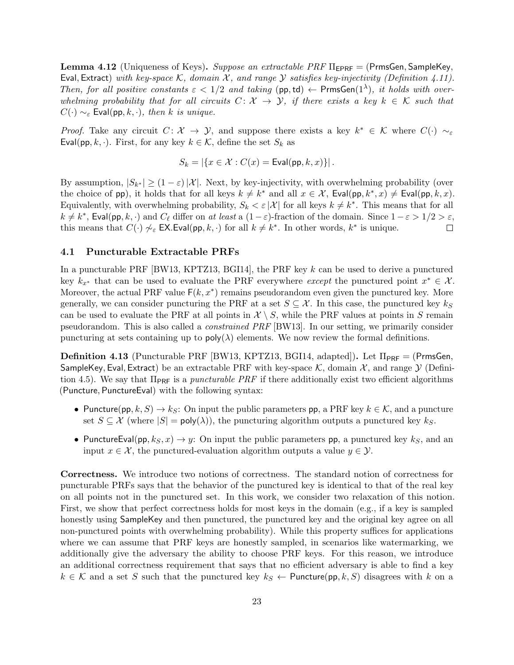**Lemma 4.12** (Uniqueness of Keys). Suppose an extractable PRF  $\Pi_{\text{EPRF}} = (\text{PrmsGen}, \text{SampleKey}, \text{Length})$ Eval, Extract) with key-space K, domain X, and range Y satisfies key-injectivity (Definition [4.11\)](#page-21-0). Then, for all positive constants  $\varepsilon < 1/2$  and taking (pp, td)  $\leftarrow$  PrmsGen( $1^{\lambda}$ ), it holds with overwhelming probability that for all circuits  $C: \mathcal{X} \to \mathcal{Y}$ , if there exists a key  $k \in \mathcal{K}$  such that  $C(\cdot) \sim_{\varepsilon}$  Eval(pp, k,  $\cdot$ ), then k is unique.

*Proof.* Take any circuit  $C: \mathcal{X} \to \mathcal{Y}$ , and suppose there exists a key  $k^* \in \mathcal{K}$  where  $C(\cdot) \sim_{\varepsilon}$ Eval(pp, k, .). First, for any key  $k \in \mathcal{K}$ , define the set  $S_k$  as

$$
S_k = |\{x \in \mathcal{X} : C(x) = \mathsf{Eval}(\mathsf{pp}, k, x)\}|.
$$

By assumption,  $|S_{k^*}| \geq (1 - \varepsilon) |\mathcal{X}|$ . Next, by key-injectivity, with overwhelming probability (over the choice of pp), it holds that for all keys  $k \neq k^*$  and all  $x \in \mathcal{X}$ , Eval(pp,  $k^*, x$ )  $\neq$  Eval(pp,  $k, x$ ). Equivalently, with overwhelming probability,  $S_k < \varepsilon |\mathcal{X}|$  for all keys  $k \neq k^*$ . This means that for all  $k \neq k^*$ , Eval(pp, k, ·) and  $C_{\ell}$  differ on at least a  $(1 - \varepsilon)$ -fraction of the domain. Since  $1 - \varepsilon > 1/2 > \varepsilon$ , this means that  $C(\cdot) \not\sim_{\varepsilon} \mathsf{EX}$ . Eval(pp, k, ·) for all  $k \neq k^*$ . In other words,  $k^*$  is unique.  $\Box$ 

#### 4.1 Puncturable Extractable PRFs

In a puncturable PRF [\[BW13,](#page-43-2) [KPTZ13,](#page-43-3) [BGI14\]](#page-42-4), the PRF key k can be used to derive a punctured key  $k_{x^*}$  that can be used to evaluate the PRF everywhere *except* the punctured point  $x^* \in \mathcal{X}$ . Moreover, the actual PRF value  $F(k, x^*)$  remains pseudorandom even given the punctured key. More generally, we can consider puncturing the PRF at a set  $S \subseteq \mathcal{X}$ . In this case, the punctured key  $k_S$ can be used to evaluate the PRF at all points in  $\mathcal{X} \setminus S$ , while the PRF values at points in S remain pseudorandom. This is also called a constrained PRF [\[BW13\]](#page-43-2). In our setting, we primarily consider puncturing at sets containing up to  $poly(\lambda)$  elements. We now review the formal definitions.

**Definition 4.13** (Puncturable PRF [\[BW13,](#page-43-2) [KPTZ13,](#page-43-3) [BGI14,](#page-42-4) adapted]). Let  $\Pi_{\text{PRF}} = (\text{PrmsGen},$ SampleKey, Eval, Extract) be an extractable PRF with key-space  $K$ , domain  $\mathcal{X}$ , and range  $\mathcal{Y}$  (Defini-tion [4.5\)](#page-19-0). We say that  $\Pi_{\text{PRE}}$  is a *puncturable PRF* if there additionally exist two efficient algorithms (Puncture, PunctureEval) with the following syntax:

- Puncture(pp,  $k, S$ )  $\rightarrow k_S$ : On input the public parameters pp, a PRF key  $k \in \mathcal{K}$ , and a puncture set  $S \subseteq \mathcal{X}$  (where  $|S| = \text{poly}(\lambda)$ ), the puncturing algorithm outputs a punctured key  $k_S$ .
- PunctureEval(pp,  $k_S, x$ )  $\rightarrow y$ : On input the public parameters pp, a punctured key  $k_S$ , and an input  $x \in \mathcal{X}$ , the punctured-evaluation algorithm outputs a value  $y \in \mathcal{Y}$ .

Correctness. We introduce two notions of correctness. The standard notion of correctness for puncturable PRFs says that the behavior of the punctured key is identical to that of the real key on all points not in the punctured set. In this work, we consider two relaxation of this notion. First, we show that perfect correctness holds for most keys in the domain (e.g., if a key is sampled honestly using SampleKey and then punctured, the punctured key and the original key agree on all non-punctured points with overwhelming probability). While this property suffices for applications where we can assume that PRF keys are honestly sampled, in scenarios like watermarking, we additionally give the adversary the ability to choose PRF keys. For this reason, we introduce an additional correctness requirement that says that no efficient adversary is able to find a key  $k \in \mathcal{K}$  and a set S such that the punctured key  $k_S \leftarrow$  Puncture(pp, k, S) disagrees with k on a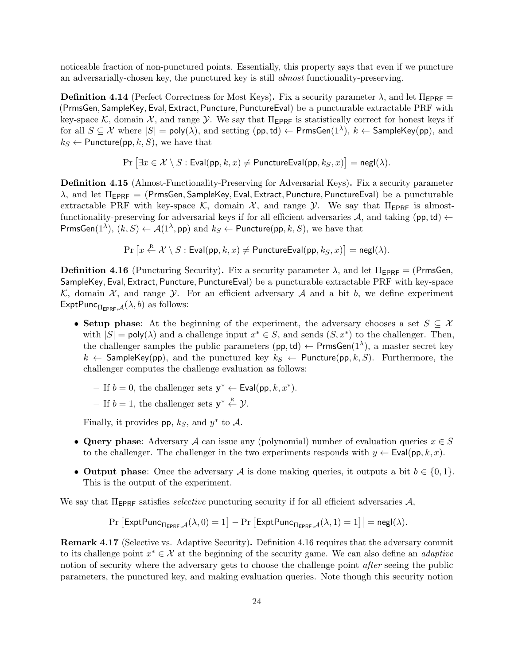noticeable fraction of non-punctured points. Essentially, this property says that even if we puncture an adversarially-chosen key, the punctured key is still almost functionality-preserving.

<span id="page-23-2"></span>**Definition 4.14** (Perfect Correctness for Most Keys). Fix a security parameter  $\lambda$ , and let  $\Pi_{\text{EPRF}} =$ (PrmsGen, SampleKey, Eval, Extract, Puncture, PunctureEval) be a puncturable extractable PRF with key-space K, domain X, and range Y. We say that  $\Pi_{\text{EPRF}}$  is statistically correct for honest keys if for all  $S \subseteq \mathcal{X}$  where  $|S| = \mathsf{poly}(\lambda)$ , and setting  $(\mathsf{pp},\mathsf{td}) \leftarrow \mathsf{PrmsGen}(1^{\lambda}), \, k \leftarrow \mathsf{SampleKey}(\mathsf{pp}),$  and  $k_S \leftarrow$  Puncture(pp, k, S), we have that

 $\Pr\big[\exists x\in\mathcal{X}\setminus S:\mathsf{Eval}(\mathsf{pp},k,x)\neq \mathsf{PunctureEval}(\mathsf{pp},k_S,x)\big]=\mathsf{negl}(\lambda).$ 

<span id="page-23-3"></span>Definition 4.15 (Almost-Functionality-Preserving for Adversarial Keys). Fix a security parameter  $\lambda$ , and let  $\Pi_{\text{FPRF}} = (\text{PrmsGen}, \text{SampleKey}, \text{Eval}, \text{Extract}, \text{Puncture}, \text{PunctureEval})$  be a puncturable extractable PRF with key-space K, domain  $\mathcal{X}$ , and range  $\mathcal{Y}$ . We say that  $\Pi_{\text{EPRF}}$  is almostfunctionality-preserving for adversarial keys if for all efficient adversaries  $A$ , and taking (pp, td)  $\leftarrow$ PrmsGen(1<sup> $\lambda$ </sup>),  $(k, S) \leftarrow A(1^{\lambda}, \textsf{pp})$  and  $k_S \leftarrow \textsf{Puncture}(\textsf{pp}, k, S)$ , we have that

 $\Pr\left[x \stackrel{\text{R}}{\leftarrow} \mathcal{X} \setminus S : \textsf{Eval}(\textsf{pp},k,x) \neq \textsf{PunctureEval}(\textsf{pp},k_S,x)\right] = \mathsf{negl}(\lambda).$ 

<span id="page-23-0"></span>**Definition 4.16** (Puncturing Security). Fix a security parameter  $\lambda$ , and let  $\Pi_{\text{EPRF}} = (\text{PrmsGen}, \text{EPRF})$ SampleKey, Eval, Extract, Puncture, PunctureEval) be a puncturable extractable PRF with key-space K, domain  $X$ , and range  $Y$ . For an efficient adversary  $A$  and a bit b, we define experiment ExptPunc<sub> $\Pi$ FPRF, $\mathcal{A}(\lambda, b)$  as follows:</sub>

- Setup phase: At the beginning of the experiment, the adversary chooses a set  $S \subseteq \mathcal{X}$ with  $|S| = \text{poly}(\lambda)$  and a challenge input  $x^* \in S$ , and sends  $(S, x^*)$  to the challenger. Then, the challenger samples the public parameters  $(pp, td) \leftarrow PrmsGen(1^{\lambda})$ , a master secret key  $k \leftarrow$  SampleKey(pp), and the punctured key  $k_S \leftarrow$  Puncture(pp, k, S). Furthermore, the challenger computes the challenge evaluation as follows:
	- If  $b = 0$ , the challenger sets  $y^* \leftarrow \text{Eval}(pp, k, x^*)$ .
	- If  $b = 1$ , the challenger sets  $y^* \stackrel{R}{\leftarrow} Y$ .

Finally, it provides pp,  $k_S$ , and  $y^*$  to A.

- Query phase: Adversary A can issue any (polynomial) number of evaluation queries  $x \in S$ to the challenger. The challenger in the two experiments responds with  $y \leftarrow \text{Eval}(pp, k, x)$ .
- Output phase: Once the adversary A is done making queries, it outputs a bit  $b \in \{0,1\}$ . This is the output of the experiment.

We say that  $\Pi_{\mathsf{EPRF}}$  satisfies *selective* puncturing security if for all efficient adversaries  $\mathcal{A}$ ,

 $\left|\Pr\left[\mathsf{ExptPunc}_{\Pi_{\mathsf{EPRF}},\mathcal{A}}(\lambda,0)=1\right]-\Pr\left[\mathsf{ExptPunc}_{\Pi_{\mathsf{EPRF}},\mathcal{A}}(\lambda,1)=1\right]\right|=\mathsf{negl}(\lambda).$ 

<span id="page-23-1"></span>Remark 4.17 (Selective vs. Adaptive Security). Definition [4.16](#page-23-0) requires that the adversary commit to its challenge point  $x^* \in \mathcal{X}$  at the beginning of the security game. We can also define an *adaptive* notion of security where the adversary gets to choose the challenge point *after* seeing the public parameters, the punctured key, and making evaluation queries. Note though this security notion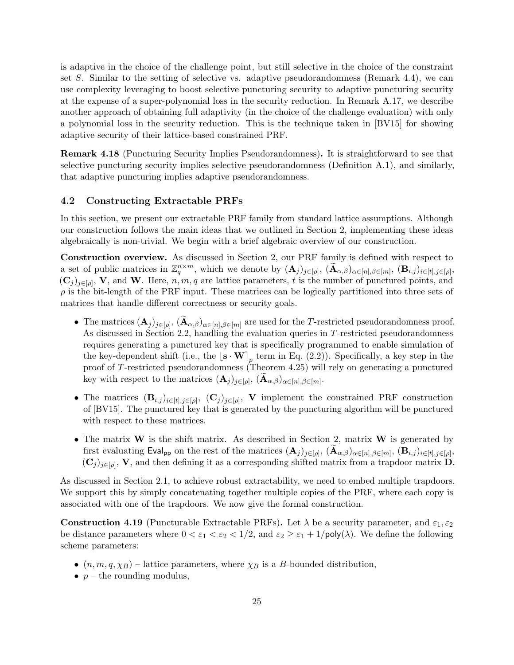is adaptive in the choice of the challenge point, but still selective in the choice of the constraint set S. Similar to the setting of selective vs. adaptive pseudorandomness (Remark [4.4\)](#page-19-1), we can use complexity leveraging to boost selective puncturing security to adaptive puncturing security at the expense of a super-polynomial loss in the security reduction. In Remark [A.17,](#page-59-0) we describe another approach of obtaining full adaptivity (in the choice of the challenge evaluation) with only a polynomial loss in the security reduction. This is the technique taken in [\[BV15\]](#page-42-7) for showing adaptive security of their lattice-based constrained PRF.

<span id="page-24-2"></span>Remark 4.18 (Puncturing Security Implies Pseudorandomness). It is straightforward to see that selective puncturing security implies selective pseudorandomness (Definition [A.1\)](#page-45-2), and similarly, that adaptive puncturing implies adaptive pseudorandomness.

## <span id="page-24-1"></span>4.2 Constructing Extractable PRFs

In this section, we present our extractable PRF family from standard lattice assumptions. Although our construction follows the main ideas that we outlined in Section [2,](#page-9-0) implementing these ideas algebraically is non-trivial. We begin with a brief algebraic overview of our construction.

Construction overview. As discussed in Section [2,](#page-9-0) our PRF family is defined with respect to a set of public matrices in  $\mathbb{Z}_q^{n \times m}$ , which we denote by  $(\mathbf{A}_j)_{j \in [\rho]}, (\widetilde{\mathbf{A}}_{\alpha,\beta})_{\alpha \in [n], \beta \in [m]}, (\mathbf{B}_{i,j})_{i \in [t], j \in [\rho]},$  $(\mathbf{C}_j)_{j\in[\rho]}, \mathbf{V}$ , and W. Here, n, m, q are lattice parameters, t is the number of punctured points, and  $\rho$  is the bit-length of the PRF input. These matrices can be logically partitioned into three sets of matrices that handle different correctness or security goals.

- The matrices  $(\mathbf{A}_j)_{j\in[\rho]}, (\mathbf{A}_{\alpha,\beta})_{\alpha\in[n],\beta\in[m]}$  are used for the T-restricted pseudorandomness proof. As discussed in Section [2.2,](#page-13-0) handling the evaluation queries in T-restricted pseudorandomness requires generating a punctured key that is specifically programmed to enable simulation of the key-dependent shift (i.e., the  $[s \cdot W]_p$  term in Eq. [\(2.2\)](#page-11-0)). Specifically, a key step in the proof of T-restricted pseudorandomness (Theorem [4.25\)](#page-28-1) will rely on generating a punctured key with respect to the matrices  $(\mathbf{A}_j)_{j\in[p]}, (\mathbf{A}_{\alpha,\beta})_{\alpha\in[n],\beta\in[m]}$ .
- The matrices  $(\mathbf{B}_{i,j})_{i\in[t],j\in[\rho]},$   $(\mathbf{C}_j)_{j\in[\rho]},$  V implement the constrained PRF construction of [\[BV15\]](#page-42-7). The punctured key that is generated by the puncturing algorithm will be punctured with respect to these matrices.
- The matrix  $W$  is the shift matrix. As described in Section [2,](#page-9-0) matrix  $W$  is generated by first evaluating  $\text{Eval}_{\text{pp}}$  on the rest of the matrices  $(\mathbf{A}_j)_{j\in[\rho]}, (\mathbf{A}_{\alpha,\beta})_{\alpha\in[n],\beta\in[m]}, (\mathbf{B}_{i,j})_{i\in[t],j\in[\rho]},$  $(\mathbf{C}_j)_{j\in[\rho]}, \mathbf{V}$ , and then defining it as a corresponding shifted matrix from a trapdoor matrix **D**.

As discussed in Section [2.1,](#page-11-1) to achieve robust extractability, we need to embed multiple trapdoors. We support this by simply concatenating together multiple copies of the PRF, where each copy is associated with one of the trapdoors. We now give the formal construction.

<span id="page-24-0"></span>**Construction 4.19** (Puncturable Extractable PRFs). Let  $\lambda$  be a security parameter, and  $\varepsilon_1, \varepsilon_2$ be distance parameters where  $0 < \varepsilon_1 < \varepsilon_2 < 1/2$ , and  $\varepsilon_2 \geq \varepsilon_1 + 1/\text{poly}(\lambda)$ . We define the following scheme parameters:

- $(n, m, q, \chi_B)$  lattice parameters, where  $\chi_B$  is a B-bounded distribution,
- $p$  the rounding modulus,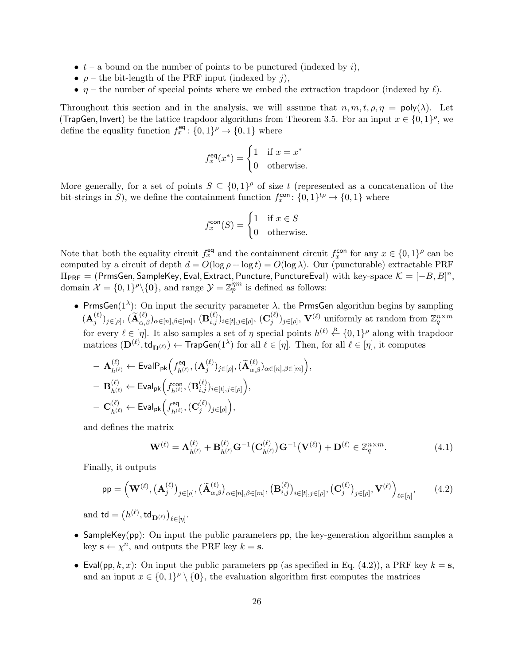- $t a$  bound on the number of points to be punctured (indexed by i),
- $\rho$  the bit-length of the PRF input (indexed by j),
- $\eta$  the number of special points where we embed the extraction trapdoor (indexed by  $\ell$ ).

Throughout this section and in the analysis, we will assume that  $n, m, t, \rho, \eta = \text{poly}(\lambda)$ . Let (TrapGen, Invert) be the lattice trapdoor algorithms from Theorem [3.5.](#page-16-0) For an input  $x \in \{0,1\}^{\rho}$ , we define the equality function  $f_x^{\text{eq}}$ :  $\{0,1\}^{\rho} \to \{0,1\}$  where

$$
f_x^{\text{eq}}(x^*) = \begin{cases} 1 & \text{if } x = x^* \\ 0 & \text{otherwise.} \end{cases}
$$

More generally, for a set of points  $S \subseteq \{0,1\}^{\rho}$  of size t (represented as a concatenation of the bit-strings in S), we define the containment function  $f_x^{\text{con}}$ :  $\{0,1\}^{t\rho} \to \{0,1\}$  where

$$
f_x^{\text{con}}(S) = \begin{cases} 1 & \text{if } x \in S \\ 0 & \text{otherwise.} \end{cases}
$$

Note that both the equality circuit  $f_x^{\text{eq}}$  and the containment circuit  $f_x^{\text{con}}$  for any  $x \in \{0,1\}^{\rho}$  can be computed by a circuit of depth  $d = O(\log \rho + \log t) = O(\log \lambda)$ . Our (puncturable) extractable PRF  $\Pi_{\mathsf{PRF}} = (\mathsf{PrmsGen},\mathsf{SampleKey},\mathsf{Eval},\mathsf{Extract},\mathsf{Puncture},\mathsf{PunctureEval}) \text{ with key-space } \mathcal{K} = [-B,B]^n,$ domain  $\mathcal{X} = \{0, 1\}^{\rho} \setminus \{0\}$ , and range  $\mathcal{Y} = \mathbb{Z}_p^{\eta m}$  is defined as follows:

• PrmsGen( $1^{\lambda}$ ): On input the security parameter  $\lambda$ , the PrmsGen algorithm begins by sampling  $(\mathbf{A}_i^{(\ell)}$  $(\overset{(\ell)}{j})_{j\in [\rho]},\, (\widetilde{\textbf{A}}_{\alpha,\beta}^{(\ell)})_{\alpha\in [n], \beta\in [m]},\, (\textbf{B}_{i,j}^{(\ell)})_{i\in [t], j\in [\rho]},\, (\textbf{C}^{(\ell)}_j)$  $\mathcal{L}^{(\ell)}_j)_{j \in [\rho]}, \, \mathbf{V}^{(\ell)}$  uniformly at random from  $\mathbb{Z}_q^{n \times m}$ for every  $\ell \in [\eta]$ . It also samples a set of  $\eta$  special points  $h^{(\ell)} \stackrel{\mathbb{R}}{\leftarrow} \{0,1\}^{\rho}$  along with trapdoor matrices  $(\mathbf{D}^{(\ell)}, \mathsf{td}_{\mathbf{D}^{(\ell)}}) \leftarrow \mathsf{TrapGen}(1^{\lambda})$  for all  $\ell \in [\eta]$ . Then, for all  $\ell \in [\eta]$ , it computes

$$
\begin{aligned} &-\mathbf{A}^{(\ell)}_{h^{(\ell)}}\leftarrow \text{EvalP}_{\text{pk}}\Big(f^{\text{eq}}_{h^{(\ell)}},(\mathbf{A}^{(\ell)}_j)_{j\in[\rho]},(\widetilde{\mathbf{A}}^{(\ell)}_{\alpha,\beta})_{\alpha\in[n],\beta\in[m]}\Big),\\ &-\mathbf{B}^{(\ell)}_{h^{(\ell)}}\leftarrow \text{Eval}_{\text{pk}}\Big(f^{\text{con}}_{h^{(\ell)}},(\mathbf{B}^{(\ell)}_{i,j})_{i\in[t],j\in[\rho]}\Big),\\ &-\mathbf{C}^{(\ell)}_{h^{(\ell)}}\leftarrow \text{Eval}_{\text{pk}}\Big(f^{\text{eq}}_{h^{(\ell)}},(\mathbf{C}^{(\ell)}_j)_{j\in[\rho]}\Big), \end{aligned}
$$

and defines the matrix

<span id="page-25-0"></span>
$$
\mathbf{W}^{(\ell)} = \mathbf{A}_{h^{(\ell)}}^{(\ell)} + \mathbf{B}_{h^{(\ell)}}^{(\ell)} \mathbf{G}^{-1} (\mathbf{C}_{h^{(\ell)}}^{(\ell)}) \mathbf{G}^{-1} (\mathbf{V}^{(\ell)}) + \mathbf{D}^{(\ell)} \in \mathbb{Z}_q^{n \times m}.
$$
 (4.1)

Finally, it outputs

$$
pp = \left(\mathbf{W}^{(\ell)}, \left(\mathbf{A}^{(\ell)}_{j}\right)_{j \in [\rho]}, \left(\widetilde{\mathbf{A}}^{(\ell)}_{\alpha,\beta}\right)_{\alpha \in [n], \beta \in [m]}, \left(\mathbf{B}^{(\ell)}_{i,j}\right)_{i \in [t], j \in [\rho]}, \left(\mathbf{C}^{(\ell)}_{j}\right)_{j \in [\rho]}, \mathbf{V}^{(\ell)}\right)_{\ell \in [\eta]},\tag{4.2}
$$

and  $\mathsf{td} = \bigl(h^{(\ell)}, \mathsf{td}_{\mathbf{D}^{(\ell)}}\bigr)_{\ell \in [\eta]}.$ 

- SampleKey(pp): On input the public parameters pp, the key-generation algorithm samples a key  $\mathbf{s} \leftarrow \chi^n$ , and outputs the PRF key  $k = \mathbf{s}$ .
- Eval(pp, k, x): On input the public parameters pp (as specified in Eq. [\(4.2\)](#page-25-0)), a PRF key  $k = s$ , and an input  $x \in \{0,1\}^{\rho} \setminus \{0\}$ , the evaluation algorithm first computes the matrices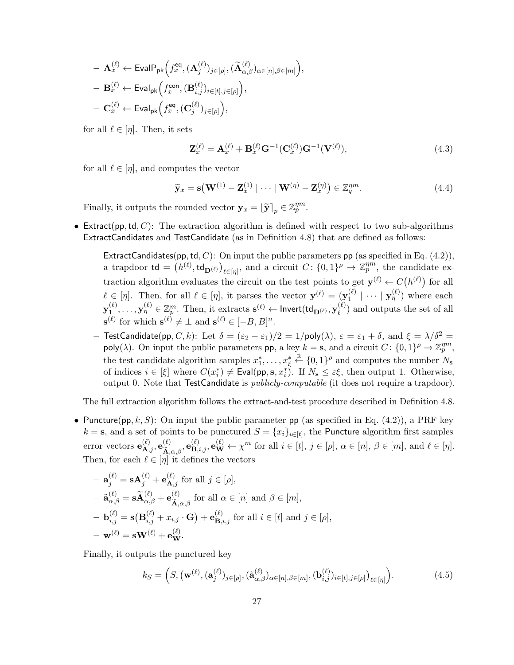$$
- \mathbf{A}_{x}^{(\ell)} \leftarrow \text{EvalP}_{\text{pk}}\Big(f_{x}^{\text{eq}}, (\mathbf{A}_{j}^{(\ell)})_{j \in [\rho]}, (\widetilde{\mathbf{A}}_{\alpha,\beta}^{(\ell)})_{\alpha \in [n], \beta \in [m]}\Big),
$$
  

$$
- \mathbf{B}_{x}^{(\ell)} \leftarrow \text{Eval}_{\text{pk}}\Big(f_{x}^{\text{con}}, (\mathbf{B}_{i,j}^{(\ell)})_{i \in [t], j \in [\rho]}\Big),
$$
  

$$
- \mathbf{C}_{x}^{(\ell)} \leftarrow \text{Eval}_{\text{pk}}\Big(f_{x}^{\text{eq}}, (\mathbf{C}_{j}^{(\ell)})_{j \in [\rho]}\Big),
$$

for all  $\ell \in [\eta]$ . Then, it sets

$$
\mathbf{Z}_x^{(\ell)} = \mathbf{A}_x^{(\ell)} + \mathbf{B}_x^{(\ell)} \mathbf{G}^{-1} (\mathbf{C}_x^{(\ell)}) \mathbf{G}^{-1} (\mathbf{V}^{(\ell)}),
$$
(4.3)

for all  $\ell \in [\eta]$ , and computes the vector

$$
\widetilde{\mathbf{y}}_x = \mathbf{s} \big( \mathbf{W}^{(1)} - \mathbf{Z}_x^{(1)} \mid \dots \mid \mathbf{W}^{(\eta)} - \mathbf{Z}_x^{(\eta)} \big) \in \mathbb{Z}_q^{\eta m}.
$$
\n(4.4)

Finally, it outputs the rounded vector  $\mathbf{y}_x = \lfloor \widetilde{\mathbf{y}} \rfloor_p \in \mathbb{Z}_p^{\eta m}$ .

- Extract(pp, td, C): The extraction algorithm is defined with respect to two sub-algorithms ExtractCandidates and TestCandidate (as in Definition [4.8\)](#page-20-1) that are defined as follows:
	- $-$  ExtractCandidates(pp, td, C): On input the public parameters pp (as specified in Eq. [\(4.2\)](#page-25-0)), a trapdoor  $td = (h^{(\ell)}, td_{\mathbf{D}^{(\ell)}})_{\ell \in [\eta]},$  and a circuit  $C: \{0,1\}^{\rho} \to \mathbb{Z}_{p}^{\eta m}$ , the candidate extraction algorithm evaluates the circuit on the test points to get  $\mathbf{y}^{(\ell)} \leftarrow C(h^{(\ell)})$  for all  $\ell \in [\eta]$ . Then, for all  $\ell \in [\eta]$ , it parses the vector  $\mathbf{y}^{(\ell)} = (\mathbf{y}_1^{(\ell)})$  $\mathbf{y}_{1}^{(\ell)} \mid \cdots \mid \mathbf{y}_{\eta}^{(\ell)}$  where each  ${\bf y}_1^{(\ell)}$  $\mathbf{y}_1^{(\ell)},\ldots,\mathbf{y}_{\eta}^{(\ell)}\in\mathbb{Z}_p^m.$  Then, it extracts  $\mathbf{s}^{(\ell)}\leftarrow$  Invert $(\mathsf{td}_{\mathbf{D}^{(\ell)}},\mathbf{y}_{\ell}^{(\ell)})$  $\binom{(\ell)}{\ell}$  and outputs the set of all  $\mathbf{s}^{(\ell)}$  for which  $\mathbf{s}^{(\ell)} \neq \bot$  and  $\mathbf{s}^{(\ell)} \in [-B, B]^n$ .
	- TestCandidate(pp, C, k): Let  $\delta = (\varepsilon_2 \varepsilon_1)/2 = 1/\text{poly}(\lambda)$ ,  $\varepsilon = \varepsilon_1 + \delta$ , and  $\xi = \lambda/\delta^2 = 1/\delta$ poly( $\lambda$ ). On input the public parameters pp, a key  $k = s$ , and a circuit  $C: \{0, 1\}^{\rho} \to \mathbb{Z}_p^{nm}$ , the test candidate algorithm samples  $x_1^*, \ldots, x_\xi^* \stackrel{\text{R}}{\leftarrow} \{0,1\}^\rho$  and computes the number  $N_s$ of indices  $i \in [\xi]$  where  $C(x_i^*) \neq \text{Eval}(pp, s, x_i^*)$ . If  $N_s \leq \varepsilon \xi$ , then output 1. Otherwise, output 0. Note that TestCandidate is publicly-computable (it does not require a trapdoor).

The full extraction algorithm follows the extract-and-test procedure described in Definition [4.8.](#page-20-1)

• Puncture(pp, k, S): On input the public parameter pp (as specified in Eq. [\(4.2\)](#page-25-0)), a PRF key  $k = s$ , and a set of points to be punctured  $S = \{x_i\}_{i \in [t]}$ , the Puncture algorithm first samples  $\text{error vectors } \mathbf{e}_{\mathbf{A},j}^{(\ell)}, \mathbf{e}_{\widetilde{\mathbf{A}}}^{(\ell)}$  ${\bf A}, \alpha, \beta$  $\mathbf{e}_{\mathbf{B},i,j}^{(\ell)},\mathbf{e}_{\mathbf{W}}^{(\ell)} \leftarrow \chi^m$  for all  $i \in [t], j \in [\rho], \alpha \in [n], \beta \in [m],$  and  $\ell \in [\eta].$ Then, for each  $\ell \in [\eta]$  it defines the vectors

$$
- \mathbf{a}_{j}^{(\ell)} = \mathbf{s} \mathbf{A}_{j}^{(\ell)} + \mathbf{e}_{\mathbf{A},j}^{(\ell)} \text{ for all } j \in [\rho],
$$
  
\n
$$
- \tilde{\mathbf{a}}_{\alpha,\beta}^{(\ell)} = \mathbf{s} \tilde{\mathbf{A}}_{\alpha,\beta}^{(\ell)} + \mathbf{e}_{\tilde{\mathbf{A}},\alpha,\beta}^{(\ell)} \text{ for all } \alpha \in [n] \text{ and } \beta \in [m],
$$
  
\n
$$
- \mathbf{b}_{i,j}^{(\ell)} = \mathbf{s} \left( \mathbf{B}_{i,j}^{(\ell)} + x_{i,j} \cdot \mathbf{G} \right) + \mathbf{e}_{\mathbf{B},i,j}^{(\ell)} \text{ for all } i \in [t] \text{ and } j \in [\rho],
$$
  
\n
$$
- \mathbf{w}^{(\ell)} = \mathbf{s} \mathbf{W}^{(\ell)} + \mathbf{e}_{\mathbf{W}}^{(\ell)}.
$$

Finally, it outputs the punctured key

<span id="page-26-0"></span>
$$
k_S = \left( S, \left( \mathbf{w}^{(\ell)}, (\mathbf{a}^{(\ell)}_j)_{j \in [\rho]}, (\tilde{\mathbf{a}}^{(\ell)}_{\alpha,\beta})_{\alpha \in [n], \beta \in [m]}, (\mathbf{b}^{(\ell)}_{i,j})_{i \in [t], j \in [\rho]} \right)_{\ell \in [\eta]} \right). \tag{4.5}
$$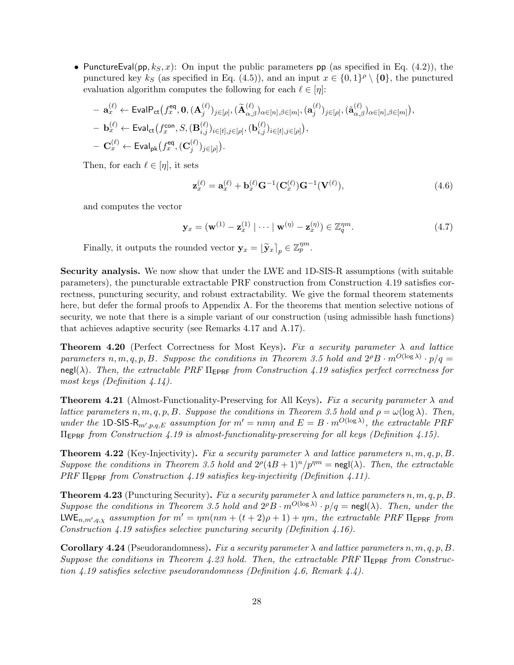• PunctureEval(pp,  $k_S, x$ ): On input the public parameters pp (as specified in Eq. [\(4.2\)](#page-25-0)), the punctured key  $k_S$  (as specified in Eq. [\(4.5\)](#page-26-0)), and an input  $x \in \{0,1\}^{\rho} \setminus \{0\}$ , the punctured evaluation algorithm computes the following for each  $\ell \in [\eta]:$ 

$$
- \mathbf{a}_{x}^{(\ell)} \leftarrow \text{EvalP}_{\text{ct}}(f_{x}^{\text{eq}}, \mathbf{0}, (\mathbf{A}_{j}^{(\ell)})_{j \in [\rho]}, (\widetilde{\mathbf{A}}_{\alpha,\beta}^{(\ell)})_{\alpha \in [n], \beta \in [m]}, (\mathbf{a}_{j}^{(\ell)})_{j \in [\rho]}, (\widetilde{\mathbf{a}}_{\alpha,\beta}^{(\ell)})_{\alpha \in [n], \beta \in [m]}),
$$
  
\n
$$
- \mathbf{b}_{x}^{(\ell)} \leftarrow \text{Eval}_{\text{ct}}(f_{x}^{\text{con}}, S, (\mathbf{B}_{i,j}^{(\ell)})_{i \in [t], j \in [\rho]}, (\mathbf{b}_{i,j}^{(\ell)})_{i \in [t], j \in [\rho]}),
$$
  
\n
$$
- \mathbf{C}_{x}^{(\ell)} \leftarrow \text{Eval}_{\text{pk}}(f_{x}^{\text{eq}}, (\mathbf{C}_{j}^{(\ell)})_{j \in [\rho]}).
$$

Then, for each  $\ell \in [\eta]$ , it sets

$$
\mathbf{z}_{x}^{(\ell)} = \mathbf{a}_{x}^{(\ell)} + \mathbf{b}_{x}^{(\ell)} \mathbf{G}^{-1} (\mathbf{C}_{x}^{(\ell)}) \mathbf{G}^{-1} (\mathbf{V}^{(\ell)}), \tag{4.6}
$$

and computes the vector

$$
\mathbf{y}_x = (\mathbf{w}^{(1)} - \mathbf{z}_x^{(1)} | \cdots | \mathbf{w}^{(\eta)} - \mathbf{z}_x^{(\eta)}) \in \mathbb{Z}_q^{\eta m}.
$$
 (4.7)

Finally, it outputs the rounded vector  $\mathbf{y}_x = [\widetilde{\mathbf{y}}_x]_p \in \mathbb{Z}_p^{\eta m}$ .

Security analysis. We now show that under the LWE and 1D-SIS-R assumptions (with suitable parameters), the puncturable extractable PRF construction from Construction [4.19](#page-24-0) satisfies correctness, puncturing security, and robust extractability. We give the formal theorem statements here, but defer the formal proofs to Appendix [A.](#page-45-3) For the theorems that mention selective notions of security, we note that there is a simple variant of our construction (using admissible hash functions) that achieves adaptive security (see Remarks [4.17](#page-23-1) and [A.17\)](#page-59-0).

<span id="page-27-2"></span>**Theorem 4.20** (Perfect Correctness for Most Keys). Fix a security parameter  $\lambda$  and lattice parameters n, m, q, p, B. Suppose the conditions in Theorem [3.5](#page-16-0) hold and  $2^{\rho}B \cdot m^{O(\log \lambda)} \cdot p/q =$  $\text{negl}(\lambda)$ . Then, the extractable PRF  $\Pi_{\text{EPRF}}$  from Construction [4.19](#page-24-0) satisfies perfect correctness for most keys (Definition  $4.14$ ).

<span id="page-27-3"></span>**Theorem 4.21** (Almost-Functionality-Preserving for All Keys). Fix a security parameter  $\lambda$  and lattice parameters n, m, q, p, B. Suppose the conditions in Theorem [3.5](#page-16-0) hold and  $\rho = \omega(\log \lambda)$ . Then, under the 1D-SIS-R<sub>m',p,q,E</sub> assumption for  $m' = n m \eta$  and  $E = B \cdot m^{O(\log \lambda)}$ , the extractable PRF ΠEPRF from Construction [4.19](#page-24-0) is almost-functionality-preserving for all keys (Definition [4.15\)](#page-23-3).

<span id="page-27-0"></span>**Theorem 4.22** (Key-Injectivity). Fix a security parameter  $\lambda$  and lattice parameters n, m, q, p, B. Suppose the conditions in Theorem [3.5](#page-16-0) hold and  $2^{\rho}(4B+1)^n/p^{nm} = \text{negl}(\lambda)$ . Then, the extractable PRF ΠEPRF from Construction [4.19](#page-24-0) satisfies key-injectivity (Definition [4.11\)](#page-21-0).

<span id="page-27-1"></span>**Theorem 4.23** (Puncturing Security). Fix a security parameter  $\lambda$  and lattice parameters  $n, m, q, p, B$ . Suppose the conditions in Theorem [3.5](#page-16-0) hold and  $2^{\rho}B \cdot m^{O(\log \lambda)} \cdot p/q = \text{negl}(\lambda)$ . Then, under the LWE<sub>n,m',q,χ</sub> assumption for  $m' = \eta m(nm + (t + 2)\rho + 1) + \eta m$ , the extractable PRF  $\Pi$ <sub>EPRF</sub> from Construction [4.19](#page-24-0) satisfies selective puncturing security (Definition [4.16\)](#page-23-0).

<span id="page-27-4"></span>**Corollary 4.24** (Pseudorandomness). Fix a security parameter  $\lambda$  and lattice parameters  $n, m, q, p, B$ . Suppose the conditions in Theorem [4.23](#page-27-1) hold. Then, the extractable PRF  $\Pi_{\text{EPRF}}$  from Construc-tion [4.19](#page-24-0) satisfies selective pseudorandomness (Definition [4.6,](#page-20-2) Remark  $4.4$ ).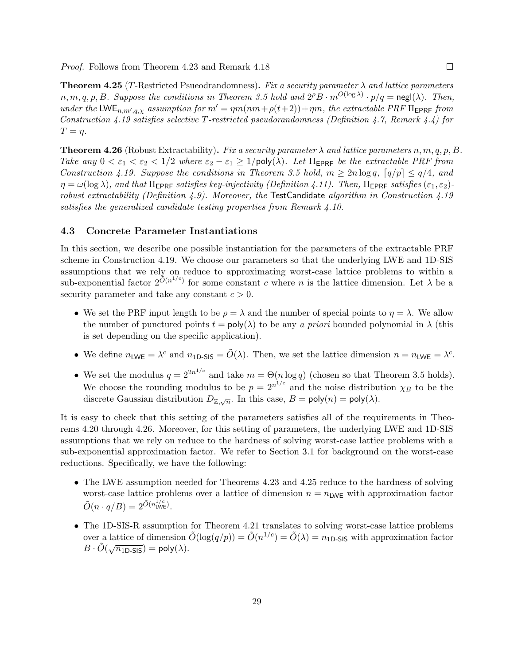Proof. Follows from Theorem [4.23](#page-27-1) and Remark [4.18](#page-24-2)

<span id="page-28-1"></span>**Theorem 4.25** (T-Restricted Psueodrandomness). Fix a security parameter  $\lambda$  and lattice parameters  $n, m, q, p, B$ . Suppose the conditions in Theorem [3.5](#page-16-0) hold and  $2^{\rho}B \cdot m^{O(\log \lambda)} \cdot p/q = \mathsf{negl}(\lambda)$ . Then, under the LWE<sub>n,m',q,χ</sub> assumption for  $m' = \eta m(nm+\rho(t+2)) + \eta m$ , the extractable PRF  $\Pi$ <sub>EPRF</sub> from Construction [4.19](#page-24-0) satisfies selective T-restricted pseudorandomness (Definition [4.7,](#page-20-3) Remark [4.4\)](#page-19-1) for  $T = \eta$ .

<span id="page-28-0"></span>**Theorem 4.26** (Robust Extractability). Fix a security parameter  $\lambda$  and lattice parameters  $n, m, q, p, B$ . Take any  $0 < \varepsilon_1 < \varepsilon_2 < 1/2$  where  $\varepsilon_2 - \varepsilon_1 \geq 1/\text{poly}(\lambda)$ . Let  $\Pi_{\text{EPRF}}$  be the extractable PRF from Construction [4.19.](#page-24-0) Suppose the conditions in Theorem [3.5](#page-16-0) hold,  $m \geq 2n \log q$ ,  $\lceil q/p \rceil \leq q/4$ , and  $\eta = \omega(\log \lambda)$ , and that  $\Pi_{\text{EPRF}}$  satisfies key-injectivity (Definition [4.11\)](#page-21-0). Then,  $\Pi_{\text{EPRF}}$  satisfies  $(\varepsilon_1, \varepsilon_2)$ robust extractability (Definition [4.9\)](#page-20-0). Moreover, the TestCandidate algorithm in Construction [4.19](#page-24-0) satisfies the generalized candidate testing properties from Remark [4.10.](#page-21-1)

## 4.3 Concrete Parameter Instantiations

In this section, we describe one possible instantiation for the parameters of the extractable PRF scheme in Construction [4.19.](#page-24-0) We choose our parameters so that the underlying LWE and 1D-SIS assumptions that we rely on reduce to approximating worst-case lattice problems to within a sub-exponential factor  $2^{\tilde{O}(n^{1/c})}$  for some constant c where n is the lattice dimension. Let  $\lambda$  be a security parameter and take any constant  $c > 0$ .

- We set the PRF input length to be  $\rho = \lambda$  and the number of special points to  $\eta = \lambda$ . We allow the number of punctured points  $t = poly(\lambda)$  to be any a priori bounded polynomial in  $\lambda$  (this is set depending on the specific application).
- We define  $n_{\text{LWE}} = \lambda^c$  and  $n_{\text{1D-SIS}} = \tilde{O}(\lambda)$ . Then, we set the lattice dimension  $n = n_{\text{LWE}} = \lambda^c$ .
- We set the modulus  $q = 2^{2n^{1/c}}$  and take  $m = \Theta(n \log q)$  (chosen so that Theorem [3.5](#page-16-0) holds). We choose the rounding modulus to be  $p = 2^{n^{1/c}}$  and the noise distribution  $\chi_B$  to be the discrete Gaussian distribution  $D_{\mathbb{Z},\sqrt{n}}$ . In this case,  $B = \text{poly}(n) = \text{poly}(\lambda)$ .

It is easy to check that this setting of the parameters satisfies all of the requirements in Theorems [4.20](#page-27-2) through [4.26.](#page-28-0) Moreover, for this setting of parameters, the underlying LWE and 1D-SIS assumptions that we rely on reduce to the hardness of solving worst-case lattice problems with a sub-exponential approximation factor. We refer to Section [3.1](#page-15-0) for background on the worst-case reductions. Specifically, we have the following:

- The LWE assumption needed for Theorems [4.23](#page-27-1) and [4.25](#page-28-1) reduce to the hardness of solving worst-case lattice problems over a lattice of dimension  $n = n_{\text{LWE}}$  with approximation factor  $\tilde{O}(n \cdot q/B) = 2^{\tilde{O}(n_{\text{LWE}}^{1/c})}.$
- The 1D-SIS-R assumption for Theorem [4.21](#page-27-3) translates to solving worst-case lattice problems over a lattice of dimension  $\tilde{O}(\log(q/p)) = \tilde{O}(n^{1/c}) = \tilde{O}(\lambda) = n_{1D\text{-SIS}}$  with approximation factor  $B \cdot \tilde{O}(\sqrt{n_{1D\text{-SIS}}}) = \text{poly}(\lambda).$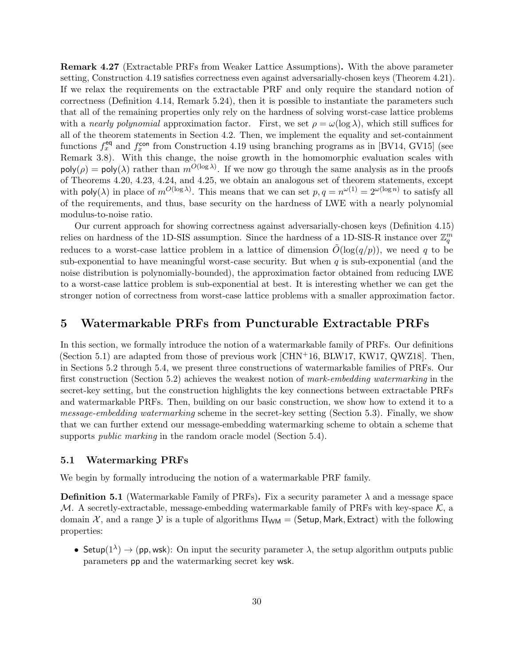<span id="page-29-0"></span>Remark 4.27 (Extractable PRFs from Weaker Lattice Assumptions). With the above parameter setting, Construction [4.19](#page-24-0) satisfies correctness even against adversarially-chosen keys (Theorem [4.21\)](#page-27-3). If we relax the requirements on the extractable PRF and only require the standard notion of correctness (Definition [4.14,](#page-23-2) Remark [5.24\)](#page-36-0), then it is possible to instantiate the parameters such that all of the remaining properties only rely on the hardness of solving worst-case lattice problems with a nearly polynomial approximation factor. First, we set  $\rho = \omega(\log \lambda)$ , which still suffices for all of the theorem statements in Section [4.2.](#page-24-1) Then, we implement the equality and set-containment functions  $f_x^{\text{eq}}$  and  $f_x^{\text{con}}$  from Construction [4.19](#page-24-0) using branching programs as in [\[BV14,](#page-42-11) [GV15\]](#page-43-10) (see Remark [3.8\)](#page-18-2). With this change, the noise growth in the homomorphic evaluation scales with  $\mathsf{poly}(\rho) = \mathsf{poly}(\lambda)$  rather than  $m^{O(\log \lambda)}$ . If we now go through the same analysis as in the proofs of Theorems [4.20,](#page-27-2) [4.23,](#page-27-1) [4.24,](#page-27-4) and [4.25,](#page-28-1) we obtain an analogous set of theorem statements, except with poly( $\lambda$ ) in place of  $m^{O(\log \lambda)}$ . This means that we can set  $p, q = n^{\omega(1)} = 2^{\omega(\log n)}$  to satisfy all of the requirements, and thus, base security on the hardness of LWE with a nearly polynomial modulus-to-noise ratio.

Our current approach for showing correctness against adversarially-chosen keys (Definition [4.15\)](#page-23-3) relies on hardness of the 1D-SIS assumption. Since the hardness of a 1D-SIS-R instance over  $\mathbb{Z}_q^m$ reduces to a worst-case lattice problem in a lattice of dimension  $\tilde{O}(\log(q/p))$ , we need q to be sub-exponential to have meaningful worst-case security. But when  $q$  is sub-exponential (and the noise distribution is polynomially-bounded), the approximation factor obtained from reducing LWE to a worst-case lattice problem is sub-exponential at best. It is interesting whether we can get the stronger notion of correctness from worst-case lattice problems with a smaller approximation factor.

## <span id="page-29-1"></span>5 Watermarkable PRFs from Puncturable Extractable PRFs

In this section, we formally introduce the notion of a watermarkable family of PRFs. Our definitions (Section [5.1\)](#page-29-2) are adapted from those of previous work  $[CHN<sup>+16</sup>, BLW17, KW17, QWZ18]$  $[CHN<sup>+16</sup>, BLW17, KW17, QWZ18]$  $[CHN<sup>+16</sup>, BLW17, KW17, QWZ18]$  $[CHN<sup>+16</sup>, BLW17, KW17, QWZ18]$  $[CHN<sup>+16</sup>, BLW17, KW17, QWZ18]$  $[CHN<sup>+16</sup>, BLW17, KW17, QWZ18]$  $[CHN<sup>+16</sup>, BLW17, KW17, QWZ18]$ . Then, in Sections [5.2](#page-34-0) through [5.4,](#page-38-0) we present three constructions of watermarkable families of PRFs. Our first construction (Section [5.2\)](#page-34-0) achieves the weakest notion of mark-embedding watermarking in the secret-key setting, but the construction highlights the key connections between extractable PRFs and watermarkable PRFs. Then, building on our basic construction, we show how to extend it to a message-embedding watermarking scheme in the secret-key setting (Section [5.3\)](#page-37-0). Finally, we show that we can further extend our message-embedding watermarking scheme to obtain a scheme that supports *public marking* in the random oracle model (Section [5.4\)](#page-38-0).

#### <span id="page-29-2"></span>5.1 Watermarking PRFs

We begin by formally introducing the notion of a watermarkable PRF family.

<span id="page-29-3"></span>**Definition 5.1** (Watermarkable Family of PRFs). Fix a security parameter  $\lambda$  and a message space  $M$ . A secretly-extractable, message-embedding watermarkable family of PRFs with key-space  $K$ , a domain X, and a range  $\mathcal Y$  is a tuple of algorithms  $\Pi_{WM} = ($ Setup, Mark, Extract) with the following properties:

• Setup( $1^{\lambda}$ )  $\rightarrow$  (pp, wsk): On input the security parameter  $\lambda$ , the setup algorithm outputs public parameters pp and the watermarking secret key wsk.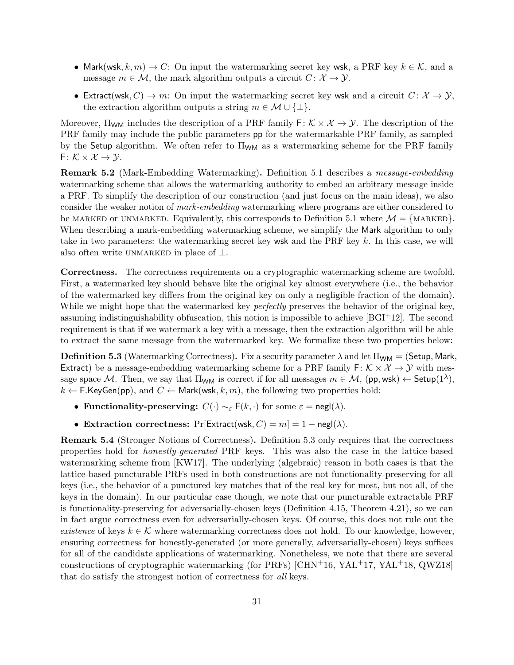- Mark(wsk, k, m)  $\rightarrow$  C: On input the watermarking secret key wsk, a PRF key  $k \in \mathcal{K}$ , and a message  $m \in \mathcal{M}$ , the mark algorithm outputs a circuit  $C: \mathcal{X} \to \mathcal{Y}$ .
- Extract(wsk,  $C$ )  $\rightarrow$  m: On input the watermarking secret key wsk and a circuit  $C: \mathcal{X} \rightarrow \mathcal{Y}$ , the extraction algorithm outputs a string  $m \in \mathcal{M} \cup \{\perp\}.$

Moreover,  $\Pi_{WM}$  includes the description of a PRF family  $F: K \times \mathcal{X} \to \mathcal{Y}$ . The description of the PRF family may include the public parameters pp for the watermarkable PRF family, as sampled by the Setup algorithm. We often refer to  $\Pi_{WM}$  as a watermarking scheme for the PRF family  $F: \mathcal{K} \times \mathcal{X} \rightarrow \mathcal{Y}$ .

Remark 5.2 (Mark-Embedding Watermarking). Definition [5.1](#page-29-3) describes a message-embedding watermarking scheme that allows the watermarking authority to embed an arbitrary message inside a PRF. To simplify the description of our construction (and just focus on the main ideas), we also consider the weaker notion of mark-embedding watermarking where programs are either considered to be MARKED or UNMARKED. Equivalently, this corresponds to Definition [5.1](#page-29-3) where  $\mathcal{M} = \{MARKED\}$ . When describing a mark-embedding watermarking scheme, we simplify the Mark algorithm to only take in two parameters: the watermarking secret key wsk and the PRF key k. In this case, we will also often write UNMARKED in place of  $\perp$ .

Correctness. The correctness requirements on a cryptographic watermarking scheme are twofold. First, a watermarked key should behave like the original key almost everywhere (i.e., the behavior of the watermarked key differs from the original key on only a negligible fraction of the domain). While we might hope that the watermarked key *perfectly* preserves the behavior of the original key, assuming indistinguishability obfuscation, this notion is impossible to achieve  $[\text{BGI}^+12]$ . The second requirement is that if we watermark a key with a message, then the extraction algorithm will be able to extract the same message from the watermarked key. We formalize these two properties below:

<span id="page-30-0"></span>**Definition 5.3** (Watermarking Correctness). Fix a security parameter  $\lambda$  and let  $\Pi_{WM} = ($  Setup, Mark, Extract) be a message-embedding watermarking scheme for a PRF family F:  $K \times \mathcal{X} \rightarrow \mathcal{Y}$  with message space M. Then, we say that  $\Pi_{WM}$  is correct if for all messages  $m \in \mathcal{M}$ ,  $(pp, wsk) \leftarrow$  Setup $(1^{\lambda})$ ,  $k \leftarrow$  F.KeyGen(pp), and  $C \leftarrow$  Mark(wsk, k, m), the following two properties hold:

- Functionality-preserving:  $C(\cdot) \sim_{\varepsilon} F(k, \cdot)$  for some  $\varepsilon = \text{negl}(\lambda)$ .
- Extraction correctness:  $Pr[Extract(wsk, C) = m] = 1 negl(\lambda)$ .

<span id="page-30-1"></span>Remark 5.4 (Stronger Notions of Correctness). Definition [5.3](#page-30-0) only requires that the correctness properties hold for honestly-generated PRF keys. This was also the case in the lattice-based watermarking scheme from [\[KW17\]](#page-44-3). The underlying (algebraic) reason in both cases is that the lattice-based puncturable PRFs used in both constructions are not functionality-preserving for all keys (i.e., the behavior of a punctured key matches that of the real key for most, but not all, of the keys in the domain). In our particular case though, we note that our puncturable extractable PRF is functionality-preserving for adversarially-chosen keys (Definition [4.15,](#page-23-3) Theorem [4.21\)](#page-27-3), so we can in fact argue correctness even for adversarially-chosen keys. Of course, this does not rule out the existence of keys  $k \in \mathcal{K}$  where watermarking correctness does not hold. To our knowledge, however, ensuring correctness for honestly-generated (or more generally, adversarially-chosen) keys suffices for all of the candidate applications of watermarking. Nonetheless, we note that there are several constructions of cryptographic watermarking (for PRFs) [\[CHN](#page-43-1)+16, [YAL](#page-45-1)+17, YAL+18, [QWZ18\]](#page-44-4) that do satisfy the strongest notion of correctness for all keys.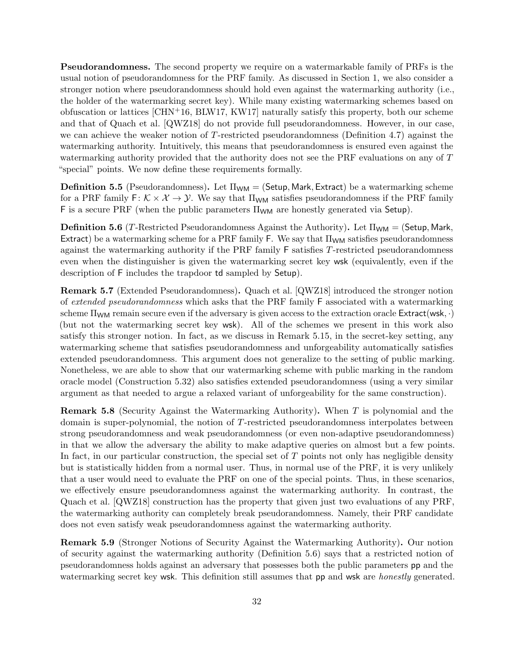Pseudorandomness. The second property we require on a watermarkable family of PRFs is the usual notion of pseudorandomness for the PRF family. As discussed in Section [1,](#page-0-1) we also consider a stronger notion where pseudorandomness should hold even against the watermarking authority (i.e., the holder of the watermarking secret key). While many existing watermarking schemes based on obfuscation or lattices  $\text{[CHN+16, BLW17, KW17]}$  $\text{[CHN+16, BLW17, KW17]}$  $\text{[CHN+16, BLW17, KW17]}$  $\text{[CHN+16, BLW17, KW17]}$  $\text{[CHN+16, BLW17, KW17]}$  $\text{[CHN+16, BLW17, KW17]}$  $\text{[CHN+16, BLW17, KW17]}$  naturally satisfy this property, both our scheme and that of Quach et al. [\[QWZ18\]](#page-44-4) do not provide full pseudorandomness. However, in our case, we can achieve the weaker notion of T-restricted pseudorandomness (Definition [4.7\)](#page-20-3) against the watermarking authority. Intuitively, this means that pseudorandomness is ensured even against the watermarking authority provided that the authority does not see the PRF evaluations on any of T "special" points. We now define these requirements formally.

<span id="page-31-2"></span>**Definition 5.5** (Pseudorandomness). Let  $\Pi_{WM} = (Setup, Mark, Extract)$  be a watermarking scheme for a PRF family  $F: \mathcal{K} \times \mathcal{X} \to \mathcal{Y}$ . We say that  $\Pi_{WM}$  satisfies pseudorandomness if the PRF family F is a secure PRF (when the public parameters  $\Pi_{WM}$  are honestly generated via Setup).

<span id="page-31-0"></span>**Definition 5.6** (T-Restricted Pseudorandomness Against the Authority). Let  $\Pi_{WM} = (Setup, Mark,$ Extract) be a watermarking scheme for a PRF family F. We say that  $\Pi_{WM}$  satisfies pseudorandomness against the watermarking authority if the PRF family F satisfies T-restricted pseudorandomness even when the distinguisher is given the watermarking secret key wsk (equivalently, even if the description of F includes the trapdoor td sampled by Setup).

<span id="page-31-1"></span>Remark 5.7 (Extended Pseudorandomness). Quach et al. [\[QWZ18\]](#page-44-4) introduced the stronger notion of extended pseudorandomness which asks that the PRF family F associated with a watermarking scheme  $\Pi_{WM}$  remain secure even if the adversary is given access to the extraction oracle Extract(wsk,  $\cdot$ ) (but not the watermarking secret key wsk). All of the schemes we present in this work also satisfy this stronger notion. In fact, as we discuss in Remark [5.15,](#page-34-1) in the secret-key setting, any watermarking scheme that satisfies pseudorandomness and unforgeability automatically satisfies extended pseudorandomness. This argument does not generalize to the setting of public marking. Nonetheless, we are able to show that our watermarking scheme with public marking in the random oracle model (Construction [5.32\)](#page-38-1) also satisfies extended pseudorandomness (using a very similar argument as that needed to argue a relaxed variant of unforgeability for the same construction).

Remark 5.8 (Security Against the Watermarking Authority). When T is polynomial and the domain is super-polynomial, the notion of T-restricted pseudorandomness interpolates between strong pseudorandomness and weak pseudorandomness (or even non-adaptive pseudorandomness) in that we allow the adversary the ability to make adaptive queries on almost but a few points. In fact, in our particular construction, the special set of  $T$  points not only has negligible density but is statistically hidden from a normal user. Thus, in normal use of the PRF, it is very unlikely that a user would need to evaluate the PRF on one of the special points. Thus, in these scenarios, we effectively ensure pseudorandomness against the watermarking authority. In contrast, the Quach et al. [\[QWZ18\]](#page-44-4) construction has the property that given just two evaluations of any PRF, the watermarking authority can completely break pseudorandomness. Namely, their PRF candidate does not even satisfy weak pseudorandomness against the watermarking authority.

Remark 5.9 (Stronger Notions of Security Against the Watermarking Authority). Our notion of security against the watermarking authority (Definition [5.6\)](#page-31-0) says that a restricted notion of pseudorandomness holds against an adversary that possesses both the public parameters pp and the watermarking secret key wsk. This definition still assumes that pp and wsk are *honestly* generated.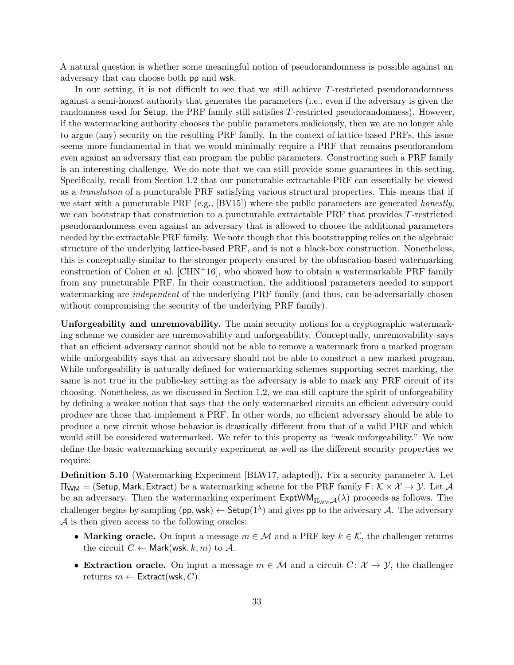A natural question is whether some meaningful notion of pseudorandomness is possible against an adversary that can choose both pp and wsk.

In our setting, it is not difficult to see that we still achieve T-restricted pseudorandomness against a semi-honest authority that generates the parameters (i.e., even if the adversary is given the randomness used for Setup, the PRF family still satisfies T-restricted pseudorandomness). However, if the watermarking authority chooses the public parameters maliciously, then we are no longer able to argue (any) security on the resulting PRF family. In the context of lattice-based PRFs, this issue seems more fundamental in that we would minimally require a PRF that remains pseudorandom even against an adversary that can program the public parameters. Constructing such a PRF family is an interesting challenge. We do note that we can still provide some guarantees in this setting. Specifically, recall from Section [1.2](#page-3-0) that our puncturable extractable PRF can essentially be viewed as a translation of a puncturable PRF satisfying various structural properties. This means that if we start with a puncturable PRF (e.g.,  $[BV15]$ ) where the public parameters are generated *honestly*, we can bootstrap that construction to a puncturable extractable PRF that provides T-restricted pseudorandomness even against an adversary that is allowed to choose the additional parameters needed by the extractable PRF family. We note though that this bootstrapping relies on the algebraic structure of the underlying lattice-based PRF, and is not a black-box construction. Nonetheless, this is conceptually-similar to the stronger property ensured by the obfuscation-based watermarking construction of Cohen et al.  $[CHN<sup>+</sup>16]$  $[CHN<sup>+</sup>16]$ , who showed how to obtain a watermarkable PRF family from any puncturable PRF. In their construction, the additional parameters needed to support watermarking are *independent* of the underlying PRF family (and thus, can be adversarially-chosen without compromising the security of the underlying PRF family).

Unforgeability and unremovability. The main security notions for a cryptographic watermarking scheme we consider are unremovability and unforgeability. Conceptually, unremovability says that an efficient adversary cannot should not be able to remove a watermark from a marked program while unforgeability says that an adversary should not be able to construct a new marked program. While unforgeability is naturally defined for watermarking schemes supporting secret-marking, the same is not true in the public-key setting as the adversary is able to mark any PRF circuit of its choosing. Nonetheless, as we discussed in Section [1.2,](#page-3-0) we can still capture the spirit of unforgeability by defining a weaker notion that says that the only watermarked circuits an efficient adversary could produce are those that implement a PRF. In other words, no efficient adversary should be able to produce a new circuit whose behavior is drastically different from that of a valid PRF and which would still be considered watermarked. We refer to this property as "weak unforgeability." We now define the basic watermarking security experiment as well as the different security properties we require:

**Definition 5.10** (Watermarking Experiment [\[BLW17,](#page-42-2) adapted]). Fix a security parameter  $\lambda$ . Let  $\Pi_{WM}$  = (Setup, Mark, Extract) be a watermarking scheme for the PRF family  $F: K \times X \rightarrow Y$ . Let A be an adversary. Then the watermarking experiment  $\text{ExptWM}_{\Pi_{WM},\mathcal{A}}(\lambda)$  proceeds as follows. The challenger begins by sampling  $(pp, wsk) \leftarrow$  Setup $(1^{\lambda})$  and gives pp to the adversary A. The adversary A is then given access to the following oracles:

- Marking oracle. On input a message  $m \in \mathcal{M}$  and a PRF key  $k \in \mathcal{K}$ , the challenger returns the circuit  $C \leftarrow \mathsf{Mark}(\mathsf{wsk}, k, m)$  to A.
- Extraction oracle. On input a message  $m \in \mathcal{M}$  and a circuit  $C: \mathcal{X} \to \mathcal{Y}$ , the challenger returns  $m \leftarrow$  Extract(wsk, C).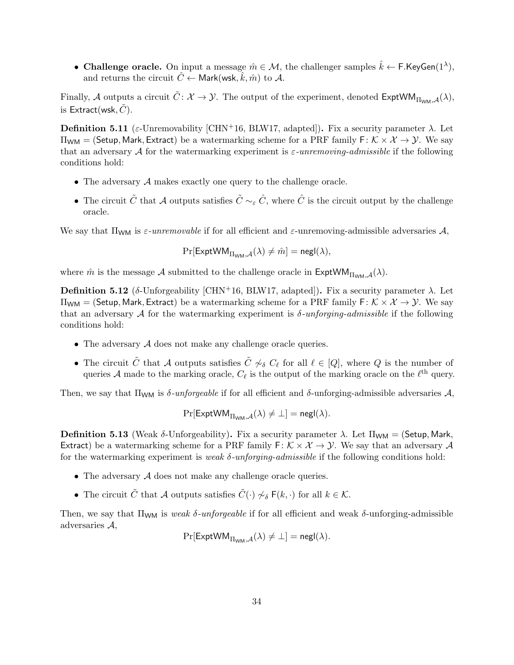• Challenge oracle. On input a message  $\hat{m} \in \mathcal{M}$ , the challenger samples  $\hat{k} \leftarrow \mathsf{F}.\mathsf{KeyGen}(1^{\lambda}),$ and returns the circuit  $\hat{C} \leftarrow \mathsf{Mark}(\mathsf{wsk}, \hat{k}, \hat{m})$  to  $\mathcal{A}.$ 

Finally, A outputs a circuit  $\tilde{C} : \mathcal{X} \to \mathcal{Y}$ . The output of the experiment, denoted  $\text{ExptWM}_{\text{HWM},\mathcal{A}}(\lambda)$ , is Extract(wsk,  $C$ ).

**Definition 5.11** ( $\varepsilon$ -Unremovability [\[CHN](#page-43-1)<sup>+</sup>16, [BLW17,](#page-42-2) adapted]). Fix a security parameter  $\lambda$ . Let  $\Pi_{WM}$  = (Setup, Mark, Extract) be a watermarking scheme for a PRF family  $F: K \times X \rightarrow Y$ . We say that an adversary A for the watermarking experiment is  $\varepsilon$ -unremoving-admissible if the following conditions hold:

- The adversary  $A$  makes exactly one query to the challenge oracle.
- The circuit  $\tilde{C}$  that A outputs satisfies  $\tilde{C} \sim_{\varepsilon} \hat{C}$ , where  $\hat{C}$  is the circuit output by the challenge oracle.

We say that  $\Pi_{WM}$  is  $\varepsilon$ -unremovable if for all efficient and  $\varepsilon$ -unremoving-admissible adversaries A,

$$
\Pr[\mathsf{ExptWM}_{\Pi_{\mathsf{WM}},\mathcal{A}}(\lambda)\neq \hat{m}]=\mathsf{negl}(\lambda),
$$

where  $\hat{m}$  is the message A submitted to the challenge oracle in  $\mathsf{ExptWM}_{\Pi_{\text{WM}},\mathcal{A}}(\lambda)$ .

<span id="page-33-1"></span>**Definition 5.12** (δ-Unforgeability [\[CHN](#page-43-1)+16, [BLW17,](#page-42-2) adapted]). Fix a security parameter  $λ$ . Let  $\Pi_{WM}$  = (Setup, Mark, Extract) be a watermarking scheme for a PRF family  $F: K \times X \rightarrow Y$ . We say that an adversary A for the watermarking experiment is  $\delta$ -unforging-admissible if the following conditions hold:

- The adversary  $A$  does not make any challenge oracle queries.
- The circuit  $\tilde{C}$  that A outputs satisfies  $\tilde{C} \not\sim_{\delta} C_{\ell}$  for all  $\ell \in [Q]$ , where Q is the number of queries A made to the marking oracle,  $C_{\ell}$  is the output of the marking oracle on the  $\ell^{\text{th}}$  query.

Then, we say that  $\Pi_{WM}$  is  $\delta$ -unforgeable if for all efficient and  $\delta$ -unforging-admissible adversaries  $\mathcal{A}$ ,

$$
\Pr[\mathsf{ExptWM}_{\Pi_{\mathsf{WM}},\mathcal{A}}(\lambda) \neq \bot] = \mathsf{negl}(\lambda).
$$

<span id="page-33-0"></span>**Definition 5.13** (Weak δ-Unforgeability). Fix a security parameter  $\lambda$ . Let  $\Pi_{WM} = ($ Setup, Mark, Extract) be a watermarking scheme for a PRF family  $F: \mathcal{K} \times \mathcal{X} \to \mathcal{Y}$ . We say that an adversary A for the watermarking experiment is weak  $\delta$ -unforging-admissible if the following conditions hold:

- The adversary A does not make any challenge oracle queries.
- The circuit  $\tilde{C}$  that A outputs satisfies  $\tilde{C}(\cdot) \not\sim_{\delta} \mathsf{F}(k, \cdot)$  for all  $k \in \mathcal{K}$ .

Then, we say that  $\Pi_{WM}$  is *weak δ-unforgeable* if for all efficient and weak δ-unforging-admissible adversaries A,

$$
\Pr[\mathsf{ExptWM}_{\Pi_{\mathsf{WM}},\mathcal{A}}(\lambda) \neq \bot] = \mathsf{negl}(\lambda).
$$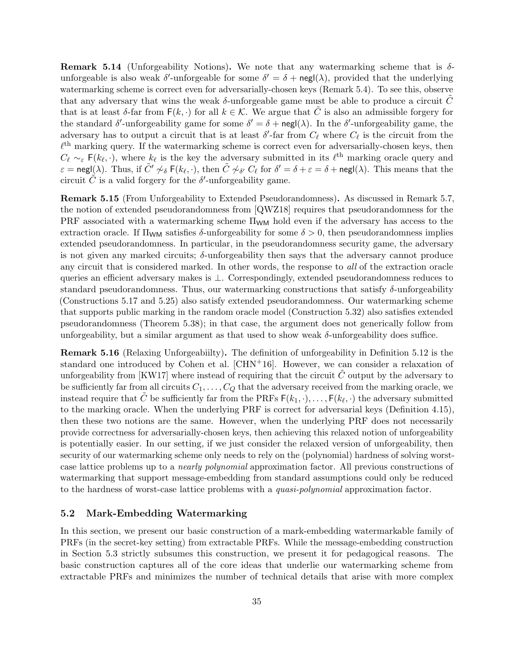**Remark 5.14** (Unforgeability Notions). We note that any watermarking scheme that is  $\delta$ unforgeable is also weak  $\delta'$ -unforgeable for some  $\delta' = \delta + \text{negl}(\lambda)$ , provided that the underlying watermarking scheme is correct even for adversarially-chosen keys (Remark [5.4\)](#page-30-1). To see this, observe that any adversary that wins the weak  $\delta$ -unforgeable game must be able to produce a circuit  $C$ that is at least  $\delta$ -far from  $F(k, \cdot)$  for all  $k \in \mathcal{K}$ . We argue that  $\tilde{C}$  is also an admissible forgery for the standard  $\delta'$ -unforgeability game for some  $\delta' = \delta + \text{negl}(\lambda)$ . In the  $\delta'$ -unforgeability game, the adversary has to output a circuit that is at least  $\delta'$ -far from  $C_{\ell}$  where  $C_{\ell}$  is the circuit from the  $\ell^{\text{th}}$  marking query. If the watermarking scheme is correct even for adversarially-chosen keys, then  $C_\ell \sim_{\varepsilon} F(k_\ell, \cdot)$ , where  $k_\ell$  is the key the adversary submitted in its  $\ell^{\text{th}}$  marking oracle query and  $\varepsilon = \mathsf{negl}(\lambda)$ . Thus, if  $\tilde{C}' \not\sim_{\delta} \mathsf{F}(k_{\ell}, \cdot)$ , then  $\tilde{C} \not\sim_{\delta'} C_{\ell}$  for  $\delta' = \delta + \varepsilon = \delta + \mathsf{negl}(\lambda)$ . This means that the circuit  $\tilde{C}$  is a valid forgery for the  $\delta'$ -unforgeability game.

<span id="page-34-1"></span>Remark 5.15 (From Unforgeability to Extended Pseudorandomness). As discussed in Remark [5.7,](#page-31-1) the notion of extended pseudorandomness from [\[QWZ18\]](#page-44-4) requires that pseudorandomness for the PRF associated with a watermarking scheme Π<sub>WM</sub> hold even if the adversary has access to the extraction oracle. If  $\Pi_{WM}$  satisfies  $\delta$ -unforgeability for some  $\delta > 0$ , then pseudorandomness implies extended pseudorandomness. In particular, in the pseudorandomness security game, the adversary is not given any marked circuits;  $\delta$ -unforgeability then says that the adversary cannot produce any circuit that is considered marked. In other words, the response to all of the extraction oracle queries an efficient adversary makes is ⊥. Correspondingly, extended pseudorandomness reduces to standard pseudorandomness. Thus, our watermarking constructions that satisfy δ-unforgeability (Constructions [5.17](#page-35-0) and [5.25\)](#page-37-1) also satisfy extended pseudorandomness. Our watermarking scheme that supports public marking in the random oracle model (Construction [5.32\)](#page-38-1) also satisfies extended pseudorandomness (Theorem [5.38\)](#page-40-2); in that case, the argument does not generically follow from unforgeability, but a similar argument as that used to show weak  $\delta$ -unforgeability does suffice.

Remark 5.16 (Relaxing Unforgeabiilty). The definition of unforgeability in Definition [5.12](#page-33-1) is the standard one introduced by Cohen et al.  $[CHN<sup>+</sup>16]$  $[CHN<sup>+</sup>16]$ . However, we can consider a relaxation of unforgeability from  $KW17$  where instead of requiring that the circuit C output by the adversary to be sufficiently far from all circuits  $C_1, \ldots, C_Q$  that the adversary received from the marking oracle, we instead require that  $\tilde{C}$  be sufficiently far from the PRFs  $\mathsf{F}(k_1,\cdot),\ldots,\mathsf{F}(k_\ell,\cdot)$  the adversary submitted to the marking oracle. When the underlying PRF is correct for adversarial keys (Definition [4.15\)](#page-23-3), then these two notions are the same. However, when the underlying PRF does not necessarily provide correctness for adversarially-chosen keys, then achieving this relaxed notion of unforgeability is potentially easier. In our setting, if we just consider the relaxed version of unforgeability, then security of our watermarking scheme only needs to rely on the (polynomial) hardness of solving worstcase lattice problems up to a nearly polynomial approximation factor. All previous constructions of watermarking that support message-embedding from standard assumptions could only be reduced to the hardness of worst-case lattice problems with a quasi-polynomial approximation factor.

#### <span id="page-34-0"></span>5.2 Mark-Embedding Watermarking

In this section, we present our basic construction of a mark-embedding watermarkable family of PRFs (in the secret-key setting) from extractable PRFs. While the message-embedding construction in Section [5.3](#page-37-0) strictly subsumes this construction, we present it for pedagogical reasons. The basic construction captures all of the core ideas that underlie our watermarking scheme from extractable PRFs and minimizes the number of technical details that arise with more complex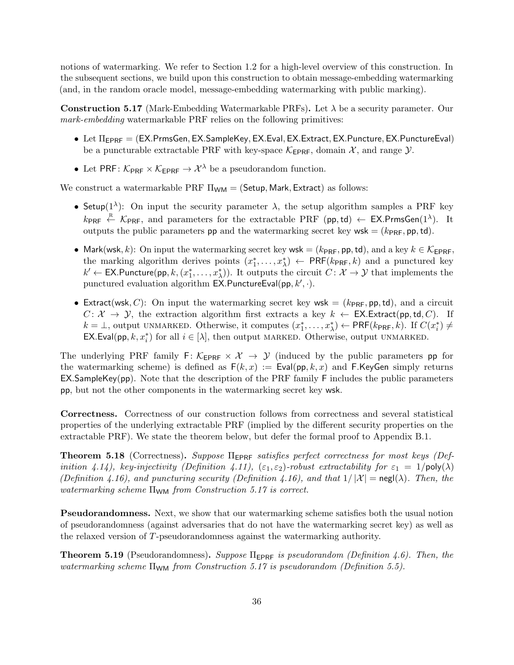notions of watermarking. We refer to Section [1.2](#page-3-0) for a high-level overview of this construction. In the subsequent sections, we build upon this construction to obtain message-embedding watermarking (and, in the random oracle model, message-embedding watermarking with public marking).

<span id="page-35-0"></span>**Construction 5.17** (Mark-Embedding Watermarkable PRFs). Let  $\lambda$  be a security parameter. Our mark-embedding watermarkable PRF relies on the following primitives:

- Let  $\Pi_{\mathsf{EPRF}} = (\mathsf{EX}.\mathsf{PrmsGen}, \mathsf{EX}.\mathsf{SampleKey}, \mathsf{EX}.\mathsf{Eval}, \mathsf{EX}.\mathsf{Extract}, \mathsf{EX}.\mathsf{Puncture}, \mathsf{EX}.\mathsf{PunctureEval})$ be a puncturable extractable PRF with key-space  $\mathcal{K}_{\text{EPRF}}$ , domain  $\mathcal{X}$ , and range  $\mathcal{Y}$ .
- Let PRF:  $\mathcal{K}_{\text{PRF}} \times \mathcal{K}_{\text{EPRF}} \to \mathcal{X}^{\lambda}$  be a pseudorandom function.

We construct a watermarkable PRF  $\Pi_{WM} = (Setup, Mark, Extract)$  as follows:

- Setup( $1^{\lambda}$ ): On input the security parameter  $\lambda$ , the setup algorithm samples a PRF key  $k_{\text{PRF}} \leftarrow \overbrace{K_{\text{PRF}}}$ , and parameters for the extractable PRF (pp, td)  $\leftarrow$  EX.PrmsGen(1<sup> $\lambda$ </sup>). It outputs the public parameters **pp** and the watermarking secret key  $wsk = (k_{PRF}, \text{pp}, \text{td}).$
- Mark(wsk, k): On input the watermarking secret key wsk = ( $k_{\text{PRF}}$ , pp, td), and a key  $k \in \mathcal{K}_{\text{EPRF}}$ , the marking algorithm derives points  $(x_1^*,...,x_\lambda^*) \leftarrow \text{PRF}(k_{\text{PRF}},k)$  and a punctured key  $k' \leftarrow \textsf{EX}.\textsf{Puncture}(\textsf{pp},k,(x_1^*,\ldots,x_\lambda^*))$ . It outputs the circuit  $C\colon\mathcal{X}\to\mathcal{Y}$  that implements the punctured evaluation algorithm  $EX.P$ unctureEval(pp,  $k', \cdot$ ).
- Extract(wsk, C): On input the watermarking secret key wsk =  $(k_{\text{PRE}}, \text{pp}, \text{td})$ , and a circuit  $C: \mathcal{X} \to \mathcal{Y}$ , the extraction algorithm first extracts a key  $k \leftarrow \textsf{EX}.\textsf{Extract}(pp,td,C).$  If  $k = \perp$ , output UNMARKED. Otherwise, it computes  $(x_1^*, \ldots, x_\lambda^*) \leftarrow \text{PRF}(k_{\text{PRF}}, k)$ . If  $C(x_i^*) \neq$ EX.Eval(pp, k,  $x_i^*$ ) for all  $i \in [\lambda]$ , then output MARKED. Otherwise, output UNMARKED.

The underlying PRF family F:  $K_{\text{EPRF}} \times \mathcal{X} \rightarrow \mathcal{Y}$  (induced by the public parameters pp for the watermarking scheme) is defined as  $F(k, x) := \text{Eval}(pp, k, x)$  and F.KeyGen simply returns EX.SampleKey(pp). Note that the description of the PRF family F includes the public parameters pp, but not the other components in the watermarking secret key wsk.

Correctness. Correctness of our construction follows from correctness and several statistical properties of the underlying extractable PRF (implied by the different security properties on the extractable PRF). We state the theorem below, but defer the formal proof to Appendix [B.1.](#page-69-0)

**Theorem 5.18** (Correctness). Suppose  $\Pi_{\text{EPRF}}$  satisfies perfect correctness for most keys (Def-inition [4.14\)](#page-23-2), key-injectivity (Definition [4.11\)](#page-21-0),  $(\varepsilon_1, \varepsilon_2)$ -robust extractability for  $\varepsilon_1 = 1/\text{poly}(\lambda)$ (Definition [4.16\)](#page-23-0), and puncturing security (Definition 4.16), and that  $1/|\mathcal{X}| = \text{negl}(\lambda)$ . Then, the watermarking scheme  $\Pi_{WM}$  from Construction [5.17](#page-35-0) is correct.

Pseudorandomness. Next, we show that our watermarking scheme satisfies both the usual notion of pseudorandomness (against adversaries that do not have the watermarking secret key) as well as the relaxed version of T-pseudorandomness against the watermarking authority.

**Theorem 5.19** (Pseudorandomness). Suppose  $\Pi_{\text{EPRF}}$  is pseudorandom (Definition [4.6\)](#page-20-2). Then, the watermarking scheme  $\Pi_{WM}$  from Construction [5.17](#page-35-0) is pseudorandom (Definition [5.5\)](#page-31-2).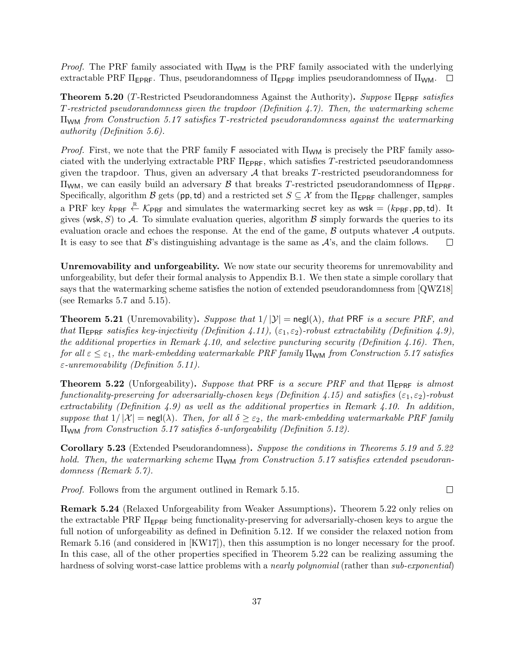*Proof.* The PRF family associated with  $\Pi_{WM}$  is the PRF family associated with the underlying extractable PRF  $\Pi_{\text{EPRF}}$ . Thus, pseudorandomness of  $\Pi_{\text{EPRF}}$  implies pseudorandomness of  $\Pi_{\text{WM}}$ .  $\Box$ 

<span id="page-36-1"></span>**Theorem 5.20** (T-Restricted Pseudorandomness Against the Authority). Suppose  $\Pi_{\text{EPRF}}$  satisfies T-restricted pseudorandomness given the trapdoor (Definition [4.7\)](#page-20-0). Then, the watermarking scheme ΠWM from Construction [5.17](#page-35-0) satisfies T-restricted pseudorandomness against the watermarking authority (Definition [5.6\)](#page-31-0).

*Proof.* First, we note that the PRF family F associated with  $\Pi_{WM}$  is precisely the PRF family associated with the underlying extractable PRF  $\Pi_{\text{EPRF}}$ , which satisfies T-restricted pseudorandomness given the trapdoor. Thus, given an adversary  $A$  that breaks T-restricted pseudorandomness for  $\Pi_{WM}$ , we can easily build an adversary *β* that breaks T-restricted pseudorandomness of  $\Pi_{EPRF}$ . Specifically, algorithm B gets (pp, td) and a restricted set  $S \subseteq \mathcal{X}$  from the  $\Pi_{\text{EPRF}}$  challenger, samples a PRF key  $k_{\text{PRF}} \leftarrow \mathcal{K}_{\text{PRF}}$  and simulates the watermarking secret key as wsk = ( $k_{\text{PRF}}, p_p, td$ ). It gives (wsk, S) to A. To simulate evaluation queries, algorithm  $\beta$  simply forwards the queries to its evaluation oracle and echoes the response. At the end of the game,  $\beta$  outputs whatever  $\mathcal A$  outputs. It is easy to see that  $\mathcal{B}'$ 's distinguishing advantage is the same as  $\mathcal{A}'$ 's, and the claim follows.  $\Box$ 

Unremovability and unforgeability. We now state our security theorems for unremovability and unforgeability, but defer their formal analysis to Appendix [B.1.](#page-69-0) We then state a simple corollary that says that the watermarking scheme satisfies the notion of extended pseudorandomness from [\[QWZ18\]](#page-44-0) (see Remarks [5.7](#page-31-1) and [5.15\)](#page-34-0).

<span id="page-36-2"></span>**Theorem 5.21** (Unremovability). Suppose that  $1/|\mathcal{Y}| = \text{negl}(\lambda)$ , that PRF is a secure PRF, and that  $\Pi_{\text{EPRF}}$  satisfies key-injectivity (Definition [4.11\)](#page-21-0),  $(\varepsilon_1, \varepsilon_2)$ -robust extractability (Definition [4.9\)](#page-20-1), the additional properties in Remark [4.10,](#page-21-1) and selective puncturing security (Definition [4.16\)](#page-23-0). Then, for all  $\varepsilon \leq \varepsilon_1$ , the mark-embedding watermarkable PRF family  $\Pi_{\text{WM}}$  from Construction [5.17](#page-35-0) satisfies  $\varepsilon$ -unremovability (Definition [5.11\)](#page-33-0).

<span id="page-36-0"></span>**Theorem 5.22** (Unforgeability). Suppose that PRF is a secure PRF and that  $\Pi_{\text{EPRF}}$  is almost functionality-preserving for adversarially-chosen keys (Definition [4.15\)](#page-23-1) and satisfies  $(\epsilon_1, \epsilon_2)$ -robust extractability (Definition [4.9\)](#page-20-1) as well as the additional properties in Remark [4.10.](#page-21-1) In addition, suppose that  $1/|\mathcal{X}| = \text{negl}(\lambda)$ . Then, for all  $\delta \geq \varepsilon_2$ , the mark-embedding watermarkable PRF family ΠWM from Construction [5.17](#page-35-0) satisfies δ-unforgeability (Definition [5.12\)](#page-33-1).

Corollary 5.23 (Extended Pseudorandomness). Suppose the conditions in Theorems [5.19](#page-35-1) and [5.22](#page-36-0) hold. Then, the watermarking scheme  $\Pi_{WM}$  from Construction [5.17](#page-35-0) satisfies extended pseudorandomness (Remark [5.7\)](#page-31-1).

 $\Box$ 

Proof. Follows from the argument outlined in Remark [5.15.](#page-34-0)

Remark 5.24 (Relaxed Unforgeability from Weaker Assumptions). Theorem [5.22](#page-36-0) only relies on the extractable PRF  $\Pi_{\text{FPRF}}$  being functionality-preserving for adversarially-chosen keys to argue the full notion of unforgeability as defined in Definition [5.12.](#page-33-1) If we consider the relaxed notion from Remark [5.16](#page-34-1) (and considered in [\[KW17\]](#page-44-1)), then this assumption is no longer necessary for the proof. In this case, all of the other properties specified in Theorem [5.22](#page-36-0) can be realizing assuming the hardness of solving worst-case lattice problems with a *nearly polynomial* (rather than *sub-exponential*)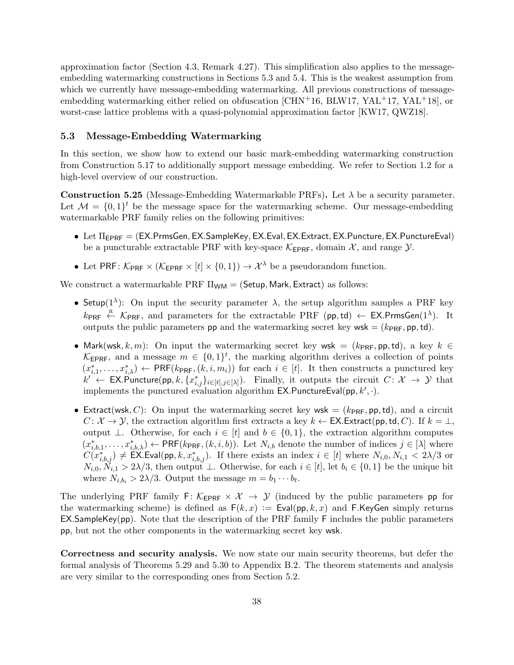approximation factor (Section [4.3,](#page-28-0) Remark [4.27\)](#page-29-0). This simplification also applies to the messageembedding watermarking constructions in Sections [5.3](#page-37-0) and [5.4.](#page-38-0) This is the weakest assumption from which we currently have message-embedding watermarking. All previous constructions of messageembedding watermarking either relied on obfuscation  $\text{[CHN+16, BLW17, YAL+17, YAL+18]},$  $\text{[CHN+16, BLW17, YAL+17, YAL+18]},$  $\text{[CHN+16, BLW17, YAL+17, YAL+18]},$  $\text{[CHN+16, BLW17, YAL+17, YAL+18]},$  $\text{[CHN+16, BLW17, YAL+17, YAL+18]},$  $\text{[CHN+16, BLW17, YAL+17, YAL+18]},$  $\text{[CHN+16, BLW17, YAL+17, YAL+18]},$  or worst-case lattice problems with a quasi-polynomial approximation factor [\[KW17,](#page-44-1) [QWZ18\]](#page-44-0).

#### <span id="page-37-0"></span>5.3 Message-Embedding Watermarking

In this section, we show how to extend our basic mark-embedding watermarking construction from Construction [5.17](#page-35-0) to additionally support message embedding. We refer to Section [1.2](#page-3-0) for a high-level overview of our construction.

<span id="page-37-1"></span>**Construction 5.25** (Message-Embedding Watermarkable PRFs). Let  $\lambda$  be a security parameter. Let  $\mathcal{M} = \{0,1\}^t$  be the message space for the watermarking scheme. Our message-embedding watermarkable PRF family relies on the following primitives:

- Let  $\Pi_{\text{FPRF}} = (EX.PrmsGen, EX.SampleKey, EX.Eval, EX.Extract, EX.Puncture, EX.PunctureEval)$ be a puncturable extractable PRF with key-space  $\mathcal{K}_{\text{EPRF}}$ , domain  $\mathcal{X}$ , and range  $\mathcal{Y}$ .
- Let PRF:  $\mathcal{K}_{\text{PRF}} \times (\mathcal{K}_{\text{FPRF}} \times [t] \times \{0,1\}) \to \mathcal{X}^{\lambda}$  be a pseudorandom function.

We construct a watermarkable PRF  $\Pi_{WM} = (Setup, Mark, Extract)$  as follows:

- Setup( $1^{\lambda}$ ): On input the security parameter  $\lambda$ , the setup algorithm samples a PRF key  $k_{\text{PRF}} \leftarrow \overbrace{K_{\text{PRF}}}$ , and parameters for the extractable PRF (pp, td)  $\leftarrow$  EX.PrmsGen(1<sup> $\lambda$ </sup>). It outputs the public parameters pp and the watermarking secret key  $wsk = (k_{PRF}, pp, td)$ .
- Mark(wsk, k, m): On input the watermarking secret key wsk = ( $k_{\text{PRF}}$ , pp, td), a key  $k \in$  $\mathcal{K}_{\text{EPRF}}$ , and a message  $m \in \{0,1\}^t$ , the marking algorithm derives a collection of points  $(x_{i,1}^*,\ldots,x_{i,\lambda}^*)$   $\leftarrow$  PRF( $k_{\text{PRF}},(k,i,m_i)$ ) for each  $i \in [t]$ . It then constructs a punctured key  $k' \leftarrow \textsf{EX.Puncture}(pp, k, \{x^*_{i,j}\}_{i \in [t], j \in [\lambda]})$ . Finally, it outputs the circuit  $C \colon \mathcal{X} \to \mathcal{Y}$  that implements the punctured evaluation algorithm  $EX.P$ unctureEval(pp,  $k', \cdot$ ).
- Extract(wsk, C): On input the watermarking secret key wsk =  $(k_{\text{PRF}}, \text{pp}, \text{td})$ , and a circuit  $C: \mathcal{X} \to \mathcal{Y}$ , the extraction algorithm first extracts a key  $k \leftarrow \textsf{EX}$ . Extract(pp, td, C). If  $k = \perp$ . output ⊥. Otherwise, for each  $i \in [t]$  and  $b \in \{0,1\}$ , the extraction algorithm computes  $(x_{i,b,1}^*,\ldots,x_{i,b,\lambda}^*)$   $\leftarrow$  PRF( $k_{\text{PRF}},(k,i,b)$ ). Let  $N_{i,b}$  denote the number of indices  $j \in [\lambda]$  where  $C(x_{i,b,j}^*) \neq \mathsf{EX}$ . Eval(pp,  $k, x_{i,b,j}^*$ ). If there exists an index  $i \in [t]$  where  $N_{i,0}, N_{i,1} < 2\lambda/3$  or  $N_{i,0}, N_{i,1} > 2\lambda/3$ , then output ⊥. Otherwise, for each  $i \in [t]$ , let  $b_i \in \{0,1\}$  be the unique bit where  $N_{i,b_i} > 2\lambda/3$ . Output the message  $m = b_1 \cdots b_t$ .

The underlying PRF family F:  $K_{\text{EPRF}} \times \mathcal{X} \rightarrow \mathcal{Y}$  (induced by the public parameters pp for the watermarking scheme) is defined as  $F(k, x) :=$  Eval(pp, k, x) and F.KeyGen simply returns EX.SampleKey(pp). Note that the description of the PRF family F includes the public parameters pp, but not the other components in the watermarking secret key wsk.

Correctness and security analysis. We now state our main security theorems, but defer the formal analysis of Theorems [5.29](#page-38-1) and [5.30](#page-38-2) to Appendix [B.2.](#page-78-0) The theorem statements and analysis are very similar to the corresponding ones from Section [5.2.](#page-34-2)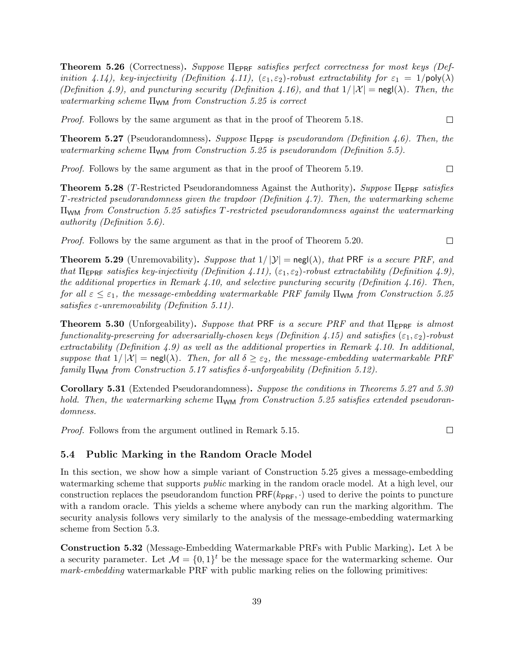**Theorem 5.26** (Correctness). Suppose  $\Pi_{\text{EPRF}}$  satisfies perfect correctness for most keys (Def-inition [4.14\)](#page-23-2), key-injectivity (Definition [4.11\)](#page-21-0),  $(\varepsilon_1, \varepsilon_2)$ -robust extractability for  $\varepsilon_1 = 1/\text{poly}(\lambda)$ (Definition [4.9\)](#page-20-1), and puncturing security (Definition [4.16\)](#page-23-0), and that  $1/|\mathcal{X}| = \text{negl}(\lambda)$ . Then, the watermarking scheme Π<sub>WM</sub> from Construction [5.25](#page-37-1) is correct

Proof. Follows by the same argument as that in the proof of Theorem [5.18.](#page-35-2)  $\Box$ 

<span id="page-38-3"></span>**Theorem 5.27** (Pseudorandomness). Suppose  $\Pi_{\text{EPRF}}$  is pseudorandom (Definition [4.6\)](#page-20-2). Then, the watermarking scheme  $\Pi_{WM}$  from Construction [5.25](#page-37-1) is pseudorandom (Definition [5.5\)](#page-31-2).

Proof. Follows by the same argument as that in the proof of Theorem [5.19.](#page-35-1)  $\Box$ 

**Theorem 5.28** (T-Restricted Pseudorandomness Against the Authority). Suppose  $\Pi_{\text{FPRF}}$  satisfies T-restricted pseudorandomness given the trapdoor (Definition [4.7\)](#page-20-0). Then, the watermarking scheme ΠWM from Construction [5.25](#page-37-1) satisfies T-restricted pseudorandomness against the watermarking authority (Definition [5.6\)](#page-31-0).

Proof. Follows by the same argument as that in the proof of Theorem [5.20.](#page-36-1)

<span id="page-38-1"></span>**Theorem 5.29** (Unremovability). Suppose that  $1/|\mathcal{Y}| = \text{negl}(\lambda)$ , that PRF is a secure PRF, and that  $\Pi_{\text{EPRF}}$  satisfies key-injectivity (Definition [4.11\)](#page-21-0),  $(\varepsilon_1, \varepsilon_2)$ -robust extractability (Definition [4.9\)](#page-20-1), the additional properties in Remark [4.10,](#page-21-1) and selective puncturing security (Definition [4.16\)](#page-23-0). Then, for all  $\varepsilon \leq \varepsilon_1$ , the message-embedding watermarkable PRF family  $\Pi_{\text{WM}}$  from Construction [5.25](#page-37-1) satisfies  $\varepsilon$ -unremovability (Definition [5.11\)](#page-33-0).

<span id="page-38-2"></span>**Theorem 5.30** (Unforgeability). Suppose that PRF is a secure PRF and that  $\Pi_{\text{FPRF}}$  is almost functionality-preserving for adversarially-chosen keys (Definition [4.15\)](#page-23-1) and satisfies  $(\varepsilon_1, \varepsilon_2)$ -robust extractability (Definition [4.9\)](#page-20-1) as well as the additional properties in Remark [4.10.](#page-21-1) In additional, suppose that  $1/|\mathcal{X}| = \text{negl}(\lambda)$ . Then, for all  $\delta \geq \varepsilon_2$ , the message-embedding watermarkable PRF family  $\Pi_{WM}$  from Construction [5.17](#page-35-0) satisfies  $\delta$ -unforgeability (Definition [5.12\)](#page-33-1).

Corollary 5.31 (Extended Pseudorandomness). Suppose the conditions in Theorems [5.27](#page-38-3) and [5.30](#page-38-2) hold. Then, the watermarking scheme  $\Pi_{WM}$  from Construction [5.25](#page-37-1) satisfies extended pseudorandomness.

Proof. Follows from the argument outlined in Remark [5.15.](#page-34-0)

#### <span id="page-38-0"></span>5.4 Public Marking in the Random Oracle Model

In this section, we show how a simple variant of Construction [5.25](#page-37-1) gives a message-embedding watermarking scheme that supports *public* marking in the random oracle model. At a high level, our construction replaces the pseudorandom function  $PRF(k_{PRF}, \cdot)$  used to derive the points to puncture with a random oracle. This yields a scheme where anybody can run the marking algorithm. The security analysis follows very similarly to the analysis of the message-embedding watermarking scheme from Section [5.3.](#page-37-0)

<span id="page-38-4"></span>**Construction 5.32** (Message-Embedding Watermarkable PRFs with Public Marking). Let  $\lambda$  be a security parameter. Let  $\mathcal{M} = \{0, 1\}^t$  be the message space for the watermarking scheme. Our mark-embedding watermarkable PRF with public marking relies on the following primitives:

 $\Box$ 

 $\Box$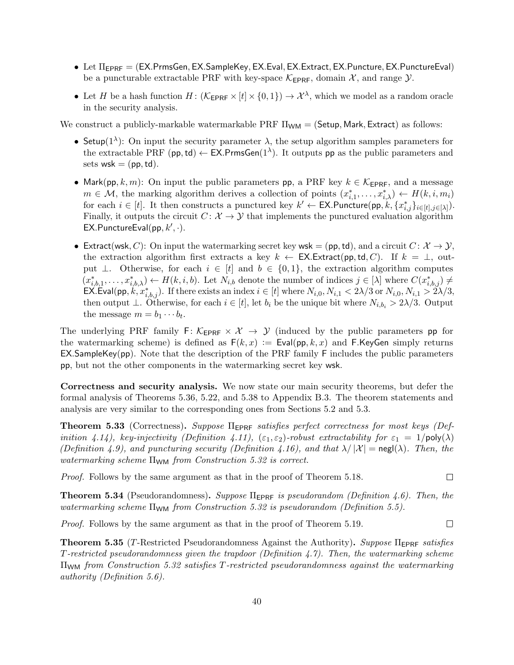- Let  $\Pi_{\text{EPRF}} = (\text{EX.PrmsGen}, \text{EX.SampleKey}, \text{EX.Eval}, \text{EX.Extract}, \text{EX.Puncture}, \text{EX.PunctureEval})$ be a puncturable extractable PRF with key-space  $\mathcal{K}_{\text{EPRF}}$ , domain  $\mathcal{X}$ , and range  $\mathcal{Y}$ .
- Let H be a hash function  $H: (\mathcal{K}_{\text{EPRF}} \times [t] \times \{0,1\}) \to \mathcal{X}^{\lambda}$ , which we model as a random oracle in the security analysis.

We construct a publicly-markable watermarkable PRF  $\Pi_{WM} = (Setup, Mark, Extract)$  as follows:

- Setup( $1^{\lambda}$ ): On input the security parameter  $\lambda$ , the setup algorithm samples parameters for the extractable PRF (pp, td)  $\leftarrow$  EX.PrmsGen(1<sup> $\lambda$ </sup>). It outputs pp as the public parameters and sets wsk  $=$  (pp, td).
- Mark(pp, k, m): On input the public parameters pp, a PRF key  $k \in \mathcal{K}_{\text{EPRF}}$ , and a message  $m \in \mathcal{M}$ , the marking algorithm derives a collection of points  $(x^*_{i,1},...,x^*_{i,\lambda}) \leftarrow H(k,i,m_i)$ for each  $i \in [t]$ . It then constructs a punctured key  $k' \leftarrow \textsf{EX.Puncture}(pp, k, \{x^*_{i,j}\}_{i \in [t], j \in [\lambda]})$ . Finally, it outputs the circuit  $C: \mathcal{X} \to \mathcal{Y}$  that implements the punctured evaluation algorithm EX. Puncture Eval (pp,  $k', \cdot$ ).
- Extract(wsk, C): On input the watermarking secret key wsk = (pp, td), and a circuit  $C: \mathcal{X} \to \mathcal{Y}$ , the extraction algorithm first extracts a key  $k \leftarrow \textsf{EX}.$  Extract(pp, td, C). If  $k = \perp$ , output ⊥. Otherwise, for each  $i \in [t]$  and  $b \in \{0,1\}$ , the extraction algorithm computes  $(x_{i,b,1}^*,\ldots,x_{i,b,\lambda}^*) \leftarrow H(k,i,b)$ . Let  $N_{i,b}$  denote the number of indices  $j \in [\lambda]$  where  $C(x_{i,b,j}^*) \neq$  $EX. \text{Eval}(pp, k, x_{i,b,j}^*)$ . If there exists an index  $i \in [t]$  where  $N_{i,0}, N_{i,1} < 2\lambda/3$  or  $N_{i,0}, N_{i,1} > 2\lambda/3$ , then output  $\perp$ . Otherwise, for each  $i \in [t]$ , let  $b_i$  be the unique bit where  $N_{i,b_i} > 2\lambda/3$ . Output the message  $m = b_1 \cdots b_t$ .

The underlying PRF family F:  $K_{\text{EPRF}} \times \mathcal{X} \rightarrow \mathcal{Y}$  (induced by the public parameters pp for the watermarking scheme) is defined as  $F(k, x) :=$  Eval(pp, k, x) and F.KeyGen simply returns EX.SampleKey(pp). Note that the description of the PRF family F includes the public parameters pp, but not the other components in the watermarking secret key wsk.

Correctness and security analysis. We now state our main security theorems, but defer the formal analysis of Theorems [5.36,](#page-40-0) [5.22,](#page-36-0) and [5.38](#page-40-1) to Appendix [B.3.](#page-84-0) The theorem statements and analysis are very similar to the corresponding ones from Sections [5.2](#page-34-2) and [5.3.](#page-37-0)

Theorem 5.33 (Correctness). Suppose Π<sub>ΕΡRF</sub> satisfies perfect correctness for most keys (Def-inition [4.14\)](#page-23-2), key-injectivity (Definition [4.11\)](#page-21-0),  $(\varepsilon_1, \varepsilon_2)$ -robust extractability for  $\varepsilon_1 = 1/\text{poly}(\lambda)$ (Definition [4.9\)](#page-20-1), and puncturing security (Definition [4.16\)](#page-23-0), and that  $\lambda/|\mathcal{X}| = \text{negl}(\lambda)$ . Then, the watermarking scheme Π<sub>WM</sub> from Construction [5.32](#page-38-4) is correct.

Proof. Follows by the same argument as that in the proof of Theorem [5.18.](#page-35-2)

 $\Box$ 

<span id="page-39-0"></span>**Theorem 5.34** (Pseudorandomness). Suppose  $\Pi_{\text{EPRF}}$  is pseudorandom (Definition [4.6\)](#page-20-2). Then, the watermarking scheme  $\Pi_{WM}$  from Construction [5.32](#page-38-4) is pseudorandom (Definition [5.5\)](#page-31-2).

 $\Box$ Proof. Follows by the same argument as that in the proof of Theorem [5.19.](#page-35-1)

**Theorem 5.35** (T-Restricted Pseudorandomness Against the Authority). Suppose  $\Pi_{\text{FPRF}}$  satisfies T-restricted pseudorandomness given the trapdoor (Definition [4.7\)](#page-20-0). Then, the watermarking scheme ΠWM from Construction [5.32](#page-38-4) satisfies T-restricted pseudorandomness against the watermarking authority (Definition [5.6\)](#page-31-0).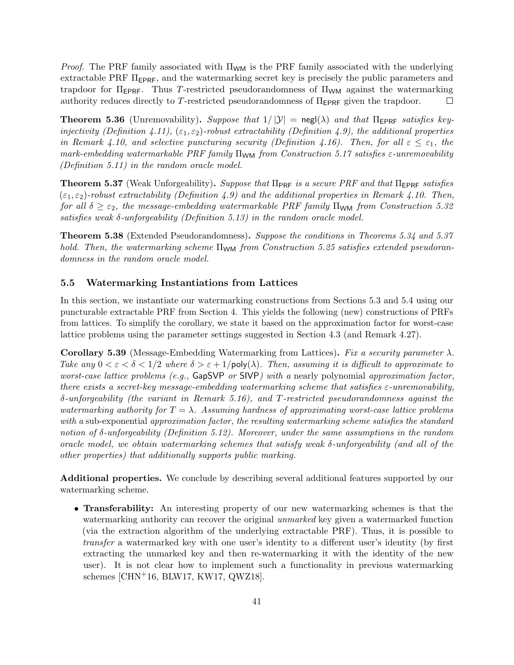*Proof.* The PRF family associated with  $\Pi_{WM}$  is the PRF family associated with the underlying extractable PRF  $\Pi_{\text{EPRF}}$ , and the watermarking secret key is precisely the public parameters and trapdoor for  $\Pi_{\text{EPRF}}$ . Thus T-restricted pseudorandomness of  $\Pi_{\text{WM}}$  against the watermarking authority reduces directly to T-restricted pseudorandomness of  $\Pi_{\text{EPRF}}$  given the trapdoor.  $\Box$ 

<span id="page-40-0"></span>**Theorem 5.36** (Unremovability). Suppose that  $1/|\mathcal{Y}| = \text{negl}(\lambda)$  and that  $\Pi_{\text{EPRF}}$  satisfies key-injectivity (Definition [4.11\)](#page-21-0),  $(\varepsilon_1, \varepsilon_2)$ -robust extractability (Definition [4.9\)](#page-20-1), the additional properties in Remark [4.10,](#page-21-1) and selective puncturing security (Definition [4.16\)](#page-23-0). Then, for all  $\varepsilon \leq \varepsilon_1$ , the mark-embedding watermarkable PRF family  $\Pi_{\text{WM}}$  from Construction [5.17](#page-35-0) satisfies  $\varepsilon$ -unremovability (Definition [5.11\)](#page-33-0) in the random oracle model.

<span id="page-40-2"></span>**Theorem 5.37** (Weak Unforgeability). Suppose that  $\Pi_{\text{PRF}}$  is a secure PRF and that  $\Pi_{\text{EPRF}}$  satisfies  $(\varepsilon_1, \varepsilon_2)$ -robust extractability (Definition [4.9\)](#page-20-1) and the additional properties in Remark [4.10.](#page-21-1) Then, for all  $\delta \geq \varepsilon_2$ , the message-embedding watermarkable PRF family  $\Pi_{\text{WM}}$  from Construction [5.32](#page-38-4) satisfies weak  $\delta$ -unforgeability (Definition [5.13\)](#page-33-2) in the random oracle model.

<span id="page-40-1"></span>Theorem 5.38 (Extended Pseudorandomness). Suppose the conditions in Theorems [5.34](#page-39-0) and [5.37](#page-40-2) hold. Then, the watermarking scheme  $\Pi_{WM}$  from Construction [5.25](#page-37-1) satisfies extended pseudorandomness in the random oracle model.

### 5.5 Watermarking Instantiations from Lattices

In this section, we instantiate our watermarking constructions from Sections [5.3](#page-37-0) and [5.4](#page-38-0) using our puncturable extractable PRF from Section [4.](#page-18-0) This yields the following (new) constructions of PRFs from lattices. To simplify the corollary, we state it based on the approximation factor for worst-case lattice problems using the parameter settings suggested in Section [4.3](#page-28-0) (and Remark [4.27\)](#page-29-0).

Corollary 5.39 (Message-Embedding Watermarking from Lattices). Fix a security parameter  $\lambda$ . Take any  $0 < \varepsilon < \delta < 1/2$  where  $\delta > \varepsilon + 1/\text{poly}(\lambda)$ . Then, assuming it is difficult to approximate to worst-case lattice problems (e.g.,  $GapSVP$  or  $SVP$ ) with a nearly polynomial approximation factor, there exists a secret-key message-embedding watermarking scheme that satisfies  $\varepsilon$ -unremovability,  $\delta$ -unforgeability (the variant in Remark [5.16\)](#page-34-1), and T-restricted pseudorandomness against the watermarking authority for  $T = \lambda$ . Assuming hardness of approximating worst-case lattice problems with a sub-exponential approximation factor, the resulting watermarking scheme satisfies the standard notion of δ-unforgeability (Definition [5.12\)](#page-33-1). Moreover, under the same assumptions in the random oracle model, we obtain watermarking schemes that satisfy weak δ-unforgeability (and all of the other properties) that additionally supports public marking.

Additional properties. We conclude by describing several additional features supported by our watermarking scheme.

• Transferability: An interesting property of our new watermarking schemes is that the watermarking authority can recover the original *unmarked* key given a watermarked function (via the extraction algorithm of the underlying extractable PRF). Thus, it is possible to transfer a watermarked key with one user's identity to a different user's identity (by first extracting the unmarked key and then re-watermarking it with the identity of the new user). It is not clear how to implement such a functionality in previous watermarking schemes [\[CHN](#page-43-0)+16, [BLW17,](#page-42-0) [KW17,](#page-44-1) [QWZ18\]](#page-44-0).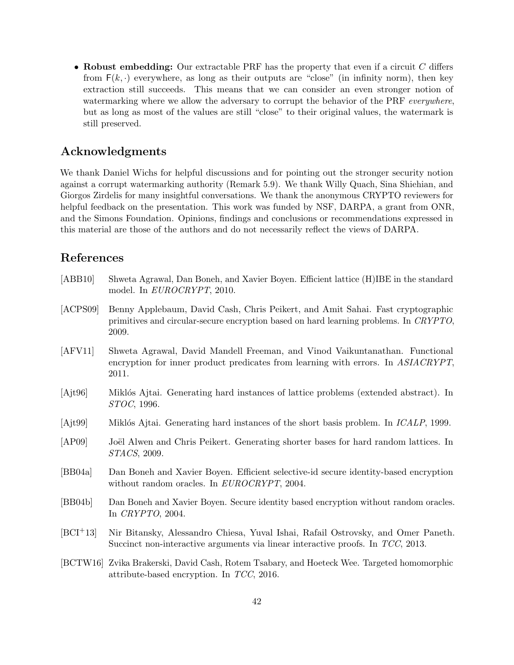• Robust embedding: Our extractable PRF has the property that even if a circuit  $C$  differs from  $F(k, \cdot)$  everywhere, as long as their outputs are "close" (in infinity norm), then key extraction still succeeds. This means that we can consider an even stronger notion of watermarking where we allow the adversary to corrupt the behavior of the PRF *everywhere*, but as long as most of the values are still "close" to their original values, the watermark is still preserved.

# Acknowledgments

We thank Daniel Wichs for helpful discussions and for pointing out the stronger security notion against a corrupt watermarking authority (Remark [5.9\)](#page-31-3). We thank Willy Quach, Sina Shiehian, and Giorgos Zirdelis for many insightful conversations. We thank the anonymous CRYPTO reviewers for helpful feedback on the presentation. This work was funded by NSF, DARPA, a grant from ONR, and the Simons Foundation. Opinions, findings and conclusions or recommendations expressed in this material are those of the authors and do not necessarily reflect the views of DARPA.

# References

<span id="page-41-1"></span><span id="page-41-0"></span>

| [ABB10]       | Shweta Agrawal, Dan Boneh, and Xavier Boyen. Efficient lattice (H)IBE in the standard<br>model. In EUROCRYPT, 2010.                                                              |
|---------------|----------------------------------------------------------------------------------------------------------------------------------------------------------------------------------|
| [ACPS09]      | Benny Applebaum, David Cash, Chris Peikert, and Amit Sahai. Fast cryptographic<br>primitives and circular-secure encryption based on hard learning problems. In CRYPTO,<br>2009. |
| [AFV11]       | Shweta Agrawal, David Mandell Freeman, and Vinod Vaikuntanathan. Functional<br>encryption for inner product predicates from learning with errors. In ASIACRYPT,<br>2011.         |
| $[A]$ t $96]$ | Miklós Ajtai. Generating hard instances of lattice problems (extended abstract). In<br>STOC, 1996.                                                                               |
| [Ajt99]       | Miklós Ajtai. Generating hard instances of the short basis problem. In <i>ICALP</i> , 1999.                                                                                      |
| [AP09]        | Joël Alwen and Chris Peikert. Generating shorter bases for hard random lattices. In<br><i>STACS</i> , 2009.                                                                      |
| [BB04a]       | Dan Boneh and Xavier Boyen. Efficient selective-id secure identity-based encryption<br>without random oracles. In EUROCRYPT, 2004.                                               |
| [BB04b]       | Dan Boneh and Xavier Boyen. Secure identity based encryption without random oracles.<br>In $CRYPTO$ , 2004.                                                                      |
| $[BCI+13]$    | Nir Bitansky, Alessandro Chiesa, Yuval Ishai, Rafail Ostrovsky, and Omer Paneth.<br>Succinct non-interactive arguments via linear interactive proofs. In TCC, 2013.              |
|               | [BCTW16] Zvika Brakerski, David Cash, Rotem Tsabary, and Hoeteck Wee. Targeted homomorphic<br>attribute-based encryption. In $TCC$ , 2016.                                       |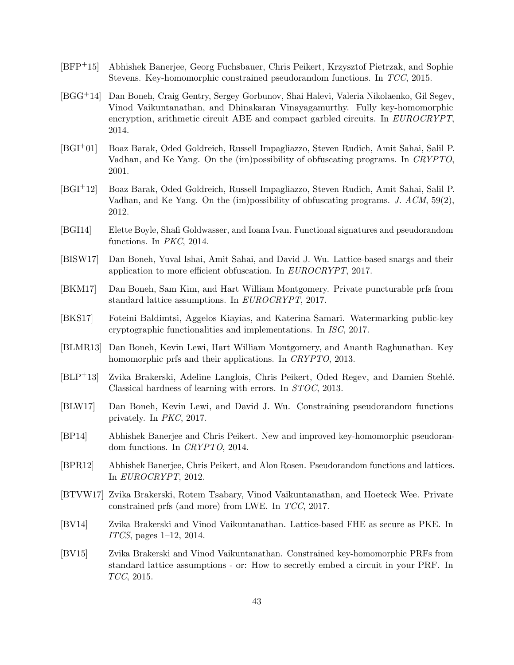- [BFP+15] Abhishek Banerjee, Georg Fuchsbauer, Chris Peikert, Krzysztof Pietrzak, and Sophie Stevens. Key-homomorphic constrained pseudorandom functions. In TCC, 2015.
- [BGG+14] Dan Boneh, Craig Gentry, Sergey Gorbunov, Shai Halevi, Valeria Nikolaenko, Gil Segev, Vinod Vaikuntanathan, and Dhinakaran Vinayagamurthy. Fully key-homomorphic encryption, arithmetic circuit ABE and compact garbled circuits. In EUROCRYPT, 2014.
- [BGI+01] Boaz Barak, Oded Goldreich, Russell Impagliazzo, Steven Rudich, Amit Sahai, Salil P. Vadhan, and Ke Yang. On the (im)possibility of obfuscating programs. In CRYPTO, 2001.
- [BGI+12] Boaz Barak, Oded Goldreich, Russell Impagliazzo, Steven Rudich, Amit Sahai, Salil P. Vadhan, and Ke Yang. On the (im)possibility of obfuscating programs. J. ACM, 59(2), 2012.
- [BGI14] Elette Boyle, Shafi Goldwasser, and Ioana Ivan. Functional signatures and pseudorandom functions. In PKC, 2014.
- [BISW17] Dan Boneh, Yuval Ishai, Amit Sahai, and David J. Wu. Lattice-based snargs and their application to more efficient obfuscation. In EUROCRYPT, 2017.
- [BKM17] Dan Boneh, Sam Kim, and Hart William Montgomery. Private puncturable prfs from standard lattice assumptions. In EUROCRYPT, 2017.
- [BKS17] Foteini Baldimtsi, Aggelos Kiayias, and Katerina Samari. Watermarking public-key cryptographic functionalities and implementations. In ISC, 2017.
- [BLMR13] Dan Boneh, Kevin Lewi, Hart William Montgomery, and Ananth Raghunathan. Key homomorphic prfs and their applications. In CRYPTO, 2013.
- [BLP+13] Zvika Brakerski, Adeline Langlois, Chris Peikert, Oded Regev, and Damien Stehl´e. Classical hardness of learning with errors. In STOC, 2013.
- <span id="page-42-0"></span>[BLW17] Dan Boneh, Kevin Lewi, and David J. Wu. Constraining pseudorandom functions privately. In PKC, 2017.
- [BP14] Abhishek Banerjee and Chris Peikert. New and improved key-homomorphic pseudorandom functions. In CRYPTO, 2014.
- [BPR12] Abhishek Banerjee, Chris Peikert, and Alon Rosen. Pseudorandom functions and lattices. In EUROCRYPT, 2012.
- [BTVW17] Zvika Brakerski, Rotem Tsabary, Vinod Vaikuntanathan, and Hoeteck Wee. Private constrained prfs (and more) from LWE. In TCC, 2017.
- [BV14] Zvika Brakerski and Vinod Vaikuntanathan. Lattice-based FHE as secure as PKE. In ITCS, pages 1–12, 2014.
- <span id="page-42-1"></span>[BV15] Zvika Brakerski and Vinod Vaikuntanathan. Constrained key-homomorphic PRFs from standard lattice assumptions - or: How to secretly embed a circuit in your PRF. In TCC, 2015.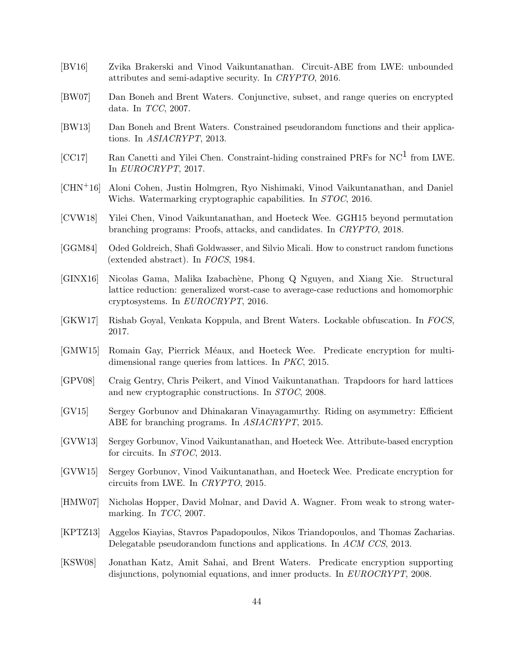- [BV16] Zvika Brakerski and Vinod Vaikuntanathan. Circuit-ABE from LWE: unbounded attributes and semi-adaptive security. In CRYPTO, 2016.
- [BW07] Dan Boneh and Brent Waters. Conjunctive, subset, and range queries on encrypted data. In TCC, 2007.
- [BW13] Dan Boneh and Brent Waters. Constrained pseudorandom functions and their applications. In ASIACRYPT, 2013.
- [CC17] Ran Canetti and Yilei Chen. Constraint-hiding constrained PRFs for  $NC<sup>1</sup>$  from LWE. In EUROCRYPT, 2017.
- <span id="page-43-0"></span>[CHN+16] Aloni Cohen, Justin Holmgren, Ryo Nishimaki, Vinod Vaikuntanathan, and Daniel Wichs. Watermarking cryptographic capabilities. In *STOC*, 2016.
- [CVW18] Yilei Chen, Vinod Vaikuntanathan, and Hoeteck Wee. GGH15 beyond permutation branching programs: Proofs, attacks, and candidates. In CRYPTO, 2018.
- [GGM84] Oded Goldreich, Shafi Goldwasser, and Silvio Micali. How to construct random functions (extended abstract). In FOCS, 1984.
- [GINX16] Nicolas Gama, Malika Izabach`ene, Phong Q Nguyen, and Xiang Xie. Structural lattice reduction: generalized worst-case to average-case reductions and homomorphic cryptosystems. In EUROCRYPT, 2016.
- [GKW17] Rishab Goyal, Venkata Koppula, and Brent Waters. Lockable obfuscation. In FOCS, 2017.
- [GMW15] Romain Gay, Pierrick Méaux, and Hoeteck Wee. Predicate encryption for multidimensional range queries from lattices. In PKC, 2015.
- [GPV08] Craig Gentry, Chris Peikert, and Vinod Vaikuntanathan. Trapdoors for hard lattices and new cryptographic constructions. In STOC, 2008.
- [GV15] Sergey Gorbunov and Dhinakaran Vinayagamurthy. Riding on asymmetry: Efficient ABE for branching programs. In ASIACRYPT, 2015.
- [GVW13] Sergey Gorbunov, Vinod Vaikuntanathan, and Hoeteck Wee. Attribute-based encryption for circuits. In STOC, 2013.
- [GVW15] Sergey Gorbunov, Vinod Vaikuntanathan, and Hoeteck Wee. Predicate encryption for circuits from LWE. In CRYPTO, 2015.
- [HMW07] Nicholas Hopper, David Molnar, and David A. Wagner. From weak to strong watermarking. In TCC, 2007.
- [KPTZ13] Aggelos Kiayias, Stavros Papadopoulos, Nikos Triandopoulos, and Thomas Zacharias. Delegatable pseudorandom functions and applications. In ACM CCS, 2013.
- [KSW08] Jonathan Katz, Amit Sahai, and Brent Waters. Predicate encryption supporting disjunctions, polynomial equations, and inner products. In EUROCRYPT, 2008.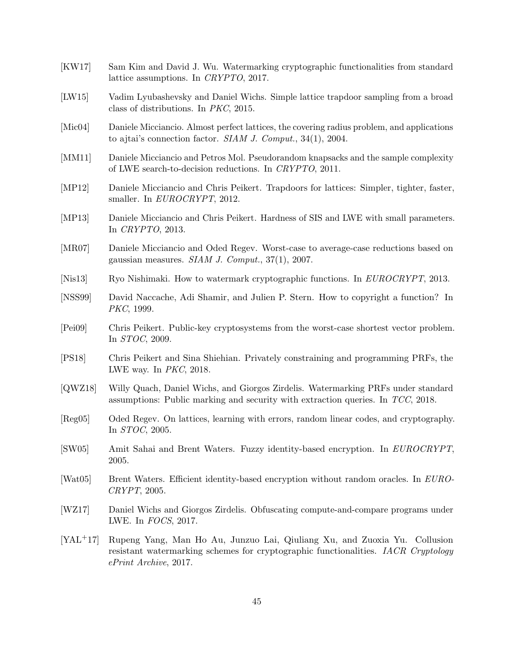- <span id="page-44-1"></span>[KW17] Sam Kim and David J. Wu. Watermarking cryptographic functionalities from standard lattice assumptions. In CRYPTO, 2017.
- [LW15] Vadim Lyubashevsky and Daniel Wichs. Simple lattice trapdoor sampling from a broad class of distributions. In PKC, 2015.
- [Mic04] Daniele Micciancio. Almost perfect lattices, the covering radius problem, and applications to ajtai's connection factor. SIAM J. Comput., 34(1), 2004.
- [MM11] Daniele Micciancio and Petros Mol. Pseudorandom knapsacks and the sample complexity of LWE search-to-decision reductions. In CRYPTO, 2011.
- [MP12] Daniele Micciancio and Chris Peikert. Trapdoors for lattices: Simpler, tighter, faster, smaller. In *EUROCRYPT*, 2012.
- [MP13] Daniele Micciancio and Chris Peikert. Hardness of SIS and LWE with small parameters. In CRYPTO, 2013.
- [MR07] Daniele Micciancio and Oded Regev. Worst-case to average-case reductions based on gaussian measures. SIAM J. Comput., 37(1), 2007.
- [Nis13] Ryo Nishimaki. How to watermark cryptographic functions. In *EUROCRYPT*, 2013.
- [NSS99] David Naccache, Adi Shamir, and Julien P. Stern. How to copyright a function? In PKC, 1999.
- [Pei09] Chris Peikert. Public-key cryptosystems from the worst-case shortest vector problem. In STOC, 2009.
- [PS18] Chris Peikert and Sina Shiehian. Privately constraining and programming PRFs, the LWE way. In PKC, 2018.
- <span id="page-44-0"></span>[QWZ18] Willy Quach, Daniel Wichs, and Giorgos Zirdelis. Watermarking PRFs under standard assumptions: Public marking and security with extraction queries. In TCC, 2018.
- [Reg05] Oded Regev. On lattices, learning with errors, random linear codes, and cryptography. In STOC, 2005.
- [SW05] Amit Sahai and Brent Waters. Fuzzy identity-based encryption. In EUROCRYPT, 2005.
- <span id="page-44-3"></span>[Wat05] Brent Waters. Efficient identity-based encryption without random oracles. In EURO-CRYPT, 2005.
- [WZ17] Daniel Wichs and Giorgos Zirdelis. Obfuscating compute-and-compare programs under LWE. In FOCS, 2017.
- <span id="page-44-2"></span>[YAL+17] Rupeng Yang, Man Ho Au, Junzuo Lai, Qiuliang Xu, and Zuoxia Yu. Collusion resistant watermarking schemes for cryptographic functionalities. IACR Cryptology ePrint Archive, 2017.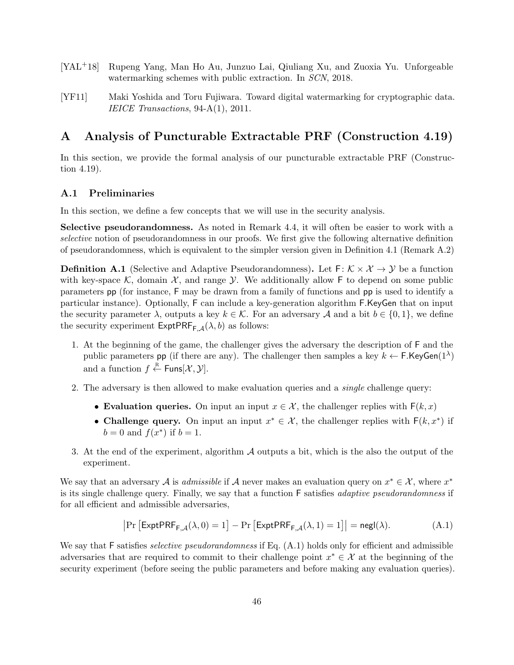- <span id="page-45-0"></span>[YAL+18] Rupeng Yang, Man Ho Au, Junzuo Lai, Qiuliang Xu, and Zuoxia Yu. Unforgeable watermarking schemes with public extraction. In SCN, 2018.
- [YF11] Maki Yoshida and Toru Fujiwara. Toward digital watermarking for cryptographic data. IEICE Transactions, 94-A(1), 2011.

# A Analysis of Puncturable Extractable PRF (Construction [4.19\)](#page-24-0)

In this section, we provide the formal analysis of our puncturable extractable PRF (Construction [4.19\)](#page-24-0).

# A.1 Preliminaries

In this section, we define a few concepts that we will use in the security analysis.

Selective pseudorandomness. As noted in Remark [4.4,](#page-19-0) it will often be easier to work with a selective notion of pseudorandomness in our proofs. We first give the following alternative definition of pseudorandomness, which is equivalent to the simpler version given in Definition [4.1](#page-18-1) (Remark [A.2\)](#page-46-0)

<span id="page-45-2"></span>**Definition A.1** (Selective and Adaptive Pseudorandomness). Let  $F: K \times X \rightarrow Y$  be a function with key-space K, domain  $\mathcal{X}$ , and range  $\mathcal{Y}$ . We additionally allow F to depend on some public parameters pp (for instance, F may be drawn from a family of functions and pp is used to identify a particular instance). Optionally, F can include a key-generation algorithm F.KeyGen that on input the security parameter  $\lambda$ , outputs a key  $k \in \mathcal{K}$ . For an adversary A and a bit  $b \in \{0,1\}$ , we define the security experiment  $\mathsf{ExptPRF}_{F,\mathcal{A}}(\lambda, b)$  as follows:

- 1. At the beginning of the game, the challenger gives the adversary the description of F and the public parameters pp (if there are any). The challenger then samples a key  $k \leftarrow \mathsf{F}.\mathsf{KeyGen}(1^{\lambda})$ and a function  $f \stackrel{\text{R}}{\leftarrow}$  Funs $[\mathcal{X}, \mathcal{Y}]$ .
- 2. The adversary is then allowed to make evaluation queries and a single challenge query:
	- Evaluation queries. On input an input  $x \in \mathcal{X}$ , the challenger replies with  $F(k, x)$
	- Challenge query. On input an input  $x^* \in \mathcal{X}$ , the challenger replies with  $F(k, x^*)$  if  $b = 0$  and  $f(x^*)$  if  $b = 1$ .
- 3. At the end of the experiment, algorithm  $\mathcal A$  outputs a bit, which is the also the output of the experiment.

We say that an adversary A is *admissible* if A never makes an evaluation query on  $x^* \in \mathcal{X}$ , where  $x^*$ is its single challenge query. Finally, we say that a function F satisfies *adaptive pseudorandomness* if for all efficient and admissible adversaries,

<span id="page-45-1"></span>
$$
|\Pr\left[\text{ExptPRF}_{F,\mathcal{A}}(\lambda,0)=1\right]-\Pr\left[\text{ExptPRF}_{F,\mathcal{A}}(\lambda,1)=1\right]|=\mathsf{negl}(\lambda). \tag{A.1}
$$

We say that  $F$  satisfies *selective pseudorandomness* if Eq.  $(A.1)$  holds only for efficient and admissible adversaries that are required to commit to their challenge point  $x^* \in \mathcal{X}$  at the beginning of the security experiment (before seeing the public parameters and before making any evaluation queries).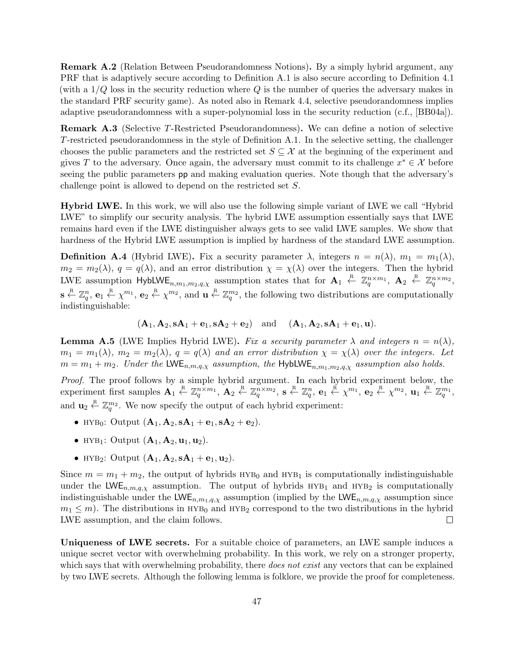<span id="page-46-0"></span>Remark A.2 (Relation Between Pseudorandomness Notions). By a simply hybrid argument, any PRF that is adaptively secure according to Definition [A.1](#page-45-2) is also secure according to Definition [4.1](#page-18-1) (with a  $1/Q$  loss in the security reduction where  $Q$  is the number of queries the adversary makes in the standard PRF security game). As noted also in Remark [4.4,](#page-19-0) selective pseudorandomness implies adaptive pseudorandomness with a super-polynomial loss in the security reduction (c.f., [\[BB04a\]](#page-41-0)).

Remark A.3 (Selective T-Restricted Pseudorandomness). We can define a notion of selective T-restricted pseudorandomness in the style of Definition [A.1.](#page-45-2) In the selective setting, the challenger chooses the public parameters and the restricted set  $S \subseteq \mathcal{X}$  at the beginning of the experiment and gives T to the adversary. Once again, the adversary must commit to its challenge  $x^* \in \mathcal{X}$  before seeing the public parameters pp and making evaluation queries. Note though that the adversary's challenge point is allowed to depend on the restricted set S.

Hybrid LWE. In this work, we will also use the following simple variant of LWE we call "Hybrid LWE" to simplify our security analysis. The hybrid LWE assumption essentially says that LWE remains hard even if the LWE distinguisher always gets to see valid LWE samples. We show that hardness of the Hybrid LWE assumption is implied by hardness of the standard LWE assumption.

**Definition A.4** (Hybrid LWE). Fix a security parameter  $\lambda$ , integers  $n = n(\lambda)$ ,  $m_1 = m_1(\lambda)$ ,  $m_2 = m_2(\lambda)$ ,  $q = q(\lambda)$ , and an error distribution  $\chi = \chi(\lambda)$  over the integers. Then the hybrid LWE assumption  $HyblWE_{n,m_1,m_2,q,\chi}$  assumption states that for  $\mathbf{A}_1 \stackrel{\text{R}}{\leftarrow} \mathbb{Z}_q^{n \times m_1}$ ,  $\mathbf{A}_2 \stackrel{\text{R}}{\leftarrow} \mathbb{Z}_q^{n \times m_2}$ ,  $\mathbf{s} \leftarrow \mathbb{Z}_q^n$ ,  $\mathbf{e}_1 \leftarrow \chi^{m_1}$ ,  $\mathbf{e}_2 \leftarrow \chi^{m_2}$ , and  $\mathbf{u} \leftarrow \mathbb{Z}_q^{m_2}$ , the following two distributions are computationally indistinguishable:

$$
(\mathbf{A}_1, \mathbf{A}_2, \mathbf{s}\mathbf{A}_1 + \mathbf{e}_1, \mathbf{s}\mathbf{A}_2 + \mathbf{e}_2) \quad \text{and} \quad (\mathbf{A}_1, \mathbf{A}_2, \mathbf{s}\mathbf{A}_1 + \mathbf{e}_1, \mathbf{u}).
$$

<span id="page-46-1"></span>**Lemma A.5** (LWE Implies Hybrid LWE). Fix a security parameter  $\lambda$  and integers  $n = n(\lambda)$ ,  $m_1 = m_1(\lambda)$ ,  $m_2 = m_2(\lambda)$ ,  $q = q(\lambda)$  and an error distribution  $\chi = \chi(\lambda)$  over the integers. Let  $m = m_1 + m_2$ . Under the LWE<sub>n,m,q, $\chi$ </sub> assumption, the HybLWE<sub>n,m<sub>1</sub>,m<sub>2</sub>,q, $\chi$  assumption also holds.</sub>

Proof. The proof follows by a simple hybrid argument. In each hybrid experiment below, the experiment first samples  $\mathbf{A}_1 \leftarrow \mathbb{Z}_q^{n \times m_1}$ ,  $\mathbf{A}_2 \leftarrow \mathbb{Z}_q^{n \times m_2}$ ,  $\mathbf{s} \leftarrow \mathbb{Z}_q^n$ ,  $\mathbf{e}_1 \leftarrow \chi^{m_1}$ ,  $\mathbf{e}_2 \leftarrow \chi^{m_2}$ ,  $\mathbf{u}_1 \leftarrow \mathbb{Z}_q^{m_1}$ , and  $\mathbf{u}_2 \stackrel{\text{R}}{\leftarrow} \mathbb{Z}_q^{m_2}$ . We now specify the output of each hybrid experiment:

- HYB<sub>0</sub>: Output  $(A_1, A_2, sA_1 + e_1, sA_2 + e_2)$ .
- HYB1: Output  $(**A**<sub>1</sub>, **A**<sub>2</sub>, **u**<sub>1</sub>, **u**<sub>2</sub>)$ .
- HYB<sub>2</sub>: Output  $(**A**<sub>1</sub>, **A**<sub>2</sub>, **sA**<sub>1</sub> + **e**<sub>1</sub>, **u**<sub>2</sub>).$

Since  $m = m_1 + m_2$ , the output of hybrids  $HYB_0$  and  $HYB_1$  is computationally indistinguishable under the LWE<sub>n,m,q, $\chi$ </sub> assumption. The output of hybrids HYB<sub>1</sub> and HYB<sub>2</sub> is computationally indistinguishable under the LWE<sub>n,m<sub>1</sub>,q,<sub>x</sub></sub> assumption (implied by the LWE<sub>n,m,q,x</sub> assumption since  $m_1 \leq m$ ). The distributions in HYB<sub>0</sub> and HYB<sub>2</sub> correspond to the two distributions in the hybrid LWE assumption, and the claim follows.  $\Box$ 

Uniqueness of LWE secrets. For a suitable choice of parameters, an LWE sample induces a unique secret vector with overwhelming probability. In this work, we rely on a stronger property, which says that with overwhelming probability, there *does not exist* any vectors that can be explained by two LWE secrets. Although the following lemma is folklore, we provide the proof for completeness.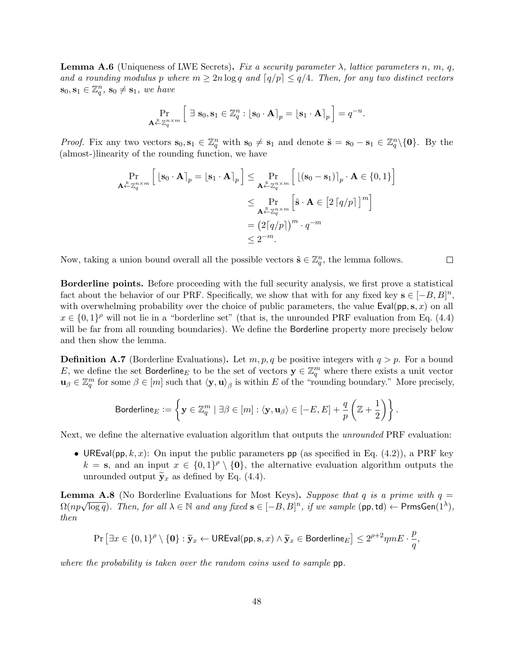<span id="page-47-1"></span>**Lemma A.6** (Uniqueness of LWE Secrets). Fix a security parameter  $\lambda$ , lattice parameters n, m, q, and a rounding modulus p where  $m \geq 2n \log q$  and  $\lceil q/p \rceil \leq q/4$ . Then, for any two distinct vectors  $\mathbf{s}_0, \mathbf{s}_1 \in \mathbb{Z}_q^n$ ,  $\mathbf{s}_0 \neq \mathbf{s}_1$ , we have

$$
\Pr_{\mathbf{A}\leftarrow \mathbb{Z}_q^{n\times m}}\left[\ \exists \ \mathbf{s}_0, \mathbf{s}_1 \in \mathbb{Z}_q^n : \lfloor \mathbf{s}_0 \cdot \mathbf{A} \rceil_p = \lfloor \mathbf{s}_1 \cdot \mathbf{A} \rceil_p \right] = q^{-n}.
$$

*Proof.* Fix any two vectors  $\mathbf{s}_0, \mathbf{s}_1 \in \mathbb{Z}_q^n$  with  $\mathbf{s}_0 \neq \mathbf{s}_1$  and denote  $\tilde{\mathbf{s}} = \mathbf{s}_0 - \mathbf{s}_1 \in \mathbb{Z}_q^n \setminus \{\mathbf{0}\}$ . By the (almost-)linearity of the rounding function, we have

$$
\Pr_{\mathbf{A} \leftarrow \mathbb{Z}_q^{n \times m}} \left[ \left[ \mathbf{s}_0 \cdot \mathbf{A} \right]_p = \left[ \mathbf{s}_1 \cdot \mathbf{A} \right]_p \right] \leq \Pr_{\mathbf{A} \leftarrow \mathbb{Z}_q^{n \times m}} \left[ \left[ \left( \mathbf{s}_0 - \mathbf{s}_1 \right) \right]_p \cdot \mathbf{A} \in \{0, 1\} \right] \\
\leq \Pr_{\mathbf{A} \leftarrow \mathbb{Z}_q^{n \times m}} \left[ \tilde{\mathbf{s}} \cdot \mathbf{A} \in \left[ 2 \left[ q/p \right] \right]^m \right] \\
= \left( 2 \left[ q/p \right] \right)^m \cdot q^{-m} \\
\leq 2^{-m}.
$$

Now, taking a union bound overall all the possible vectors  $\tilde{s} \in \mathbb{Z}_q^n$ , the lemma follows.

Borderline points. Before proceeding with the full security analysis, we first prove a statistical fact about the behavior of our PRF. Specifically, we show that with for any fixed key  $\mathbf{s} \in [-B, B]^n$ , with overwhelming probability over the choice of public parameters, the value  $\textsf{Eval}(pp, s, x)$  on all  $x \in \{0,1\}^{\rho}$  will not lie in a "borderline set" (that is, the unrounded PRF evaluation from Eq. [\(4.4\)](#page-26-0) will be far from all rounding boundaries). We define the Borderline property more precisely below and then show the lemma.

 $\Box$ 

**Definition A.7** (Borderline Evaluations). Let  $m, p, q$  be positive integers with  $q > p$ . For a bound E, we define the set Borderline<sub>E</sub> to be the set of vectors  $y \in \mathbb{Z}_q^m$  where there exists a unit vector  $\mathbf{u}_{\beta} \in \mathbb{Z}_q^m$  for some  $\beta \in [m]$  such that  $\langle \mathbf{y}, \mathbf{u} \rangle_{\beta}$  is within E of the "rounding boundary." More precisely,

$$
\mathsf{Borderline}_E := \left\{ \mathbf{y} \in \mathbb{Z}_q^m \mid \exists \beta \in [m] : \langle \mathbf{y}, \mathbf{u}_\beta \rangle \in [-E, E] + \frac{q}{p} \left( \mathbb{Z} + \frac{1}{2} \right) \right\}.
$$

Next, we define the alternative evaluation algorithm that outputs the *unrounded* PRF evaluation:

• UREval(pp, k, x): On input the public parameters pp (as specified in Eq. [\(4.2\)](#page-25-0)), a PRF key  $k = s$ , and an input  $x \in \{0,1\}^{\rho} \setminus \{0\}$ , the alternative evaluation algorithm outputs the unrounded output  $\tilde{\mathbf{y}}_x$  as defined by Eq. [\(4.4\)](#page-26-0).

<span id="page-47-0"></span>**Lemma A.8** (No Borderline Evaluations for Most Keys). Suppose that q is a prime with  $q =$ **Definite A.6** (NO Borderline Evaluations for Most Reys). Suppose that q is a prime with  $q = \Omega(np\sqrt{\log q})$ . Then, for all  $\lambda \in \mathbb{N}$  and any fixed  $s \in [-B, B]^n$ , if we sample  $(pp, td) \leftarrow PrmsGen(1^{\lambda})$ , then

$$
\Pr\left[\exists x\in\{0,1\}^\rho\setminus\{\mathbf{0}\} : \widetilde{\mathbf{y}}_x\leftarrow \mathsf{UREval}(\mathsf{pp}, \mathbf{s}, x)\land \widetilde{\mathbf{y}}_x\in \mathsf{Borderline}_E\right]\leq 2^{\rho+2}\eta m E\cdot\frac{p}{q},
$$

where the probability is taken over the random coins used to sample pp.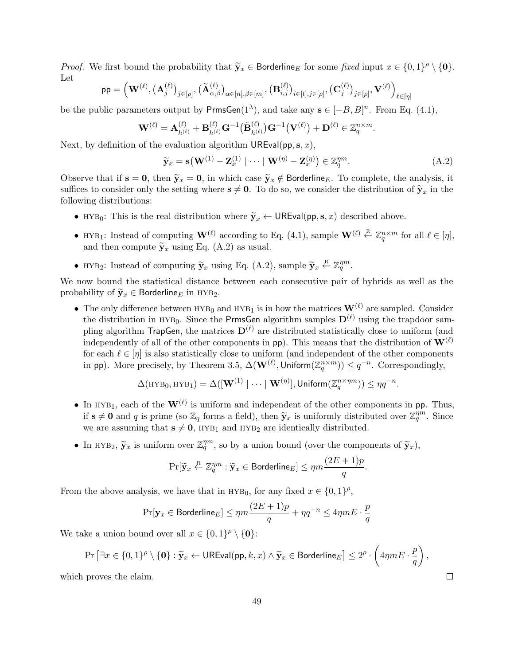*Proof.* We first bound the probability that  $\widetilde{\mathbf{y}}_x \in$  Borderline<sub>E</sub> for some fixed input  $x \in \{0,1\}^{\rho} \setminus \{\mathbf{0}\}.$ Let

$$
\mathsf{pp} = \left(\mathbf{W}^{(\ell)}, \big(\mathbf{A}^{(\ell)}_j\big)_{j \in [\rho]}, \big(\widetilde{\mathbf{A}}^{(\ell)}_{\alpha,\beta}\big)_{\alpha \in [n], \beta \in [m]}, \big(\mathbf{B}^{(\ell)}_{i,j}\big)_{i \in [t], j \in [\rho]}, \big(\mathbf{C}^{(\ell)}_j\big)_{j \in [\rho]}, \mathbf{V}^{(\ell)}\right)_{\ell \in [\eta]}
$$

be the public parameters output by PrmsGen $(1^{\lambda})$ , and take any  $s \in [-B, B]^n$ . From Eq. [\(4.1\)](#page-25-1),

$$
\mathbf{W}^{(\ell)} = \mathbf{A}_{h^{(\ell)}}^{(\ell)} + \mathbf{B}_{h^{(\ell)}}^{(\ell)} \mathbf{G}^{-1} (\tilde{\mathbf{B}}_{h^{(\ell)}}^{(\ell)}) \mathbf{G}^{-1} (\mathbf{V}^{(\ell)}) + \mathbf{D}^{(\ell)} \in \mathbb{Z}_q^{n \times m}.
$$

Next, by definition of the evaluation algorithm UREval( $pp, s, x$ ),

<span id="page-48-0"></span>
$$
\widetilde{\mathbf{y}}_x = \mathbf{s} \big( \mathbf{W}^{(1)} - \mathbf{Z}_x^{(1)} \mid \cdots \mid \mathbf{W}^{(\eta)} - \mathbf{Z}_x^{(\eta)} \big) \in \mathbb{Z}_q^{\eta m}.
$$
\n(A.2)

Observe that if  $s = 0$ , then  $\tilde{y}_x = 0$ , in which case  $\tilde{y}_x \notin$  Borderline E. To complete, the analysis, it suffices to consider only the setting where  $s \neq 0$ . To do so, we consider the distribution of  $\tilde{y}_x$  in the following distributions:

- HYB<sub>0</sub>: This is the real distribution where  $\tilde{\mathbf{y}}_x \leftarrow \mathsf{UREval}(\mathsf{pp}, \mathbf{s}, x)$  described above.
- HYB<sub>1</sub>: Instead of computing  $\mathbf{W}^{(\ell)}$  according to Eq. [\(4.1\)](#page-25-1), sample  $\mathbf{W}^{(\ell)} \leftarrow \mathbb{Z}_q^{n \times m}$  for all  $\ell \in [\eta],$ and then compute  $\tilde{\mathbf{y}}_x$  using Eq. [\(A.2\)](#page-48-0) as usual.
- HYB<sub>2</sub>: Instead of computing  $\widetilde{\mathbf{y}}_x$  using Eq. [\(A.2\)](#page-48-0), sample  $\widetilde{\mathbf{y}}_x \stackrel{\text{R}}{\leftarrow} \mathbb{Z}_q^{nm}$ .

We now bound the statistical distance between each consecutive pair of hybrids as well as the probability of  $\widetilde{\mathbf{y}}_x \in$  Borderline<sub>E</sub> in HYB<sub>2</sub>.

• The only difference between  $HYB_0$  and  $HYB_1$  is in how the matrices  $\mathbf{W}^{(\ell)}$  are sampled. Consider the distribution in HYB<sub>0</sub>. Since the PrmsGen algorithm samples  $\mathbf{D}^{(\ell)}$  using the trapdoor sampling algorithm TrapGen, the matrices  $\mathbf{D}^{(\ell)}$  are distributed statistically close to uniform (and independently of all of the other components in pp). This means that the distribution of  $\mathbf{W}^{(\ell)}$ for each  $\ell \in [\eta]$  is also statistically close to uniform (and independent of the other components in pp). More precisely, by Theorem [3.5,](#page-16-0)  $\Delta(\mathbf{W}^{(\ell)}, \mathsf{Uniform}(\mathbb{Z}_q^{n \times m})) \leq q^{-n}$ . Correspondingly,

$$
\Delta(\text{HYB}_0, \text{HYB}_1) = \Delta([\mathbf{W}^{(1)} | \cdots | \mathbf{W}^{(\eta)}], \text{Uniform}(\mathbb{Z}_q^{n \times \eta m})) \leq \eta q^{-n}.
$$

- In HYB<sub>1</sub>, each of the  $\mathbf{W}^{(\ell)}$  is uniform and independent of the other components in pp. Thus, if  $s \neq 0$  and q is prime (so  $\mathbb{Z}_q$  forms a field), then  $\tilde{\mathbf{y}}_x$  is uniformly distributed over  $\mathbb{Z}_q^{nm}$ . Since we are assuming that  $s \neq 0$ , HYB<sub>1</sub> and HYB<sub>2</sub> are identically distributed.
- In HYB<sub>2</sub>,  $\tilde{\mathbf{y}}_x$  is uniform over  $\mathbb{Z}_q^{nm}$ , so by a union bound (over the components of  $\tilde{\mathbf{y}}_x$ ),

$$
\Pr[\widetilde{\mathbf{y}}_x \stackrel{R}{\leftarrow} \mathbb{Z}_q^{nm} : \widetilde{\mathbf{y}}_x \in \mathsf{Borderline}_E] \le \eta m \frac{(2E+1)p}{q}
$$

.

 $\Box$ 

From the above analysis, we have that in  $HYB_0$ , for any fixed  $x \in \{0,1\}^{\rho}$ ,

$$
\Pr[\mathbf{y}_x \in \mathsf{Borderline}_E] \le \eta m \frac{(2E+1)p}{q} + \eta q^{-n} \le 4\eta m E \cdot \frac{p}{q}
$$

We take a union bound over all  $x \in \{0,1\}^{\rho} \setminus \{\mathbf{0}\}\$ :

$$
\Pr\left[\exists x \in \{0,1\}^\rho \setminus \{\mathbf{0}\} : \widetilde{\mathbf{y}}_x \leftarrow \mathsf{UREval}(pp,k,x) \land \widetilde{\mathbf{y}}_x \in \mathsf{Borderline}_E\right] \leq 2^\rho \cdot \left(4\eta m E \cdot \frac{p}{q}\right),
$$

which proves the claim.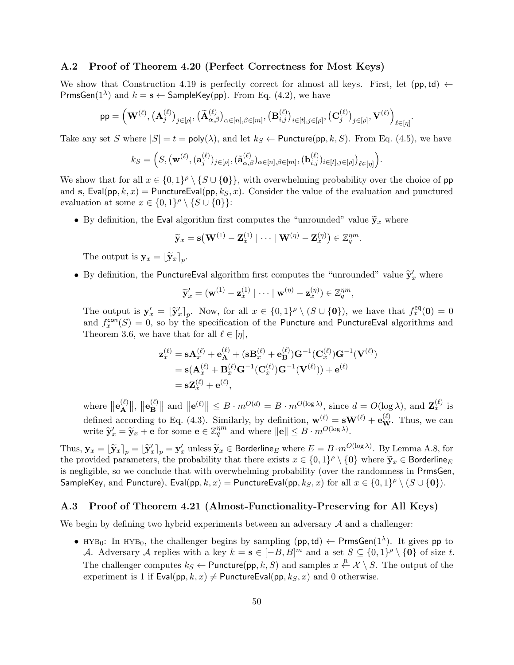# A.2 Proof of Theorem [4.20](#page-27-0) (Perfect Correctness for Most Keys)

We show that Construction [4.19](#page-24-0) is perfectly correct for almost all keys. First, let  $(pp, td) \leftarrow$ PrmsGen( $1^{\lambda}$ ) and  $k = s \leftarrow$  SampleKey(pp). From Eq. [\(4.2\)](#page-25-0), we have

$$
\mathsf{pp} = \left(\mathbf{W}^{(\ell)}, \big(\mathbf{A}_j^{(\ell)}\big)_{j \in [\rho]}, \big(\widetilde{\mathbf{A}}_{\alpha, \beta}^{(\ell)}\big)_{\alpha \in [n], \beta \in [m]}, \big(\mathbf{B}_{i,j}^{(\ell)}\big)_{i \in [t], j \in [\rho]}, \big(\mathbf{C}_j^{(\ell)}\big)_{j \in [\rho]}, \mathbf{V}^{(\ell)}\right)_{\ell \in [\eta]}.
$$

Take any set S where  $|S| = t = \text{poly}(\lambda)$ , and let  $k_S \leftarrow \text{Puncture}(\text{pp}, k, S)$ . From Eq. [\(4.5\)](#page-26-1), we have

$$
k_S = \left(S, \left(\mathbf{w}^{(\ell)}, (\mathbf{a}^{(\ell)}_j)_{j \in [\rho]}, (\tilde{\mathbf{a}}^{(\ell)}_{\alpha,\beta})_{\alpha \in [n], \beta \in [m]}, (\mathbf{b}^{(\ell)}_{i,j})_{i \in [t], j \in [\rho]}\right)_{\ell \in [\eta]}\right).
$$

We show that for all  $x \in \{0,1\}^{\rho} \setminus \{S \cup \{0\}\}\$ , with overwhelming probability over the choice of pp and s, Eval(pp,  $k, x$ ) = PunctureEval(pp,  $k<sub>S</sub>, x$ ). Consider the value of the evaluation and punctured evaluation at some  $x \in \{0,1\}^{\rho} \setminus \{S \cup \{\mathbf{0}\}\}\$ :

• By definition, the Eval algorithm first computes the "unrounded" value  $\widetilde{\mathbf{y}}_x$  where

$$
\widetilde{\mathbf{y}}_x = \mathbf{s} \big( \mathbf{W}^{(1)} - \mathbf{Z}_x^{(1)} \mid \cdots \mid \mathbf{W}^{(\eta)} - \mathbf{Z}_x^{(\eta)} \big) \in \mathbb{Z}_q^{\eta m}.
$$

The output is  $\mathbf{y}_x = [\widetilde{\mathbf{y}}_x]_p$ .

• By definition, the PunctureEval algorithm first computes the "unrounded" value  $\widetilde{\mathbf{y}}'_x$  where

$$
\widetilde{\mathbf{y}}'_x = (\mathbf{w}^{(1)} - \mathbf{z}_x^{(1)} | \cdots | \mathbf{w}^{(\eta)} - \mathbf{z}_x^{(\eta)}) \in \mathbb{Z}_q^{\eta m},
$$

The output is  $\mathbf{y}'_x = [\tilde{\mathbf{y}}'_x]_p$ . Now, for all  $x \in \{0,1\}^{\rho} \setminus (S \cup \{\mathbf{0}\})$ , we have that  $f_x^{\text{eq}}(\mathbf{0}) = 0$ and  $f_x^{\text{con}}(S) = 0$ , so by the specification of the Puncture and PunctureEval algorithms and Theorem [3.6,](#page-17-0) we have that for all  $\ell \in [\eta],$ 

$$
z_x^{(\ell)} = sA_x^{(\ell)} + e_A^{(\ell)} + (sB_x^{(\ell)} + e_B^{(\ell)})G^{-1}(C_x^{(\ell)})G^{-1}(V^{(\ell)})
$$
  
=  $s(A_x^{(\ell)} + B_x^{(\ell)}G^{-1}(C_x^{(\ell)})G^{-1}(V^{(\ell)})) + e^{(\ell)}$   
=  $sZ_x^{(\ell)} + e^{(\ell)},$ 

where  $\|\mathbf{e}_{\mathbf{A}}^{(\ell)}\|$  $\mathbf{a}^{(\ell)} \|$ ,  $\|\mathbf{e}_{\mathbf{B}}^{(\ell)}\|$  $\|\mathbf{E}^{(\ell)}\| \leq B \cdot m^{O(d)} = B \cdot m^{O(\log \lambda)},$  since  $d = O(\log \lambda)$ , and  $\mathbf{Z}_{x}^{(\ell)}$  is defined according to Eq. [\(4.3\)](#page-26-2). Similarly, by definition,  $\mathbf{w}^{(\ell)} = s\mathbf{W}^{(\ell)} + \mathbf{e}_{\mathbf{W}}^{(\ell)}$ . Thus, we can write  $\widetilde{\mathbf{y}}'_x = \widetilde{\mathbf{y}}_x + \mathbf{e}$  for some  $\mathbf{e} \in \mathbb{Z}_q^{nm}$  and where  $\|\mathbf{e}\| \leq B \cdot m^{O(\log \lambda)}$ .

Thus,  $\mathbf{y}_x = [\tilde{\mathbf{y}}_x]_p = [\tilde{\mathbf{y}}_x']_p = \mathbf{y}_x'$  unless  $\tilde{\mathbf{y}}_x \in$  Borderline<sub>E</sub> where  $E = B \cdot m^{O(\log \lambda)}$ . By Lemma [A.8,](#page-47-0) for the provided parameters, the probability that there exists  $x \in \{0,1\}^{\rho} \setminus \{\mathbf{0}\}$  where  $\widetilde{\mathbf{y}}_x \in$  Borderline<sub>E</sub> is negligible, so we conclude that with overwhelming probability (over the randomness in PrmsGen, SampleKey, and Puncture), Eval(pp,  $k, x$ ) = PunctureEval(pp,  $k_S, x$ ) for all  $x \in \{0, 1\}^{\rho} \setminus (S \cup \{0\})$ .

#### A.3 Proof of Theorem [4.21](#page-27-1) (Almost-Functionality-Preserving for All Keys)

We begin by defining two hybrid experiments between an adversary  $A$  and a challenger:

• HYB<sub>0</sub>: In HYB<sub>0</sub>, the challenger begins by sampling  $(pp, td) \leftarrow PrmsGen(1^{\lambda})$ . It gives pp to A. Adversary A replies with a key  $k = s \in [-B, B]^m$  and a set  $S \subseteq \{0,1\}^{\rho} \setminus \{0\}$  of size t. The challenger computes  $k_S \leftarrow$  Puncture(pp, k, S) and samples  $x \leftarrow R \setminus S$ . The output of the experiment is 1 if Eval(pp,  $k, x$ )  $\neq$  PunctureEval(pp,  $k<sub>S</sub>, x$ ) and 0 otherwise.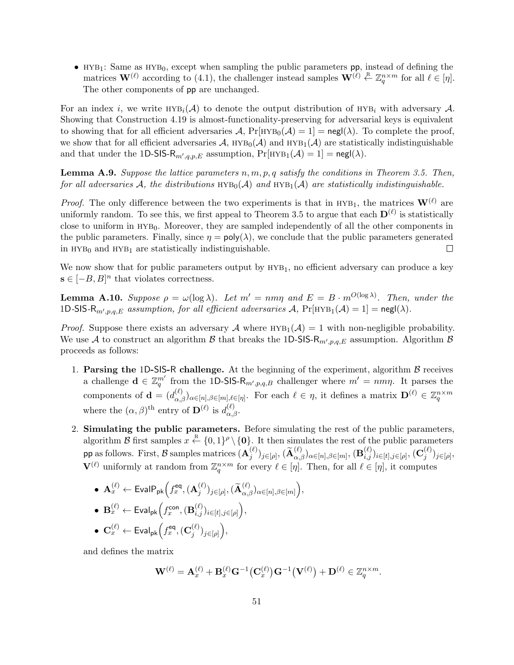• HYB<sub>1</sub>: Same as HYB<sub>0</sub>, except when sampling the public parameters  $pp$ , instead of defining the matrices  $\mathbf{W}^{(\ell)}$  according to [\(4.1\)](#page-25-1), the challenger instead samples  $\mathbf{W}^{(\ell)} \stackrel{\text{R}}{\leftarrow} \mathbb{Z}_q^{n \times m}$  for all  $\ell \in [\eta]$ . The other components of pp are unchanged.

For an index i, we write  $HYB_i(\mathcal{A})$  to denote the output distribution of  $HYB_i$  with adversary  $\mathcal{A}$ . Showing that Construction [4.19](#page-24-0) is almost-functionality-preserving for adversarial keys is equivalent to showing that for all efficient adversaries  $\mathcal{A}$ ,  $Pr[HPB_0(\mathcal{A}) = 1] = negl(\lambda)$ . To complete the proof, we show that for all efficient adversaries A,  $HYB_0(\mathcal{A})$  and  $HYB_1(\mathcal{A})$  are statistically indistinguishable and that under the 1D-SIS- $R_{m',q,p,E}$  assumption,  $Pr[HYB_1(\mathcal{A}) = 1] = negl(\lambda)$ .

<span id="page-50-0"></span>**Lemma A.9.** Suppose the lattice parameters  $n, m, p, q$  satisfy the conditions in Theorem [3.5.](#page-16-0) Then, for all adversaries A, the distributions  $HYB_0(\mathcal{A})$  and  $HYB_1(\mathcal{A})$  are statistically indistinguishable.

*Proof.* The only difference between the two experiments is that in  $HYB_1$ , the matrices  $W^{(\ell)}$  are uniformly random. To see this, we first appeal to Theorem [3.5](#page-16-0) to argue that each  $\mathbf{D}^{(\ell)}$  is statistically close to uniform in HYB<sub>0</sub>. Moreover, they are sampled independently of all the other components in the public parameters. Finally, since  $\eta = \text{poly}(\lambda)$ , we conclude that the public parameters generated in  $\textsc{hyb}_0$  and  $\textsc{hyb}_1$  are statistically indistinguishable.  $\Box$ 

We now show that for public parameters output by  $HYB_1$ , no efficient adversary can produce a key  $\mathbf{s} \in [-B, B]^n$  that violates correctness.

<span id="page-50-1"></span>**Lemma A.10.** Suppose  $\rho = \omega(\log \lambda)$ . Let  $m' = n m \eta$  and  $E = B \cdot m^{O(\log \lambda)}$ . Then, under the 1D-SIS-R<sub>m',p,q,E</sub> assumption, for all efficient adversaries A,  $Pr[HPB_1(A) = 1] = negl(\lambda)$ .

*Proof.* Suppose there exists an adversary A where  $HYB_1(\mathcal{A}) = 1$  with non-negligible probability. We use A to construct an algorithm B that breaks the 1D-SIS- $R_{m',p,q,E}$  assumption. Algorithm B proceeds as follows:

- 1. Parsing the 1D-SIS-R challenge. At the beginning of the experiment, algorithm  $\beta$  receives a challenge  $\mathbf{d} \in \mathbb{Z}_q^{m'}$  from the 1D-SIS-R<sub>m',p,q,B</sub> challenger where  $m' = nm\eta$ . It parses the components of  $\mathbf{d} = (d_{\alpha,\beta}^{(\ell)})_{\alpha \in [n],\beta \in [m],\ell \in [n]}$ . For each  $\ell \in \eta$ , it defines a matrix  $\mathbf{D}^{(\ell)} \in \mathbb{Z}_q^{n \times m}$ where the  $(\alpha, \beta)^{\text{th}}$  entry of  $\mathbf{D}^{(\ell)}$  is  $d_{\alpha, \beta}^{(\ell)}$ .
- 2. Simulating the public parameters. Before simulating the rest of the public parameters, algorithm B first samples  $x \stackrel{\text{R}}{\leftarrow} \{0,1\}^{\rho} \setminus \{0\}$ . It then simulates the rest of the public parameters pp as follows. First, B samples matrices  $(\mathbf{A}_i^{(\ell)})$  $(\ell) \choose j_{j \in [\rho]},\, (\widetilde{\textbf{A}}_{\alpha,\beta}^{(\ell)})_{\alpha \in [n], \beta \in [m]},\, (\textbf{B}_{i,j}^{(\ell)})_{i \in [t], j \in [\rho]},\, (\textbf{C}_{j}^{(\ell)})$  $\binom{k}{j}$  $j \in [\rho],$  $\mathbf{V}^{(\ell)}$  uniformly at random from  $\mathbb{Z}_q^{n \times m}$  for every  $\ell \in [\eta]$ . Then, for all  $\ell \in [\eta]$ , it computes

\n- \n
$$
\mathbf{A}_x^{(\ell)} \leftarrow \text{EvalP}_{\text{pk}}\left(f_x^{\text{eq}}, (\mathbf{A}_j^{(\ell)})_{j \in [\rho]}, (\widetilde{\mathbf{A}}_{\alpha,\beta}^{(\ell)})_{\alpha \in [n], \beta \in [m]}\right),
$$
\n
\n- \n
$$
\mathbf{B}_x^{(\ell)} \leftarrow \text{Eval}_{\text{pk}}\left(f_x^{\text{con}}, (\mathbf{B}_{i,j}^{(\ell)})_{i \in [t], j \in [\rho]}\right),
$$
\n
\n

 $\bullet \; \: \mathbf{C}_x^{(\ell)} \leftarrow \mathsf{Eval}_{\mathsf{pk}}\Big(f_x^{\mathsf{eq}},(\mathbf{C}_j^{(\ell)})\Big)$  $\binom{\ell}{j}$ <sub> $j\in[\rho]$ </sub>),

and defines the matrix

$$
\mathbf{W}^{(\ell)} = \mathbf{A}_x^{(\ell)} + \mathbf{B}_x^{(\ell)} \mathbf{G}^{-1} (\mathbf{C}_x^{(\ell)}) \mathbf{G}^{-1} (\mathbf{V}^{(\ell)}) + \mathbf{D}^{(\ell)} \in \mathbb{Z}_q^{n \times m}.
$$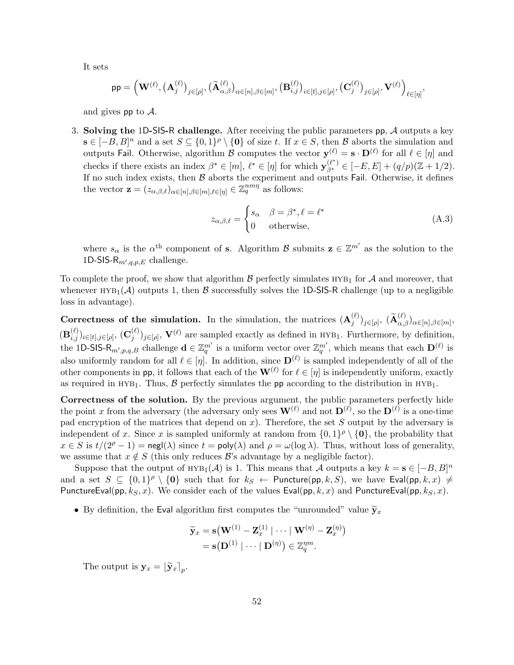It sets

$$
\mathsf{pp} = \left(\mathbf{W}^{(\ell)}, \big(\mathbf{A}_j^{(\ell)}\big)_{j \in [\rho]}, \big(\widetilde{\mathbf{A}}_{\alpha, \beta}^{(\ell)}\big)_{\alpha \in [n], \beta \in [m]}, \big(\mathbf{B}_{i,j}^{(\ell)}\big)_{i \in [t], j \in [\rho]}, \big(\mathbf{C}_j^{(\ell)}\big)_{j \in [\rho]}, \mathbf{V}^{(\ell)}\right)_{\ell \in [\eta]},
$$

and gives pp to  $A$ .

3. Solving the 1D-SIS-R challenge. After receiving the public parameters  $pp$ , A outputs a key  $\mathbf{s} \in [-B, B]^n$  and a set  $S \subseteq \{0, 1\}^p \setminus \{\mathbf{0}\}\$  of size t. If  $x \in S$ , then B aborts the simulation and outputs Fail. Otherwise, algorithm B computes the vector  $\mathbf{y}^{(\ell)} = \mathbf{s} \cdot \mathbf{D}^{(\ell)}$  for all  $\ell \in [\eta]$  and checks if there exists an index  $\beta^* \in [m], \ell^* \in [\eta]$  for which  $\mathbf{y}_{\beta^*}^{(\ell^*)} \in [-E, E] + (q/p)(\mathbb{Z} + 1/2)$ . If no such index exists, then  $\beta$  aborts the experiment and outputs Fail. Otherwise, it defines the vector  $\mathbf{z} = (z_{\alpha,\beta,\ell})_{\alpha \in [n],\beta \in [m],\ell \in [n]} \in \mathbb{Z}_q^{nm\eta}$  as follows:

<span id="page-51-0"></span>
$$
z_{\alpha,\beta,\ell} = \begin{cases} s_{\alpha} & \beta = \beta^*, \ell = \ell^* \\ 0 & \text{otherwise,} \end{cases}
$$
 (A.3)

where  $s_{\alpha}$  is the  $\alpha^{\text{th}}$  component of **s**. Algorithm B submits  $z \in \mathbb{Z}^{m'}$  as the solution to the 1D-SIS- $R_{m',q,p,E}$  challenge.

To complete the proof, we show that algorithm  $\beta$  perfectly simulates  $HYB_1$  for  $\mathcal A$  and moreover, that whenever  $HYB_1(\mathcal{A})$  outputs 1, then B successfully solves the 1D-SIS-R challenge (up to a negligible loss in advantage).

Correctness of the simulation. In the simulation, the matrices  $(\mathbf{A}_i^{(\ell)})$  $\widetilde{(\ell)}_j)_{j\in [\rho]},\; (\widetilde{{\bf A}}_{\alpha,\beta}^{(\ell)})_{\alpha\in [n],\beta\in [m]},$  $(\mathbf{B}^{(\ell)}_{i,j})_{i\in[t],j\in[\rho]},\,(\mathbf{C}^{(\ell)}_j)$  $\mathbf{y}_{j}^{(\ell)}$ <sub>j</sub> $\in$ <sub>[ $\rho$ ]</sub>,  $\mathbf{V}^{(\ell)}$  are sampled exactly as defined in HYB<sub>1</sub>. Furthermore, by definition, the 1D-SIS-R<sub>m',p,q,B</sub> challenge  $\mathbf{d} \in \mathbb{Z}_q^{m'}$  is a uniform vector over  $\mathbb{Z}_q^{m'}$ , which means that each  $\mathbf{D}^{(\ell)}$  is also uniformly random for all  $\ell \in [\eta]$ . In addition, since  $\mathbf{D}^{(\ell)}$  is sampled independently of all of the other components in pp, it follows that each of the  $\mathbf{W}^{(\ell)}$  for  $\ell \in [\eta]$  is independently uniform, exactly as required in  $HYP_1$ . Thus,  $\beta$  perfectly simulates the pp according to the distribution in  $HYP_1$ .

Correctness of the solution. By the previous argument, the public parameters perfectly hide the point x from the adversary (the adversary only sees  $\mathbf{W}^{(\ell)}$  and not  $\mathbf{D}^{(\ell)}$ , so the  $\mathbf{D}^{(\ell)}$  is a one-time pad encryption of the matrices that depend on x). Therefore, the set S output by the adversary is independent of x. Since x is sampled uniformly at random from  $\{0,1\}^{\rho} \setminus \{0\}$ , the probability that  $x \in S$  is  $t/(2^{\rho}-1) = \text{negl}(\lambda)$  since  $t = \text{poly}(\lambda)$  and  $\rho = \omega(\log \lambda)$ . Thus, without loss of generality, we assume that  $x \notin S$  (this only reduces  $\mathcal{B}'$ 's advantage by a negligible factor).

Suppose that the output of  $HYB_1(\mathcal{A})$  is 1. This means that  $\mathcal A$  outputs a key  $k = s \in [-B, B]^n$ and a set  $S \subseteq \{0,1\}^{\rho} \setminus \{0\}$  such that for  $k_S \leftarrow$  Puncture(pp, k, S), we have Eval(pp, k, x)  $\neq$ PunctureEval(pp,  $k_S, x$ ). We consider each of the values Eval(pp, k, x) and PunctureEval(pp,  $k_S, x$ ).

• By definition, the Eval algorithm first computes the "unrounded" value  $\widetilde{\mathbf{y}}_x$ 

$$
\widetilde{\mathbf{y}}_x = \mathbf{s} \big( \mathbf{W}^{(1)} - \mathbf{Z}_x^{(1)} \mid \dots \mid \mathbf{W}^{(\eta)} - \mathbf{Z}_x^{(\eta)} \big) \n= \mathbf{s} \big( \mathbf{D}^{(1)} \mid \dots \mid \mathbf{D}^{(\eta)} \big) \in \mathbb{Z}_q^{\eta m}.
$$

The output is  $\mathbf{y}_x = [\widetilde{\mathbf{y}}_x]_p$ .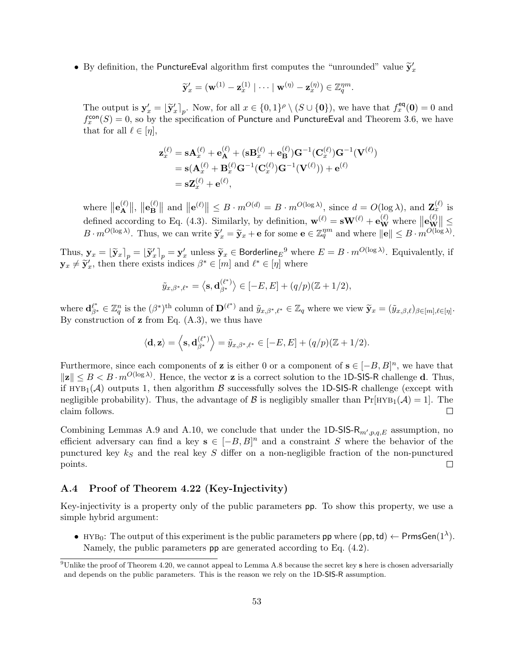• By definition, the PunctureEval algorithm first computes the "unrounded" value  $\widetilde{\mathbf{y}}_x'$ 

$$
\widetilde{\mathbf{y}}_x' = (\mathbf{w}^{(1)} - \mathbf{z}_x^{(1)} \mid \cdots \mid \mathbf{w}^{(\eta)} - \mathbf{z}_x^{(\eta)}) \in \mathbb{Z}_q^{nm}.
$$

The output is  $\mathbf{y}'_x = [\tilde{\mathbf{y}}'_x]_p$ . Now, for all  $x \in \{0,1\}^{\rho} \setminus (S \cup \{\mathbf{0}\})$ , we have that  $f_x^{\text{eq}}(\mathbf{0}) = 0$  and  $f_{\text{con}(S)} = 0$  and  $f_{\text{con}(S)} = 0$  and  $f_{\text{con}(S)} = 0$  are have  $f_x^{\text{con}}(S) = 0$ , so by the specification of Puncture and PunctureEval and Theorem [3.6,](#page-17-0) we have that for all  $\ell \in [\eta],$ 

$$
\begin{aligned} \mathbf{z}_x^{(\ell)} &= \mathbf{s} \mathbf{A}_x^{(\ell)} + \mathbf{e}_{\mathbf{A}}^{(\ell)} + (\mathbf{s} \mathbf{B}_x^{(\ell)} + \mathbf{e}_{\mathbf{B}}^{(\ell)}) \mathbf{G}^{-1} (\mathbf{C}_x^{(\ell)}) \mathbf{G}^{-1} (\mathbf{V}^{(\ell)}) \\ &= \mathbf{s} (\mathbf{A}_x^{(\ell)} + \mathbf{B}_x^{(\ell)} \mathbf{G}^{-1} (\mathbf{C}_x^{(\ell)}) \mathbf{G}^{-1} (\mathbf{V}^{(\ell)})) + \mathbf{e}^{(\ell)} \\ &= \mathbf{s} \mathbf{Z}_x^{(\ell)} + \mathbf{e}^{(\ell)}, \end{aligned}
$$

where  $\|\mathbf{e}_{\mathbf{A}}^{(\ell)}\|$  $\mathbf{a}^{(\ell)} \|$ ,  $\|\mathbf{e}_{\mathbf{B}}^{(\ell)}\|$  $\|\mathbf{E}^{(\ell)}\| \leq B \cdot m^{O(d)} = B \cdot m^{O(\log \lambda)},$  since  $d = O(\log \lambda)$ , and  $\mathbf{Z}_{x}^{(\ell)}$  is defined according to Eq. [\(4.3\)](#page-26-2). Similarly, by definition,  $\mathbf{w}^{(\ell)} = s\mathbf{W}^{(\ell)} + \mathbf{e}_{\mathbf{W}}^{(\ell)}$  where  $\|\mathbf{e}_{\mathbf{W}}^{(\ell)}\|$  $\mathbf{w}^{\left(\ell\right)}$   $\leq$  $B \cdot m^{O(\log \lambda)}$ . Thus, we can write  $\widetilde{\mathbf{y}}'_x = \widetilde{\mathbf{y}}_x + \mathbf{e}$  for some  $\mathbf{e} \in \mathbb{Z}_q^{nm}$  and where  $\|\mathbf{e}\| \leq B \cdot m^{O(\log \lambda)}$ .

Thus,  $\mathbf{y}_x = [\tilde{\mathbf{y}}_x]_p = [\tilde{\mathbf{y}}_x']_p = \mathbf{y}_x'$  unless  $\tilde{\mathbf{y}}_x \in$  Borderline  $E^9$  $E^9$  where  $E = B \cdot m^{O(\log \lambda)}$ . Equivalently, if  $\mathbf{y}_x \neq \tilde{\mathbf{y}}'_x$ , then there exists indices  $\beta^* \in [m]$  and  $\ell^* \in [\eta]$  where

$$
\tilde{y}_{x,\beta^*,\ell^*} = \langle \mathbf{s}, \mathbf{d}_{\beta^*}^{(\ell^*)} \rangle \in [-E, E] + (q/p)(\mathbb{Z} + 1/2),
$$

where  $\mathbf{d}_{\beta^*}^{\ell^*} \in \mathbb{Z}_q^n$  is the  $(\beta^*)^{\text{th}}$  column of  $\mathbf{D}^{(\ell^*)}$  and  $\tilde{y}_{x,\beta^*,\ell^*} \in \mathbb{Z}_q$  where we view  $\tilde{\mathbf{y}}_x = (\tilde{y}_{x,\beta,\ell})_{\beta \in [m],\ell \in [n]}$ .<br>By construction of  $\pi$  from  $\mathbb{F}_{\alpha}$ ,  $(\Lambda, 2)$ , By construction of  $z$  from Eq.  $(A.3)$ , we thus have

$$
\langle \mathbf{d}, \mathbf{z} \rangle = \langle \mathbf{s}, \mathbf{d}_{\beta^*}^{(\ell^*)} \rangle = \tilde{y}_{x, \beta^*, \ell^*} \in [-E, E] + (q/p)(\mathbb{Z} + 1/2).
$$

Furthermore, since each components of **z** is either 0 or a component of  $\mathbf{s} \in [-B, B]^n$ , we have that  $\|\mathbf{z}\| \leq B < B \cdot m^{O(\log \lambda)}$ . Hence, the vector **z** is a correct solution to the 1D-SIS-R challenge **d**. Thus, if  $HYB_1(\mathcal{A})$  outputs 1, then algorithm B successfully solves the 1D-SIS-R challenge (except with negligible probability). Thus, the advantage of  $\beta$  is negligibly smaller than  $Pr[HYB_1(\mathcal{A}) = 1]$ . The claim follows.  $\Box$ 

Combining Lemmas [A.9](#page-50-0) and [A.10,](#page-50-1) we conclude that under the 1D-SIS- $R_{m',p,q,E}$  assumption, no efficient adversary can find a key  $s \in [-B, B]^n$  and a constraint S where the behavior of the punctured key  $k<sub>S</sub>$  and the real key S differ on a non-negligible fraction of the non-punctured points.  $\Box$ 

# A.4 Proof of Theorem [4.22](#page-27-2) (Key-Injectivity)

Key-injectivity is a property only of the public parameters pp. To show this property, we use a simple hybrid argument:

• HYB<sub>0</sub>: The output of this experiment is the public parameters pp where  $(pp, td) \leftarrow PrmsGen(1^{\lambda})$ . Namely, the public parameters pp are generated according to Eq. [\(4.2\)](#page-25-0).

<sup>&</sup>lt;sup>9</sup>Unlike the proof of Theorem [4.20,](#page-27-0) we cannot appeal to Lemma [A.8](#page-47-0) because the secret key s here is chosen adversarially and depends on the public parameters. This is the reason we rely on the 1D-SIS-R assumption.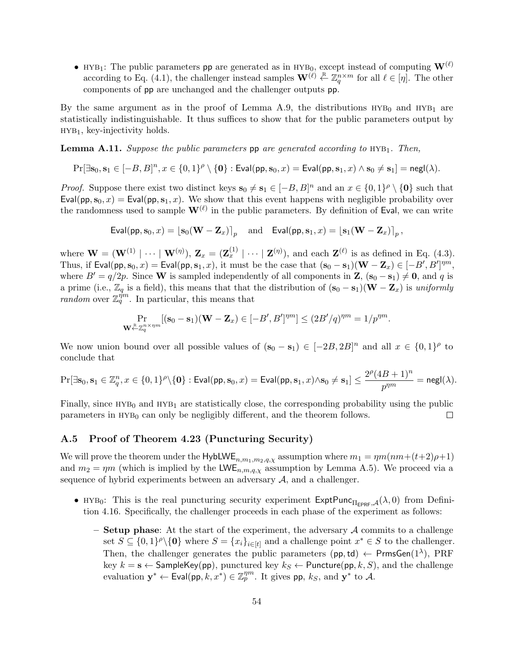• HYB<sub>1</sub>: The public parameters pp are generated as in HYB<sub>0</sub>, except instead of computing  $\mathbf{W}^{(\ell)}$ according to Eq. [\(4.1\)](#page-25-1), the challenger instead samples  $\mathbf{W}^{(\ell)} \stackrel{\text{R}}{\leftarrow} \mathbb{Z}_q^{n \times m}$  for all  $\ell \in [\eta]$ . The other components of pp are unchanged and the challenger outputs pp.

By the same argument as in the proof of Lemma [A.9,](#page-50-0) the distributions  $HYB_0$  and  $HYB_1$  are statistically indistinguishable. It thus suffices to show that for the public parameters output by  $HYB_1$ , key-injectivity holds.

**Lemma A.11.** Suppose the public parameters  $pp$  are generated according to  $HYB_1$ . Then,

$$
\Pr[\exists \mathbf{s}_0, \mathbf{s}_1 \in [-B, B]^n, x \in \{0, 1\}^{\rho} \setminus \{\mathbf{0}\} : \mathsf{Eval}(\mathsf{pp}, \mathbf{s}_0, x) = \mathsf{Eval}(\mathsf{pp}, \mathbf{s}_1, x) \wedge \mathbf{s}_0 \neq \mathbf{s}_1] = \mathsf{negl}(\lambda).
$$

*Proof.* Suppose there exist two distinct keys  $\mathbf{s}_0 \neq \mathbf{s}_1 \in [-B, B]^n$  and an  $x \in \{0, 1\}^{\rho} \setminus \{\mathbf{0}\}\$  such that  $\text{Eval}(pp, s_0, x) = \text{Eval}(pp, s_1, x)$ . We show that this event happens with negligible probability over the randomness used to sample  $\mathbf{W}^{(\ell)}$  in the public parameters. By definition of Eval, we can write

$$
\text{Eval}(pp, \mathbf{s}_0, x) = \left[ \mathbf{s}_0(\mathbf{W} - \mathbf{Z}_x) \right]_p \quad \text{and} \quad \text{Eval}(pp, \mathbf{s}_1, x) = \left[ \mathbf{s}_1(\mathbf{W} - \mathbf{Z}_x) \right]_p,
$$

where  $\mathbf{W} = (\mathbf{W}^{(1)} | \cdots | \mathbf{W}^{(\eta)}), \mathbf{Z}_{x} = (\mathbf{Z}_{x}^{(1)} | \cdots | \mathbf{Z}^{(\eta)}),$  and each  $\mathbf{Z}^{(\ell)}$  is as defined in Eq. [\(4.3\)](#page-26-2). Thus, if  $\textsf{Eval}(pp, s_0, x) = \textsf{Eval}(pp, s_1, x)$ , it must be the case that  $(s_0 - s_1)(\mathbf{W} - \mathbf{Z}_x) \in [-B', B']^{qm}$ , where  $B' = q/2p$ . Since W is sampled independently of all components in  $\mathbf{Z}$ ,  $(\mathbf{s}_0 - \mathbf{s}_1) \neq \mathbf{0}$ , and q is a prime (i.e.,  $\mathbb{Z}_q$  is a field), this means that that the distribution of  $(s_0 - s_1)(\mathbf{W} - \mathbf{Z}_x)$  is uniformly random over  $\mathbb{Z}_q^{\dot{m}m}$ . In particular, this means that

$$
\Pr_{\mathbf{W} \stackrel{R}{\leftarrow} \mathbb{Z}_q^{n \times \eta m}}[(\mathbf{s}_0 - \mathbf{s}_1)(\mathbf{W} - \mathbf{Z}_x) \in [-B', B']^{\eta m}] \leq (2B'/q)^{\eta m} = 1/p^{\eta m}.
$$

We now union bound over all possible values of  $(s_0 - s_1) \in [-2B, 2B]^n$  and all  $x \in \{0, 1\}^p$  to conclude that

$$
\Pr[\exists \mathbf{s}_0, \mathbf{s}_1 \in \mathbb{Z}_q^n, x \in \{0,1\}^\rho\backslash\{\mathbf{0}\}: \mathsf{Eval}( \mathsf{pp}, \mathbf{s}_0, x) = \mathsf{Eval}( \mathsf{pp}, \mathbf{s}_1, x) \wedge \mathbf{s}_0 \neq \mathbf{s}_1 ] \leq \frac{2^\rho(4B+1)^n}{p^{\eta m}} = \mathsf{negl}(\lambda).
$$

Finally, since  $HYB_0$  and  $HYB_1$  are statistically close, the corresponding probability using the public parameters in  $HYB_0$  can only be negligibly different, and the theorem follows.  $\Box$ 

# A.5 Proof of Theorem [4.23](#page-27-3) (Puncturing Security)

We will prove the theorem under the HybLWE<sub>n,m<sub>1</sub>,m<sub>2</sub>,q,<sub>x</sub></sub> assumption where  $m_1 = \eta m(nm+(t+2)\rho+1)$ and  $m_2 = \eta m$  (which is implied by the LWE<sub>n,m,q, $\chi$ </sub> assumption by Lemma [A.5\)](#page-46-1). We proceed via a sequence of hybrid experiments between an adversary  $A$ , and a challenger.

- HYB<sub>0</sub>: This is the real puncturing security experiment  $\text{ExptPunc}_{\Pi_{\text{FPRF}},\mathcal{A}}(\lambda,0)$  from Definition [4.16.](#page-23-0) Specifically, the challenger proceeds in each phase of the experiment as follows:
	- **Setup phase:** At the start of the experiment, the adversary  $\mathcal A$  commits to a challenge set  $S \subseteq \{0,1\}^{\rho} \setminus \{\mathbf{0}\}\$  where  $S = \{x_i\}_{i \in [t]}$  and a challenge point  $x^* \in S$  to the challenger. Then, the challenger generates the public parameters  $(pp, td) \leftarrow PrmsGen(1^{\lambda}), PRF$ key  $k = s \leftarrow$  SampleKey(pp), punctured key  $k_S \leftarrow$  Puncture(pp, k, S), and the challenge evaluation  $y^* \leftarrow \text{Eval}(pp, k, x^*) \in \mathbb{Z}_p^{\eta m}$ . It gives pp,  $k_S$ , and  $y^*$  to A.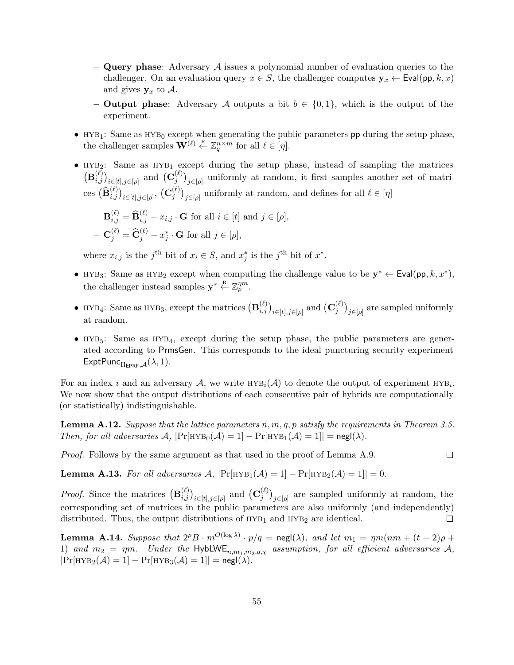- Query phase: Adversary A issues a polynomial number of evaluation queries to the challenger. On an evaluation query  $x \in S$ , the challenger computes  $y_x \leftarrow \text{Eval}(pp, k, x)$ and gives  $y_x$  to A.
- **Output phase**: Adversary A outputs a bit  $b \in \{0, 1\}$ , which is the output of the experiment.
- HYB<sub>1</sub>: Same as HYB<sub>0</sub> except when generating the public parameters **pp** during the setup phase, the challenger samples  $\mathbf{W}^{(\ell)} \stackrel{\text{R}}{\leftarrow} \mathbb{Z}_q^{n \times m}$  for all  $\ell \in [\eta]$ .
- HYB<sub>2</sub>: Same as HYB<sub>1</sub> except during the setup phase, instead of sampling the matrices  $(\mathbf{B}_{i,j}^{(\ell)})_{i\in[t],j\in[\rho]}$  and  $(\mathbf{C}_{j}^{(\ell)})$  $\binom{(\ell)}{j}_{j\in[\rho]}$  uniformly at random, it first samples another set of matri- $\text{ces } \big(\widehat{\mathbf{B}}_{i,j}^{(\ell)}\big)_{i \in [t], j \in [\rho]}, \, \big(\mathbf{C}_j^{(\ell)}$  $\binom{\ell}{j}_{j\in[\rho]}$  uniformly at random, and defines for all  $\ell \in [\eta]$

$$
- \mathbf{B}_{i,j}^{(\ell)} = \widehat{\mathbf{B}}_{i,j}^{(\ell)} - x_{i,j} \cdot \mathbf{G} \text{ for all } i \in [t] \text{ and } j \in [\rho],
$$
  

$$
- \mathbf{C}_{j}^{(\ell)} = \widehat{\mathbf{C}}_{j}^{(\ell)} - x_{j}^{*} \cdot \mathbf{G} \text{ for all } j \in [\rho],
$$

where  $x_{i,j}$  is the j<sup>th</sup> bit of  $x_i \in S$ , and  $x_j^*$  is the j<sup>th</sup> bit of  $x^*$ .

- HYB3: Same as HYB<sub>2</sub> except when computing the challenge value to be  $y^* \leftarrow \text{Eval}(pp, k, x^*)$ , the challenger instead samples  $\mathbf{y}^* \overset{\text{R}}{\leftarrow} \mathbb{Z}_p^{nm}$ .
- HYB<sub>4</sub>: Same as HYB<sub>3</sub>, except the matrices  $(\mathbf{B}_{i,j}^{(\ell)})_{i \in [t], j \in [\rho]}$  and  $(\mathbf{C}_{j}^{(\ell)})$  $\binom{(\ell)}{j}$ <sub>j∈[ρ]</sub> are sampled uniformly at random.
- $HYB_5$ : Same as  $HYB_4$ , except during the setup phase, the public parameters are generated according to PrmsGen. This corresponds to the ideal puncturing security experiment ExptPunc<sub>ΠEPRE</sub> $_A(\lambda, 1)$ .

For an index i and an adversary A, we write  $HYB_i(\mathcal{A})$  to denote the output of experiment  $HYB_i$ . We now show that the output distributions of each consecutive pair of hybrids are computationally (or statistically) indistinguishable.

<span id="page-54-1"></span>**Lemma A.12.** Suppose that the lattice parameters  $n, m, q, p$  satisfy the requirements in Theorem [3.5.](#page-16-0) Then, for all adversaries  $\mathcal{A}$ ,  $|\Pr[\text{HYB}_0(\mathcal{A}) = 1] - \Pr[\text{HYB}_1(\mathcal{A}) = 1]| = \mathsf{negl}(\lambda)$ .

Proof. Follows by the same argument as that used in the proof of Lemma [A.9.](#page-50-0)

<span id="page-54-0"></span>**Lemma A.13.** For all adversaries  $\mathcal{A}$ ,  $\Pr[\text{HYB}_1(\mathcal{A}) = 1] - \Pr[\text{HYB}_2(\mathcal{A}) = 1]| = 0$ .

*Proof.* Since the matrices  $(\mathbf{B}_{i,j}^{(\ell)})_{i \in [t],j \in [\rho]}$  and  $(\mathbf{C}_j^{(\ell)})$  $\binom{\ell}{j}_{j\in[\rho]}$  are sampled uniformly at random, the corresponding set of matrices in the public parameters are also uniformly (and independently) distributed. Thus, the output distributions of  $HYB_1$  and  $HYB_2$  are identical.  $\Box$ 

<span id="page-54-2"></span>**Lemma A.14.** Suppose that  $2^{\rho}B \cdot m^{O(\log \lambda)} \cdot p/q = \text{negl}(\lambda)$ , and let  $m_1 = \eta m(nm + (t+2)\rho +$ 1) and  $m_2 = \eta m$ . Under the HybLWE<sub>n,m<sub>1</sub>,m<sub>2</sub>,q,<sub>X</sub></sub> assumption, for all efficient adversaries A,  $|\Pr[\text{HYB}_2(\mathcal{A})=1]-\Pr[\text{HYB}_3(\mathcal{A})=1]|=\mathsf{negl}(\lambda).$ 

 $\Box$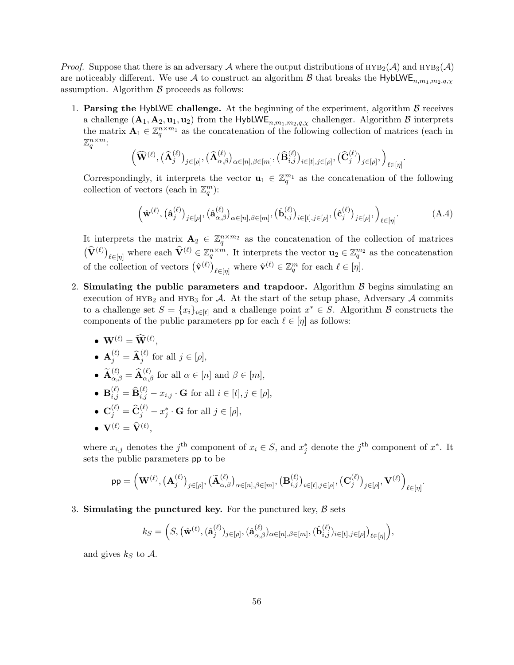*Proof.* Suppose that there is an adversary A where the output distributions of  $HYB_2(\mathcal{A})$  and  $HYB_3(\mathcal{A})$ are noticeably different. We use A to construct an algorithm B that breaks the HybLWE<sub>n,m<sub>1</sub>,m<sub>2,d,x</sub></sub> assumption. Algorithm  $\beta$  proceeds as follows:

1. Parsing the HybLWE challenge. At the beginning of the experiment, algorithm  $\beta$  receives a challenge  $(A_1, A_2, u_1, u_2)$  from the HybLWE<sub>n,m<sub>1</sub>,m<sub>2</sub>,q,<sub>X</sub></sub> challenger. Algorithm B interprets the matrix  $\mathbf{A}_1 \in \mathbb{Z}_q^{n \times m_1}$  as the concatenation of the following collection of matrices (each in  $\mathbb{Z}_q^{n \times m}$ :

$$
\left( \widehat{\mathbf{W}}^{(\ell)}, \big( \widehat{\mathbf{A}}^{(\ell)}_j \big)_{j \in [\rho]}, \big( \widehat{\mathbf{A}}^{(\ell)}_{\alpha, \beta} \big)_{\alpha \in [n], \beta \in [m]}, \big( \widehat{\mathbf{B}}^{(\ell)}_{i,j} \big)_{i \in [t], j \in [\rho]}, \big( \widehat{\mathbf{C}}^{(\ell)}_j \big)_{j \in [\rho]}, \right)_{\ell \in [\eta]}
$$

Correspondingly, it interprets the vector  $\mathbf{u}_1 \in \mathbb{Z}_q^{m_1}$  as the concatenation of the following collection of vectors (each in  $\mathbb{Z}_q^m$ ):

<span id="page-55-0"></span>
$$
\left(\hat{\mathbf{w}}^{(\ell)}, (\hat{\mathbf{a}}_{j}^{(\ell)})_{j \in [\rho]}, (\hat{\mathbf{a}}_{\alpha,\beta}^{(\ell)})_{\alpha \in [n], \beta \in [m]}, (\hat{\mathbf{b}}_{i,j}^{(\ell)})_{i \in [t], j \in [\rho]}, (\hat{\mathbf{c}}_{j}^{(\ell)})_{j \in [\rho]}, \right)_{\ell \in [\eta]}.\tag{A.4}
$$

.

It interprets the matrix  $\mathbf{A}_2 \in \mathbb{Z}_q^{n \times m_2}$  as the concatenation of the collection of matrices  $(\widehat{\mathbf{V}}^{(\ell)})_{\ell \in [\eta]}$  where each  $\widehat{\mathbf{V}}^{(\ell)} \in \mathbb{Z}_q^{n \times m}$ . It interprets the vector  $\mathbf{u}_2 \in \mathbb{Z}_q^{m_2}$  as the concatenation of the collection of vectors  $(\hat{\mathbf{v}}^{(\ell)})_{\ell \in [\eta]}$  where  $\hat{\mathbf{v}}^{(\ell)} \in \mathbb{Z}_q^m$  for each  $\ell \in [\eta]$ .

- 2. Simulating the public parameters and trapdoor. Algorithm  $\beta$  begins simulating an execution of  $HYB_2$  and  $HYB_3$  for A. At the start of the setup phase, Adversary A commits to a challenge set  $S = \{x_i\}_{i \in [t]}$  and a challenge point  $x^* \in S$ . Algorithm  $\beta$  constructs the components of the public parameters **pp** for each  $\ell \in [\eta]$  as follows:
	- $\mathbf{W}^{(\ell)} = \widehat{\mathbf{W}}^{(\ell)},$

• 
$$
\mathbf{A}_{j}^{(\ell)} = \widehat{\mathbf{A}}_{j}^{(\ell)}
$$
 for all  $j \in [\rho]$ ,

- $\widetilde{\mathbf{A}}_{\alpha,\beta}^{(\ell)} = \widehat{\mathbf{A}}_{\alpha,\beta}^{(\ell)}$  for all  $\alpha \in [n]$  and  $\beta \in [m]$ ,
- $\mathbf{B}_{i,j}^{(\ell)} = \widehat{\mathbf{B}}_{i,j}^{(\ell)} x_{i,j} \cdot \mathbf{G}$  for all  $i \in [t], j \in [\rho],$

• 
$$
\mathbf{C}_{j}^{(\ell)} = \widehat{\mathbf{C}}_{j}^{(\ell)} - x_{j}^{*} \cdot \mathbf{G} \text{ for all } j \in [\rho],
$$

$$
\bullet \ \mathbf{V}^{(\ell)} = \widehat{\mathbf{V}}^{(\ell)},
$$

where  $x_{i,j}$  denotes the j<sup>th</sup> component of  $x_i \in S$ , and  $x_j^*$  denote the j<sup>th</sup> component of  $x^*$ . It sets the public parameters pp to be

$$
\mathsf{pp} = \left(\mathbf{W}^{(\ell)}, \big(\mathbf{A}_j^{(\ell)}\big)_{j \in [\rho]}, \big(\widetilde{\mathbf{A}}_{\alpha, \beta}^{(\ell)}\big)_{\alpha \in [n], \beta \in [m]}, \big(\mathbf{B}_{i,j}^{(\ell)}\big)_{i \in [t], j \in [\rho]}, \big(\mathbf{C}_j^{(\ell)}\big)_{j \in [\rho]}, \mathbf{V}^{(\ell)}\right)_{\ell \in [\eta]}.
$$

3. Simulating the punctured key. For the punctured key,  $\beta$  sets

$$
k_S = \left( S, \left( \hat{\mathbf{w}}^{(\ell)}, (\hat{\mathbf{a}}_j^{(\ell)})_{j \in [\rho]}, (\hat{\mathbf{a}}_{\alpha,\beta}^{(\ell)})_{\alpha \in [n], \beta \in [m]}, (\hat{\mathbf{b}}_{i,j}^{(\ell)})_{i \in [t], j \in [\rho]} \right)_{\ell \in [\eta]} \right),
$$

and gives  $k_S$  to A.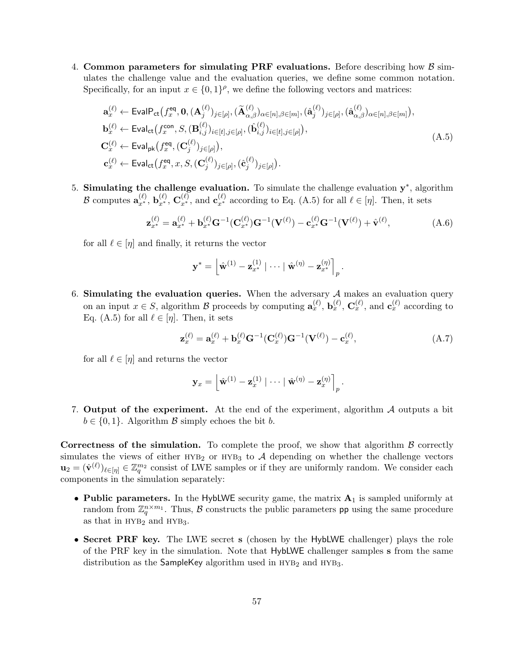4. Common parameters for simulating PRF evaluations. Before describing how  $\beta$  simulates the challenge value and the evaluation queries, we define some common notation. Specifically, for an input  $x \in \{0,1\}^{\rho}$ , we define the following vectors and matrices:

$$
\mathbf{a}_{x}^{(\ell)} \leftarrow \text{EvalP}_{\text{ct}}(f_{x}^{\text{eq}}, \mathbf{0}, (\mathbf{A}_{j}^{(\ell)})_{j \in [p]}, (\widetilde{\mathbf{A}}_{\alpha,\beta}^{(\ell)})_{\alpha \in [n], \beta \in [m]}, (\hat{\mathbf{a}}_{j}^{(\ell)})_{j \in [p]}, (\hat{\mathbf{a}}_{\alpha,\beta}^{(\ell)})_{\alpha \in [n], \beta \in [m]})
$$
\n
$$
\mathbf{b}_{x}^{(\ell)} \leftarrow \text{Eval}_{\text{ct}}(f_{x}^{\text{con}}, S, (\mathbf{B}_{i,j}^{(\ell)})_{i \in [t], j \in [p]}, (\hat{\mathbf{b}}_{i,j}^{(\ell)})_{i \in [t], j \in [p]})
$$
\n
$$
\mathbf{C}_{x}^{(\ell)} \leftarrow \text{Eval}_{\text{pk}}(f_{x}^{\text{eq}}, (\mathbf{C}_{j}^{(\ell)})_{j \in [p]})
$$
\n
$$
\mathbf{c}_{x}^{(\ell)} \leftarrow \text{Eval}_{\text{ct}}(f_{x}^{\text{eq}}, x, S, (\mathbf{C}_{j}^{(\ell)})_{j \in [p]}, (\hat{\mathbf{c}}_{j}^{(\ell)})_{j \in [p]})
$$
\n
$$
(A.5)
$$

5. Simulating the challenge evaluation. To simulate the challenge evaluation  $y^*$ , algorithm B computes  $\mathbf{a}_{x^*}^{(\ell)}$ ,  $\mathbf{b}_{x^*}^{(\ell)}$ ,  $\mathbf{C}_{x^*}^{(\ell)}$ , and  $\mathbf{c}_{x^*}^{(\ell)}$  according to Eq. [\(A.5\)](#page-56-0) for all  $\ell \in [\eta]$ . Then, it sets

$$
\mathbf{z}_{x^*}^{(\ell)} = \mathbf{a}_{x^*}^{(\ell)} + \mathbf{b}_{x^*}^{(\ell)} \mathbf{G}^{-1} (\mathbf{C}_{x^*}^{(\ell)}) \mathbf{G}^{-1} (\mathbf{V}^{(\ell)}) - \mathbf{c}_{x^*}^{(\ell)} \mathbf{G}^{-1} (\mathbf{V}^{(\ell)}) + \hat{\mathbf{v}}^{(\ell)}, \tag{A.6}
$$

for all  $\ell \in [\eta]$  and finally, it returns the vector

<span id="page-56-2"></span><span id="page-56-0"></span>
$$
\mathbf{y}^* = \left[ \hat{\mathbf{w}}^{(1)} - \mathbf{z}_{x^*}^{(1)} \mid \cdots \mid \hat{\mathbf{w}}^{(\eta)} - \mathbf{z}_{x^*}^{(\eta)} \right]_p.
$$

6. Simulating the evaluation queries. When the adversary  $A$  makes an evaluation query on an input  $x \in S$ , algorithm B proceeds by computing  $\mathbf{a}_x^{(\ell)}$ ,  $\mathbf{b}_x^{(\ell)}$ ,  $\mathbf{C}_x^{(\ell)}$ , and  $\mathbf{c}_x^{(\ell)}$  according to Eq. [\(A.5\)](#page-56-0) for all  $\ell \in [\eta]$ . Then, it sets

<span id="page-56-1"></span>
$$
\mathbf{z}_x^{(\ell)} = \mathbf{a}_x^{(\ell)} + \mathbf{b}_x^{(\ell)} \mathbf{G}^{-1} (\mathbf{C}_x^{(\ell)}) \mathbf{G}^{-1} (\mathbf{V}^{(\ell)}) - \mathbf{c}_x^{(\ell)}, \tag{A.7}
$$

for all  $\ell \in [\eta]$  and returns the vector

$$
\mathbf{y}_x = \left[ \hat{\mathbf{w}}^{(1)} - \mathbf{z}_x^{(1)} \mid \cdots \mid \hat{\mathbf{w}}^{(\eta)} - \mathbf{z}_x^{(\eta)} \right]_p.
$$

7. Output of the experiment. At the end of the experiment, algorithm A outputs a bit  $b \in \{0, 1\}$ . Algorithm  $\beta$  simply echoes the bit b.

Correctness of the simulation. To complete the proof, we show that algorithm  $\beta$  correctly simulates the views of either  $HYB_2$  or  $HYB_3$  to  $A$  depending on whether the challenge vectors  $\mathbf{u}_2 = (\hat{\mathbf{v}}^{(\ell)})_{\ell \in [\eta]} \in \mathbb{Z}_q^{m_2}$  consist of LWE samples or if they are uniformly random. We consider each components in the simulation separately:

- Public parameters. In the HybLWE security game, the matrix  $A_1$  is sampled uniformly at random from  $\mathbb{Z}_q^{n \times m_1}$ . Thus,  $\beta$  constructs the public parameters pp using the same procedure as that in  $HYB_2$  and  $HYB_3$ .
- Secret PRF key. The LWE secret s (chosen by the HybLWE challenger) plays the role of the PRF key in the simulation. Note that HybLWE challenger samples s from the same distribution as the SampleKey algorithm used in  $HYB_2$  and  $HYB_3$ .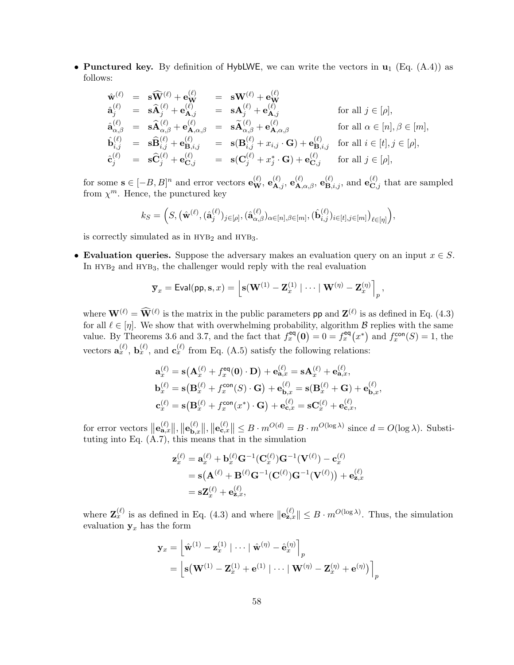• Punctured key. By definition of HybLWE, we can write the vectors in  $\mathbf{u}_1$  (Eq. [\(A.4\)](#page-55-0)) as follows:

$$
\hat{\mathbf{w}}^{(\ell)} = \mathbf{s} \widehat{\mathbf{W}}^{(\ell)} + \mathbf{e}^{(\ell)}_{\mathbf{W}} = \mathbf{s} \mathbf{W}^{(\ell)} + \mathbf{e}^{(\ell)}_{\mathbf{W}}
$$
\n
$$
\hat{\mathbf{a}}^{(\ell)}_{j} = \mathbf{s} \widehat{\mathbf{A}}^{(\ell)}_{j} + \mathbf{e}^{(\ell)}_{\mathbf{A},j} = \mathbf{s} \mathbf{A}^{(\ell)}_{j} + \mathbf{e}^{(\ell)}_{\mathbf{A},j} \quad \text{for all } j \in [\rho],
$$
\n
$$
\hat{\mathbf{a}}^{(\ell)}_{\alpha,\beta} = \mathbf{s} \widehat{\mathbf{A}}^{(\ell)}_{\alpha,\beta} + \mathbf{e}^{(\ell)}_{\mathbf{A},\alpha,\beta} = \mathbf{s} \widehat{\mathbf{A}}^{(\ell)}_{\alpha,\beta} + \mathbf{e}^{(\ell)}_{\mathbf{A},\alpha,\beta} \quad \text{for all } \alpha \in [n], \beta \in [m],
$$
\n
$$
\hat{\mathbf{b}}^{(\ell)}_{i,j} = \mathbf{s} \widehat{\mathbf{B}}^{(\ell)}_{i,j} + \mathbf{e}^{(\ell)}_{\mathbf{B},i,j} = \mathbf{s} (\mathbf{B}^{(\ell)}_{i,j} + x_{i,j} \cdot \mathbf{G}) + \mathbf{e}^{(\ell)}_{\mathbf{B},i,j} \quad \text{for all } i \in [t], j \in [\rho],
$$
\n
$$
\hat{\mathbf{c}}^{(\ell)}_{j} = \mathbf{s} \widehat{\mathbf{C}}^{(\ell)}_{j} + \mathbf{e}^{(\ell)}_{\mathbf{C},j} = \mathbf{s} (\mathbf{C}^{(\ell)}_{j} + x_{j}^{*} \cdot \mathbf{G}) + \mathbf{e}^{(\ell)}_{\mathbf{C},j} \quad \text{for all } j \in [\rho],
$$

for some  $\mathbf{s} \in [-B, B]^n$  and error vectors  $\mathbf{e}_{\mathbf{W}}^{(\ell)}$ ,  $\mathbf{e}_{\mathbf{A},j}^{(\ell)}$ ,  $\mathbf{e}_{\mathbf{A},\alpha,\beta}^{(\ell)}$ ,  $\mathbf{e}_{\mathbf{B},i,j}^{(\ell)}$ , and  $\mathbf{e}_{\mathbf{C},j}^{(\ell)}$  that are sampled from  $\chi^m$ . Hence, the punctured key

$$
k_S = \left(S, \left(\hat{\mathbf{w}}^{(\ell)}, (\hat{\mathbf{a}}_j^{(\ell)})_{j \in [p]}, (\hat{\mathbf{a}}_{\alpha,\beta}^{(\ell)})_{\alpha \in [n], \beta \in [m]}, (\hat{\mathbf{b}}_{i,j}^{(\ell)})_{i \in [t], j \in [m]}\right)_{\ell \in [\eta]}\right),
$$

is correctly simulated as in  $HYB<sub>2</sub>$  and  $HYB<sub>3</sub>$ .

• Evaluation queries. Suppose the adversary makes an evaluation query on an input  $x \in S$ . In HYB<sub>2</sub> and HYB<sub>3</sub>, the challenger would reply with the real evaluation

$$
\overline{\mathbf{y}}_x = \text{Eval}(pp, \mathbf{s}, x) = \left[ \mathbf{s}(\mathbf{W}^{(1)} - \mathbf{Z}_x^{(1)} \mid \cdots \mid \mathbf{W}^{(\eta)} - \mathbf{Z}_x^{(\eta)} \right]_p,
$$

where  $\mathbf{W}^{(\ell)} = \widehat{\mathbf{W}}^{(\ell)}$  is the matrix in the public parameters pp and  $\mathbf{Z}^{(\ell)}$  is as defined in Eq. [\(4.3\)](#page-26-2) for all  $\ell \in [\eta]$ . We show that with overwhelming probability, algorithm  $\beta$  replies with the same value. By Theorems [3.6](#page-17-0) and [3.7,](#page-17-1) and the fact that  $f_x^{\text{eq}}(0) = 0 = f_x^{\text{eq}}(x^*)$  and  $f_x^{\text{con}}(S) = 1$ , the vectors  $\mathbf{a}_x^{(\ell)}$ ,  $\mathbf{b}_x^{(\ell)}$ , and  $\mathbf{c}_x^{(\ell)}$  from Eq. [\(A.5\)](#page-56-0) satisfy the following relations:

$$
\begin{aligned} \mathbf{a}^{(\ell)}_x &= \mathbf{s} \big( \mathbf{A}^{(\ell)}_x + f^{\texttt{eq}}_x(\mathbf{0}) \cdot \mathbf{D} \big) + \mathbf{e}^{(\ell)}_{\mathbf{a},x} = \mathbf{s} \mathbf{A}^{(\ell)}_x + \mathbf{e}^{(\ell)}_{\mathbf{a},x}, \\ \mathbf{b}^{(\ell)}_x &= \mathbf{s} \big( \mathbf{B}^{(\ell)}_x + f^{\texttt{con}}_x(S) \cdot \mathbf{G} \big) + \mathbf{e}^{(\ell)}_{\mathbf{b},x} = \mathbf{s} \big( \mathbf{B}^{(\ell)}_x + \mathbf{G} \big) + \mathbf{e}^{(\ell)}_{\mathbf{b},x}, \\ \mathbf{c}^{(\ell)}_x &= \mathbf{s} \big( \mathbf{B}^{(\ell)}_x + f^{\texttt{con}}_x(x^*) \cdot \mathbf{G} \big) + \mathbf{e}^{(\ell)}_{\mathbf{c},x} = \mathbf{s} \mathbf{C}^{(\ell)}_x + \mathbf{e}^{(\ell)}_{\mathbf{c},x}, \end{aligned}
$$

for error vectors  $\|\mathbf{e}^{(\ell)}_{\mathbf{a},x}\|, \|\mathbf{e}^{(\ell)}_{\mathbf{b},z}$  $\|\mathbf{e}_{\mathbf{c},x}^{(\ell)}\|, \|\mathbf{e}_{\mathbf{c},x}^{(\ell)}\| \leq B \cdot m^{O(d)} = B \cdot m^{O(\log \lambda)}$  since  $d = O(\log \lambda)$ . Substituting into Eq. [\(A.7\)](#page-56-1), this means that in the simulation

$$
\begin{aligned} \mathbf{z}^{(\ell)}_x &= \mathbf{a}^{(\ell)}_x + \mathbf{b}^{(\ell)}_x \mathbf{G}^{-1} (\mathbf{C}^{(\ell)}_x) \mathbf{G}^{-1} (\mathbf{V}^{(\ell)}) - \mathbf{c}^{(\ell)}_x \\ &= \mathbf{s} \big( \mathbf{A}^{(\ell)} + \mathbf{B}^{(\ell)} \mathbf{G}^{-1} (\mathbf{C}^{(\ell)}) \mathbf{G}^{-1} (\mathbf{V}^{(\ell)}) \big) + \mathbf{e}^{(\ell)}_{\mathbf{z},x} \\ &= \mathbf{s} \mathbf{Z}^{(\ell)}_x + \mathbf{e}^{(\ell)}_{\mathbf{z},x}, \end{aligned}
$$

where  $\mathbf{Z}_{x}^{(\ell)}$  is as defined in Eq. [\(4.3\)](#page-26-2) and where  $\|\mathbf{e}_{\mathbf{z},x}^{(\ell)}\| \leq B \cdot m^{O(\log \lambda)}$ . Thus, the simulation evaluation  $y_x$  has the form

$$
\mathbf{y}_x = \left[ \hat{\mathbf{w}}^{(1)} - \mathbf{z}_x^{(1)} \mid \cdots \mid \hat{\mathbf{w}}^{(\eta)} - \hat{\mathbf{e}}_x^{(\eta)} \right]_p
$$
  
=  $\left[ \mathbf{s} (\mathbf{W}^{(1)} - \mathbf{Z}_x^{(1)} + \mathbf{e}^{(1)} \mid \cdots \mid \mathbf{W}^{(\eta)} - \mathbf{Z}_x^{(\eta)} + \mathbf{e}^{(\eta)} ) \right]_p$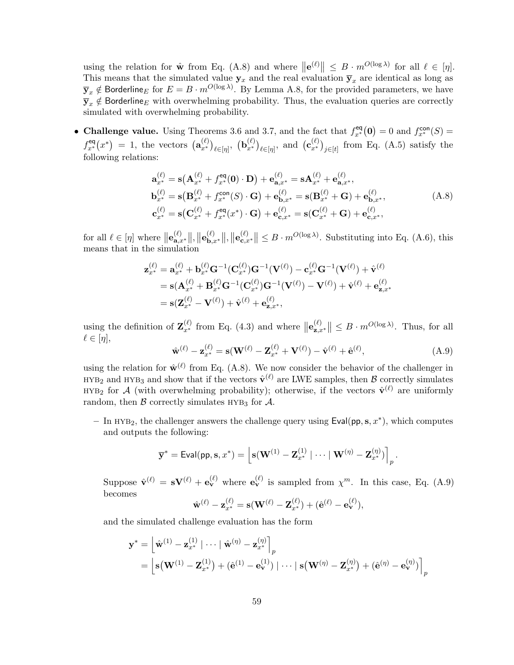using the relation for  $\hat{\mathbf{w}}$  from Eq. [\(A.8\)](#page-58-0) and where  $\|\mathbf{e}^{(\ell)}\| \leq B \cdot m^{O(\log \lambda)}$  for all  $\ell \in [\eta]$ . This means that the simulated value  $y_x$  and the real evaluation  $\overline{y}_x$  are identical as long as  $\overline{\mathbf{y}}_x\notin$  Borderline $_E$  for  $E=B\cdot m^{O(\log \lambda)}.$  By Lemma [A.8,](#page-47-0) for the provided parameters, we have  $\bar{y}_x \notin$  Borderline<sub>E</sub> with overwhelming probability. Thus, the evaluation queries are correctly simulated with overwhelming probability.

• Challenge value. Using Theorems [3.6](#page-17-0) and [3.7,](#page-17-1) and the fact that  $f_{x^*}^{\text{eq}}(0) = 0$  and  $f_{x^*}^{\text{con}}(S) =$  $f_{x^*}^{\text{eq}}(x^*) = 1$ , the vectors  $(\mathbf{a}_{x^*}^{(\ell)})_{\ell \in [\eta]}, \ (\mathbf{b}_{x^*}^{(\ell)})_{\ell \in [\eta]},$  and  $(\mathbf{c}_{x^*}^{(\ell)})_{j \in [t]}$  from Eq. [\(A.5\)](#page-56-0) satisfy the following relations:

<span id="page-58-0"></span>
$$
\mathbf{a}_{x^*}^{(\ell)} = \mathbf{s}(\mathbf{A}_{x^*}^{(\ell)} + f_{x^*}^{\text{eq}}(\mathbf{0}) \cdot \mathbf{D}) + \mathbf{e}_{\mathbf{a},x^*}^{(\ell)} = \mathbf{s} \mathbf{A}_{x^*}^{(\ell)} + \mathbf{e}_{\mathbf{a},x^*}^{(\ell)},
$$
\n
$$
\mathbf{b}_{x^*}^{(\ell)} = \mathbf{s}(\mathbf{B}_{x^*}^{(\ell)} + f_{x^*}^{\text{con}}(S) \cdot \mathbf{G}) + \mathbf{e}_{\mathbf{b},x^*}^{(\ell)} = \mathbf{s}(\mathbf{B}_{x^*}^{(\ell)} + \mathbf{G}) + \mathbf{e}_{\mathbf{b},x^*}^{(\ell)},
$$
\n
$$
\mathbf{c}_{x^*}^{(\ell)} = \mathbf{s}(\mathbf{C}_{x^*}^{(\ell)} + f_{x^*}^{\text{eq}}(x^*) \cdot \mathbf{G}) + \mathbf{e}_{\mathbf{c},x^*}^{(\ell)} = \mathbf{s}(\mathbf{C}_{x^*}^{(\ell)} + \mathbf{G}) + \mathbf{e}_{\mathbf{c},x^*}^{(\ell)},
$$
\n(A.8)

for all  $\ell \in [\eta]$  where  $\|\mathbf{e}_{\mathbf{a},x^*}^{(\ell)}\|, \|\mathbf{e}_{\mathbf{b},\mathfrak{a}}^{(\ell)}\|$  $\|\mathbf{e}_{\mathbf{b},x^*}^{(\ell)}\| \leq B \cdot m^{O(\log \lambda)}$ . Substituting into Eq. [\(A.6\)](#page-56-2), this means that in the simulation

$$
\begin{aligned} \mathbf{z}_{x^*}^{(\ell)} &= \mathbf{a}_{x^*}^{(\ell)} + \mathbf{b}_{x^*}^{(\ell)} \mathbf{G}^{-1} (\mathbf{C}_{x^*}^{(\ell)}) \mathbf{G}^{-1} (\mathbf{V}^{(\ell)}) - \mathbf{c}_{x^*}^{(\ell)} \mathbf{G}^{-1} (\mathbf{V}^{(\ell)}) + \hat{\mathbf{v}}^{(\ell)} \\ &= \mathbf{s} (\mathbf{A}_{x^*}^{(\ell)} + \mathbf{B}_{x^*}^{(\ell)} \mathbf{G}^{-1} (\mathbf{C}_{x^*}^{(\ell)}) \mathbf{G}^{-1} (\mathbf{V}^{(\ell)}) - \mathbf{V}^{(\ell)}) + \hat{\mathbf{v}}^{(\ell)} + \mathbf{e}_{\mathbf{z},x^*}^{(\ell)} \\ &= \mathbf{s} (\mathbf{Z}_{x^*}^{(\ell)} - \mathbf{V}^{(\ell)}) + \hat{\mathbf{v}}^{(\ell)} + \mathbf{e}_{\mathbf{z},x^*}^{(\ell)}, \end{aligned}
$$

<span id="page-58-1"></span>using the definition of  $\mathbf{Z}_{x^*}^{(\ell)}$  from Eq. [\(4.3\)](#page-26-2) and where  $\left\|\mathbf{e}_{\mathbf{z},x^*}^{(\ell)}\right\| \leq B \cdot m^{O(\log \lambda)}$ . Thus, for all  $\ell \in [\eta],$ 

$$
\hat{\mathbf{w}}^{(\ell)} - \mathbf{z}_{x^*}^{(\ell)} = \mathbf{s}(\mathbf{W}^{(\ell)} - \mathbf{Z}_{x^*}^{(\ell)} + \mathbf{V}^{(\ell)}) - \hat{\mathbf{v}}^{(\ell)} + \hat{\mathbf{e}}^{(\ell)},
$$
\n(A.9)

using the relation for  $\hat{\mathbf{w}}^{(\ell)}$  from Eq. [\(A.8\)](#page-58-0). We now consider the behavior of the challenger in  $HYB_2$  and  $HYB_3$  and show that if the vectors  $\hat{\mathbf{v}}^{(\ell)}$  are LWE samples, then  $\mathcal{B}$  correctly simulates HYB<sub>2</sub> for  $\mathcal{A}$  (with overwhelming probability); otherwise, if the vectors  $\hat{\mathbf{v}}^{(\ell)}$  are uniformly random, then  $\beta$  correctly simulates HYB<sub>3</sub> for  $\mathcal{A}$ .

– In HYB<sub>2</sub>, the challenger answers the challenge query using  $Eval(pp, s, x^*)$ , which computes and outputs the following:

$$
\overline{\mathbf{y}}^* = \text{Eval}(pp, \mathbf{s}, x^*) = \left[ \mathbf{s}(\mathbf{W}^{(1)} - \mathbf{Z}_{x^*}^{(1)} \mid \cdots \mid \mathbf{W}^{(\eta)} - \mathbf{Z}_{x^*}^{(\eta)}) \right]_p.
$$

Suppose  $\hat{\mathbf{v}}^{(\ell)} = \mathbf{s} \mathbf{V}^{(\ell)} + \mathbf{e}_{\mathbf{v}}^{(\ell)}$  where  $\mathbf{e}_{\mathbf{v}}^{(\ell)}$  is sampled from  $\chi^m$ . In this case, Eq. [\(A.9\)](#page-58-1) becomes

$$
\hat{\mathbf{w}}^{(\ell)} - \mathbf{z}_{x^*}^{(\ell)} = \mathbf{s}(\mathbf{W}^{(\ell)} - \mathbf{Z}_{x^*}^{(\ell)}) + (\hat{\mathbf{e}}^{(\ell)} - \mathbf{e}_{\mathbf{v}}^{(\ell)}),
$$

and the simulated challenge evaluation has the form

$$
\mathbf{y}^* = \left[ \hat{\mathbf{w}}^{(1)} - \mathbf{z}_{x^*}^{(1)} \mid \cdots \mid \hat{\mathbf{w}}^{(\eta)} - \mathbf{z}_{x^*}^{(\eta)} \right]_p
$$
  
=  $\left[ \mathbf{s} (\mathbf{W}^{(1)} - \mathbf{Z}_{x^*}^{(1)}) + (\hat{\mathbf{e}}^{(1)} - \mathbf{e}_{\mathbf{v}}^{(1)}) \mid \cdots \mid \mathbf{s} (\mathbf{W}^{(\eta)} - \mathbf{Z}_{x^*}^{(\eta)}) + (\hat{\mathbf{e}}^{(\eta)} - \mathbf{e}_{\mathbf{v}}^{(\eta)}) \right]_p$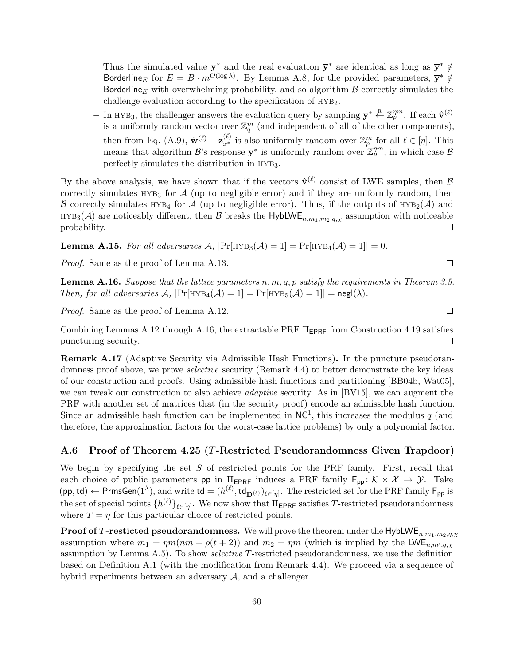Thus the simulated value  $y^*$  and the real evaluation  $\bar{y}^*$  are identical as long as  $\bar{y}^* \notin$ Borderline<sub>E</sub> for  $E = B \cdot m^{O(\log \lambda)}$ . By Lemma [A.8,](#page-47-0) for the provided parameters,  $\bar{y}^* \notin$ Borderline<sub>E</sub> with overwhelming probability, and so algorithm  $\beta$  correctly simulates the challenge evaluation according to the specification of  $HYB_2$ .

− In HYB<sub>3</sub>, the challenger answers the evaluation query by sampling  $\bar{y}^* \stackrel{R}{\leftarrow} \mathbb{Z}_p^{\eta m}$ . If each  $\hat{v}^{(\ell)}$ is a uniformly random vector over  $\mathbb{Z}_q^m$  (and independent of all of the other components), then from Eq. [\(A.9\)](#page-58-1),  $\mathbf{\hat{w}}^{(\ell)} - \mathbf{z}_{x^*}^{(\ell)}$  is also uniformly random over  $\mathbb{Z}_p^m$  for all  $\ell \in [\eta]$ . This means that algorithm  $\mathcal{B}$ 's response  $\mathbf{y}^*$  is uniformly random over  $\mathbb{Z}_p^{nm}$ , in which case  $\mathcal{B}$ perfectly simulates the distribution in HYB<sub>3</sub>.

By the above analysis, we have shown that if the vectors  $\hat{\mathbf{v}}^{(\ell)}$  consist of LWE samples, then  $\mathcal{B}$ correctly simulates  $HYB_3$  for  $A$  (up to negligible error) and if they are uniformly random, then B correctly simulates  $HYB_4$  for A (up to negligible error). Thus, if the outputs of  $HYB_2(\mathcal{A})$  and  $HYB_3(\mathcal{A})$  are noticeably different, then B breaks the HybLWE<sub>n,m<sub>1</sub>,m<sub>2</sub>,q,<sub>X</sub> assumption with noticeable</sub> probability.  $\Box$ 

**Lemma A.15.** For all adversaries  $\mathcal{A}$ ,  $\Pr[\text{HYB}_3(\mathcal{A}) = 1] = \Pr[\text{HYB}_4(\mathcal{A}) = 1]| = 0$ .

Proof. Same as the proof of Lemma [A.13.](#page-54-0)

<span id="page-59-0"></span>**Lemma A.16.** Suppose that the lattice parameters  $n, m, q, p$  satisfy the requirements in Theorem [3.5.](#page-16-0) Then, for all adversaries  $\mathcal{A}$ ,  $|\Pr[\text{HYB}_4(\mathcal{A}) = 1] = \Pr[\text{HYB}_5(\mathcal{A}) = 1]| = \text{negl}(\lambda)$ .

 $\Box$ 

 $\Box$ 

Proof. Same as the proof of Lemma [A.12.](#page-54-1)

Combining Lemmas [A.12](#page-54-1) through [A.16,](#page-59-0) the extractable PRF  $\Pi_{\text{FPRF}}$  from Construction [4.19](#page-24-0) satisfies puncturing security.  $\Box$ 

Remark A.17 (Adaptive Security via Admissible Hash Functions). In the puncture pseudorandomness proof above, we prove *selective* security (Remark [4.4\)](#page-19-0) to better demonstrate the key ideas of our construction and proofs. Using admissible hash functions and partitioning [\[BB04b,](#page-41-1) [Wat05\]](#page-44-3), we can tweak our construction to also achieve *adaptive* security. As in [\[BV15\]](#page-42-1), we can augment the PRF with another set of matrices that (in the security proof) encode an admissible hash function. Since an admissible hash function can be implemented in  $\mathsf{NC}^1$ , this increases the modulus q (and therefore, the approximation factors for the worst-case lattice problems) by only a polynomial factor.

# A.6 Proof of Theorem [4.25](#page-28-1) (T-Restricted Pseudorandomness Given Trapdoor)

We begin by specifying the set  $S$  of restricted points for the PRF family. First, recall that each choice of public parameters pp in  $\Pi_{\text{EPRF}}$  induces a PRF family  $F_{\text{pp}}: \mathcal{K} \times \mathcal{X} \to \mathcal{Y}$ . Take  $(pp, td) \leftarrow PrmsGen(1^{\lambda}),$  and write  $td = (h^{(\ell)}, td_{D^{(\ell)}})_{\ell \in [\eta]}$ . The restricted set for the PRF family  $F_{pp}$  is the set of special points  $\{h^{(\ell)}\}_{\ell \in [\eta]}\$ . We now show that  $\Pi_{\sf EPRF}$  satisfies T-restricted pseudorandomness where  $T = \eta$  for this particular choice of restricted points.

**Proof of T-resticted pseudorandomness.** We will prove the theorem under the HybLWE<sub>n,m1,m2,d, $\chi$ </sub> assumption where  $m_1 = \eta m(nm + \rho(t+2))$  and  $m_2 = \eta m$  (which is implied by the LWE<sub>n,m',q,x</sub> assumption by Lemma  $A.5$ ). To show *selective* T-restricted pseudorandomness, we use the definition based on Definition [A.1](#page-45-2) (with the modification from Remark [4.4\)](#page-19-0). We proceed via a sequence of hybrid experiments between an adversary  $A$ , and a challenger.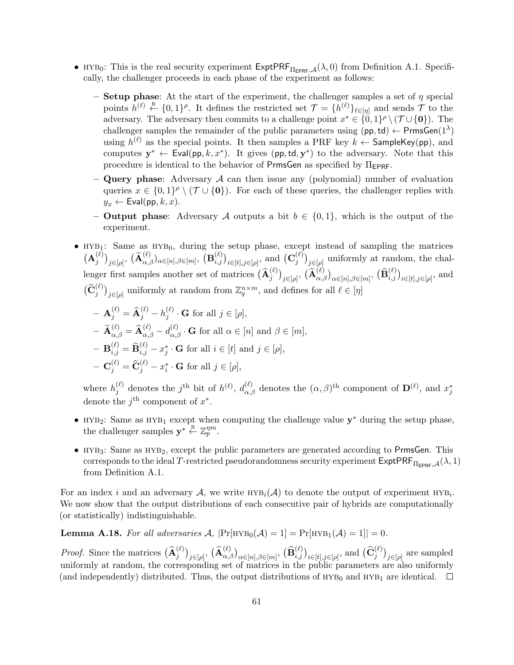- HYB<sub>0</sub>: This is the real security experiment  $\text{ExptPRF}_{\Pi_{\text{EPRF}},\mathcal{A}}(\lambda,0)$  from Definition [A.1.](#page-45-2) Specifically, the challenger proceeds in each phase of the experiment as follows:
	- **Setup phase:** At the start of the experiment, the challenger samples a set of  $\eta$  special points  $h^{(\ell)} \stackrel{\text{R}}{\leftarrow} \{0,1\}^{\rho}$ . It defines the restricted set  $\mathcal{T} = \{h^{(\ell)}\}_{\ell \in [\eta]}$  and sends  $\mathcal T$  to the adversary. The adversary then commits to a challenge point  $x^* \in \{0,1\}^{\rho} \setminus (\mathcal{T} \cup \{\mathbf{0}\})$ . The challenger samples the remainder of the public parameters using  $(pp, td) \leftarrow PrmsGen(1^{\lambda})$ using  $h^{(\ell)}$  as the special points. It then samples a PRF key  $k \leftarrow$  SampleKey(pp), and computes  $y^* \leftarrow \text{Eval}(pp, k, x^*)$ . It gives  $(pp, td, y^*)$  to the adversary. Note that this procedure is identical to the behavior of PrmsGen as specified by ΠEPRF.
	- Query phase: Adversary  $A$  can then issue any (polynomial) number of evaluation queries  $x \in \{0,1\}^{\rho} \setminus (\mathcal{T} \cup \{0\})$ . For each of these queries, the challenger replies with  $y_x \leftarrow \text{Eval(pp}, k, x)$ .
	- **Output phase:** Adversary A outputs a bit  $b \in \{0, 1\}$ , which is the output of the experiment.
- $HYB_1$ : Same as  $HYB_0$ , during the setup phase, except instead of sampling the matrices  $(\mathbf{A}_i^{(\ell)})$  $\widehat{\mathcal{L}}^{(\ell)}_{(j)}\big)_{j\in[\rho]},\ \big(\widetilde{\mathbf{A}}^{(\ell)}_{\alpha,\beta}\big)_{\alpha\in[n],\beta\in[m]},\ \big(\mathbf{B}^{(\ell)}_{i,j}\big)_{i\in[t],j\in[\rho]},\ \text{and}\ \big(\mathbf{C}^{(\ell)}_j\big)_{j\in[t],j\in[t]}$  $\binom{\ell}{j}_{j\in[\rho]}$  uniformly at random, the challenger first samples another set of matrices  $(\widehat{\mathbf{A}}_{j}^{(\ell)})_{j \in [\rho]}, (\widehat{\mathbf{A}}_{\alpha,\beta}^{(\ell)})_{\alpha \in [n],\beta \in [m]}, (\widehat{\mathbf{B}}_{i,j}^{(\ell)})_{i \in [t],j \in [\rho]},$  and  $\left(\widehat{\mathbf{C}}_{j}^{(\ell)}\right)_{j\in[\rho]}$  uniformly at random from  $\mathbb{Z}_{q}^{n\times m}$ , and defines for all  $\ell\in[\eta]$

$$
- \mathbf{A}_{j}^{(\ell)} = \widehat{\mathbf{A}}_{j}^{(\ell)} - h_{j}^{(\ell)} \cdot \mathbf{G} \text{ for all } j \in [\rho],
$$
  
\n
$$
- \widetilde{\mathbf{A}}_{\alpha,\beta}^{(\ell)} = \widehat{\mathbf{A}}_{\alpha,\beta}^{(\ell)} - d_{\alpha,\beta}^{(\ell)} \cdot \mathbf{G} \text{ for all } \alpha \in [n] \text{ and } \beta \in [m],
$$
  
\n
$$
- \mathbf{B}_{i,j}^{(\ell)} = \widehat{\mathbf{B}}_{i,j}^{(\ell)} - x_{j}^{*} \cdot \mathbf{G} \text{ for all } i \in [t] \text{ and } j \in [\rho],
$$
  
\n
$$
- \mathbf{C}_{j}^{(\ell)} = \widehat{\mathbf{C}}_{j}^{(\ell)} - x_{i}^{*} \cdot \mathbf{G} \text{ for all } j \in [\rho],
$$

where  $h_i^{(\ell)}$ (e) denotes the j<sup>th</sup> bit of  $h^{(\ell)}$ ,  $d^{(\ell)}_{\alpha,\beta}$  denotes the  $(\alpha,\beta)$ <sup>th</sup> component of  $\mathbf{D}^{(\ell)}$ , and  $x_j^*$ denote the  $j^{\text{th}}$  component of  $x^*$ .

- HYB2: Same as  $HYP_1$  except when computing the challenge value  $y^*$  during the setup phase, the challenger samples  $\mathbf{y}^* \overset{\text{R}}{\leftarrow} \mathbb{Z}_p^m$ .
- HYB<sub>3</sub>: Same as HYB<sub>2</sub>, except the public parameters are generated according to PrmsGen. This corresponds to the ideal T-restricted pseudorandomness security experiment  $\mathsf{ExptPRF}_{\Pi_{\mathsf{CDPE}},\mathcal{A}}(\lambda,1)$ from Definition [A.1.](#page-45-2)

For an index i and an adversary A, we write  $HYB_i(\mathcal{A})$  to denote the output of experiment  $HYB_i$ . We now show that the output distributions of each consecutive pair of hybrids are computationally (or statistically) indistinguishable.

<span id="page-60-0"></span>**Lemma A.18.** For all adversaries  $\mathcal{A}$ ,  $|\Pr[\text{HYB}_0(\mathcal{A}) = 1] = \Pr[\text{HYB}_1(\mathcal{A}) = 1]| = 0.$ 

*Proof.* Since the matrices  $\left(\widehat{\mathbf{A}}_{j}^{(\ell)}\right)_{j \in [p]}, \left(\widehat{\mathbf{A}}_{\alpha,\beta}^{(\ell)}\right)_{\alpha \in [n],\beta \in [m]}, \left(\widehat{\mathbf{B}}_{i,j}^{(\ell)}\right)_{i \in [t],j \in [p]},$  and  $\left(\widehat{\mathbf{C}}_{j}^{(\ell)}\right)_{j \in [p]}$  are sampled uniformly at random, the corresponding set of matrices in the public parameters are also uniformly (and independently) distributed. Thus, the output distributions of  $HYB_0$  and  $HYB_1$  are identical.  $\Box$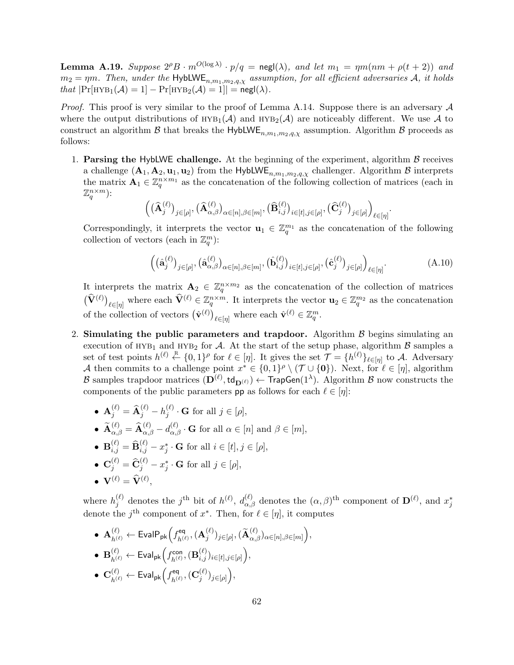**Lemma A.19.** Suppose  $2^{\rho}B \cdot m^{O(\log \lambda)} \cdot p/q = \text{negl}(\lambda)$ , and let  $m_1 = \eta m(nm + \rho(t + 2))$  and  $m_2 = \eta m$ . Then, under the HybLWE<sub>n,m<sub>1</sub>,m<sub>2</sub>,q,<sub>X</sub> assumption, for all efficient adversaries A, it holds</sub> that  $|\Pr[\text{HYB}_1(\mathcal{A}) = 1] - \Pr[\text{HYB}_2(\mathcal{A}) = 1]| = \mathsf{negl}(\lambda).$ 

*Proof.* This proof is very similar to the proof of Lemma [A.14.](#page-54-2) Suppose there is an adversary  $A$ where the output distributions of  $HYB_1(\mathcal{A})$  and  $HYB_2(\mathcal{A})$  are noticeably different. We use  $\mathcal A$  to construct an algorithm B that breaks the HybLWE<sub>n,m<sub>1</sub>,m<sub>2</sub>,q,<sub>X</sub> assumption. Algorithm B proceeds as</sub> follows:

1. Parsing the HybLWE challenge. At the beginning of the experiment, algorithm  $\beta$  receives a challenge  $(A_1, A_2, u_1, u_2)$  from the HybLWE<sub>n,m<sub>1</sub>,m<sub>2</sub>,q,<sub>X</sub></sub> challenger. Algorithm B interprets the matrix  $\mathbf{A}_1 \in \mathbb{Z}_q^{n \times m_1}$  as the concatenation of the following collection of matrices (each in  $\mathbb{Z}_q^{n \times m}$ ):

$$
\left(\big(\widehat{\mathbf{A}}_{j}^{(\ell)}\big)_{j\in[\rho]},\big(\widehat{\mathbf{A}}_{\alpha,\beta}^{(\ell)}\big)_{\alpha\in[n],\beta\in[m]},\big(\widehat{\mathbf{B}}_{i,j}^{(\ell)}\big)_{i\in[t],j\in[\rho]},\big(\widehat{\mathbf{C}}_{j}^{(\ell)}\big)_{j\in[\rho]}\right)_{\ell\in[\eta]}.
$$

Correspondingly, it interprets the vector  $\mathbf{u}_1 \in \mathbb{Z}_q^{m_1}$  as the concatenation of the following collection of vectors (each in  $\mathbb{Z}_q^m$ ):

<span id="page-61-0"></span>
$$
\left( (\hat{\mathbf{a}}_{j}^{(\ell)})_{j \in [\rho]}, (\hat{\mathbf{a}}_{\alpha,\beta}^{(\ell)})_{\alpha \in [n], \beta \in [m]}, (\hat{\mathbf{b}}_{i,j}^{(\ell)})_{i \in [t], j \in [\rho]}, (\hat{\mathbf{c}}_{j}^{(\ell)})_{j \in [\rho]} \right)_{\ell \in [\eta]}.
$$
(A.10)

It interprets the matrix  $\mathbf{A}_2 \in \mathbb{Z}_q^{n \times m_2}$  as the concatenation of the collection of matrices  $(\widehat{\mathbf{V}}^{(\ell)})_{\ell \in [\eta]}$  where each  $\widehat{\mathbf{V}}^{(\ell)} \in \mathbb{Z}_q^{n \times m}$ . It interprets the vector  $\mathbf{u}_2 \in \mathbb{Z}_q^{m_2}$  as the concatenation of the collection of vectors  $(\hat{\mathbf{v}}^{(\ell)})_{\ell \in [\eta]}$  where each  $\hat{\mathbf{v}}^{(\ell)} \in \mathbb{Z}_q^m$ .

- 2. Simulating the public parameters and trapdoor. Algorithm  $\beta$  begins simulating an execution of HYB<sub>1</sub> and HYB<sub>2</sub> for A. At the start of the setup phase, algorithm  $\beta$  samples a set of test points  $h^{(\ell)} \stackrel{R}{\leftarrow} \{0,1\}^{\rho}$  for  $\ell \in [\eta]$ . It gives the set  $\mathcal{T} = \{h^{(\ell)}\}_{\ell \in [\eta]}$  to A. Adversary A then commits to a challenge point  $x^* \in \{0,1\}^{\rho} \setminus (\mathcal{T} \cup \{0\})$ . Next, for  $\ell \in [\eta]$ , algorithm  $\mathcal B$  samples trapdoor matrices  $(\mathbf D^{(\ell)}, \mathsf{td}_{\mathbf D^{(\ell)}}) \leftarrow \mathsf{TrapGen}(1^\lambda).$  Algorithm  $\mathcal B$  now constructs the components of the public parameters **pp** as follows for each  $\ell \in [\eta]$ :
	- ${\bf A}_j^{(\ell)} = {\widehat{\bf A}_j^{(\ell)} h_j^{(\ell)}}$  $j^{(\ell)}$  · **G** for all  $j \in [\rho],$ •  $\widetilde{\mathbf{A}}_{\alpha,\beta}^{(\ell)} = \widehat{\mathbf{A}}_{\alpha,\beta}^{(\ell)} - d_{\alpha,\beta}^{(\ell)} \cdot \mathbf{G}$  for all  $\alpha \in [n]$  and  $\beta \in [m]$ , •  $\mathbf{B}_{i,j}^{(\ell)} = \widehat{\mathbf{B}}_{i,j}^{(\ell)} - x_j^* \cdot \mathbf{G}$  for all  $i \in [t], j \in [\rho],$ •  $\mathbf{C}_{j}^{(\ell)} = \widehat{\mathbf{C}}_{j}^{(\ell)} - x_{j}^{*} \cdot \mathbf{G}$  for all  $j \in [\rho],$
	- $\mathbf{V}^{(\ell)} = \widehat{\mathbf{V}}^{(\ell)},$

where  $h_i^{(\ell)}$ (e) denotes the j<sup>th</sup> bit of  $h^{(\ell)}$ ,  $d^{(\ell)}_{\alpha,\beta}$  denotes the  $(\alpha,\beta)$ <sup>th</sup> component of  $\mathbf{D}^{(\ell)}$ , and  $x_j^*$ denote the j<sup>th</sup> component of  $x^*$ . Then, for  $\ell \in [\eta]$ , it computes

 $\bullet~~ \mathbf{A}^{(\ell)}_{h^{(\ell)}} \leftarrow \mathsf{EvalP_{pk}}\Big(f^{\mathsf{eq}}_{h^{(\ell)}}$  $\mathcal{F}_h^{eq}(k), \, (\mathbf{A}_j^{(\ell)})$  $_{j}^{(\ell)})_{j\in [\rho]},(\widetilde{\mathbf{A}}_{\alpha,\beta}^{(\ell)})_{\alpha\in [n],\beta\in [m]}\Big ),$  $\bullet \ \textbf{B}^{(\ell)}_{h^{(\ell)}} \leftarrow \textsf{Eval}_{\textsf{pk}}\Big(f^{\mathsf{con}}_{h^{(\ell)}}, (\textbf{B}^{(\ell)}_{i,j})_{i \in [t], j \in [\rho]}\Big),$  $\bullet \; \; \mathbf{C}_{h^{(\ell)}}^{(\ell)} \leftarrow \mathsf{Eval}_{\mathsf{pk}} \Big( f_{h^{(\ell)}}^{\mathsf{eq}} %{\footnotesize {\mathrm{ex}}} \Big)$  $\frac{\epsilon_{\mathsf{eq}}}{h^{(\ell)}}, (\mathbf{C}^{(\ell)}_j)$  $\binom{\ell}{j}$ <sub> $j\in[\rho]$ </sub>,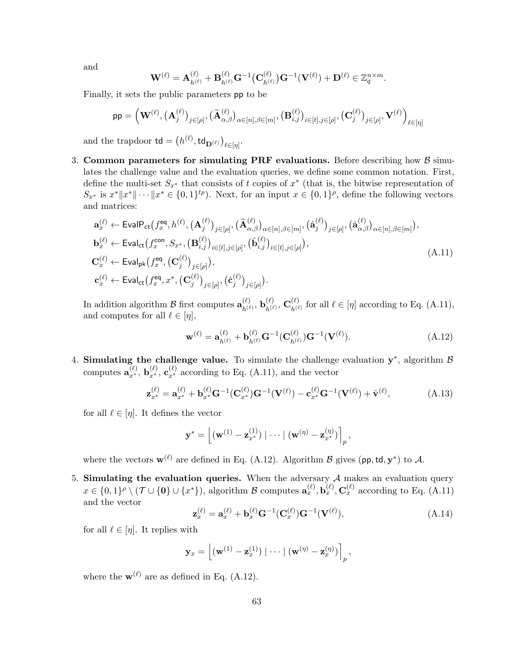and

$$
\mathbf{W}^{(\ell)} = \mathbf{A}^{(\ell)}_{h^{(\ell)}} + \mathbf{B}^{(\ell)}_{h^{(\ell)}} \mathbf{G}^{-1} \big( \mathbf{C}^{(\ell)}_{h^{(\ell)}} \big) \mathbf{G}^{-1} (\mathbf{V}^{(\ell)}) + \mathbf{D}^{(\ell)} \in \mathbb{Z}_q^{n \times m}.
$$

Finally, it sets the public parameters pp to be

$$
\mathsf{pp} = \left(\mathbf{W}^{(\ell)}, \left(\mathbf{A}^{(\ell)}_j\right)_{j \in [\rho]}, \left(\widetilde{\mathbf{A}}^{(\ell)}_{\alpha,\beta}\right)_{\alpha \in [n], \beta \in [m]}, \left(\mathbf{B}^{(\ell)}_{i,j}\right)_{i \in [t], j \in [\rho]}, \left(\mathbf{C}^{(\ell)}_j\right)_{j \in [\rho]}, \mathbf{V}^{(\ell)}\right)_{\ell \in [\eta]}
$$

and the trapdoor  $\mathsf{td} = \big( h^{(\ell)}, \mathsf{td}_{\mathbf{D}^{(\ell)}} \big)_{\ell \in [\eta]}$ .

3. Common parameters for simulating PRF evaluations. Before describing how  $\beta$  simulates the challenge value and the evaluation queries, we define some common notation. First, define the multi-set  $S_{x^*}$  that consists of t copies of  $x^*$  (that is, the bitwise representation of  $S_{x^*}$  is  $x^* \| x^* \| \cdots \| x^* \in \{0,1\}^{t\rho}$ . Next, for an input  $x \in \{0,1\}^{\rho}$ , define the following vectors and matrices:

<span id="page-62-0"></span>
$$
\mathbf{a}_{x}^{(\ell)} \leftarrow \text{EvalP}_{\text{ct}}(f_{x}^{\text{eq}}, h^{(\ell)}, (\mathbf{A}_{j}^{(\ell)})_{j \in [p]}, (\widetilde{\mathbf{A}}_{\alpha,\beta}^{(\ell)})_{\alpha \in [n], \beta \in [m]}, (\hat{\mathbf{a}}_{j}^{(\ell)})_{j \in [p]}, (\hat{\mathbf{a}}_{\alpha,\beta}^{(\ell)})_{\alpha \in [n], \beta \in [m]})
$$
\n
$$
\mathbf{b}_{x}^{(\ell)} \leftarrow \text{Eval}_{\text{ct}}(f_{x}^{\text{con}}, S_{x^{*}}, (\mathbf{B}_{i,j}^{(\ell)})_{i \in [t], j \in [p]}, (\hat{\mathbf{b}}_{i,j}^{(\ell)})_{i \in [t], j \in [p]})
$$
\n
$$
\mathbf{C}_{x}^{(\ell)} \leftarrow \text{Eval}_{\text{pk}}(f_{x}^{\text{eq}}, (\mathbf{C}_{j}^{(\ell)})_{j \in [p]})
$$
\n
$$
\mathbf{c}_{x}^{(\ell)} \leftarrow \text{Eval}_{\text{ct}}(f_{x}^{\text{eq}}, x^{*}, (\mathbf{C}_{j}^{(\ell)})_{j \in [p]}, (\hat{\mathbf{c}}_{j}^{(\ell)})_{j \in [p]})
$$
\n
$$
(A.11)
$$

In addition algorithm  $\mathcal{B}$  first computes  $\mathbf{a}_{i(\ell)}^{(\ell)}$  $_{h^{(\ell)}}^{(\ell)},\, \mathbf{b}_{h^{(\ell)}}^{(\ell)}$  $_{h^{(\ell)}}^{(\ell )},\mathbf{C}_{h^{(\ell }}^{(\ell )}$  $_{h^{(\ell)}}^{(\ell)}$  for all  $\ell \in [\eta]$  according to Eq. [\(A.11\)](#page-62-0), and computes for all  $\ell \in [\eta],$ 

<span id="page-62-3"></span><span id="page-62-1"></span>
$$
\mathbf{w}^{(\ell)} = \mathbf{a}_{h^{(\ell)}}^{(\ell)} + \mathbf{b}_{h^{(\ell)}}^{(\ell)} \mathbf{G}^{-1} (\mathbf{C}_{h^{(\ell)}}^{(\ell)}) \mathbf{G}^{-1} (\mathbf{V}^{(\ell)}).
$$
(A.12)

4. Simulating the challenge value. To simulate the challenge evaluation  $y^*$ , algorithm  $\beta$ computes  $\mathbf{a}_{x^*}^{(\ell)}$ ,  $\mathbf{b}_{x^*}^{(\ell)}$ ,  $\mathbf{c}_{x^*}^{(\ell)}$  according to Eq. [\(A.11\)](#page-62-0), and the vector

$$
\mathbf{z}_{x^*}^{(\ell)} = \mathbf{a}_{x^*}^{(\ell)} + \mathbf{b}_{x^*}^{(\ell)} \mathbf{G}^{-1} (\mathbf{C}_{x^*}^{(\ell)}) \mathbf{G}^{-1} (\mathbf{V}^{(\ell)}) - \mathbf{c}_{x^*}^{(\ell)} \mathbf{G}^{-1} (\mathbf{V}^{(\ell)}) + \hat{\mathbf{v}}^{(\ell)}, \tag{A.13}
$$

for all  $\ell \in [\eta]$ . It defines the vector

$$
\mathbf{y}^* = \left[ \left( \mathbf{w}^{(1)} - \mathbf{z}_{x^*}^{(1)} \right) \mid \cdots \mid \left( \mathbf{w}^{(\eta)} - \mathbf{z}_{x^*}^{(\eta)} \right) \right]_p,
$$

where the vectors  $\mathbf{w}^{(\ell)}$  are defined in Eq. [\(A.12\)](#page-62-1). Algorithm B gives (pp, td,  $\mathbf{y}^*$ ) to A.

5. Simulating the evaluation queries. When the adversary  $A$  makes an evaluation query  $x \in \{0,1\}^{\rho} \setminus (\mathcal{T} \cup \{\mathbf{0}\} \cup \{x^*\}),$  algorithm  $\mathcal{B}$  computes  $\mathbf{a}_x^{(\ell)}, \mathbf{b}_x^{(\ell)}, \mathbf{C}_x^{(\ell)}$  according to Eq. [\(A.11\)](#page-62-0) and the vector

<span id="page-62-2"></span>
$$
\mathbf{z}_{x}^{(\ell)} = \mathbf{a}_{x}^{(\ell)} + \mathbf{b}_{x}^{(\ell)} \mathbf{G}^{-1} (\mathbf{C}_{x}^{(\ell)}) \mathbf{G}^{-1} (\mathbf{V}^{(\ell)}), \tag{A.14}
$$

for all  $\ell \in [\eta]$ . It replies with

$$
\mathbf{y}_x = \left[ \left( \mathbf{w}^{(1)} - \mathbf{z}_x^{(1)} \right) \mid \cdots \mid \left( \mathbf{w}^{(\eta)} - \mathbf{z}_x^{(\eta)} \right) \right]_p,
$$

where the  $\mathbf{w}^{(\ell)}$  are as defined in Eq. [\(A.12\)](#page-62-1).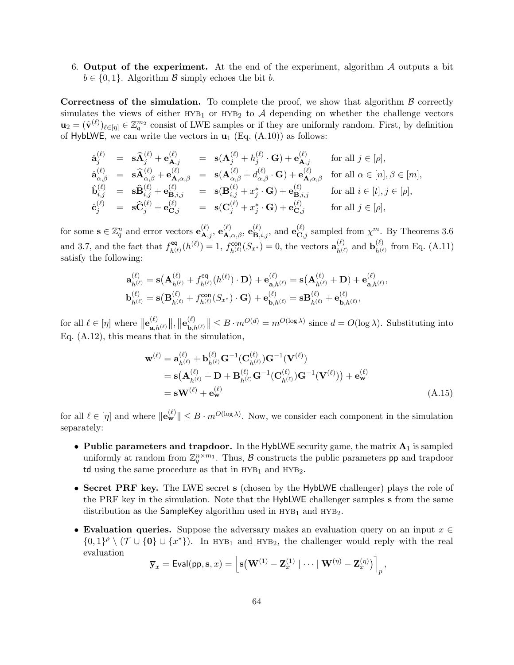<span id="page-63-0"></span>6. Output of the experiment. At the end of the experiment, algorithm  $\mathcal A$  outputs a bit  $b \in \{0, 1\}$ . Algorithm  $\beta$  simply echoes the bit b.

Correctness of the simulation. To complete the proof, we show that algorithm  $\beta$  correctly simulates the views of either  $HYB_1$  or  $HYB_2$  to A depending on whether the challenge vectors  $\mathbf{u}_2 = (\hat{\mathbf{v}}^{(\ell)})_{\ell \in [\eta]} \in \mathbb{Z}_q^{m_2}$  consist of LWE samples or if they are uniformly random. First, by definition of HybLWE, we can write the vectors in  $\mathbf{u}_1$  (Eq. [\(A.10\)](#page-61-0)) as follows:

$$
\begin{array}{rcl}\n\hat{\mathbf{a}}_{j}^{(\ell)} & = & \mathbf{s} \hat{\mathbf{A}}_{j}^{(\ell)} + \mathbf{e}_{\mathbf{A},j}^{(\ell)} & = & \mathbf{s} (\mathbf{A}_{j}^{(\ell)} + h_{j}^{(\ell)} \cdot \mathbf{G}) + \mathbf{e}_{\mathbf{A},j}^{(\ell)} & \text{for all } j \in [\rho], \\
\hat{\mathbf{a}}_{\alpha,\beta}^{(\ell)} & = & \mathbf{s} \hat{\mathbf{A}}_{\alpha,\beta}^{(\ell)} + \mathbf{e}_{\mathbf{A},\alpha,\beta}^{(\ell)} & = & \mathbf{s} (\mathbf{A}_{\alpha,\beta}^{(\ell)} + d_{\alpha,\beta}^{(\ell)} \cdot \mathbf{G}) + \mathbf{e}_{\mathbf{A},\alpha,\beta}^{(\ell)} & \text{for all } \alpha \in [n], \beta \in [m], \\
\hat{\mathbf{b}}_{i,j}^{(\ell)} & = & \mathbf{s} \hat{\mathbf{B}}_{i,j}^{(\ell)} + \mathbf{e}_{\mathbf{B},i,j}^{(\ell)} & = & \mathbf{s} (\mathbf{B}_{i,j}^{(\ell)} + x_{j}^{*} \cdot \mathbf{G}) + \mathbf{e}_{\mathbf{B},i,j}^{(\ell)} & \text{for all } i \in [t], j \in [\rho], \\
\hat{\mathbf{c}}_{j}^{(\ell)} & = & \mathbf{s} \hat{\mathbf{C}}_{j}^{(\ell)} + \mathbf{e}_{\mathbf{C},j}^{(\ell)} & = & \mathbf{s} (\mathbf{C}_{j}^{(\ell)} + x_{j}^{*} \cdot \mathbf{G}) + \mathbf{e}_{\mathbf{C},j}^{(\ell)} & \text{for all } j \in [\rho],\n\end{array}
$$

for some  $\mathbf{s} \in \mathbb{Z}_q^n$  and error vectors  $\mathbf{e}_{\mathbf{A},j}^{(\ell)}$ ,  $\mathbf{e}_{\mathbf{A},\alpha,\beta}^{(\ell)}$ ,  $\mathbf{e}_{\mathbf{B},i,j}^{(\ell)}$ , and  $\mathbf{e}_{\mathbf{C},j}^{(\ell)}$  sampled from  $\chi^m$ . By Theorems [3.6](#page-17-0) and [3.7,](#page-17-1) and the fact that  $f_{\mu}^{\text{eq}}$  $h^{(e)}_{h^{(\ell)}}(h^{(\ell)}) = 1, f^{\text{con}}_{h^{(\ell)}}(S_{x^*}) = 0$ , the vectors  $\mathbf{a}^{(\ell)}_{h^{(\ell)}}$  and  $\mathbf{b}^{(\ell)}_{h^{(\ell)}}$  $_{h^{(\ell)}}^{(\ell)}$  from Eq. [\(A.11\)](#page-62-0) satisfy the following:

$$
\begin{aligned} \mathbf{a}_{h^{(\ell)}}^{(\ell)} = \mathbf{s} \big( \mathbf{A}_{h^{(\ell)}}^{(\ell)} + f_{h^{(\ell)}}^{\texttt{eq}}(h^{(\ell)}) \cdot \mathbf{D} \big) + \mathbf{e}_{\mathbf{a},h^{(\ell)}}^{(\ell)} = \mathbf{s} \big( \mathbf{A}_{h^{(\ell)}}^{(\ell)} + \mathbf{D} \big) + \mathbf{e}_{\mathbf{a},h^{(\ell)}}^{(\ell)},\\ \mathbf{b}_{h^{(\ell)}}^{(\ell)} = \mathbf{s} \big( \mathbf{B}_{h^{(\ell)}}^{(\ell)} + f_{h^{(\ell)}}^{\texttt{con}}(S_{x^*}) \cdot \mathbf{G} \big) + \mathbf{e}_{\mathbf{b},h^{(\ell)}}^{(\ell)} = \mathbf{s} \mathbf{B}_{h^{(\ell)}}^{(\ell)} + \mathbf{e}_{\mathbf{b},h^{(\ell)}}^{(\ell)}, \end{aligned}
$$

for all  $\ell \in [\eta]$  where  $\left\| \mathbf{e}_{\mathbf{a},l}^{(\ell)} \right\|$  $\begin{array}{l} (\ell)\ \textbf{a},h^{(\ell)}\end{array}\bigr\Vert,\bigr\Vert\mathbf{e}_{\mathbf{b},l}^{(\ell)}$  $\|\mathcal{L}_{\mathbf{b},h^{(\ell)}}^{(\ell)}\| \leq B \cdot m^{O(d)} = m^{O(\log \lambda)}$  since  $d = O(\log \lambda)$ . Substituting into Eq. [\(A.12\)](#page-62-1), this means that in the simulation,

$$
\mathbf{w}^{(\ell)} = \mathbf{a}_{h^{(\ell)}}^{(\ell)} + \mathbf{b}_{h^{(\ell)}}^{(\ell)} \mathbf{G}^{-1}(\mathbf{C}_{h^{(\ell)}}^{(\ell)}) \mathbf{G}^{-1}(\mathbf{V}^{(\ell)}) \n= \mathbf{s}(\mathbf{A}_{h^{(\ell)}}^{(\ell)} + \mathbf{D} + \mathbf{B}_{h^{(\ell)}}^{(\ell)} \mathbf{G}^{-1}(\mathbf{C}_{h^{(\ell)}}^{(\ell)}) \mathbf{G}^{-1}(\mathbf{V}^{(\ell)})) + \mathbf{e}_{\mathbf{w}}^{(\ell)} \n= \mathbf{s} \mathbf{W}^{(\ell)} + \mathbf{e}_{\mathbf{w}}^{(\ell)}
$$
\n(A.15)

for all  $\ell \in [\eta]$  and where  $\|\mathbf{e}_{\mathbf{w}}^{(\ell)}\| \leq B \cdot m^{O(\log \lambda)}$ . Now, we consider each component in the simulation separately:

- Public parameters and trapdoor. In the HybLWE security game, the matrix  $A_1$  is sampled uniformly at random from  $\mathbb{Z}_q^{n \times m_1}$ . Thus,  $\beta$  constructs the public parameters pp and trapdoor td using the same procedure as that in  $HYB<sub>1</sub>$  and  $HYB<sub>2</sub>$ .
- Secret PRF key. The LWE secret s (chosen by the HybLWE challenger) plays the role of the PRF key in the simulation. Note that the HybLWE challenger samples s from the same distribution as the SampleKey algorithm used in  $HYB_1$  and  $HYB_2$ .
- Evaluation queries. Suppose the adversary makes an evaluation query on an input  $x \in$  $\{0,1\}^{\rho} \setminus (\mathcal{T} \cup \{0\} \cup \{x^*\}).$  In HYB<sub>1</sub> and HYB<sub>2</sub>, the challenger would reply with the real evaluation

$$
\overline{\mathbf{y}}_x = \text{Eval}(pp, \mathbf{s}, x) = \left[ \mathbf{s} \big( \mathbf{W}^{(1)} - \mathbf{Z}_x^{(1)} \mid \cdots \mid \mathbf{W}^{(\eta)} - \mathbf{Z}_x^{(\eta)} \big) \right]_p,
$$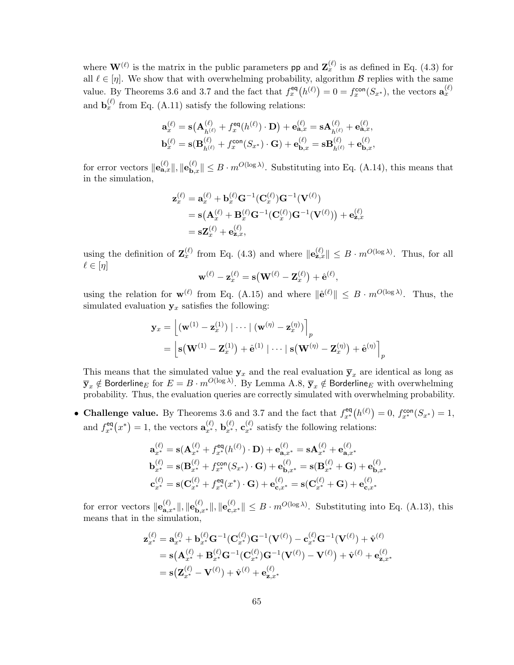where  $\mathbf{W}^{(\ell)}$  is the matrix in the public parameters pp and  $\mathbf{Z}_{x}^{(\ell)}$  is as defined in Eq. [\(4.3\)](#page-26-2) for all  $\ell \in [\eta]$ . We show that with overwhelming probability, algorithm B replies with the same value. By Theorems [3.6](#page-17-0) and [3.7](#page-17-1) and the fact that  $f_x^{\text{eq}}(h^{(\ell)}) = 0 = f_x^{\text{con}}(S_{x^*})$ , the vectors  $\mathbf{a}_x^{(\ell)}$ and  $\mathbf{b}_x^{(\ell)}$  from Eq. [\(A.11\)](#page-62-0) satisfy the following relations:

$$
\begin{array}{l} \mathbf{a}^{(\ell)}_x = \mathbf{s} \big( \mathbf{A}^{(\ell)}_{h^{(\ell)}} + f^{\sf eq}_x(h^{(\ell)})\cdot \mathbf{D} \big) + \mathbf{e}^{(\ell)}_{\mathbf{a},x} = \mathbf{s} \mathbf{A}^{(\ell)}_{h^{(\ell)}} + \mathbf{e}^{(\ell)}_{\mathbf{a},x},\\ \mathbf{b}^{(\ell)}_x = \mathbf{s} \big( \mathbf{B}^{(\ell)}_{h^{(\ell)}} + f^{\sf con}_x(S_{x^*})\cdot \mathbf{G} \big) + \mathbf{e}^{(\ell)}_{\mathbf{b},x} = \mathbf{s} \mathbf{B}^{(\ell)}_{h^{(\ell)}} + \mathbf{e}^{(\ell)}_{\mathbf{b},x}, \end{array}
$$

for error vectors  $\|\mathbf{e}^{(\ell)}_{\mathbf{a},x}\|, \|\mathbf{e}^{(\ell)}_{\mathbf{b},x}$  $\mathcal{L}_{\mathbf{b},x}^{(\ell)} \| \leq B \cdot m^{O(\log \lambda)}$ . Substituting into Eq. [\(A.14\)](#page-62-2), this means that in the simulation,

$$
\begin{aligned} \mathbf{z}_x^{(\ell)} &= \mathbf{a}_x^{(\ell)} + \mathbf{b}_x^{(\ell)} \mathbf{G}^{-1} (\mathbf{C}_x^{(\ell)}) \mathbf{G}^{-1} (\mathbf{V}^{(\ell)}) \\ &= \mathbf{s} \big( \mathbf{A}_x^{(\ell)} + \mathbf{B}_x^{(\ell)} \mathbf{G}^{-1} (\mathbf{C}_x^{(\ell)}) \mathbf{G}^{-1} (\mathbf{V}^{(\ell)}) \big) + \mathbf{e}_{\mathbf{z},x}^{(\ell)} \\ &= \mathbf{s} \mathbf{Z}_x^{(\ell)} + \mathbf{e}_{\mathbf{z},x}^{(\ell)}, \end{aligned}
$$

using the definition of  $\mathbf{Z}_{x}^{(\ell)}$  from Eq. [\(4.3\)](#page-26-2) and where  $\|\mathbf{e}_{\mathbf{z},x}^{(\ell)}\| \leq B \cdot m^{O(\log \lambda)}$ . Thus, for all  $\ell \in [\eta]$ 

$$
\mathbf{w}^{(\ell)}-\mathbf{z}^{(\ell)}_x=\mathbf{s}\big(\mathbf{W}^{(\ell)}-\mathbf{Z}^{(\ell)}_x\big)+\hat{\mathbf{e}}^{(\ell)},
$$

using the relation for  $\mathbf{w}^{(\ell)}$  from Eq. [\(A.15\)](#page-63-0) and where  $\|\hat{\mathbf{e}}^{(\ell)}\| \leq B \cdot m^{O(\log \lambda)}$ . Thus, the simulated evaluation  $y_x$  satisfies the following:

$$
\mathbf{y}_x = \left[ (\mathbf{w}^{(1)} - \mathbf{z}_x^{(1)}) \mid \cdots \mid (\mathbf{w}^{(\eta)} - \mathbf{z}_x^{(\eta)}) \right]_p
$$
  
= 
$$
\left[ \mathbf{s} (\mathbf{W}^{(1)} - \mathbf{Z}_x^{(1)}) + \hat{\mathbf{e}}^{(1)} \mid \cdots \mid \mathbf{s} (\mathbf{W}^{(\eta)} - \mathbf{Z}_x^{(\eta)}) + \hat{\mathbf{e}}^{(\eta)} \right]_p
$$

This means that the simulated value  $y_x$  and the real evaluation  $\overline{y}_x$  are identical as long as  $\overline{\mathbf{y}}_x\notin$  Borderline $_E$  for  $E=B\cdot m^{O(\log \lambda)}.$  By Lemma [A.8,](#page-47-0)  $\overline{\mathbf{y}}_x\notin$  Borderline $_E$  with overwhelming probability. Thus, the evaluation queries are correctly simulated with overwhelming probability.

• Challenge value. By Theorems [3.6](#page-17-0) and [3.7](#page-17-1) and the fact that  $f_{x^*}^{eq}(h^{(\ell)}) = 0$ ,  $f_{x^*}^{con}(S_{x^*}) = 1$ , and  $f_{x^*}^{\text{eq}}(x^*) = 1$ , the vectors  $\mathbf{a}_{x^*}^{(\ell)}, \mathbf{b}_{x^*}^{(\ell)}, \mathbf{c}_{x^*}^{(\ell)}$  satisfy the following relations:

$$
\begin{aligned} \mathbf{a}^{(\ell)}_{x^*} &= \mathbf{s} (\mathbf{A}^{(\ell)}_{x^*} + f^{\text{eq}}_{x^*} (h^{(\ell)}) \cdot \mathbf{D}) + \mathbf{e}^{(\ell)}_{\mathbf{a},x^*} = \mathbf{s} \mathbf{A}^{(\ell)}_{x^*} + \mathbf{e}^{(\ell)}_{\mathbf{a},x^*} \\ \mathbf{b}^{(\ell)}_{x^*} &= \mathbf{s} (\mathbf{B}^{(\ell)}_{x^*} + f^{\text{con}}_{x^*} (S_{x^*}) \cdot \mathbf{G}) + \mathbf{e}^{(\ell)}_{\mathbf{b},x^*} = \mathbf{s} (\mathbf{B}^{(\ell)}_{x^*} + \mathbf{G}) + \mathbf{e}^{(\ell)}_{\mathbf{b},x^*} \\ \mathbf{c}^{(\ell)}_{x^*} &= \mathbf{s} (\mathbf{C}^{(\ell)}_{x^*} + f^{\text{eq}}_{x^*} (x^*) \cdot \mathbf{G}) + \mathbf{e}^{(\ell)}_{\mathbf{c},x^*} = \mathbf{s} (\mathbf{C}^{(\ell)}_{x^*} + \mathbf{G}) + \mathbf{e}^{(\ell)}_{\mathbf{c},x^*} \end{aligned}
$$

for error vectors  $\|\mathbf{e}^{(\ell)}_{\mathbf{a},x^*}\|, \|\mathbf{e}^{(\ell)}_{\mathbf{b},x^*}\|, \|\mathbf{e}^{(\ell)}_{\mathbf{c},x^*}\| \leq B \cdot m^{O(\log \lambda)}$ . Substituting into Eq. [\(A.13\)](#page-62-3), this means that in the simulation,

$$
\begin{aligned} \mathbf{z}_{x^*}^{(\ell)} &= \mathbf{a}_{x^*}^{(\ell)} + \mathbf{b}_{x^*}^{(\ell)} \mathbf{G}^{-1} (\mathbf{C}_{x^*}^{(\ell)}) \mathbf{G}^{-1} (\mathbf{V}^{(\ell)}) - \mathbf{c}_{x^*}^{(\ell)} \mathbf{G}^{-1} (\mathbf{V}^{(\ell)}) + \hat{\mathbf{v}}^{(\ell)} \\ &= \mathbf{s} \big( \mathbf{A}_{x^*}^{(\ell)} + \mathbf{B}_{x^*}^{(\ell)} \mathbf{G}^{-1} (\mathbf{C}_{x^*}^{(\ell)}) \mathbf{G}^{-1} (\mathbf{V}^{(\ell)}) - \mathbf{V}^{(\ell)} \big) + \hat{\mathbf{v}}^{(\ell)} + \mathbf{e}_{\mathbf{z},x^*}^{(\ell)} \\ &= \mathbf{s} \big( \mathbf{Z}_{x^*}^{(\ell)} - \mathbf{V}^{(\ell)} \big) + \hat{\mathbf{v}}^{(\ell)} + \mathbf{e}_{\mathbf{z},x^*}^{(\ell)} \end{aligned}
$$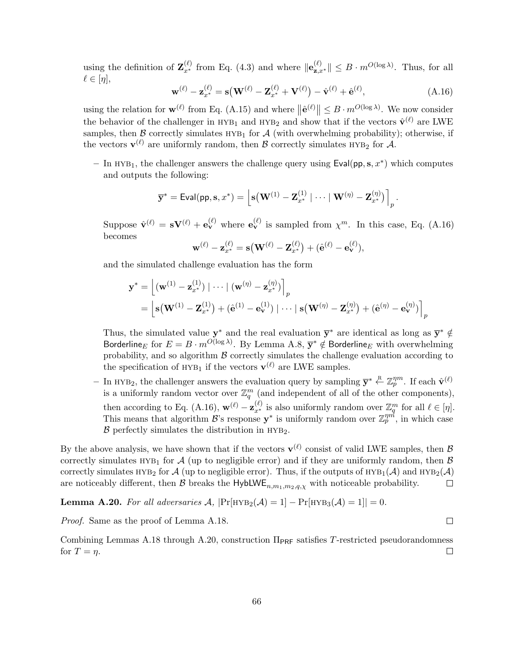<span id="page-65-0"></span>using the definition of  $\mathbf{Z}_{x^*}^{(\ell)}$  from Eq. [\(4.3\)](#page-26-2) and where  $\|\mathbf{e}_{\mathbf{z},x^*}^{(\ell)}\| \leq B \cdot m^{O(\log \lambda)}$ . Thus, for all  $\ell \in [\eta],$ 

$$
\mathbf{w}^{(\ell)} - \mathbf{z}_{x^*}^{(\ell)} = \mathbf{s} \big( \mathbf{W}^{(\ell)} - \mathbf{Z}_{x^*}^{(\ell)} + \mathbf{V}^{(\ell)} \big) - \hat{\mathbf{v}}^{(\ell)} + \hat{\mathbf{e}}^{(\ell)}, \tag{A.16}
$$

using the relation for  $\mathbf{w}^{(\ell)}$  from Eq. [\(A.15\)](#page-63-0) and where  $\|\hat{\mathbf{e}}^{(\ell)}\| \leq B \cdot m^{O(\log \lambda)}$ . We now consider the behavior of the challenger in  $HYB_1$  and  $HYB_2$  and show that if the vectors  $\hat{\mathbf{v}}^{(\ell)}$  are LWE samples, then  $\beta$  correctly simulates HYB<sub>1</sub> for  $\mathcal A$  (with overwhelming probability); otherwise, if the vectors  $\mathbf{v}^{(\ell)}$  are uniformly random, then  $\mathcal B$  correctly simulates HYB<sub>2</sub> for  $\mathcal A$ .

– In HYB<sub>1</sub>, the challenger answers the challenge query using  $\textsf{Eval}(pp, s, x^*)$  which computes and outputs the following:

$$
\overline{\mathbf{y}}^* = \text{Eval}(\text{pp}, \mathbf{s}, x^*) = \left[ \mathbf{s} \big( \mathbf{W}^{(1)} - \mathbf{Z}_{x^*}^{(1)} \mid \cdots \mid \mathbf{W}^{(\eta)} - \mathbf{Z}_{x^*}^{(\eta)} \big) \right]_p.
$$

Suppose  $\hat{\mathbf{v}}^{(\ell)} = \mathbf{s} \mathbf{V}^{(\ell)} + \mathbf{e}_{\mathbf{v}}^{(\ell)}$  where  $\mathbf{e}_{\mathbf{v}}^{(\ell)}$  is sampled from  $\chi^m$ . In this case, Eq. [\(A.16\)](#page-65-0) becomes

$$
\mathbf{w}^{(\ell)} - \mathbf{z}_{x^*}^{(\ell)} = \mathbf{s}(\mathbf{W}^{(\ell)} - \mathbf{Z}_{x^*}^{(\ell)}) + (\hat{\mathbf{e}}^{(\ell)} - \mathbf{e}_{\mathbf{v}}^{(\ell)}),
$$

and the simulated challenge evaluation has the form

$$
\mathbf{y}^* = \left[ (\mathbf{w}^{(1)} - \mathbf{z}_{x^*}^{(1)}) \mid \cdots \mid (\mathbf{w}^{(\eta)} - \mathbf{z}_{x^*}^{(\eta)}) \right]_p
$$
  
=  $\left[ \mathbf{s} (\mathbf{W}^{(1)} - \mathbf{Z}_{x^*}^{(1)}) + (\hat{\mathbf{e}}^{(1)} - \mathbf{e}_{\mathbf{v}}^{(1)}) \mid \cdots \mid \mathbf{s} (\mathbf{W}^{(\eta)} - \mathbf{Z}_{x^*}^{(\eta)}) + (\hat{\mathbf{e}}^{(\eta)} - \mathbf{e}_{\mathbf{v}}^{(\eta)}) \right]_p$ 

Thus, the simulated value  $y^*$  and the real evaluation  $\bar{y}^*$  are identical as long as  $\bar{y}^* \notin$ Borderline<sub>E</sub> for  $E = B \cdot m^{O(\log \lambda)}$ . By Lemma [A.8,](#page-47-0)  $\bar{y}^* \notin$  Borderline<sub>E</sub> with overwhelming probability, and so algorithm  $\beta$  correctly simulates the challenge evaluation according to the specification of  $HYB_1$  if the vectors  $\mathbf{v}^{(\ell)}$  are LWE samples.

− In HYB<sub>2</sub>, the challenger answers the evaluation query by sampling  $\bar{y}^* \stackrel{R}{\leftarrow} \mathbb{Z}_p^{\eta m}$ . If each  $\hat{v}^{(\ell)}$ is a uniformly random vector over  $\mathbb{Z}_q^m$  (and independent of all of the other components), then according to Eq. [\(A.16\)](#page-65-0),  $\mathbf{w}^{(\ell)} - \mathbf{z}_{x^*}^{(\ell)}$  is also uniformly random over  $\mathbb{Z}_q^m$  for all  $\ell \in [\eta]$ . This means that algorithm  $\mathcal{B}$ 's response  $\mathbf{y}^*$  is uniformly random over  $\mathbb{Z}_p^{m}$ , in which case  $\beta$  perfectly simulates the distribution in HYB<sub>2</sub>.

By the above analysis, we have shown that if the vectors  $\mathbf{v}^{(\ell)}$  consist of valid LWE samples, then  $\mathcal{B}$ correctly simulates  $HYB_1$  for A (up to negligible error) and if they are uniformly random, then B correctly simulates HYB<sub>2</sub> for A (up to negligible error). Thus, if the outputs of HYB<sub>1</sub>(A) and HYB<sub>2</sub>(A) are noticeably different, then B breaks the  $HyblWE_{n,m_1,m_2,q,\chi}$  with noticeable probability.  $\Box$ 

<span id="page-65-1"></span>**Lemma A.20.** For all adversaries  $\mathcal{A}$ ,  $\Pr[\text{HYB}_2(\mathcal{A}) = 1] - \Pr[\text{HYB}_3(\mathcal{A}) = 1]| = 0$ .

Proof. Same as the proof of Lemma [A.18.](#page-60-0)

Combining Lemmas [A.18](#page-60-0) through [A.20,](#page-65-1) construction  $\Pi_{\text{PRF}}$  satisfies T-restricted pseudorandomness for  $T = \eta$ .  $\Box$ 

 $\Box$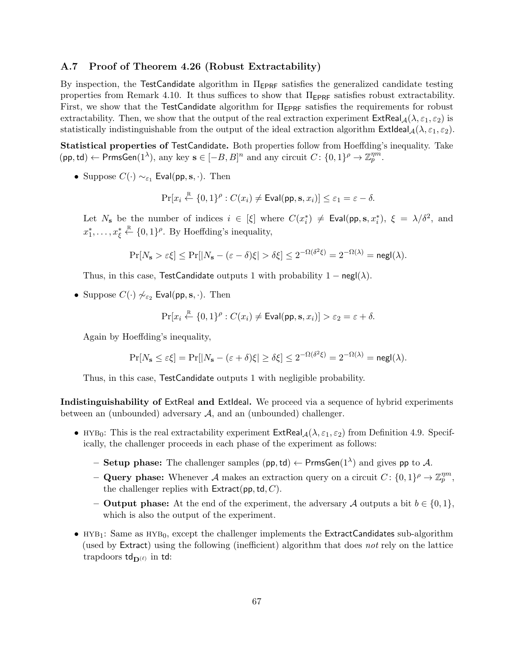## A.7 Proof of Theorem [4.26](#page-28-2) (Robust Extractability)

By inspection, the TestCandidate algorithm in  $\Pi_{\text{EPRF}}$  satisfies the generalized candidate testing properties from Remark [4.10.](#page-21-1) It thus suffices to show that  $\Pi_{\text{EPRF}}$  satisfies robust extractability. First, we show that the TestCandidate algorithm for ΠEPRF satisfies the requirements for robust extractability. Then, we show that the output of the real extraction experiment  $ExtReal_{\mathcal{A}}(\lambda, \varepsilon_1, \varepsilon_2)$  is statistically indistinguishable from the output of the ideal extraction algorithm Ext $\text{Ideal}_{\mathcal{A}}(\lambda, \varepsilon_1, \varepsilon_2)$ .

Statistical properties of TestCandidate. Both properties follow from Hoeffding's inequality. Take  $(p, td) \leftarrow \textsf{PrmsGen}(1^{\lambda}), \text{ any key } s \in [-B, B]^n \text{ and any circuit } C: \{0, 1\}^{\rho} \to \mathbb{Z}_p^{nm}.$ 

• Suppose  $C(\cdot) \sim_{\varepsilon_1}$  Eval(pp, s,  $\cdot$ ). Then

 $Pr[x_i \stackrel{\text{R}}{\leftarrow} \{0,1\}^{\rho}: C(x_i) \neq \textsf{Eval}(\textsf{pp}, \textbf{s}, x_i)] \leq \varepsilon_1 = \varepsilon - \delta.$ 

Let  $N_s$  be the number of indices  $i \in [\xi]$  where  $C(x_i^*) \neq \text{Eval(pp}, s, x_i^*)$ ,  $\xi = \lambda/\delta^2$ , and  $x_1^*, \ldots, x_{\xi}^* \stackrel{\text{R}}{\leftarrow} \{0,1\}^{\rho}$ . By Hoeffding's inequality,

$$
\Pr[N_{\mathbf{s}} > \varepsilon \xi] \le \Pr[|N_{\mathbf{s}} - (\varepsilon - \delta)\xi| > \delta \xi] \le 2^{-\Omega(\delta^2 \xi)} = 2^{-\Omega(\lambda)} = {\mathsf{negl}}(\lambda).
$$

Thus, in this case, TestCandidate outputs 1 with probability  $1 - \text{negl}(\lambda)$ .

• Suppose  $C(\cdot) \not\sim_{\varepsilon_2}$  Eval(pp, s,  $\cdot$ ). Then

$$
\Pr[x_i \stackrel{\text{R}}{\leftarrow} \{0,1\}^{\rho} : C(x_i) \neq \text{Eval}(\text{pp}, \mathbf{s}, x_i)] > \varepsilon_2 = \varepsilon + \delta.
$$

Again by Hoeffding's inequality,

$$
\Pr[N_{\mathbf{s}} \leq \varepsilon \xi] = \Pr[|N_{\mathbf{s}} - (\varepsilon + \delta) \xi| \geq \delta \xi] \leq 2^{-\Omega(\delta^2 \xi)} = 2^{-\Omega(\lambda)} = \mathsf{negl}(\lambda).
$$

Thus, in this case, TestCandidate outputs 1 with negligible probability.

Indistinguishability of ExtReal and ExtIdeal. We proceed via a sequence of hybrid experiments between an (unbounded) adversary  $A$ , and an (unbounded) challenger.

- HYB<sub>0</sub>: This is the real extractability experiment  $\textsf{ExtReal}_{\mathcal{A}}(\lambda, \varepsilon_1, \varepsilon_2)$  from Definition [4.9.](#page-20-1) Specifically, the challenger proceeds in each phase of the experiment as follows:
	- Setup phase: The challenger samples  $(pp, td) \leftarrow PrmsGen(1^{\lambda})$  and gives pp to A.
	- Query phase: Whenever A makes an extraction query on a circuit  $C: \{0,1\}^{\rho} \to \mathbb{Z}_p^{nm}$ , the challenger replies with  $Extract(pp,td, C)$ .
	- **Output phase:** At the end of the experiment, the adversary A outputs a bit  $b \in \{0, 1\}$ , which is also the output of the experiment.
- $HYB_1$ : Same as  $HYB_0$ , except the challenger implements the ExtractCandidates sub-algorithm (used by Extract) using the following (inefficient) algorithm that does not rely on the lattice trapdoors  $\mathsf{td}_{\mathbf{D}^{(\ell)}}$  in td: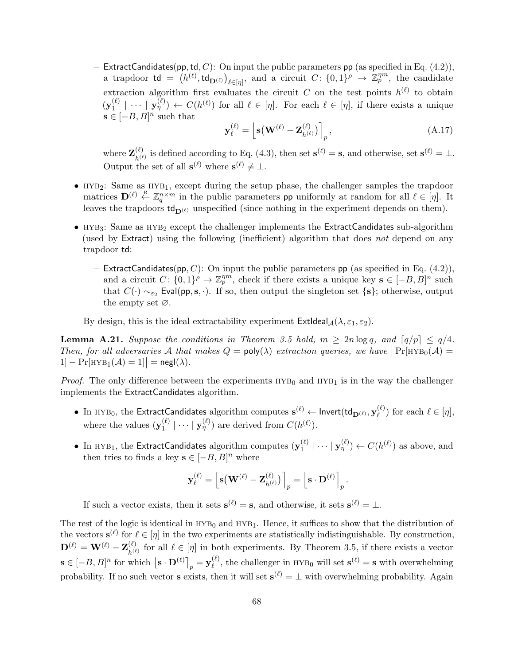- ExtractCandidates(pp, td, C): On input the public parameters pp (as specified in Eq.  $(4.2)$ ), a trapdoor  $\mathsf{td} = \left(h^{(\ell)}, \mathsf{td}_{\mathbf{D}^{(\ell)}}\right)_{\ell \in [\eta]},$  and a circuit  $C \colon \{0,1\}^{\rho} \to \mathbb{Z}_p^{nm}$ , the candidate extraction algorithm first evaluates the circuit C on the test points  $h^{(\ell)}$  to obtain  $(\mathbf{y}^{(\ell)}_1$  $\binom{\ell}{1}$   $\cdots$   $\mathbf{y}_{\eta}^{(\ell)}$   $\leftarrow$   $C(h^{(\ell)})$  for all  $\ell \in [\eta]$ . For each  $\ell \in [\eta]$ , if there exists a unique  $\mathbf{s} \in [-B, B]^n$  such that

$$
\mathbf{y}_{\ell}^{(\ell)} = \left[ \mathbf{s} \big( \mathbf{W}^{(\ell)} - \mathbf{Z}_{h^{(\ell)}}^{(\ell)} \big) \right]_{p}, \tag{A.17}
$$

where  $\mathbf{Z}_{h(\ell)}^{(\ell)}$  $\mathbf{E}_{h^{(\ell)}}^{(\ell)}$  is defined according to Eq. [\(4.3\)](#page-26-2), then set  $\mathbf{s}^{(\ell)} = \mathbf{s}$ , and otherwise, set  $\mathbf{s}^{(\ell)} = \perp$ . Output the set of all  $\mathbf{s}^{(\ell)}$  where  $\mathbf{s}^{(\ell)} \neq \bot$ .

- HYB<sub>2</sub>: Same as HYB<sub>1</sub>, except during the setup phase, the challenger samples the trapdoor matrices  $\mathbf{D}^{(\ell)} \stackrel{\text{R}}{\leftarrow} \mathbb{Z}_q^{n \times m}$  in the public parameters pp uniformly at random for all  $\ell \in [\eta]$ . It leaves the trapdoors  $\mathsf{td}_{\mathbf{D}(\ell)}$  unspecified (since nothing in the experiment depends on them).
- HYB<sub>3</sub>: Same as HYB<sub>2</sub> except the challenger implements the ExtractCandidates sub-algorithm (used by Extract) using the following (inefficient) algorithm that does not depend on any trapdoor td:
	- ExtractCandidates(pp, C): On input the public parameters pp (as specified in Eq.  $(4.2)$ ), and a circuit  $C: \{0,1\}^{\rho} \to \mathbb{Z}_p^{nm}$ , check if there exists a unique key  $s \in [-B, B]^n$  such that  $C(\cdot) \sim_{\varepsilon_2}$  Eval(pp, s,  $\cdot$ ). If so, then output the singleton set {s}; otherwise, output the empty set  $\varnothing.$

By design, this is the ideal extractability experiment  $\mathsf{ExtIdeal}_{\mathcal{A}}(\lambda, \varepsilon_1, \varepsilon_2)$ .

<span id="page-67-0"></span>**Lemma A.21.** Suppose the conditions in Theorem [3.5](#page-16-0) hold,  $m \geq 2n \log q$ , and  $\lceil q/p \rceil \leq q/4$ . Then, for all adversaries A that makes  $Q = \text{poly}(\lambda)$  extraction queries, we have  $\Pr[\text{HYB}_0(\mathcal{A})] =$  $1] - Pr[HYB_1(\mathcal{A}) = 1]| = \mathsf{negl}(\lambda).$ 

*Proof.* The only difference between the experiments  $HYB_0$  and  $HYB_1$  is in the way the challenger implements the ExtractCandidates algorithm.

- In <code>HYB</code>0, the <code>ExtractCandidates</code> algorithm computes  $\mathbf{s}^{(\ell)} \leftarrow$  <code>Invert(td $_{\mathbf{D}^{(\ell)}}, \mathbf{y}_{\ell}^{(\ell)}$ </code>  $\ell^{\ell}$ ) for each  $\ell \in [\eta],$ where the values  $(\mathbf{y}_1^{(\ell)})$  $\mathbf{I}^{(\ell)}_1 | \cdots | \mathbf{y}_\eta^{(\ell)}$  are derived from  $C(h^{(\ell)}).$
- $\bullet \,$  In HYB $_1,$  the ExtractCandidates algorithm computes  $({\bf y}^{(\ell)}_1)$  $\binom{\ell}{1} \mid \cdots \mid \mathbf{y}_{\eta}^{(\ell)}$   $\in C(h^{(\ell)})$  as above, and then tries to finds a key  $s \in [-B, B]^n$  where

$$
\mathbf{y}_{\ell}^{(\ell)} = \left[ \mathbf{s} \big( \mathbf{W}^{(\ell)} - \mathbf{Z}_{h^{(\ell)}}^{(\ell)} \big) \right]_p = \left[ \mathbf{s} \cdot \mathbf{D}^{(\ell)} \right]_p.
$$

If such a vector exists, then it sets  $\mathbf{s}^{(\ell)} = \mathbf{s}$ , and otherwise, it sets  $\mathbf{s}^{(\ell)} = \perp$ .

The rest of the logic is identical in  $HYB_0$  and  $HYB_1$ . Hence, it suffices to show that the distribution of the vectors  $\mathbf{s}^{(\ell)}$  for  $\ell \in [\eta]$  in the two experiments are statistically indistinguishable. By construction,  $\mathbf{D}^{(\ell)} = \mathbf{W}^{(\ell)} - \mathbf{Z}_{\scriptscriptstyle\mathrm{L}(\ell)}^{(\ell)}$  $h^{(\ell)}_{h^{(\ell)}}$  for all  $\ell \in [\eta]$  in both experiments. By Theorem [3.5,](#page-16-0) if there exists a vector  $\mathbf{s} \in [-B, B]^n$  for which  $\left[\mathbf{s} \cdot \mathbf{D}^{(\ell)}\right]_p = \mathbf{y}_{\ell}^{(\ell)}$  $\mathbf{g}^{(\ell)}$ , the challenger in HYB<sub>0</sub> will set  $\mathbf{s}^{(\ell)} = \mathbf{s}$  with overwhelming probability. If no such vector s exists, then it will set  $s^{(\ell)} = \bot$  with overwhelming probability. Again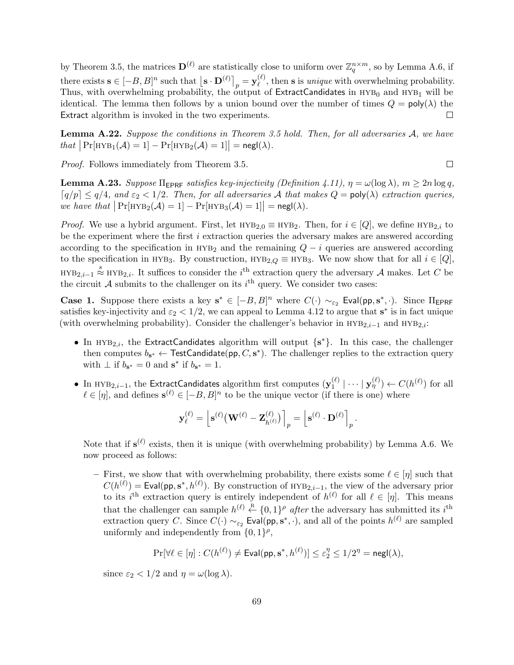by Theorem [3.5,](#page-16-0) the matrices  $\mathbf{D}^{(\ell)}$  are statistically close to uniform over  $\mathbb{Z}_q^{n \times m}$ , so by Lemma [A.6,](#page-47-1) if there exists  $\mathbf{s} \in [-B, B]^n$  such that  $\left[\mathbf{s} \cdot \mathbf{D}^{(\ell)}\right]_p = \mathbf{y}_{\ell}^{(\ell)}$  $\binom{c}{\ell}$ , then **s** is *unique* with overwhelming probability. Thus, with overwhelming probability, the output of ExtractCandidates in  $HYB_0$  and  $HYB_1$  will be identical. The lemma then follows by a union bound over the number of times  $Q = poly(\lambda)$  the Extract algorithm is invoked in the two experiments.

**Lemma A.22.** Suppose the conditions in Theorem [3.5](#page-16-0) hold. Then, for all adversaries  $A$ , we have that  $|\Pr[\text{HYB}_1(\mathcal{A})=1]-\Pr[\text{HYB}_2(\mathcal{A})=1]|=\mathsf{negl}(\lambda)$ .

Proof. Follows immediately from Theorem [3.5.](#page-16-0)

<span id="page-68-0"></span>**Lemma A.23.** Suppose  $\Pi_{\text{EPRF}}$  satisfies key-injectivity (Definition [4.11\)](#page-21-0),  $\eta = \omega(\log \lambda)$ ,  $m \geq 2n \log q$ ,  $\lceil q/p \rceil \leq q/4$ , and  $\varepsilon_2 < 1/2$ . Then, for all adversaries A that makes  $Q = \text{poly}(\lambda)$  extraction queries, we have that  $|\Pr[\text{HYB}_2(\mathcal{A})=1]-\Pr[\text{HYB}_3(\mathcal{A})=1]|=\mathsf{negl}(\lambda)$ .

*Proof.* We use a hybrid argument. First, let  $HYB_{2,0} \equiv HYB_2$ . Then, for  $i \in [Q]$ , we define  $HYB_{2,i}$  to be the experiment where the first  $i$  extraction queries the adversary makes are answered according according to the specification in  $HY_{B2}$  and the remaining  $Q - i$  queries are answered according to the specification in HYB<sub>3</sub>. By construction, HYB<sub>2,Q</sub> ≡ HYB<sub>3</sub>. We now show that for all  $i \in [Q]$ ,  $HYB_{2,i-1} \stackrel{s}{\approx} HYB_{2,i}$ . It suffices to consider the i<sup>th</sup> extraction query the adversary A makes. Let C be the circuit A submits to the challenger on its  $i<sup>th</sup>$  query. We consider two cases:

Case 1. Suppose there exists a key  $s^* \in [-B, B]^n$  where  $C(\cdot) \sim_{\varepsilon_2}$  Eval(pp,  $s^*, \cdot$ ). Since  $\Pi_{\text{EPRF}}$ satisfies key-injectivity and  $\varepsilon_2 < 1/2$ , we can appeal to Lemma [4.12](#page-22-0) to argue that  $s^*$  is in fact unique (with overwhelming probability). Consider the challenger's behavior in  $HYB_{2,i-1}$  and  $HYB_{2,i}$ :

- In  $HVB_{2,i}$ , the ExtractCandidates algorithm will output  $\{s^*\}$ . In this case, the challenger then computes  $b_{s^*} \leftarrow$  TestCandidate(pp, C, s<sup>\*</sup>). The challenger replies to the extraction query with  $\perp$  if  $b_{s^*} = 0$  and  $s^*$  if  $b_{s^*} = 1$ .
- In <code>HYB</code>2, $i-1$ , the <code>ExtractCandidates</code> algorithm first computes  $(\mathbf{y}_1^{(\ell)})$  $\binom{\ell}{1} \mid \cdots \mid \mathbf{y}_{\eta}^{(\ell)}$   $\in C(h^{(\ell)})$  for all  $\ell \in [\eta],$  and defines  $\mathbf{s}^{(\ell)} \in [-B, B]^n$  to be the unique vector (if there is one) where

$$
\mathbf{y}_{\ell}^{(\ell)} = \left[\mathbf{s}^{(\ell)}\big(\mathbf{W}^{(\ell)} - \mathbf{Z}^{(\ell)}_{h^{(\ell)}}\big)\right]_p = \left[\mathbf{s}^{(\ell)}\cdot\mathbf{D}^{(\ell)}\right]_p.
$$

Note that if  $s^{(\ell)}$  exists, then it is unique (with overwhelming probability) by Lemma [A.6.](#page-47-1) We now proceed as follows:

– First, we show that with overwhelming probability, there exists some  $\ell \in [\eta]$  such that  $C(h^{(\ell)}) = \text{Eval}(pp, s^*, h^{(\ell)})$ . By construction of HYB<sub>2,i-1</sub>, the view of the adversary prior to its i<sup>th</sup> extraction query is entirely independent of  $h^{(\ell)}$  for all  $\ell \in [\eta]$ . This means that the challenger can sample  $h^{(\ell)} \stackrel{\text{R}}{\leftarrow} \{0,1\}^{\rho}$  after the adversary has submitted its i<sup>th</sup> extraction query C. Since  $C(\cdot) \sim_{\varepsilon_2} \text{Eval}(pp, s^*, \cdot)$ , and all of the points  $h^{(\ell)}$  are sampled uniformly and independently from  $\{0,1\}^{\rho}$ ,

$$
\Pr[\forall \ell \in [\eta]: C(h^{(\ell)}) \neq \textsf{Eval}(\textsf{pp}, \mathbf{s}^*, h^{(\ell)})] \leq \varepsilon_2^\eta \leq 1/2^\eta = \mathsf{negl}(\lambda),
$$

since  $\varepsilon_2 < 1/2$  and  $\eta = \omega(\log \lambda)$ .

$$
\mathbb{L}
$$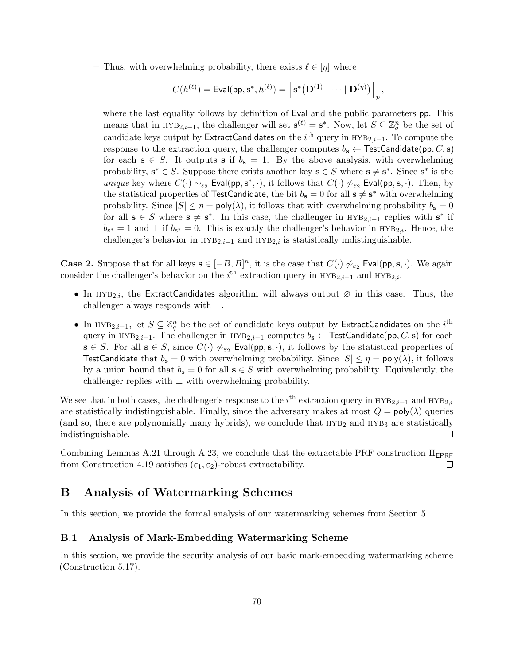– Thus, with overwhelming probability, there exists  $\ell \in [\eta]$  where

$$
C(h^{(\ell)}) = \mathsf{Eval}(\mathsf{pp}, \mathbf{s}^*, h^{(\ell)}) = \left[\mathbf{s}^*(\mathbf{D}^{(1)} | \cdots | \mathbf{D}^{(\eta)})\right]_p,
$$

where the last equality follows by definition of Eval and the public parameters **pp**. This means that in HYB<sub>2,i−1</sub>, the challenger will set  $\mathbf{s}^{(\ell)} = \mathbf{s}^*$ . Now, let  $S \subseteq \mathbb{Z}_q^n$  be the set of candidate keys output by ExtractCandidates on the i<sup>th</sup> query in  $HYB_{2,i-1}$ . To compute the response to the extraction query, the challenger computes  $b_s \leftarrow$  TestCandidate(pp, C, s) for each  $s \in S$ . It outputs s if  $b_s = 1$ . By the above analysis, with overwhelming probability,  $s^* \in S$ . Suppose there exists another key  $s \in S$  where  $s \neq s^*$ . Since  $s^*$  is the *unique* key where  $C(\cdot) \sim_{\varepsilon_2} \text{Eval(pp}, \mathbf{s}^*, \cdot)$ , it follows that  $C(\cdot) \not\sim_{\varepsilon_2} \text{Eval(pp}, \mathbf{s}, \cdot)$ . Then, by the statistical properties of TestCandidate, the bit  $b_s = 0$  for all  $s \neq s^*$  with overwhelming probability. Since  $|S| \leq \eta = \text{poly}(\lambda)$ , it follows that with overwhelming probability  $b_s = 0$ for all  $s \in S$  where  $s \neq s^*$ . In this case, the challenger in  $HYB_{2,i-1}$  replies with  $s^*$  if  $b_{s^*} = 1$  and  $\perp$  if  $b_{s^*} = 0$ . This is exactly the challenger's behavior in HYB<sub>2,i</sub>. Hence, the challenger's behavior in  $HYB_{2,i-1}$  and  $HYB_{2,i}$  is statistically indistinguishable.

**Case 2.** Suppose that for all keys  $\mathbf{s} \in [-B, B]^n$ , it is the case that  $C(\cdot) \not\sim_{\varepsilon_2}$  Eval(pp, s,  $\cdot$ ). We again consider the challenger's behavior on the  $i^{\text{th}}$  extraction query in HYB<sub>2,i-1</sub> and HYB<sub>2,i</sub>.

- In HYB<sub>2,i</sub>, the ExtractCandidates algorithm will always output  $\varnothing$  in this case. Thus, the challenger always responds with ⊥.
- In HYB<sub>2,i−1</sub>, let  $S \subseteq \mathbb{Z}_q^n$  be the set of candidate keys output by ExtractCandidates on the i<sup>th</sup> query in HYB<sub>2,i−1</sub>. The challenger in HYB<sub>2,i−1</sub> computes  $b_s \leftarrow$  TestCandidate(pp, C, s) for each  $s \in S$ . For all  $s \in S$ , since  $C(\cdot) \not\sim_{\varepsilon_2}$  Eval(pp, s,  $\cdot$ ), it follows by the statistical properties of TestCandidate that  $b_s = 0$  with overwhelming probability. Since  $|S| \le \eta = \text{poly}(\lambda)$ , it follows by a union bound that  $b_s = 0$  for all  $s \in S$  with overwhelming probability. Equivalently, the challenger replies with  $\perp$  with overwhelming probability.

We see that in both cases, the challenger's response to the  $i^{\text{th}}$  extraction query in HYB<sub>2,i</sub>–1 and HYB<sub>2,i</sub> are statistically indistinguishable. Finally, since the adversary makes at most  $Q = \text{poly}(\lambda)$  queries (and so, there are polynomially many hybrids), we conclude that  $HYB_2$  and  $HYB_3$  are statistically indistinguishable.  $\Box$ 

Combining Lemmas [A.21](#page-67-0) through [A.23,](#page-68-0) we conclude that the extractable PRF construction  $\Pi_{\text{EPRF}}$ from Construction [4.19](#page-24-0) satisfies  $(\varepsilon_1, \varepsilon_2)$ -robust extractability.  $\Box$ 

# B Analysis of Watermarking Schemes

In this section, we provide the formal analysis of our watermarking schemes from Section [5.](#page-29-1)

## <span id="page-69-0"></span>B.1 Analysis of Mark-Embedding Watermarking Scheme

In this section, we provide the security analysis of our basic mark-embedding watermarking scheme (Construction [5.17\)](#page-35-0).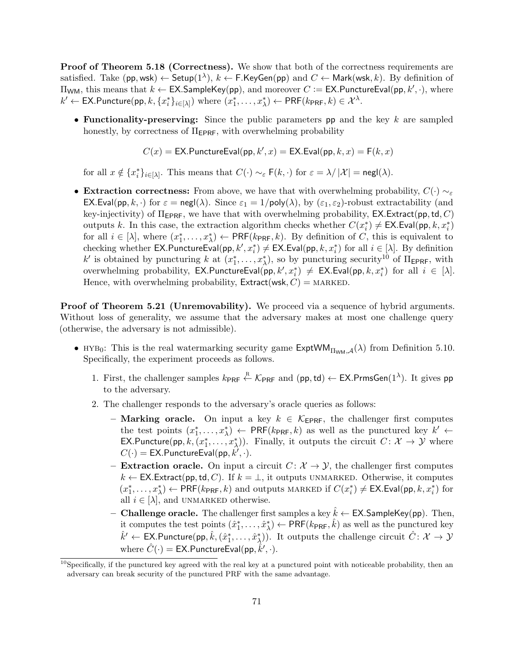Proof of Theorem [5.18](#page-35-2) (Correctness). We show that both of the correctness requirements are satisfied. Take  $(pp, wsk) \leftarrow \mathsf{Setup}(1^{\lambda}), k \leftarrow \mathsf{F}.\mathsf{KeyGen}(pp)$  and  $C \leftarrow \mathsf{Mark}(wsk, k)$ . By definition of  $\Pi_{\mathsf{WM}},$  this means that  $k \leftarrow \mathsf{EX}.\mathsf{SampleKey(pp)},$  and moreover  $C \vcentcolon= \mathsf{EX}.\mathsf{PunctureEval(pp}, k', \cdot),$  where  $k' \leftarrow \textsf{EX.Puncture}(pp,k,\{x^*_i\}_{i\in[\lambda]}) \text{ where } (x^*_1,\ldots,x^*_\lambda) \leftarrow \textsf{PRF}(k_{\textsf{PRF}},k) \in \mathcal{X}^\lambda.$ 

• Functionality-preserving: Since the public parameters  $pp$  and the key k are sampled honestly, by correctness of  $\Pi_{\text{EPRF}}$ , with overwhelming probability

$$
C(x)
$$
 = EX.PunctureEval(pp, k', x) = EX.Eval(pp, k, x) = F(k, x)

for all  $x \notin \{x_i^*\}_{i \in [\lambda]}$ . This means that  $C(\cdot) \sim_{\varepsilon} \mathsf{F}(k, \cdot)$  for  $\varepsilon = \lambda / |\mathcal{X}| = \mathsf{negl}(\lambda)$ .

• Extraction correctness: From above, we have that with overwhelming probability,  $C(\cdot) \sim_{\varepsilon}$ EX.Eval(pp, k, ·) for  $\varepsilon = \text{negl}(\lambda)$ . Since  $\varepsilon_1 = 1/\text{poly}(\lambda)$ , by  $(\varepsilon_1, \varepsilon_2)$ -robust extractability (and key-injectivity) of  $\Pi_{\text{EPRF}}$ , we have that with overwhelming probability,  $\text{EX.Extract}(pp,td,C)$ outputs k. In this case, the extraction algorithm checks whether  $C(x_i^*) \neq \textsf{EX}$ . Eval(pp, k,  $x_i^*$ ) for all  $i \in [\lambda]$ , where  $(x_1^*, \ldots, x_{\lambda}^*) \leftarrow \textsf{PRF}(k_{\textsf{PRF}}, k)$ . By definition of C, this is equivalent to checking whether  $\mathsf{EX}.\mathsf{PunctureEval}(\mathsf{pp}, k', x_i^*) \neq \mathsf{EX}.\mathsf{Eval}(\mathsf{pp}, k, x_i^*)$  for all  $i \in [\lambda].$  By definition k' is obtained by puncturing k at  $(x_1^*, \ldots, x_\lambda^*)$ , so by puncturing security<sup>[10](#page-0-0)</sup> of  $\Pi_{\text{EPRF}}$ , with overwhelming probability,  $\mathsf{EX}.\mathsf{PunctureEval}(\mathsf{pp}, k', x_i^*) \neq \mathsf{EX}.\mathsf{Eval}(\mathsf{pp}, k, x_i^*)$  for all  $i \in [\lambda].$ Hence, with overwhelming probability,  $\textsf{Extract}(\textsf{wsk}, C) = \textsf{MARKED}$ .

Proof of Theorem [5.21](#page-36-2) (Unremovability). We proceed via a sequence of hybrid arguments. Without loss of generality, we assume that the adversary makes at most one challenge query (otherwise, the adversary is not admissible).

- HYB<sub>0</sub>: This is the real watermarking security game  $\text{ExptWM}_{\Pi_{WM},\mathcal{A}}(\lambda)$  from Definition [5.10.](#page-32-0) Specifically, the experiment proceeds as follows.
	- 1. First, the challenger samples  $k_{\text{PRF}} \stackrel{R}{\leftarrow} \mathcal{K}_{\text{PRF}}$  and  $(\text{pp}, \text{td}) \leftarrow \text{EX.PrmsGen}(1^{\lambda})$ . It gives pp to the adversary.
	- 2. The challenger responds to the adversary's oracle queries as follows:
		- Marking oracle. On input a key  $k \in \mathcal{K}_{\text{EPRF}}$ , the challenger first computes the test points  $(x_1^*,...,x_\lambda^*)$   $\leftarrow$  PRF( $k_{\text{PRF}}, k$ ) as well as the punctured key  $k' \leftarrow$ EX.Puncture(pp, k,  $(x_1^*,...,x_\lambda^*)$ ). Finally, it outputs the circuit  $C: \mathcal{X} \to \mathcal{Y}$  where  $C(\cdot) = \textsf{EX.PunctureEval}(pp, k', \cdot).$
		- **Extraction oracle.** On input a circuit  $C: \mathcal{X} \to \mathcal{Y}$ , the challenger first computes  $k \leftarrow \textsf{EX}.$  EX. Extract(pp, td, C). If  $k = \perp$ , it outputs UNMARKED. Otherwise, it computes  $(x_1^*, \ldots, x_\lambda^*) \leftarrow \textsf{PRF}(k_{\textsf{PRF}}, k)$  and outputs MARKED if  $C(x_i^*) \neq \textsf{EX}$ . Eval(pp, k,  $x_i^*$ ) for all  $i \in [\lambda]$ , and UNMARKED otherwise.
		- Challenge oracle. The challenger first samples a key  $k \leftarrow \textsf{EX}$ . SampleKey(pp). Then, it computes the test points  $(\hat{x}_1^*, \ldots, \hat{x}_\lambda^*) \leftarrow \textsf{PRF}(k_{\textsf{PRF}}, \hat{k})$  as well as the punctured key  $\hat{k}'\leftarrow \textsf{EX.Puncture(pp}, \hat{k}, (\hat{x}^*_1, \dots, \hat{x}^*_\lambda)).$  It outputs the challenge circuit  $\hat{C}\colon\mathcal{X}\to\mathcal{Y}$ where  $\hat{C}(\cdot) = \textsf{EX}.\textsf{PunctureEval}(\textsf{pp}, \hat{k}', \cdot).$

 $10$ Specifically, if the punctured key agreed with the real key at a punctured point with noticeable probability, then an adversary can break security of the punctured PRF with the same advantage.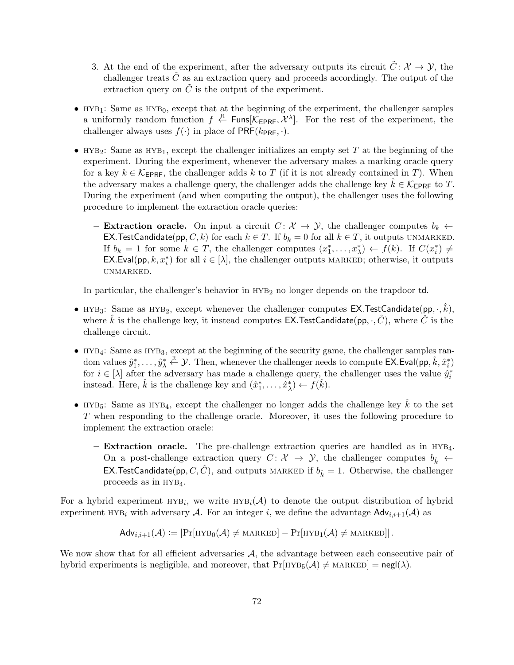- 3. At the end of the experiment, after the adversary outputs its circuit  $\tilde{C}$ :  $\mathcal{X} \to \mathcal{Y}$ , the challenger treats  $\tilde{C}$  as an extraction query and proceeds accordingly. The output of the extraction query on  $\tilde{C}$  is the output of the experiment.
- $HYB_1$ : Same as  $HYB_0$ , except that at the beginning of the experiment, the challenger samples a uniformly random function  $f \stackrel{\text{R}}{\leftarrow} \text{Funs}[\mathcal{K}_{\text{EPRF}}, \mathcal{X}^{\lambda}]$ . For the rest of the experiment, the challenger always uses  $f(.)$  in place of  $PRF(k_{PRF}, .)$ .
- HYB<sub>2</sub>: Same as HYB<sub>1</sub>, except the challenger initializes an empty set T at the beginning of the experiment. During the experiment, whenever the adversary makes a marking oracle query for a key  $k \in \mathcal{K}_{\text{EPRF}}$ , the challenger adds k to T (if it is not already contained in T). When the adversary makes a challenge query, the challenger adds the challenge key  $\hat{k} \in \mathcal{K}_{\text{EPRF}}$  to T. During the experiment (and when computing the output), the challenger uses the following procedure to implement the extraction oracle queries:
	- Extraction oracle. On input a circuit  $C: \mathcal{X} \to \mathcal{Y}$ , the challenger computes  $b_k \leftarrow$ EX. Test Candidate(pp, C, k) for each  $k \in T$ . If  $b_k = 0$  for all  $k \in T$ , it outputs UNMARKED. If  $b_k = 1$  for some  $k \in T$ , the challenger computes  $(x_1^*, \ldots, x_\lambda^*) \leftarrow f(k)$ . If  $C(x_i^*) \neq$ EX.Eval(pp, k,  $x_i^*$ ) for all  $i \in [\lambda]$ , the challenger outputs MARKED; otherwise, it outputs unmarked.

In particular, the challenger's behavior in  $HYB_2$  no longer depends on the trapdoor td.

- HYB<sub>3</sub>: Same as HYB<sub>2</sub>, except whenever the challenger computes EX. TestCandidate(pp,  $\cdot$ ,  $\hat{k}$ ), where  $\hat{k}$  is the challenge key, it instead computes EX. TestCandidate(pp,  $\cdot$ ,  $\hat{C}$ ), where  $\hat{C}$  is the challenge circuit.
- $HYB_4$ : Same as  $HYB_3$ , except at the beginning of the security game, the challenger samples random values  $\hat{y}_1^*, \ldots, \hat{y}_N^* \stackrel{\text{R}}{\leftarrow} \mathcal{Y}$ . Then, whenever the challenger needs to compute EX.Eval(pp,  $\hat{k}, \hat{x}_i^*$ ) for  $i \in [\lambda]$  after the adversary has made a challenge query, the challenger uses the value  $\hat{y}_i^*$ instead. Here,  $\hat{k}$  is the challenge key and  $(\hat{x}_1^*, \ldots, \hat{x}_\lambda^*) \leftarrow f(\hat{k})$ .
- HYB<sub>5</sub>: Same as HYB<sub>4</sub>, except the challenger no longer adds the challenge key  $\hat{k}$  to the set T when responding to the challenge oracle. Moreover, it uses the following procedure to implement the extraction oracle:
	- **Extraction oracle.** The pre-challenge extraction queries are handled as in  $HYB_4$ . On a post-challenge extraction query  $C: \mathcal{X} \to \mathcal{Y}$ , the challenger computes  $b_{\hat{k}} \leftarrow$ EX.TestCandidate(pp,  $C, \hat{C}$ ), and outputs MARKED if  $b_{\hat{k}} = 1$ . Otherwise, the challenger proceeds as in  $HYB<sub>4</sub>$ .

For a hybrid experiment  $HYB_i$ , we write  $HYB_i(\mathcal{A})$  to denote the output distribution of hybrid experiment HYB<sub>i</sub> with adversary A. For an integer i, we define the advantage  $\mathsf{Adv}_{i,i+1}(\mathcal{A})$  as

$$
\mathsf{Adv}_{i,i+1}(\mathcal{A}) := |\mathrm{Pr}[\mathrm{HYB}_0(\mathcal{A}) \neq \mathrm{MARKED}] - \mathrm{Pr}[\mathrm{HYB}_1(\mathcal{A}) \neq \mathrm{MARKED}]|.
$$

We now show that for all efficient adversaries  $A$ , the advantage between each consecutive pair of hybrid experiments is negligible, and moreover, that  $Pr[\text{HYB}_5(\mathcal{A}) \neq \text{MARKED}] = \text{negl}(\lambda)$ .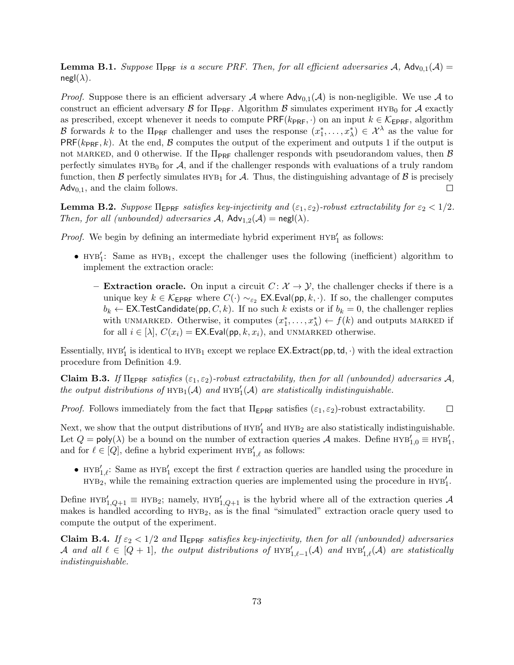<span id="page-72-2"></span>**Lemma B.1.** Suppose  $\Pi_{\text{PRF}}$  is a secure PRF. Then, for all efficient adversaries A, Adv<sub>0,1</sub>(A) =  $negl(\lambda)$ .

*Proof.* Suppose there is an efficient adversary A where  $Adv_{0,1}(\mathcal{A})$  is non-negligible. We use A to construct an efficient adversary  $\beta$  for  $\Pi_{\text{PRF}}$ . Algorithm  $\beta$  simulates experiment HYB<sub>0</sub> for  $\mathcal A$  exactly as prescribed, except whenever it needs to compute  $PRF(k_{PRF}, \cdot)$  on an input  $k \in \mathcal{K}_{EPRF}$ , algorithm B forwards k to the  $\Pi_{\text{PRF}}$  challenger and uses the response  $(x_1^*, \ldots, x_\lambda^*) \in \mathcal{X}^\lambda$  as the value for  $PRF(k_{PRF}, k)$ . At the end, B computes the output of the experiment and outputs 1 if the output is not MARKED, and 0 otherwise. If the  $\Pi_{\text{PRF}}$  challenger responds with pseudorandom values, then  $\beta$ perfectly simulates  $HYB_0$  for  $A$ , and if the challenger responds with evaluations of a truly random function, then B perfectly simulates  $HYB_1$  for A. Thus, the distinguishing advantage of B is precisely  $Adv_{0.1}$ , and the claim follows.  $\Box$ 

<span id="page-72-3"></span>**Lemma B.2.** Suppose  $\Pi_{\text{EPRF}}$  satisfies key-injectivity and  $(\varepsilon_1, \varepsilon_2)$ -robust extractability for  $\varepsilon_2 < 1/2$ . Then, for all (unbounded) adversaries  $\mathcal{A}$ ,  $Adv_{1,2}(\mathcal{A}) = negl(\lambda)$ .

*Proof.* We begin by defining an intermediate hybrid experiment  $HYB'_1$  as follows:

- $HYB_1'$ : Same as  $HYB_1$ , except the challenger uses the following (inefficient) algorithm to implement the extraction oracle:
	- **Extraction oracle.** On input a circuit  $C: \mathcal{X} \to \mathcal{Y}$ , the challenger checks if there is a unique key  $k \in \mathcal{K}_{\text{EPRF}}$  where  $C(\cdot) \sim_{\varepsilon_2} \text{EX.Eval}(pp, k, \cdot)$ . If so, the challenger computes  $b_k \leftarrow \textsf{EX}.$  Test Candidate(pp, C, k). If no such k exists or if  $b_k = 0$ , the challenger replies with UNMARKED. Otherwise, it computes  $(x_1^*, \ldots, x_\lambda^*) \leftarrow f(k)$  and outputs MARKED if for all  $i \in [\lambda]$ ,  $C(x_i) = \textsf{EX}$ . Eval(pp, k, x<sub>i</sub>), and UNMARKED otherwise.

Essentially,  $HYB_1'$  is identical to  $HYB_1$  except we replace  $EX.Extract(pp,td,\cdot)$  with the ideal extraction procedure from Definition [4.9.](#page-20-0)

<span id="page-72-0"></span>**Claim B.3.** If  $\Pi_{\text{EPRF}}$  satisfies  $(\varepsilon_1, \varepsilon_2)$ -robust extractability, then for all (unbounded) adversaries A, the output distributions of  $HYB_1(\mathcal{A})$  and  $HYB'_1(\mathcal{A})$  are statistically indistinguishable.

*Proof.* Follows immediately from the fact that  $\Pi_{\text{EPRF}}$  satisfies ( $\varepsilon_1, \varepsilon_2$ )-robust extractability.  $\Box$ 

Next, we show that the output distributions of  $HYB_1'$  and  $HYB_2$  are also statistically indistinguishable. Let  $Q = \text{poly}(\lambda)$  be a bound on the number of extraction queries A makes. Define  $HYB'_{1,0} \equiv HYB'_{1}$ , and for  $\ell \in [Q]$ , define a hybrid experiment  $HYB'_{1,\ell}$  as follows:

• HYB'<sub>1, $\ell$ </sub>: Same as HYB'<sub>1</sub> except the first  $\ell$  extraction queries are handled using the procedure in  $HYB_2$ , while the remaining extraction queries are implemented using the procedure in  $HYB_1'$ .

Define  $HYB'_{1,Q+1} \equiv HYB_2$ ; namely,  $HYB'_{1,Q+1}$  is the hybrid where all of the extraction queries A makes is handled according to  $HYB_2$ , as is the final "simulated" extraction oracle query used to compute the output of the experiment.

<span id="page-72-1"></span>Claim B.4. If  $\varepsilon_2 < 1/2$  and  $\Pi_{\text{EPRF}}$  satisfies key-injectivity, then for all (unbounded) adversaries A and all  $\ell \in [Q + 1]$ , the output distributions of  $HYB'_{1,\ell-1}(\mathcal{A})$  and  $HYB'_{1,\ell}(\mathcal{A})$  are statistically indistinguishable.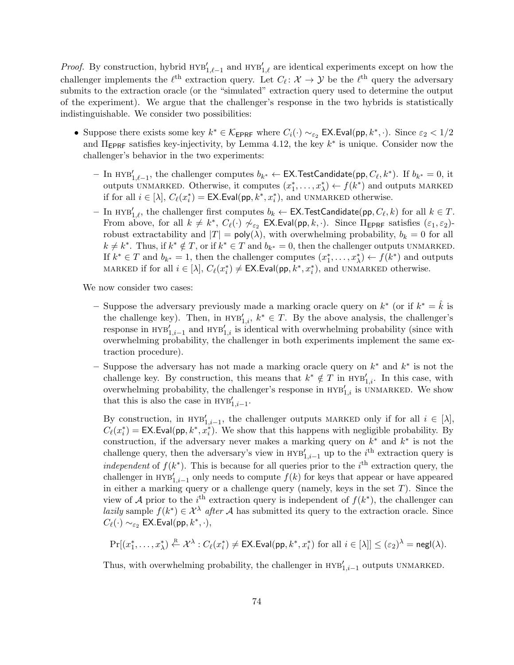*Proof.* By construction, hybrid  $HYB'_{1,\ell-1}$  and  $HYB'_{1,\ell}$  are identical experiments except on how the challenger implements the  $\ell^{\text{th}}$  extraction query. Let  $C_{\ell} : X \to Y$  be the  $\ell^{\text{th}}$  query the adversary submits to the extraction oracle (or the "simulated" extraction query used to determine the output of the experiment). We argue that the challenger's response in the two hybrids is statistically indistinguishable. We consider two possibilities:

- Suppose there exists some key  $k^* \in \mathcal{K}_{\text{EPRF}}$  where  $C_i(\cdot) \sim_{\varepsilon_2} \text{EX}$ . Eval(pp,  $k^*$ ,  $\cdot$ ). Since  $\varepsilon_2 < 1/2$ and  $\Pi_{\text{EPRF}}$  satisfies key-injectivity, by Lemma [4.12,](#page-22-0) the key  $k^*$  is unique. Consider now the challenger's behavior in the two experiments:
	- $-$  In HYB'<sub>1, $\ell$ </sub>-1, the challenger computes  $b_{k^*}$  ← **EX.TestCandidate(pp**,  $C_{\ell}, k^*$ ). If  $b_{k^*} = 0$ , it outputs UNMARKED. Otherwise, it computes  $(x_1^*, \ldots, x_\lambda^*) \leftarrow f(k^*)$  and outputs MARKED if for all  $i \in [\lambda]$ ,  $C_{\ell}(x_i^*) = \textsf{EX.Eval}(pp, k^*, x_i^*)$ , and UNMARKED otherwise.
	- $-$  In HYB'<sub>1, $\ell$ </sub>, the challenger first computes  $b_k \leftarrow \textsf{EX}.\textsf{TestC}$ andidate(pp,  $C_{\ell}, k$ ) for all  $k \in T$ . From above, for all  $k \neq k^*$ ,  $C_{\ell}(\cdot) \nsim_{\epsilon_2}$  EX.Eval(pp, k,  $\cdot$ ). Since  $\Pi_{\text{EPRF}}$  satisfies  $(\epsilon_1, \epsilon_2)$ robust extractability and  $|T| = \text{poly}(\lambda)$ , with overwhelming probability,  $b_k = 0$  for all  $k \neq k^*$ . Thus, if  $k^* \notin T$ , or if  $k^* \in T$  and  $b_{k^*} = 0$ , then the challenger outputs UNMARKED. If  $k^* \in T$  and  $b_{k^*} = 1$ , then the challenger computes  $(x_1^*, \ldots, x_\lambda^*) \leftarrow f(k^*)$  and outputs MARKED if for all  $i \in [\lambda], C_{\ell}(x_i^*) \neq \textsf{EX}$ . Eval(pp,  $k^*, x_i^*$ ), and UNMARKED otherwise.

We now consider two cases:

- Suppose the adversary previously made a marking oracle query on  $k^*$  (or if  $k^* = \hat{k}$  is the challenge key). Then, in  $HYB'_{1,i}$ ,  $k^* \in T$ . By the above analysis, the challenger's response in  $HYB'_{1,i-1}$  and  $HYB'_{1,i}$  is identical with overwhelming probability (since with overwhelming probability, the challenger in both experiments implement the same extraction procedure).
- Suppose the adversary has not made a marking oracle query on  $k^*$  and  $k^*$  is not the challenge key. By construction, this means that  $k^* \notin T$  in  $HVB'_{1,i}$ . In this case, with overwhelming probability, the challenger's response in  $HYB'_{1,i}$  is UNMARKED. We show that this is also the case in  $HYB'_{1,i-1}$ .

By construction, in  $HYB'_{1,i-1}$ , the challenger outputs MARKED only if for all  $i \in [\lambda]$ ,  $C_{\ell}(x_i^*) = \textsf{EX}.\textsf{Eval}(pp, k^*, x_i^*)$ . We show that this happens with negligible probability. By construction, if the adversary never makes a marking query on  $k^*$  and  $k^*$  is not the challenge query, then the adversary's view in  $HYB'_{1,i-1}$  up to the i<sup>th</sup> extraction query is independent of  $f(k^*)$ . This is because for all queries prior to the i<sup>th</sup> extraction query, the challenger in  $HYB'_{1,i-1}$  only needs to compute  $f(k)$  for keys that appear or have appeared in either a marking query or a challenge query (namely, keys in the set  $T$ ). Since the view of A prior to the i<sup>th</sup> extraction query is independent of  $f(k^*)$ , the challenger can *lazily* sample  $f(k^*) \in \mathcal{X}^{\lambda}$  after A has submitted its query to the extraction oracle. Since  $C_{\ell}(\cdot) \sim_{\varepsilon_2} \mathsf{EX}.\mathsf{Eval}(pp, k^*, \cdot),$ 

$$
\Pr[(x_1^*,\ldots,x_\lambda^*)\stackrel{R}{\leftarrow}\mathcal{X}^\lambda:C_\ell(x_i^*)\neq \textsf{EX.Eval}( \mathsf{pp}, k^*,x_i^*) \text{ for all } i\in[\lambda]]\leq (\varepsilon_2)^\lambda=\mathsf{negl}(\lambda).
$$

Thus, with overwhelming probability, the challenger in  $HYB'_{1,i-1}$  outputs UNMARKED.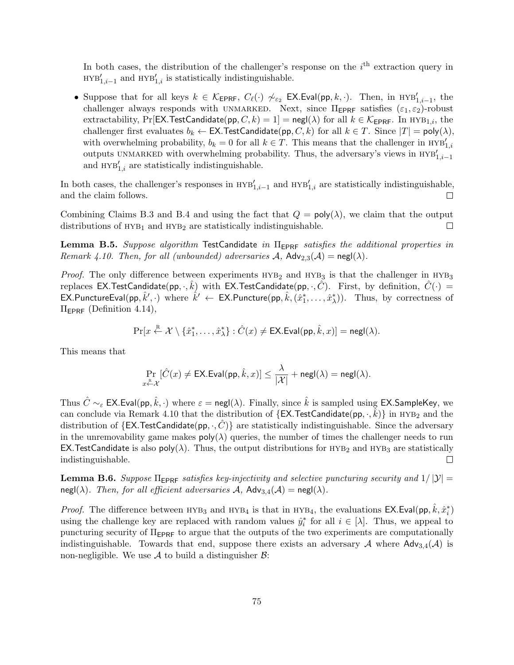In both cases, the distribution of the challenger's response on the  $i<sup>th</sup>$  extraction query in  $HYB'_{1,i-1}$  and  $HYB'_{1,i}$  is statistically indistinguishable.

• Suppose that for all keys  $k \in \mathcal{K}_{\text{EPRF}}, C_{\ell}(\cdot) \nsim_{\varepsilon_2} \text{EX.Eval}(pp, k, \cdot).$  Then, in  $HYB'_{1,i-1}$ , the challenger always responds with UNMARKED. Next, since  $\Pi_{\text{EPRF}}$  satisfies  $(\varepsilon_1, \varepsilon_2)$ -robust extractability, Pr[EX.TestCandidate(pp,  $C, k$ ) = 1] = negl( $\lambda$ ) for all  $k \in \mathcal{K}_{\text{EPRF}}$ . In HYB<sub>1,*i*</sub>, the challenger first evaluates  $b_k \leftarrow \textsf{EX}.\textsf{Test}\textsf{C}$ andidate(pp, C, k) for all  $k \in T$ . Since  $|T| = \textsf{poly}(\lambda),$ with overwhelming probability,  $b_k = 0$  for all  $k \in T$ . This means that the challenger in  $HYB'_{1,i}$ outputs UNMARKED with overwhelming probability. Thus, the adversary's views in  $HYB'_{1,i-1}$ and  $HYB'_{1,i}$  are statistically indistinguishable.

In both cases, the challenger's responses in  $HYB'_{1,i-1}$  and  $HYB'_{1,i}$  are statistically indistinguishable, and the claim follows.  $\Box$ 

Combining Claims [B.3](#page-72-0) and [B.4](#page-72-1) and using the fact that  $Q = \text{poly}(\lambda)$ , we claim that the output distributions of  $HYB<sub>1</sub>$  and  $HYB<sub>2</sub>$  are statistically indistinguishable.  $\Box$ 

<span id="page-74-0"></span>Lemma B.5. Suppose algorithm TestCandidate in ΠEPRF satisfies the additional properties in Remark [4.10.](#page-21-0) Then, for all (unbounded) adversaries A,  $\mathsf{Adv}_{2,3}(\mathcal{A}) = \mathsf{negl}(\lambda)$ .

*Proof.* The only difference between experiments  $HYB_2$  and  $HYB_3$  is that the challenger in  $HYB_3$ replaces <code>EX.TestCandidate(pp, $\cdot, \hat{k})$ </code> with <code>EX.TestCandidate(pp, $\cdot, \hat{C}$ ). First, by definition,  $\hat{C}(\cdot)$  =</code>  $EX.PunctureEval(pp,\hat{k}',\cdot)$  where  $\hat{k}' \leftarrow EX.Puncture(pp,\hat{k},(\hat{x}_1^*,\ldots,\hat{x}_\lambda^*))$ . Thus, by correctness of  $\Pi_{\text{EPRF}}$  (Definition [4.14\)](#page-23-0),

$$
\Pr[x \stackrel{\text{R}}{\leftarrow} \mathcal{X} \setminus \{\hat{x}_1^*, \dots, \hat{x}_\lambda^*\} : \hat{C}(x) \neq \textsf{EX.Eval}(pp, \hat{k}, x)] = \mathsf{negl}(\lambda).
$$

This means that

$$
\Pr_{x \overset{\mathrm{R}}{\leftarrow} \mathcal{X}} [\hat{C}(x) \neq \text{EX.Eval}( \mathrm{pp}, \hat{k}, x)] \leq \frac{\lambda}{|\mathcal{X}|} + \mathrm{negl}(\lambda) = \mathrm{negl}(\lambda).
$$

Thus  $\hat C\sim_\varepsilon$  EX.Eval(pp,  $\hat k,\cdot)$  where  $\varepsilon=$  negl( $\lambda$ ). Finally, since  $\hat k$  is sampled using EX.SampleKey, we can conclude via Remark [4.10](#page-21-0) that the distribution of  $\{\textsf{EX}. \textsf{TestC} \textsf{and} \textsf{idate}(\textsf{pp},\cdot,\hat{k})\}$  in HYB2 and the distribution of  $\{EX. Test Candidate(pp, \cdot, C)\}\$  are statistically indistinguishable. Since the adversary in the unremovability game makes  $poly(\lambda)$  queries, the number of times the challenger needs to run EX. Test Candidate is also  $poly(\lambda)$ . Thus, the output distributions for HYB<sub>2</sub> and HYB<sub>3</sub> are statistically indistinguishable.  $\Box$ 

<span id="page-74-1"></span>**Lemma B.6.** Suppose  $\Pi_{\text{EPRF}}$  satisfies key-injectivity and selective puncturing security and  $1/|\mathcal{Y}| =$ negl( $\lambda$ ). Then, for all efficient adversaries A, Adv<sub>3,4</sub>( $\mathcal{A}$ ) = negl( $\lambda$ ).

*Proof.* The difference between  $HYB_3$  and  $HYB_4$  is that in  $HYB_4$ , the evaluations  $EX.Eval(pp, \hat{k}, \hat{x}_i^*)$ using the challenge key are replaced with random values  $\hat{y}_i^*$  for all  $i \in [\lambda]$ . Thus, we appeal to puncturing security of  $\Pi_{\text{EPRF}}$  to argue that the outputs of the two experiments are computationally indistinguishable. Towards that end, suppose there exists an adversary A where  $\mathsf{Adv}_{3,4}(\mathcal{A})$  is non-negligible. We use  $A$  to build a distinguisher  $B$ :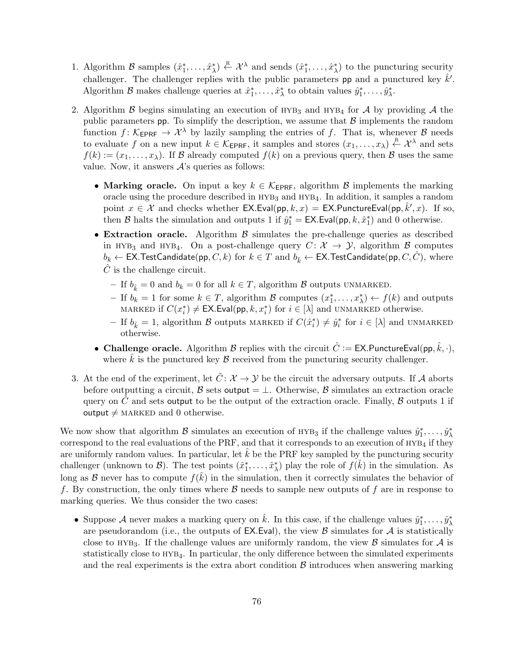- 1. Algorithm B samples  $(\hat{x}_1^*, \ldots, \hat{x}_\lambda^*) \stackrel{R}{\leftarrow} \mathcal{X}^\lambda$  and sends  $(\hat{x}_1^*, \ldots, \hat{x}_\lambda^*)$  to the puncturing security challenger. The challenger replies with the public parameters pp and a punctured key  $\hat{k}'$ . Algorithm B makes challenge queries at  $\hat{x}_1^*, \ldots, \hat{x}_\lambda^*$  to obtain values  $\hat{y}_1^*, \ldots, \hat{y}_\lambda^*$ .
- 2. Algorithm B begins simulating an execution of  $HYB_3$  and  $HYB_4$  for A by providing A the public parameters pp. To simplify the description, we assume that  $\beta$  implements the random function  $f: \mathcal{K}_{\text{EPRF}} \to \mathcal{X}^{\lambda}$  by lazily sampling the entries of f. That is, whenever  $\mathcal{B}$  needs to evaluate f on a new input  $k \in \mathcal{K}_{\text{EPRF}}$ , it samples and stores  $(x_1, \ldots, x_\lambda) \stackrel{R}{\leftarrow} \mathcal{X}^\lambda$  and sets  $f(k) := (x_1, \ldots, x_\lambda)$ . If B already computed  $f(k)$  on a previous query, then B uses the same value. Now, it answers  $A$ 's queries as follows:
	- Marking oracle. On input a key  $k \in \mathcal{K}_{\text{EPRF}}$ , algorithm  $\mathcal{B}$  implements the marking oracle using the procedure described in  $HYB_3$  and  $HYB_4$ . In addition, it samples a random point  $x \in \mathcal{X}$  and checks whether EX.Eval(pp,  $k, x$ ) = EX.PunctureEval(pp,  $\hat{k}', x$ ). If so, then B halts the simulation and outputs 1 if  $\hat{y}_1^* = \textsf{EX}.\textsf{Eval}(\textsf{pp}, k, \hat{x}_1^*)$  and 0 otherwise.
	- Extraction oracle. Algorithm  $\beta$  simulates the pre-challenge queries as described in HYB<sub>3</sub> and HYB<sub>4</sub>. On a post-challenge query  $C: \mathcal{X} \to \mathcal{Y}$ , algorithm  $\mathcal{B}$  computes  $b_k \leftarrow \textsf{EX}. \textsf{TestC}$ andidate $(\textsf{pp}, \vec{C}, k)$  for  $k \in \overline{T}$  and  $b_{\hat{k}} \leftarrow \textsf{EX}. \textsf{TestC}$ andidate $(\textsf{pp}, C, \hat{C}),$  where  $\hat{C}$  is the challenge circuit.
		- If  $b_{\hat{k}} = 0$  and  $b_k = 0$  for all  $k \in T$ , algorithm  $\beta$  outputs UNMARKED.
		- $-$  If  $b_k = 1$  for some  $k \in T$ , algorithm *B* computes  $(x_1^*, \ldots, x_\lambda^*) \leftarrow f(k)$  and outputs MARKED if  $C(x_i^*) \neq \textsf{EX}$ . Eval(pp,  $k, x_i^*$ ) for  $i \in [\lambda]$  and UNMARKED otherwise.
		- If  $b_{\hat{k}} = 1$ , algorithm  $\beta$  outputs MARKED if  $C(\hat{x}_i^*) \neq \hat{y}_i^*$  for  $i \in [\lambda]$  and UNMARKED otherwise.
	- Challenge oracle. Algorithm B replies with the circuit  $\hat{C} := \textsf{EX.PunctureEval}(pp, \hat{k}, \cdot),$ where  $\hat{k}$  is the punctured key  $\beta$  received from the puncturing security challenger.
- 3. At the end of the experiment, let  $\tilde{C}$ :  $\mathcal{X} \to \mathcal{Y}$  be the circuit the adversary outputs. If A aborts before outputting a circuit, B sets output =  $\perp$ . Otherwise, B simulates an extraction oracle query on C and sets output to be the output of the extraction oracle. Finally,  $\beta$  outputs 1 if output  $\neq$  MARKED and 0 otherwise.

We now show that algorithm  $\mathcal B$  simulates an execution of HYB<sub>3</sub> if the challenge values  $\hat{y}_1^*, \ldots, \hat{y}_\lambda^*$ correspond to the real evaluations of the PRF, and that it corresponds to an execution of  $HYB<sub>4</sub>$  if they are uniformly random values. In particular, let  $k$  be the PRF key sampled by the puncturing security challenger (unknown to  $\mathcal{B}$ ). The test points  $(\hat{x}_1^*, \ldots, \hat{x}_\lambda^*)$  play the role of  $f(\hat{k})$  in the simulation. As long as B never has to compute  $f(\hat{k})$  in the simulation, then it correctly simulates the behavior of f. By construction, the only times where  $\beta$  needs to sample new outputs of f are in response to marking queries. We thus consider the two cases:

• Suppose A never makes a marking query on  $\hat{k}$ . In this case, if the challenge values  $\hat{y}_1^*, \ldots, \hat{y}_\lambda^*$ are pseudorandom (i.e., the outputs of EX.Eval), the view  $\beta$  simulates for  $\lambda$  is statistically close to HYB<sub>3</sub>. If the challenge values are uniformly random, the view  $\beta$  simulates for  $\mathcal A$  is statistically close to  $HYB_4$ . In particular, the only difference between the simulated experiments and the real experiments is the extra abort condition  $\beta$  introduces when answering marking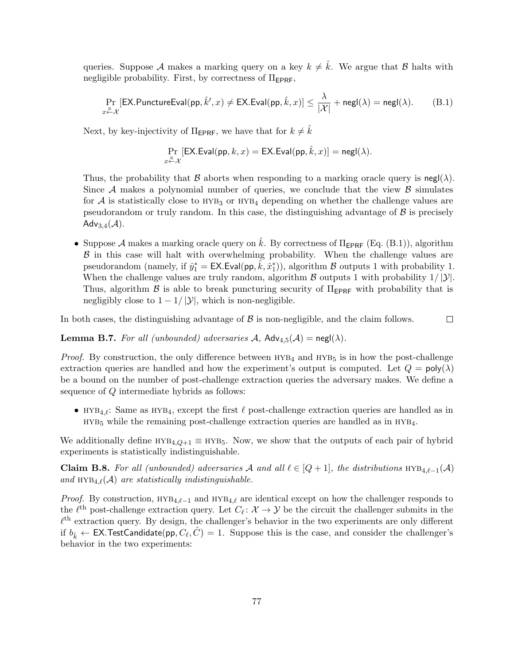queries. Suppose A makes a marking query on a key  $k \neq \hat{k}$ . We argue that B halts with negligible probability. First, by correctness of  $\Pi_{\mathsf{EPRF}}$ ,

$$
\Pr_{x \stackrel{\text{R}}{\leftarrow} \mathcal{X}}[\textsf{EX.PunctureEval}(pp, \hat{k}', x) \neq \textsf{EX.Eval}(pp, \hat{k}, x)] \leq \frac{\lambda}{|\mathcal{X}|} + \mathsf{negl}(\lambda) = \mathsf{negl}(\lambda). \tag{B.1}
$$

Next, by key-injectivity of  $\Pi_{\text{EPRF}}$ , we have that for  $k \neq \hat{k}$ 

<span id="page-76-0"></span>
$$
\Pr_{\substack{\mathbb{R}\\ x \leftarrow \mathcal{X}}}[\textsf{EX}.\textsf{Eval}(\textsf{pp},k,x) = \textsf{EX}.\textsf{Eval}(\textsf{pp},\hat{k},x)] = {\sf negl}(\lambda).
$$

Thus, the probability that B aborts when responding to a marking oracle query is  $\mathsf{negl}(\lambda)$ . Since  $A$  makes a polynomial number of queries, we conclude that the view  $B$  simulates for  $A$  is statistically close to  $HYB_3$  or  $HYB_4$  depending on whether the challenge values are pseudorandom or truly random. In this case, the distinguishing advantage of  $\beta$  is precisely Adv<sub>3.4</sub> $(A)$ .

• Suppose A makes a marking oracle query on k. By correctness of  $\Pi_{\text{EPRF}}$  (Eq. [\(B.1\)](#page-76-0)), algorithm  $\beta$  in this case will halt with overwhelming probability. When the challenge values are pseudorandom (namely, if  $\hat{y}_1^* = \textsf{EX}.\textsf{Eval}(\textsf{pp}, \hat{k}, \hat{x}_1^*)$ ), algorithm  $\mathcal B$  outputs 1 with probability 1. When the challenge values are truly random, algorithm  $\beta$  outputs 1 with probability  $1/|\mathcal{Y}|$ . Thus, algorithm B is able to break puncturing security of  $\Pi_{\text{EPRF}}$  with probability that is negligibly close to  $1 - 1/|\mathcal{Y}|$ , which is non-negligible.

In both cases, the distinguishing advantage of  $\beta$  is non-negligible, and the claim follows.  $\Box$ 

<span id="page-76-2"></span>**Lemma B.7.** For all (unbounded) adversaries A,  $Adv_{4.5}(\mathcal{A}) = negl(\lambda)$ .

*Proof.* By construction, the only difference between  $HYB<sub>4</sub>$  and  $HYB<sub>5</sub>$  is in how the post-challenge extraction queries are handled and how the experiment's output is computed. Let  $Q = \text{poly}(\lambda)$ be a bound on the number of post-challenge extraction queries the adversary makes. We define a sequence of Q intermediate hybrids as follows:

• HYB<sub>4, $\ell$ </sub>: Same as HYB<sub>4</sub>, except the first  $\ell$  post-challenge extraction queries are handled as in  $HYB<sub>5</sub>$  while the remaining post-challenge extraction queries are handled as in  $HYB<sub>4</sub>$ .

We additionally define  $HYB_{4,Q+1} \equiv HYB_5$ . Now, we show that the outputs of each pair of hybrid experiments is statistically indistinguishable.

<span id="page-76-1"></span>Claim B.8. For all (unbounded) adversaries A and all  $\ell \in [Q + 1]$ , the distributions HYB<sub>4, $\ell-1(A)$ </sub> and  $HYB_{4,\ell}(\mathcal{A})$  are statistically indistinguishable.

*Proof.* By construction,  $HYB_{4,\ell-1}$  and  $HYB_{4,\ell}$  are identical except on how the challenger responds to the  $\ell^{\text{th}}$  post-challenge extraction query. Let  $C_{\ell} \colon \mathcal{X} \to \mathcal{Y}$  be the circuit the challenger submits in the  $\ell^{\text{th}}$  extraction query. By design, the challenger's behavior in the two experiments are only different if  $b_k \leftarrow \textsf{EX}.$  TestCandidate(pp,  $C_{\ell}, \hat{C}$ ) = 1. Suppose this is the case, and consider the challenger's behavior in the two experiments: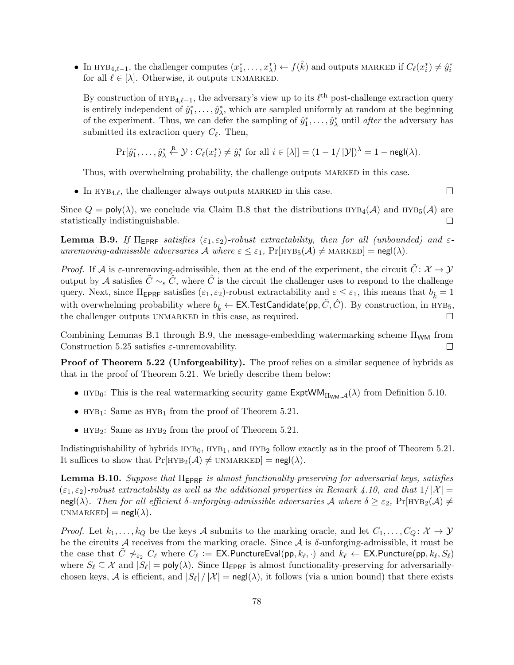• In  $HYB_{4,\ell-1}$ , the challenger computes  $(x_1^*, \ldots, x_\lambda^*) \leftarrow f(\hat{k})$  and outputs MARKED if  $C_{\ell}(x_i^*) \neq \hat{y}_i^*$ for all  $\ell \in [\lambda]$ . Otherwise, it outputs UNMARKED.

By construction of HYB<sub>4, $\ell$ </sub>-1, the adversary's view up to its  $\ell^{\text{th}}$  post-challenge extraction query is entirely independent of  $\hat{y}_1^*, \ldots, \hat{y}_\lambda^*,$  which are sampled uniformly at random at the beginning of the experiment. Thus, we can defer the sampling of  $\hat{y}_1^*, \ldots, \hat{y}_\lambda^*$  until after the adversary has submitted its extraction query  $C_{\ell}$ . Then,

$$
\Pr[\hat{y}_1^*, \dots, \hat{y}_\lambda^* \stackrel{R}{\leftarrow} \mathcal{Y} : C_\ell(x_i^*) \neq \hat{y}_i^* \text{ for all } i \in [\lambda]] = (1 - 1/\lvert \mathcal{Y} \rvert)^{\lambda} = 1 - \mathsf{negl}(\lambda).
$$

Thus, with overwhelming probability, the challenge outputs MARKED in this case.

• In  $HYB_{4,\ell}$ , the challenger always outputs MARKED in this case.

Since  $Q = \text{poly}(\lambda)$ , we conclude via Claim [B.8](#page-76-1) that the distributions  $HYB_4(\mathcal{A})$  and  $HYB_5(\mathcal{A})$  are statistically indistinguishable.  $\Box$ 

<span id="page-77-0"></span>**Lemma B.9.** If  $\Pi$ <sub>EPRF</sub> satisfies  $(\varepsilon_1, \varepsilon_2)$ -robust extractability, then for all (unbounded) and  $\varepsilon$ unremoving-admissible adversaries A where  $\varepsilon \leq \varepsilon_1$ ,  $Pr[HPB_5(\mathcal{A}) \neq \text{MARKED}] = \text{negl}(\lambda)$ .

*Proof.* If A is  $\varepsilon$ -unremoving-admissible, then at the end of the experiment, the circuit  $\tilde{C}: \mathcal{X} \to \mathcal{Y}$ output by A satisfies  $C \sim_{\varepsilon} C$ , where C is the circuit the challenger uses to respond to the challenge query. Next, since  $\Pi_{\text{EPRF}}$  satisfies  $(\varepsilon_1, \varepsilon_2)$ -robust extractability and  $\varepsilon \leq \varepsilon_1$ , this means that  $b_{\hat{k}} = 1$ with overwhelming probability where  $b_{\hat{k}} \leftarrow \textsf{EX}.\textsf{Test}\textsf{C}$ andidate $(\textsf{pp}, \tilde{C}, \hat{C})$ . By construction, in HYB<sub>5</sub>, the challenger outputs UNMARKED in this case, as required.  $\Box$ 

Combining Lemmas [B.1](#page-72-2) through [B.9,](#page-77-0) the message-embedding watermarking scheme  $\Pi_{WM}$  from Construction [5.25](#page-37-0) satisfies  $\varepsilon$ -unremovability. П

Proof of Theorem [5.22](#page-36-0) (Unforgeability). The proof relies on a similar sequence of hybrids as that in the proof of Theorem [5.21.](#page-36-1) We briefly describe them below:

- HYB<sub>0</sub>: This is the real watermarking security game  $\text{ExptWM}_{\Pi_{WM},\mathcal{A}}(\lambda)$  from Definition [5.10.](#page-32-0)
- HYB<sub>1</sub>: Same as HYB<sub>1</sub> from the proof of Theorem [5.21.](#page-36-1)
- HYB<sub>2</sub>: Same as HYB<sub>2</sub> from the proof of Theorem [5.21.](#page-36-1)

Indistinguishability of hybrids  $HYB_0$ ,  $HYB_1$ , and  $HYB_2$  follow exactly as in the proof of Theorem [5.21.](#page-36-1) It suffices to show that  $Pr[HPB_2(\mathcal{A}) \neq UNMARKED] = negl(\lambda)$ .

<span id="page-77-1"></span>**Lemma B.10.** Suppose that  $\Pi_{\text{EPRF}}$  is almost functionality-preserving for adversarial keys, satisfies  $(\epsilon_1, \epsilon_2)$ -robust extractability as well as the additional properties in Remark [4.10,](#page-21-0) and that  $1/|\mathcal{X}| =$ negl( $\lambda$ ). Then for all efficient δ-unforging-admissible adversaries A where  $\delta \geq \varepsilon_2$ , Pr[HYB<sub>2</sub>(A)  $\neq$ UNMARKED $]$  = negl( $\lambda$ ).

*Proof.* Let  $k_1, \ldots, k_Q$  be the keys A submits to the marking oracle, and let  $C_1, \ldots, C_Q: \mathcal{X} \to \mathcal{Y}$ be the circuits A receives from the marking oracle. Since A is  $\delta$ -unforging-admissible, it must be the case that  $\tilde{C}\not\sim_{\varepsilon_2} C_\ell$  where  $C_\ell:=\mathsf{EX}.\mathsf{PunctureEval}(\mathsf{pp},k_\ell,\cdot)$  and  $k_\ell\leftarrow\mathsf{EX}.\mathsf{Puncture}(\mathsf{pp},k_\ell,S_\ell)$ where  $S_\ell \subseteq \mathcal{X}$  and  $|S_\ell| = \text{poly}(\lambda)$ . Since  $\Pi_{\text{EPRF}}$  is almost functionality-preserving for adversariallychosen keys, A is efficient, and  $|S_\ell|/|\mathcal{X}| = \mathsf{negl}(\lambda)$ , it follows (via a union bound) that there exists

 $\Box$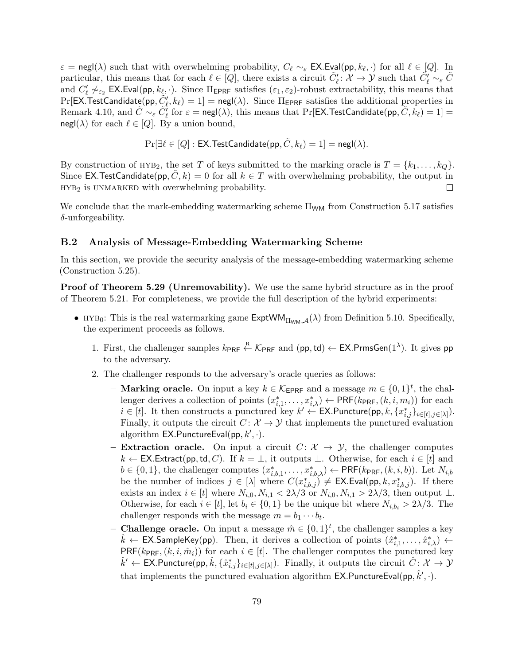$\varepsilon = \mathsf{negl}(\lambda)$  such that with overwhelming probability,  $C_\ell \sim_\varepsilon \mathsf{EX}$ .Eval(pp,  $k_\ell, \cdot$ ) for all  $\ell \in [Q].$  In particular, this means that for each  $\ell \in [Q]$ , there exists a circuit  $\tilde{C}'_{\ell} : \mathcal{X} \to \mathcal{Y}$  such that  $\tilde{C}'_{\ell} \sim_{\varepsilon} \tilde{C}$ and  $C'_\ell \not\sim_{\varepsilon_2}$  EX.Eval(pp,  $k_{\ell_2}$ .). Since  $\Pi_{\mathsf{EPRF}}$  satisfies  $(\varepsilon_1, \varepsilon_2)$ -robust extractability, this means that  $\Pr[\mathsf{EX}. \mathsf{TestC}$ andidate $(\mathsf{pp}, \tilde C'_\ell, k_\ell) = 1] = \mathsf{negl}(\lambda).$  Since  $\Pi_\mathsf{EPRF}$  satisfies the additional properties in Remark [4.10,](#page-21-0) and  $\tilde{C}\sim_\varepsilon \tilde{C}'_\ell$  for  $\varepsilon=\mathsf{negl}(\lambda),$  this means that Pr[EX.TestCandidate(pp,  $\tilde{C},k_\ell)=1]=$  $\mathsf{negl}(\lambda)$  for each  $\ell \in [Q]$ . By a union bound,

$$
\Pr[\exists \ell \in [Q]: \mathsf{EX}.\mathsf{Test}\mathsf{C} \mathsf{and} \mathsf{idate}(\mathsf{pp}, \tilde{C}, k_\ell) = 1] = \mathsf{negl}(\lambda).
$$

By construction of HYB<sub>2</sub>, the set T of keys submitted to the marking oracle is  $T = \{k_1, \ldots, k_Q\}$ . Since EX. Test Candidate(pp,  $\tilde{C}, k$ ) = 0 for all  $k \in T$  with overwhelming probability, the output in  $HYB<sub>2</sub>$  is UNMARKED with overwhelming probability.  $\Box$ 

We conclude that the mark-embedding watermarking scheme  $\Pi_{WM}$  from Construction [5.17](#page-35-0) satisfies δ-unforgeability.

## B.2 Analysis of Message-Embedding Watermarking Scheme

In this section, we provide the security analysis of the message-embedding watermarking scheme (Construction [5.25\)](#page-37-0).

**Proof of Theorem [5.29](#page-38-0) (Unremovability).** We use the same hybrid structure as in the proof of Theorem [5.21.](#page-36-1) For completeness, we provide the full description of the hybrid experiments:

- HYB<sub>0</sub>: This is the real watermarking game  $\text{ExptWM}_{\Pi_{WM},\mathcal{A}}(\lambda)$  from Definition [5.10.](#page-32-0) Specifically, the experiment proceeds as follows.
	- 1. First, the challenger samples  $k_{\text{PRF}} \stackrel{R}{\leftarrow} \mathcal{K}_{\text{PRF}}$  and  $(\text{pp}, \text{td}) \leftarrow \text{EX.PrmsGen}(1^{\lambda})$ . It gives pp to the adversary.
	- 2. The challenger responds to the adversary's oracle queries as follows:
		- **Marking oracle.** On input a key  $k \in \mathcal{K}_{\text{EPRF}}$  and a message  $m \in \{0, 1\}^t$ , the challenger derives a collection of points  $(x_{i,1}^*,...,x_{i,\lambda}^*) \leftarrow \text{PRF}(k_{\text{PRF}},(k,i,m_i))$  for each  $i \in [t]$ . It then constructs a punctured key  $k' \leftarrow \textsf{EX}.\textsf{Puncture}(pp, k, \{x^*_{i,j}\}_{i \in [t], j \in [\lambda]})$ . Finally, it outputs the circuit  $C: \mathcal{X} \to \mathcal{Y}$  that implements the punctured evaluation algorithm  $EX.P$ unctureEval(pp,  $k', \cdot$ ).
		- Extraction oracle. On input a circuit  $C: \mathcal{X} \to \mathcal{Y}$ , the challenger computes  $k \leftarrow \textsf{EX}.\textsf{Extract}(pp,td,C).$  If  $k = \perp$ , it outputs  $\perp$ . Otherwise, for each  $i \in [t]$  and  $b \in \{0,1\}$ , the challenger computes  $(x_{i,b,1}^*, \ldots, x_{i,b,\lambda}^*) \leftarrow \textsf{PRF}(k_{\textsf{PRF}}, (k, i, b))$ . Let  $N_{i,b}$ be the number of indices  $j \in [\lambda]$  where  $C(x_{i,b,j}^*) \neq \textsf{EX}$ . Eval(pp,  $k, x_{i,b,j}^*$ ). If there exists an index  $i \in [t]$  where  $N_{i,0}, N_{i,1} < 2\lambda/3$  or  $N_{i,0}, N_{i,1} > 2\lambda/3$ , then output  $\bot$ . Otherwise, for each  $i \in [t]$ , let  $b_i \in \{0,1\}$  be the unique bit where  $N_{i,b_i} > 2\lambda/3$ . The challenger responds with the message  $m = b_1 \cdots b_t$ .
		- **Challenge oracle.** On input a message  $\hat{m} \in \{0,1\}^t$ , the challenger samples a key  $\hat{k} \leftarrow \textsf{EX.SampleKey(pp)}.$  Then, it derives a collection of points  $(\hat{x}_{i,1}^*, \ldots, \hat{x}_{i,\lambda}^*) \leftarrow$ PRF( $k_{\text{PRF}}$ ,  $(k, i, \hat{m}_i)$ ) for each  $i \in [t]$ . The challenger computes the punctured key  $\hat{k}' \leftarrow \textsf{EX.Puncture}(\textsf{pp}, \hat{k}, \{\hat{x}_{i,j}^*\}_{i \in [t], j \in [\lambda]}).$  Finally, it outputs the circuit  $\hat{C} \colon \mathcal{X} \to \mathcal{Y}$ that implements the punctured evaluation algorithm EX.PunctureEval(pp,  $\hat{k}', \cdot$  ).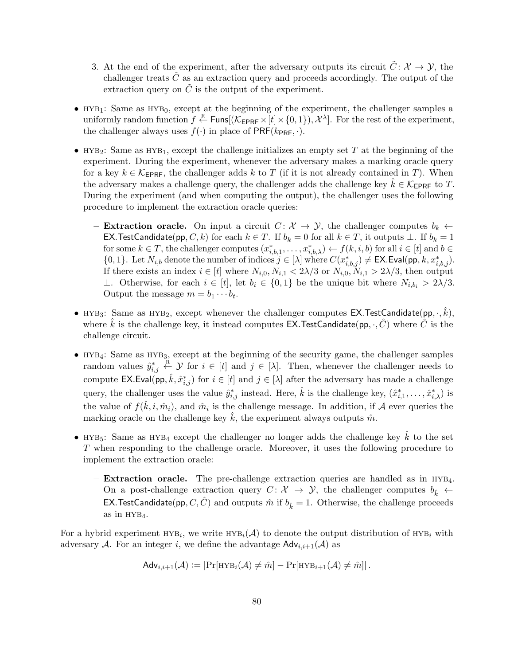- 3. At the end of the experiment, after the adversary outputs its circuit  $\tilde{C}$ :  $\mathcal{X} \to \mathcal{Y}$ , the challenger treats  $\tilde{C}$  as an extraction query and proceeds accordingly. The output of the extraction query on  $\tilde{C}$  is the output of the experiment.
- HYB1: Same as  $HYB_0$ , except at the beginning of the experiment, the challenger samples a uniformly random function  $f \stackrel{\text{R}}{\leftarrow}$  Funs $[(\mathcal{K}_{\text{EPRF}} \times [t] \times \{0, 1\}), \mathcal{X}^{\lambda}]$ . For the rest of the experiment, the challenger always uses  $f(\cdot)$  in place of PRF( $k_{\text{PRF}}$ ,  $\cdot$ ).
- HYB<sub>2</sub>: Same as HYB<sub>1</sub>, except the challenge initializes an empty set T at the beginning of the experiment. During the experiment, whenever the adversary makes a marking oracle query for a key  $k \in \mathcal{K}_{\text{EPRF}}$ , the challenger adds k to T (if it is not already contained in T). When the adversary makes a challenge query, the challenger adds the challenge key  $\hat{k} \in \mathcal{K}_{\text{EPRF}}$  to T. During the experiment (and when computing the output), the challenger uses the following procedure to implement the extraction oracle queries:
	- Extraction oracle. On input a circuit  $C: \mathcal{X} \to \mathcal{Y}$ , the challenger computes  $b_k \leftarrow$ EX.TestCandidate(pp, C, k) for each  $k \in T$ . If  $b_k = 0$  for all  $k \in T$ , it outputs  $\perp$ . If  $b_k = 1$ for some  $k \in T$ , the challenger computes  $(x_{i,b,1}^*, \ldots, x_{i,b,\lambda}^*) \leftarrow f(k, i, b)$  for all  $i \in [t]$  and  $b \in$  $\{0,1\}$ . Let  $N_{i,b}$  denote the number of indices  $j \in [\lambda]$  where  $C(x^*_{i,b,j}) \neq \textsf{EX}$ . Eval(pp, k,  $x^*_{i,b,j}$ ). If there exists an index  $i \in [t]$  where  $N_{i,0}, N_{i,1} < 2\lambda/3$  or  $N_{i,0}, N_{i,1} > 2\lambda/3$ , then output ⊥. Otherwise, for each  $i \in [t]$ , let  $b_i \in \{0,1\}$  be the unique bit where  $N_{i,b_i} > 2\lambda/3$ . Output the message  $m = b_1 \cdots b_t$ .
- HYB<sub>3</sub>: Same as HYB<sub>2</sub>, except whenever the challenger computes EX. TestCandidate(pp,  $\cdot$ ,  $\hat{k}$ ), where  $\hat{k}$  is the challenge key, it instead computes **EX.** Test Candidate(pp,  $\cdot$ ,  $\hat{C}$ ) where  $\hat{C}$  is the challenge circuit.
- $\bullet$  HYB<sub>4</sub>: Same as HYB<sub>3</sub>, except at the beginning of the security game, the challenger samples random values  $\hat{y}^*_{i,j} \stackrel{\text{R}}{\leftarrow} Y$  for  $i \in [t]$  and  $j \in [\lambda]$ . Then, whenever the challenger needs to compute  $\mathsf{EX}.\mathsf{Eval}(\mathsf{pp}, \hat{k}, \hat{x}^*_{i,j})$  for  $i \in [t]$  and  $j \in [\lambda]$  after the adversary has made a challenge query, the challenger uses the value  $\hat{y}^*_{i,j}$  instead. Here,  $\hat{k}$  is the challenge key,  $(\hat{x}^*_{i,1}, \ldots, \hat{x}^*_{i,\lambda})$  is the value of  $f(\hat{k}, i, \hat{m}_i)$ , and  $\hat{m}_i$  is the challenge message. In addition, if A ever queries the marking oracle on the challenge key  $k$ , the experiment always outputs  $\hat{m}$ .
- HYB<sub>5</sub>: Same as HYB<sub>4</sub> except the challenger no longer adds the challenge key  $k$  to the set T when responding to the challenge oracle. Moreover, it uses the following procedure to implement the extraction oracle:
	- $-$  Extraction oracle. The pre-challenge extraction queries are handled as in  $HYB_4$ . On a post-challenge extraction query  $C: \mathcal{X} \to \mathcal{Y}$ , the challenger computes  $b_{\hat{k}} \leftarrow$ EX.TestCandidate(pp,  $C, \hat{C}$ ) and outputs  $\hat{m}$  if  $b_{\hat{k}} = 1$ . Otherwise, the challenge proceeds as in  $HYB<sub>4</sub>$ .

For a hybrid experiment  $HYB_i$ , we write  $HYB_i(\mathcal{A})$  to denote the output distribution of  $HYB_i$  with adversary A. For an integer i, we define the advantage  $\mathsf{Adv}_{i,i+1}(\mathcal{A})$  as

$$
Adv_{i,i+1}(\mathcal{A}) := \left| \Pr[\text{HYB}_i(\mathcal{A}) \neq \hat{m}] - \Pr[\text{HYB}_{i+1}(\mathcal{A}) \neq \hat{m}] \right|.
$$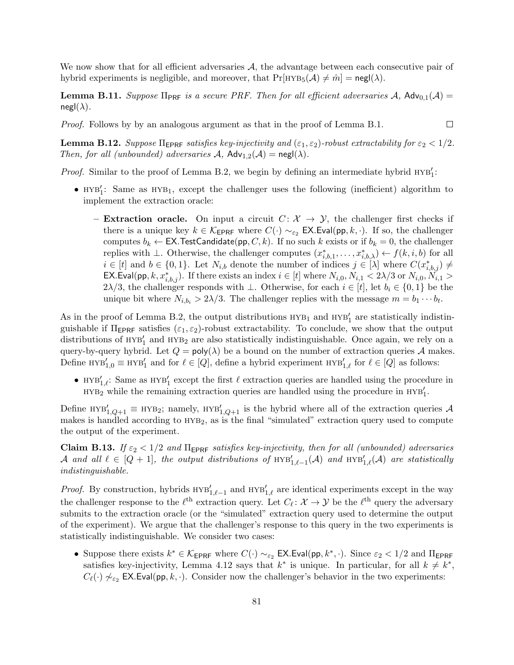We now show that for all efficient adversaries  $A$ , the advantage between each consecutive pair of hybrid experiments is negligible, and moreover, that  $Pr[\text{HYB}_5(\mathcal{A}) \neq \hat{m}] = \text{negl}(\lambda)$ .

<span id="page-80-1"></span>**Lemma B.11.** Suppose  $\Pi_{\text{PRF}}$  is a secure PRF. Then for all efficient adversaries A, Adv<sub>0.1</sub>(A) =  $negl(\lambda)$ .

 $\Box$ 

Proof. Follows by by an analogous argument as that in the proof of Lemma [B.1.](#page-72-2)

<span id="page-80-2"></span>**Lemma B.12.** Suppose  $\Pi_{\text{EPRF}}$  satisfies key-injectivity and  $(\varepsilon_1, \varepsilon_2)$ -robust extractability for  $\varepsilon_2 < 1/2$ . Then, for all (unbounded) adversaries A,  $Adv_{1,2}(\mathcal{A}) = negl(\lambda)$ .

*Proof.* Similar to the proof of Lemma [B.2,](#page-72-3) we begin by defining an intermediate hybrid  $HYB'_{1}$ :

- $\bullet$  HYB'<sub>1</sub>: Same as HYB<sub>1</sub>, except the challenger uses the following (inefficient) algorithm to implement the extraction oracle:
	- **Extraction oracle.** On input a circuit  $C: \mathcal{X} \to \mathcal{Y}$ , the challenger first checks if there is a unique key  $k \in \mathcal{K}_{\text{EPRF}}$  where  $C(\cdot) \sim_{\varepsilon_2} \text{EX.Eval}(pp, k, \cdot)$ . If so, the challenger computes  $b_k \leftarrow \textsf{EX}.\textsf{Test}\textsf{C}$ andidate $(\textsf{pp}, C, k)$ . If no such k exists or if  $b_k = 0$ , the challenger replies with  $\bot$ . Otherwise, the challenger computes  $(x_{i,b,1}^*, \ldots, x_{i,b,\lambda}^*) \leftarrow f(k, i, b)$  for all  $i \in [t]$  and  $b \in \{0,1\}$ . Let  $N_{i,b}$  denote the number of indices  $j \in [\lambda]$  where  $C(x^*_{i,b,j}) \neq$ EX.Eval(pp, k,  $x_{i,b,j}^*$ ). If there exists an index  $i \in [t]$  where  $N_{i,0}, N_{i,1} < 2\lambda/3$  or  $N_{i,0}, N_{i,1} >$ 2λ/3, the challenger responds with ⊥. Otherwise, for each  $i \in [t]$ , let  $b_i \in \{0, 1\}$  be the unique bit where  $N_{i,b_i} > 2\lambda/3$ . The challenger replies with the message  $m = b_1 \cdots b_t$ .

As in the proof of Lemma [B.2,](#page-72-3) the output distributions  $HYB_1$  and  $HYB_1'$  are statistically indistinguishable if  $\Pi_{\text{EPRF}}$  satisfies ( $\varepsilon_1, \varepsilon_2$ )-robust extractability. To conclude, we show that the output distributions of  $HYB_1'$  and  $HYB_2$  are also statistically indistinguishable. Once again, we rely on a query-by-query hybrid. Let  $Q = \text{poly}(\lambda)$  be a bound on the number of extraction queries A makes. Define  $HYB'_{1,0} \equiv HYB'_{1}$  and for  $\ell \in [Q]$ , define a hybrid experiment  $HYB'_{1,\ell}$  for  $\ell \in [Q]$  as follows:

• HYB'<sub>1, $\ell$ </sub>: Same as HYB'<sub>1</sub> except the first  $\ell$  extraction queries are handled using the procedure in  $HYB_2$  while the remaining extraction queries are handled using the procedure in  $HYB_1'$ .

Define  $HYB'_{1,Q+1} \equiv HYB_2$ ; namely,  $HYB'_{1,Q+1}$  is the hybrid where all of the extraction queries A makes is handled according to  $HYB_2$ , as is the final "simulated" extraction query used to compute the output of the experiment.

<span id="page-80-0"></span>Claim B.13. If  $\varepsilon_2 < 1/2$  and  $\Pi_{\text{EPRF}}$  satisfies key-injectivity, then for all (unbounded) adversaries A and all  $\ell \in [Q + 1]$ , the output distributions of  $HYB'_{1,\ell-1}(\mathcal{A})$  and  $HYB'_{1,\ell}(\mathcal{A})$  are statistically indistinguishable.

*Proof.* By construction, hybrids  $HYB'_{1,\ell-1}$  and  $HYB'_{1,\ell}$  are identical experiments except in the way the challenger response to the  $\ell^{\text{th}}$  extraction query. Let  $C_{\ell} \colon \mathcal{X} \to \mathcal{Y}$  be the  $\ell^{\text{th}}$  query the adversary submits to the extraction oracle (or the "simulated" extraction query used to determine the output of the experiment). We argue that the challenger's response to this query in the two experiments is statistically indistinguishable. We consider two cases:

• Suppose there exists  $k^* \in \mathcal{K}_{\text{EPRF}}$  where  $C(\cdot) \sim_{\varepsilon_2} \text{EX.Eval}(pp, k^*, \cdot)$ . Since  $\varepsilon_2 < 1/2$  and  $\Pi_{\text{EPRF}}$ satisfies key-injectivity, Lemma [4.12](#page-22-0) says that  $k^*$  is unique. In particular, for all  $k \neq k^*$ ,  $C_{\ell}(\cdot) \nsucc_{\varepsilon_2}$  EX.Eval(pp, k,  $\cdot$ ). Consider now the challenger's behavior in the two experiments: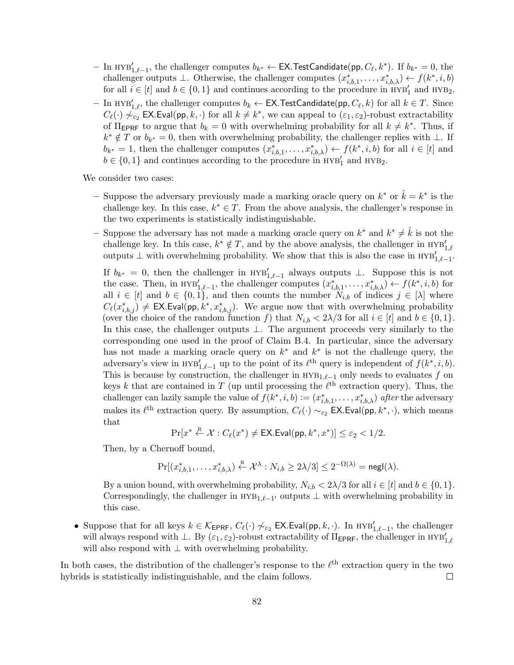- $−\text{ In } \text{HYB}'_{1,\ell-1}, \text{ the challenge computes } b_{k^*} \leftarrow \textsf{EX}.\textsf{TestC} \textsf{and} \textsf{idate}(\textsf{pp}, C_{\ell}, k^*). \text{ If } b_{k^*} = 0, \text{ the }$ challenger outputs  $\bot$ . Otherwise, the challenger computes  $(x^*_{i,b,1},\ldots,x^*_{i,b,\lambda}) \leftarrow f(k^*,i,b)$ for all  $i \in [t]$  and  $b \in \{0, 1\}$  and continues according to the procedure in HYB'<sub>1</sub> and HYB<sub>2</sub>.
- $−$  In HYB'<sub>1, $\ell$ </sub>, the challenger computes  $b_k \leftarrow \textsf{EX}.\textsf{TestC}$ andidate(pp,  $C_{\ell}, k$ ) for all  $k \in T$ . Since  $C_{\ell}(\cdot) \not\sim_{\varepsilon_2} \textsf{EX}.\textsf{Eval}(pp, k, \cdot)$  for all  $k \neq k^*$ , we can appeal to  $(\varepsilon_1, \varepsilon_2)$ -robust extractability of  $\Pi_{\text{EPRF}}$  to argue that  $b_k = 0$  with overwhelming probability for all  $k \neq k^*$ . Thus, if  $k^* \notin T$  or  $b_{k^*} = 0$ , then with overwhelming probability, the challenger replies with  $\perp$ . If  $b_{k^*} = 1$ , then the challenger computes  $(x^*_{i,b,1}, \ldots, x^*_{i,b,\lambda}) \leftarrow f(k^*, i, b)$  for all  $i \in [t]$  and  $b \in \{0, 1\}$  and continues according to the procedure in HYB'<sub>1</sub> and HYB<sub>2</sub>.

We consider two cases:

- Suppose the adversary previously made a marking oracle query on  $k^*$  or  $\hat{k} = k^*$  is the challenge key. In this case,  $k^* \in T$ . From the above analysis, the challenger's response in the two experiments is statistically indistinguishable.
- − Suppose the adversary has not made a marking oracle query on  $k^*$  and  $k^* \neq \hat{k}$  is not the challenge key. In this case,  $k^* \notin T$ , and by the above analysis, the challenger in  $HYB'_{1,\ell}$ outputs  $\perp$  with overwhelming probability. We show that this is also the case in HYB $'_{1,\ell-1}$ .

If  $b_{k^*} = 0$ , then the challenger in  $HYB'_{1,\ell-1}$  always outputs ⊥. Suppose this is not the case. Then, in  $HYB'_{1,\ell-1}$ , the challenger computes  $(x^*_{i,b,1}, \ldots, x^*_{i,b,\lambda}) \leftarrow f(k^*, i, b)$  for all  $i \in [t]$  and  $b \in \{0, 1\}$ , and then counts the number  $N_{i,b}$  of indices  $j \in [\lambda]$  where  $C_{\ell}(x_{i,b,j}^*) \neq \textsf{EX}.\textsf{Eval}(pp, k^*, x_{i,b,j}^*).$  We argue now that with overwhelming probability (over the choice of the random function f) that  $N_{i,b} < 2\lambda/3$  for all  $i \in [t]$  and  $b \in \{0,1\}$ . In this case, the challenger outputs  $\perp$ . The argument proceeds very similarly to the corresponding one used in the proof of Claim [B.4.](#page-72-1) In particular, since the adversary has not made a marking oracle query on  $k^*$  and  $k^*$  is not the challenge query, the adversary's view in  $HYP'_{1,\ell-1}$  up to the point of its  $\ell^{\text{th}}$  query is independent of  $f(k^*, i, b)$ . This is because by construction, the challenger in  $HYB_{1,\ell-1}$  only needs to evaluates f on keys k that are contained in T (up until processing the  $\ell^{\text{th}}$  extraction query). Thus, the challenger can lazily sample the value of  $f(k^*, i, b) := (x^*_{i, b, 1}, \ldots, x^*_{i, b, \lambda})$  after the adversary makes its  $\ell^{\text{th}}$  extraction query. By assumption,  $C_{\ell}(\cdot) \sim_{\varepsilon_2} \textsf{EX}.\textsf{Eval}(pp, k^*, \cdot)$ , which means that

$$
\Pr[x^* \stackrel{\text{R}}{\leftarrow} \mathcal{X}: C_\ell(x^*) \neq \text{EX.Eval}( \text{pp}, k^*, x^*)] \leq \varepsilon_2 < 1/2.
$$

Then, by a Chernoff bound,

$$
\Pr[(x_{i,b,1}^*,\ldots,x_{i,b,\lambda}^*)\stackrel{\text{R}}{\leftarrow} \mathcal{X}^{\lambda}:N_{i,b}\geq 2\lambda/3]\leq 2^{-\Omega(\lambda)}=\mathsf{negl}(\lambda).
$$

By a union bound, with overwhelming probability,  $N_{i,b} < 2\lambda/3$  for all  $i \in [t]$  and  $b \in \{0, 1\}$ . Correspondingly, the challenger in  $HYB_{1,\ell-1}$  outputs ⊥ with overwhelming probability in this case.

• Suppose that for all keys  $k \in \mathcal{K}_{\text{EPRF}}$ ,  $C_{\ell}(\cdot) \not\sim_{\varepsilon_2} \text{EX.Eval}(pp, k, \cdot)$ . In  $HYB'_{1,\ell-1}$ , the challenger will always respond with  $\perp$ . By  $(\varepsilon_1, \varepsilon_2)$ -robust extractability of  $\Pi_{\text{EPRF}}$ , the challenger in  $HYB'_{1,\ell}$ will also respond with ⊥ with overwhelming probability.

In both cases, the distribution of the challenger's response to the  $\ell^{\text{th}}$  extraction query in the two hybrids is statistically indistinguishable, and the claim follows.  $\Box$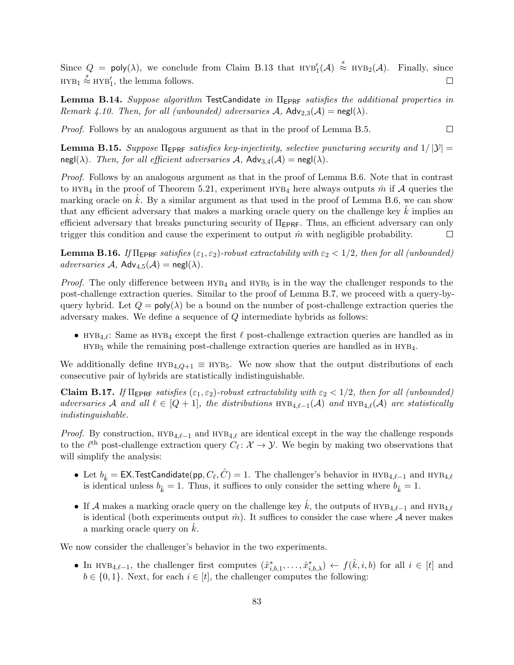Since  $Q = \text{poly}(\lambda)$ , we conclude from Claim [B.13](#page-80-0) that  $HYB'_1(\mathcal{A}) \stackrel{s}{\approx} HYB_2(\mathcal{A})$ . Finally, since  $HYB_1 \stackrel{s}{\approx} HYB_1',$  the lemma follows.  $\Box$ 

<span id="page-82-1"></span>**Lemma B.14.** Suppose algorithm TestCandidate in  $\Pi_{\text{EPRF}}$  satisfies the additional properties in Remark [4.10.](#page-21-0) Then, for all (unbounded) adversaries A,  $\mathsf{Adv}_{2,3}(\mathcal{A}) = \mathsf{negl}(\lambda)$ .

 $\Box$ Proof. Follows by an analogous argument as that in the proof of Lemma [B.5.](#page-74-0)

<span id="page-82-2"></span>**Lemma B.15.** Suppose  $\Pi_{\text{EPRF}}$  satisfies key-injectivity, selective puncturing security and  $1/|\mathcal{Y}| =$ negl( $\lambda$ ). Then, for all efficient adversaries A, Adv<sub>3.4</sub>( $\mathcal{A}$ ) = negl( $\lambda$ ).

Proof. Follows by an analogous argument as that in the proof of Lemma [B.6.](#page-74-1) Note that in contrast to  $HYB_4$  in the proof of Theorem [5.21,](#page-36-1) experiment  $HYB_4$  here always outputs  $\hat{m}$  if A queries the marking oracle on  $\hat{k}$ . By a similar argument as that used in the proof of Lemma [B.6,](#page-74-1) we can show that any efficient adversary that makes a marking oracle query on the challenge key  $k$  implies an efficient adversary that breaks puncturing security of  $\Pi_{\text{FPRF}}$ . Thus, an efficient adversary can only trigger this condition and cause the experiment to output  $\hat{m}$  with negligible probability.  $\Box$ 

<span id="page-82-3"></span>**Lemma B.16.** If  $\Pi$ <sub>EPRF</sub> satisfies  $(\varepsilon_1, \varepsilon_2)$ -robust extractability with  $\varepsilon_2 < 1/2$ , then for all (unbounded) adversaries A,  $Adv_{4.5}(\mathcal{A}) = negl(\lambda)$ .

*Proof.* The only difference between  $HYB_4$  and  $HYB_5$  is in the way the challenger responds to the post-challenge extraction queries. Similar to the proof of Lemma [B.7,](#page-76-2) we proceed with a query-byquery hybrid. Let  $Q = \text{poly}(\lambda)$  be a bound on the number of post-challenge extraction queries the adversary makes. We define a sequence of Q intermediate hybrids as follows:

• HYB<sub>4, $\ell$ </sub>: Same as HYB<sub>4</sub> except the first  $\ell$  post-challenge extraction queries are handled as in  $HYB<sub>5</sub>$  while the remaining post-challenge extraction queries are handled as in  $HYB<sub>4</sub>$ .

We additionally define  $HYB_{4,Q+1} \equiv HYB_5$ . We now show that the output distributions of each consecutive pair of hybrids are statistically indistinguishable.

<span id="page-82-0"></span>Claim B.17. If  $\Pi_{\text{EPRF}}$  satisfies  $(\varepsilon_1, \varepsilon_2)$ -robust extractability with  $\varepsilon_2 < 1/2$ , then for all (unbounded) adversaries A and all  $\ell \in [Q + 1]$ , the distributions HYB<sub>4, $\ell-1(A)$ </sub> and HYB<sub>4, $\ell(A)$ </sub> are statistically indistinguishable.

*Proof.* By construction,  $HYB_{4,\ell-1}$  and  $HYB_{4,\ell}$  are identical except in the way the challenge responds to the  $\ell^{\text{th}}$  post-challenge extraction query  $C_{\ell} \colon \mathcal{X} \to \mathcal{Y}$ . We begin by making two observations that will simplify the analysis:

- Let  $b_{\hat{k}} = \textsf{EX}.$  TestCandidate(pp,  $C_{\ell}$ ,  $\hat{C}$ ) = 1. The challenger's behavior in HYB<sub>4, $\ell-1$ </sub> and HYB<sub>4, $\ell$ </sub> is identical unless  $b_{\hat{k}} = 1$ . Thus, it suffices to only consider the setting where  $b_{\hat{k}} = 1$ .
- If A makes a marking oracle query on the challenge key  $\hat{k}$ , the outputs of HYB<sub>4, $\ell$ </sub> and HYB<sub>4, $\ell$ </sub> is identical (both experiments output  $\hat{m}$ ). It suffices to consider the case where A never makes a marking oracle query on  $k$ .

We now consider the challenger's behavior in the two experiments.

• In HYB<sub>4, $\ell-1$ </sub>, the challenger first computes  $(\hat{x}^*_{i,b,1}, \ldots, \hat{x}^*_{i,b,\lambda}) \leftarrow f(\hat{k}, i, b)$  for all  $i \in [t]$  and  $b \in \{0, 1\}$ . Next, for each  $i \in [t]$ , the challenger computes the following: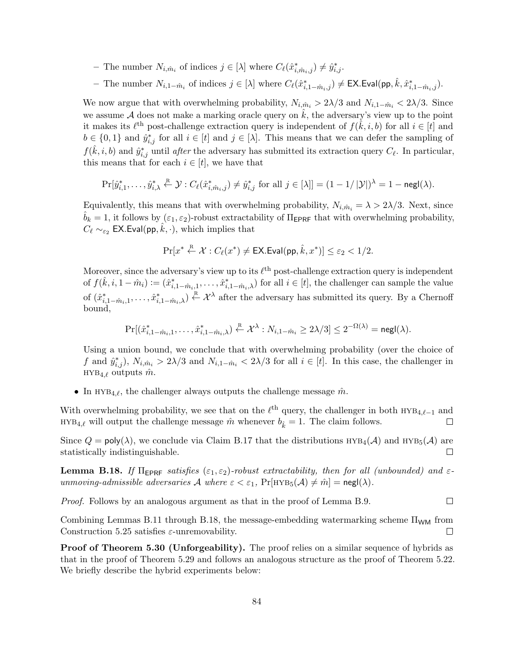- The number  $N_{i, \hat{m}_i}$  of indices  $j \in [\lambda]$  where  $C_{\ell}(\hat{x}_{i, \hat{m}_i,j}^*) \neq \hat{y}_{i,j}^*$ .
- $-$  The number  $N_{i,1-\hat{m}_i}$  of indices  $j \in [\lambda]$  where  $C_{\ell}(\hat{x}_{i,1-\hat{m}_i,j}^*) \neq \textsf{EX}$ . Eval(pp,  $\hat{k}, \hat{x}_{i,1-\hat{m}_i,j}^*$ ).

We now argue that with overwhelming probability,  $N_{i,\hat{m}_i} > 2\lambda/3$  and  $N_{i,1-\hat{m}_i} < 2\lambda/3$ . Since we assume A does not make a marking oracle query on  $\hat{k}$ , the adversary's view up to the point it makes its  $\ell^{\text{th}}$  post-challenge extraction query is independent of  $f(\hat{k}, i, b)$  for all  $i \in [t]$  and  $b \in \{0,1\}$  and  $\hat{y}_{i,j}^*$  for all  $i \in [t]$  and  $j \in [\lambda]$ . This means that we can defer the sampling of  $f(\hat{k}, i, b)$  and  $\hat{y}_{i,j}^*$  until after the adversary has submitted its extraction query  $C_{\ell}$ . In particular, this means that for each  $i \in [t]$ , we have that

$$
\Pr[\hat{y}_{i,1}^*,\ldots,\hat{y}_{i,\lambda}^* \stackrel{\text{R}}{\leftarrow} \mathcal{Y}: C_\ell(\hat{x}_{i,\hat{m}_i,j}^*) \neq \hat{y}_{i,j}^* \text{ for all } j \in [\lambda]] = (1 - 1/\left|\mathcal{Y}\right|\right)^\lambda = 1 - \mathsf{negl}(\lambda).
$$

Equivalently, this means that with overwhelming probability,  $N_{i,\hat{m}_i} = \lambda > 2\lambda/3$ . Next, since  $\tilde{b}_k = 1$ , it follows by  $(\varepsilon_1, \varepsilon_2)$ -robust extractability of  $\Pi_{\text{EPRF}}$  that with overwhelming probability,  $C_{\ell} \sim_{\varepsilon_2}$  EX.Eval(pp,  $\hat{k}, \cdot$ ), which implies that

$$
\Pr[x^* \stackrel{\text{R}}{\leftarrow} \mathcal{X} : C_{\ell}(x^*) \neq \text{EX.Eval}(pp, \hat{k}, x^*)] \leq \varepsilon_2 < 1/2.
$$

Moreover, since the adversary's view up to its  $\ell^{\text{th}}$  post-challenge extraction query is independent of  $f(\hat{k}, i, 1 - \hat{m}_i) := (\hat{x}_{i,1-\hat{m}_i,1}^*, \dots, \hat{x}_{i,1-\hat{m}_i,\lambda}^*)$  for all  $i \in [t]$ , the challenger can sample the value of  $(\hat{x}_{i,1-\hat{m}_i,1}^*,\ldots,\hat{x}_{i,1-\hat{m}_i,\lambda}^*)\stackrel{\text{R}}{\leftarrow} \mathcal{X}^{\lambda}$  after the adversary has submitted its query. By a Chernoff bound,

$$
\Pr[(\hat{x}_{i,1-\hat{m}_i,1}^*,\ldots,\hat{x}_{i,1-\hat{m}_i,\lambda}^*)\stackrel{\text{R}}{\leftarrow}\mathcal{X}^{\lambda}:N_{i,1-\hat{m}_i}\geq 2\lambda/3]\leq 2^{-\Omega(\lambda)}=\mathsf{negl}(\lambda).
$$

Using a union bound, we conclude that with overwhelming probability (over the choice of f and  $\hat{y}_{i,j}^*$ ,  $N_{i,\hat{m}_i} > 2\lambda/3$  and  $N_{i,1-\hat{m}_i} < 2\lambda/3$  for all  $i \in [t]$ . In this case, the challenger in  $HYB_{4,\ell}$  outputs  $\hat{m}$ .

• In  $HYB_{4,\ell}$ , the challenger always outputs the challenge message  $\hat{m}$ .

With overwhelming probability, we see that on the  $\ell^{\text{th}}$  query, the challenger in both HYB<sub>4, $\ell$ </sub>-1 and  $HYB_{4,\ell}$  will output the challenge message  $\hat{m}$  whenever  $b_{\hat{k}} = 1$ . The claim follows.  $\Box$ 

Since  $Q = \text{poly}(\lambda)$ , we conclude via Claim [B.17](#page-82-0) that the distributions  $HYB_4(\mathcal{A})$  and  $HYB_5(\mathcal{A})$  are statistically indistinguishable.  $\Box$ 

<span id="page-83-0"></span>**Lemma B.18.** If  $\Pi_{\text{EPRF}}$  satisfies ( $\varepsilon_1, \varepsilon_2$ )-robust extractability, then for all (unbounded) and  $\varepsilon$ unmoving-admissible adversaries A where  $\varepsilon < \varepsilon_1$ ,  $Pr[HYB_5(\mathcal{A}) \neq \hat{m}] = negl(\lambda)$ .

 $\Box$ *Proof.* Follows by an analogous argument as that in the proof of Lemma [B.9.](#page-77-0)

Combining Lemmas [B.11](#page-80-1) through [B.18,](#page-83-0) the message-embedding watermarking scheme  $\Pi_{WM}$  from Construction [5.25](#page-37-0) satisfies  $\varepsilon$ -unremovability.  $\Box$ 

**Proof of Theorem [5.30](#page-38-1) (Unforgeability).** The proof relies on a similar sequence of hybrids as that in the proof of Theorem [5.29](#page-38-0) and follows an analogous structure as the proof of Theorem [5.22.](#page-36-0) We briefly describe the hybrid experiments below: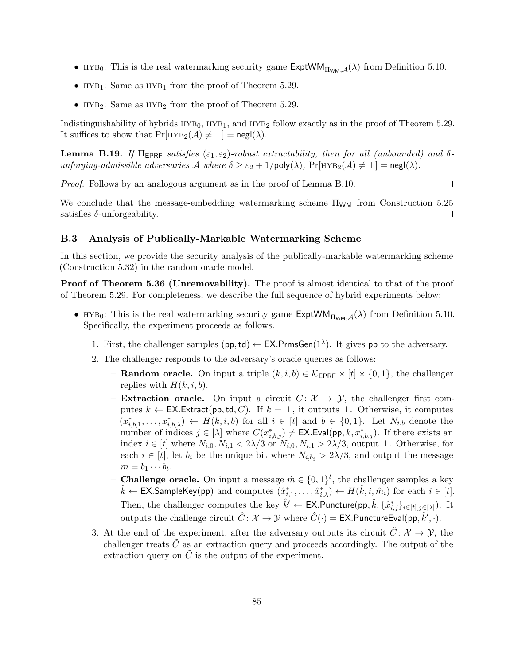- HYB<sub>0</sub>: This is the real watermarking security game  $\text{ExptWM}_{\Pi_{WM},\mathcal{A}}(\lambda)$  from Definition [5.10.](#page-32-0)
- HYB<sub>1</sub>: Same as HYB<sub>1</sub> from the proof of Theorem [5.29.](#page-38-0)
- HYB<sub>2</sub>: Same as HYB<sub>2</sub> from the proof of Theorem [5.29.](#page-38-0)

Indistinguishability of hybrids  $HYB_0$ ,  $HYB_1$ , and  $HYB_2$  follow exactly as in the proof of Theorem [5.29.](#page-38-0) It suffices to show that  $Pr[HPB_2(\mathcal{A}) \neq \bot] = negl(\lambda)$ .

**Lemma B.19.** If  $\Pi_{\text{EPRF}}$  satisfies ( $\varepsilon_1, \varepsilon_2$ )-robust extractability, then for all (unbounded) and  $\delta$ unforging-admissible adversaries A where  $\delta \geq \varepsilon_2 + 1/\text{poly}(\lambda)$ ,  $\Pr[\text{HYB}_2(\mathcal{A}) \neq \bot] = \text{negl}(\lambda)$ .

Proof. Follows by an analogous argument as in the proof of Lemma [B.10.](#page-77-1)  $\Box$ 

We conclude that the message-embedding watermarking scheme Π<sub>WM</sub> from Construction [5.25](#page-37-0) satisfies  $\delta$ -unforgeability.  $\Box$ 

## B.3 Analysis of Publically-Markable Watermarking Scheme

In this section, we provide the security analysis of the publically-markable watermarking scheme (Construction [5.32\)](#page-38-2) in the random oracle model.

Proof of Theorem [5.36](#page-40-0) (Unremovability). The proof is almost identical to that of the proof of Theorem [5.29.](#page-38-0) For completeness, we describe the full sequence of hybrid experiments below:

- HYB<sub>0</sub>: This is the real watermarking security game  $\text{ExptWM}_{\Pi_{WM},\mathcal{A}}(\lambda)$  from Definition [5.10.](#page-32-0) Specifically, the experiment proceeds as follows.
	- 1. First, the challenger samples  $(pp, td) \leftarrow \textsf{EX.PrmsGen}(1^{\lambda})$ . It gives pp to the adversary.
	- 2. The challenger responds to the adversary's oracle queries as follows:
		- **Random oracle.** On input a triple  $(k, i, b) \in \mathcal{K}_{\text{EPRF}} \times [t] \times \{0, 1\}$ , the challenger replies with  $H(k, i, b)$ .
		- Extraction oracle. On input a circuit  $C: \mathcal{X} \to \mathcal{Y}$ , the challenger first computes  $k \leftarrow \textsf{EX}.$  EX.Extract(pp, td, C). If  $k = \perp$ , it outputs  $\perp$ . Otherwise, it computes  $(x^*_{i,b,1},\ldots,x^*_{i,b,\lambda}) \leftarrow H(k,i,b)$  for all  $i \in [t]$  and  $b \in \{0,1\}$ . Let  $N_{i,b}$  denote the number of indices  $j \in [\lambda]$  where  $C(x^*_{i,b,j}) \neq \textsf{EX}$ . Eval(pp,  $k, x^*_{i,b,j}$ ). If there exists an index  $i \in [t]$  where  $N_{i,0}, N_{i,1} < 2\lambda/3$  or  $N_{i,0}, N_{i,1} > 2\lambda/3$ , output  $\perp$ . Otherwise, for each  $i \in [t]$ , let  $b_i$  be the unique bit where  $N_{i,b_i} > 2\lambda/3$ , and output the message  $m = b_1 \cdots b_t.$
		- **Challenge oracle.** On input a message  $\hat{m} \in \{0,1\}^t$ , the challenger samples a key  $\hat{k} \leftarrow \textsf{EX}.\mathsf{SampleKey(pp)}\,\, \text{and}\,\, \text{computes}\,\, (\hat{x}^*_{i,1}, \ldots, \hat{x}^*_{i,\lambda}) \leftarrow H(\hat{k}, i, \hat{m_i})\,\, \text{for each}\,\, i \in [t].$ Then, the challenger computes the key  $\hat{k}' \leftarrow \textsf{EX.Puncture}(pp, \hat{k}, \{\hat{x}_{i,j}^*\}_{i \in [t], j \in [\lambda]})$ . It outputs the challenge circuit  $\hat{C}\colon\mathcal{X}\to\mathcal{Y}$  where  $\hat{C}(\cdot)=$  <code>EX.PunctureEval(pp,  $\hat{k}',\cdot$ ).</code>
	- 3. At the end of the experiment, after the adversary outputs its circuit  $\tilde{C}$ :  $\mathcal{X} \to \mathcal{Y}$ , the challenger treats  $\tilde{C}$  as an extraction query and proceeds accordingly. The output of the extraction query on  $\tilde{C}$  is the output of the experiment.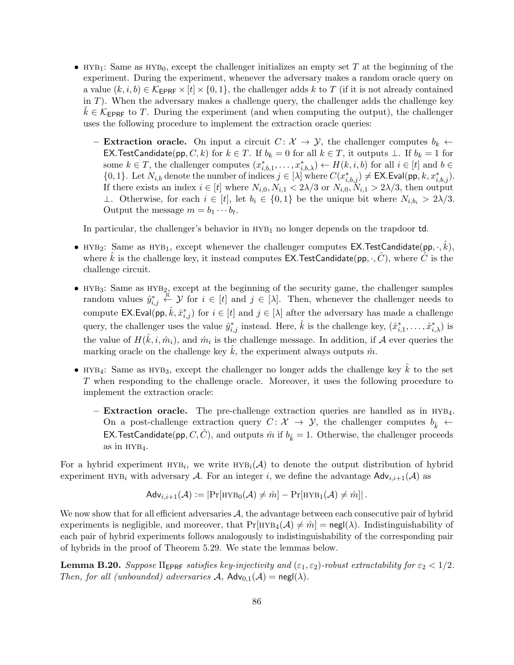- HYB<sub>1</sub>: Same as HYB<sub>0</sub>, except the challenger initializes an empty set T at the beginning of the experiment. During the experiment, whenever the adversary makes a random oracle query on a value  $(k, i, b) \in \mathcal{K}_{\text{EPRF}} \times [t] \times \{0, 1\}$ , the challenger adds k to T (if it is not already contained in  $T$ ). When the adversary makes a challenge query, the challenger adds the challenge key  $k \in \mathcal{K}_{\text{FPRF}}$  to T. During the experiment (and when computing the output), the challenger uses the following procedure to implement the extraction oracle queries:
	- Extraction oracle. On input a circuit  $C: \mathcal{X} \to \mathcal{Y}$ , the challenger computes  $b_k \leftarrow$ EX. TestCandidate(pp, C, k) for  $k \in T$ . If  $b_k = 0$  for all  $k \in T$ , it outputs  $\perp$ . If  $b_k = 1$  for some  $k \in T$ , the challenger computes  $(x_{i,b,1}^*, \ldots, x_{i,b,\lambda}^*) \leftarrow H(k, i, b)$  for all  $i \in [t]$  and  $b \in$  $\{0,1\}$ . Let  $N_{i,b}$  denote the number of indices  $j \in [\lambda]$  where  $C(x^*_{i,b,j}) \neq \textsf{EX}$ . Eval(pp, k,  $x^*_{i,b,j}$ ). If there exists an index  $i \in [t]$  where  $N_{i,0}, N_{i,1} < 2\lambda/3$  or  $N_{i,0}, N_{i,1} > 2\lambda/3$ , then output ⊥. Otherwise, for each  $i \in [t]$ , let  $b_i \in \{0, 1\}$  be the unique bit where  $N_{i,b_i} > 2λ/3$ . Output the message  $m = b_1 \cdots b_t$ .

In particular, the challenger's behavior in  $HYB_1$  no longer depends on the trapdoor td.

- HYB<sub>2</sub>: Same as HYB<sub>1</sub>, except whenever the challenger computes EX. TestCandidate(pp,  $\cdot$ ,  $\hat{k}$ ), where  $\hat{k}$  is the challenge key, it instead computes EX. TestCandidate(pp,  $\cdot$ ,  $\hat{C}$ ), where  $\hat{C}$  is the challenge circuit.
- $\bullet$  HYB<sub>3</sub>: Same as HYB<sub>2</sub>, except at the beginning of the security game, the challenger samples random values  $\hat{y}^*_{i,j} \stackrel{\text{R}}{\leftarrow} Y$  for  $i \in [t]$  and  $j \in [\lambda]$ . Then, whenever the challenger needs to compute  $\mathsf{EX}.\mathsf{Eval}(\mathsf{pp}, \hat{k}, \hat{x}^*_{i,j})$  for  $i \in [t]$  and  $j \in [\lambda]$  after the adversary has made a challenge query, the challenger uses the value  $\hat{y}^*_{i,j}$  instead. Here,  $\hat{k}$  is the challenge key,  $(\hat{x}^*_{i,1}, \ldots, \hat{x}^*_{i,\lambda})$  is the value of  $H(\hat{k}, i, \hat{m}_i)$ , and  $\hat{m}_i$  is the challenge message. In addition, if A ever queries the marking oracle on the challenge key  $\hat{k}$ , the experiment always outputs  $\hat{m}$ .
- HYB<sub>4</sub>: Same as HYB<sub>3</sub>, except the challenger no longer adds the challenge key  $\hat{k}$  to the set T when responding to the challenge oracle. Moreover, it uses the following procedure to implement the extraction oracle:
	- $-$  Extraction oracle. The pre-challenge extraction queries are handled as in  $HYB_4$ . On a post-challenge extraction query  $C: \mathcal{X} \to \mathcal{Y}$ , the challenger computes  $b_{\hat{k}} \leftarrow$ EX.TestCandidate(pp,  $C, \hat{C}$ ), and outputs  $\hat{m}$  if  $b_{\hat{k}} = 1$ . Otherwise, the challenger proceeds as in HYB<sub>4</sub>.

For a hybrid experiment  $HYB_i$ , we write  $HYB_i(\mathcal{A})$  to denote the output distribution of hybrid experiment HYB<sub>i</sub> with adversary A. For an integer i, we define the advantage  $\mathsf{Adv}_{i,i+1}(\mathcal{A})$  as

$$
Adv_{i,i+1}(\mathcal{A}) := \left| \Pr[\text{HYB}_0(\mathcal{A}) \neq \hat{m}] - \Pr[\text{HYB}_1(\mathcal{A}) \neq \hat{m}] \right|.
$$

We now show that for all efficient adversaries  $A$ , the advantage between each consecutive pair of hybrid experiments is negligible, and moreover, that  $Pr[HYB_4(\mathcal{A}) \neq \hat{m}] =$  negl( $\lambda$ ). Indistinguishability of each pair of hybrid experiments follows analogously to indistinguishability of the corresponding pair of hybrids in the proof of Theorem [5.29.](#page-38-0) We state the lemmas below.

<span id="page-85-0"></span>**Lemma B.20.** Suppose  $\Pi_{\text{EPRF}}$  satisfies key-injectivity and  $(\varepsilon_1, \varepsilon_2)$ -robust extractability for  $\varepsilon_2 < 1/2$ . Then, for all (unbounded) adversaries  $\mathcal{A}$ ,  $\mathsf{Adv}_{0,1}(\mathcal{A}) = \mathsf{negl}(\lambda)$ .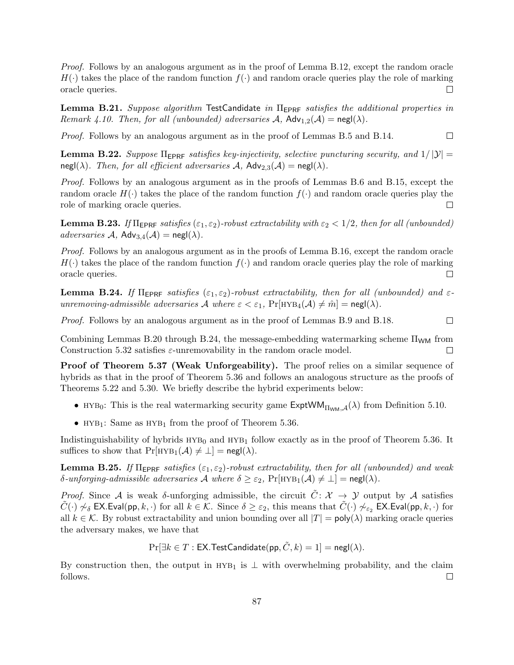Proof. Follows by an analogous argument as in the proof of Lemma [B.12,](#page-80-2) except the random oracle  $H(\cdot)$  takes the place of the random function  $f(\cdot)$  and random oracle queries play the role of marking  $\Box$ oracle queries.

**Lemma B.21.** Suppose algorithm TestCandidate in  $\Pi_{\text{EPRF}}$  satisfies the additional properties in Remark [4.10.](#page-21-0) Then, for all (unbounded) adversaries A,  $\mathsf{Adv}_{1,2}(\mathcal{A}) = \mathsf{negl}(\lambda)$ .

 $\Box$ 

 $\Box$ 

Proof. Follows by an analogous argument as in the proof of Lemmas [B.5](#page-74-0) and [B.14.](#page-82-1)

**Lemma B.22.** Suppose  $\Pi_{\text{EPRF}}$  satisfies key-injectivity, selective puncturing security, and  $1/|\mathcal{Y}| =$ negl( $\lambda$ ). Then, for all efficient adversaries A, Adv<sub>2.3</sub>( $\mathcal{A}$ ) = negl( $\lambda$ ).

Proof. Follows by an analogous argument as in the proofs of Lemmas [B.6](#page-74-1) and [B.15,](#page-82-2) except the random oracle  $H(\cdot)$  takes the place of the random function  $f(\cdot)$  and random oracle queries play the role of marking oracle queries.  $\Box$ 

**Lemma B.23.** If  $\Pi_{\text{EPRF}}$  satisfies  $(\varepsilon_1, \varepsilon_2)$ -robust extractability with  $\varepsilon_2 < 1/2$ , then for all (unbounded) adversaries  $A$ ,  $Adv_{3,4}(\mathcal{A}) = negl(\lambda)$ .

Proof. Follows by an analogous argument as in the proofs of Lemma [B.16,](#page-82-3) except the random oracle  $H(\cdot)$  takes the place of the random function  $f(\cdot)$  and random oracle queries play the role of marking oracle queries.  $\Box$ 

<span id="page-86-0"></span>**Lemma B.24.** If  $\Pi_{\text{EPRF}}$  satisfies  $(\varepsilon_1, \varepsilon_2)$ -robust extractability, then for all (unbounded) and  $\varepsilon$ unremoving-admissible adversaries A where  $\varepsilon < \varepsilon_1$ ,  $Pr[HPB_4(\mathcal{A}) \neq \hat{m}] = negl(\lambda)$ .

Proof. Follows by an analogous argument as in the proof of Lemmas [B.9](#page-77-0) and [B.18.](#page-83-0)

Combining Lemmas [B.20](#page-85-0) through [B.24,](#page-86-0) the message-embedding watermarking scheme  $\Pi_{WM}$  from Construction [5.32](#page-38-2) satisfies  $\varepsilon$ -unremovability in the random oracle model.  $\Box$ 

Proof of Theorem [5.37](#page-40-1) (Weak Unforgeability). The proof relies on a similar sequence of hybrids as that in the proof of Theorem [5.36](#page-40-0) and follows an analogous structure as the proofs of Theorems [5.22](#page-36-0) and [5.30.](#page-38-1) We briefly describe the hybrid experiments below:

- HYB<sub>0</sub>: This is the real watermarking security game  $\text{ExptWM}_{\Pi_{WM},\mathcal{A}}(\lambda)$  from Definition [5.10.](#page-32-0)
- HYB1: Same as  $HYB_1$  from the proof of Theorem [5.36.](#page-40-0)

Indistinguishability of hybrids  $HYB_0$  and  $HYB_1$  follow exactly as in the proof of Theorem [5.36.](#page-40-0) It suffices to show that  $Pr[HPB_1(\mathcal{A}) \neq \bot] = negl(\lambda)$ .

**Lemma B.25.** If  $\Pi$ <sub>EPRF</sub> satisfies  $(\varepsilon_1, \varepsilon_2)$ -robust extractability, then for all (unbounded) and weak δ-unforging-admissible adversaries A where  $\delta \geq \varepsilon_2$ ,  $Pr[HPB_1(\mathcal{A}) \neq \bot] = negl(\lambda)$ .

Proof. Since A is weak  $\delta$ -unforging admissible, the circuit  $\tilde{C}$ :  $\mathcal{X} \to \mathcal{Y}$  output by A satisfies  $\tilde{C}(\cdot) \nsim_{\delta}$  EX.Eval(pp, k, ·) for all  $k \in \mathcal{K}$ . Since  $\delta \geq \varepsilon_2$ , this means that  $\tilde{C}(\cdot) \nsim_{\varepsilon_2}$  EX.Eval(pp, k, ·) for all  $k \in \mathcal{K}$ . By robust extractability and union bounding over all  $|T| = \text{poly}(\lambda)$  marking oracle queries the adversary makes, we have that

 $Pr[\exists k \in T : \textsf{EX}. \textsf{TestC} \textsf{and} \textsf{idate}(\textsf{pp}, \tilde{C}, k) = 1] = \textsf{negl}(\lambda).$ 

By construction then, the output in  $HYB_1$  is  $\perp$  with overwhelming probability, and the claim follows.  $\Box$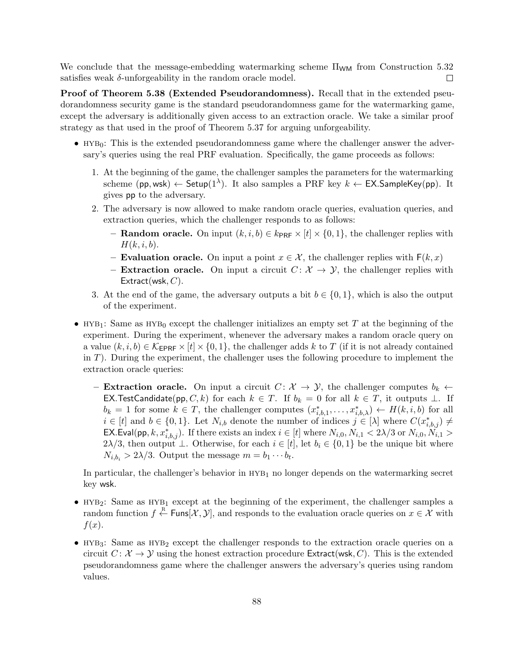We conclude that the message-embedding watermarking scheme  $\Pi_{WM}$  from Construction [5.32](#page-38-2) satisfies weak  $\delta$ -unforgeability in the random oracle model.  $\Box$ 

Proof of Theorem [5.38](#page-40-2) (Extended Pseudorandomness). Recall that in the extended pseudorandomness security game is the standard pseudorandomness game for the watermarking game, except the adversary is additionally given access to an extraction oracle. We take a similar proof strategy as that used in the proof of Theorem [5.37](#page-40-1) for arguing unforgeability.

- $\bullet$  HYB<sub>0</sub>: This is the extended pseudorandomness game where the challenger answer the adversary's queries using the real PRF evaluation. Specifically, the game proceeds as follows:
	- 1. At the beginning of the game, the challenger samples the parameters for the watermarking scheme (pp, wsk) ← Setup(1<sup> $\lambda$ </sup>). It also samples a PRF key  $k \leftarrow \textsf{EX}$ . SampleKey(pp). It gives pp to the adversary.
	- 2. The adversary is now allowed to make random oracle queries, evaluation queries, and extraction queries, which the challenger responds to as follows:
		- **Random oracle.** On input  $(k, i, b) \in k_{\text{PRF}} \times [t] \times \{0, 1\}$ , the challenger replies with  $H(k, i, b)$ .
		- **Evaluation oracle.** On input a point  $x \in \mathcal{X}$ , the challenger replies with  $F(k, x)$
		- **Extraction oracle.** On input a circuit  $C: \mathcal{X} \to \mathcal{Y}$ , the challenger replies with Extract(wsk,  $C$ ).
	- 3. At the end of the game, the adversary outputs a bit  $b \in \{0, 1\}$ , which is also the output of the experiment.
- HYB<sub>1</sub>: Same as HYB<sub>0</sub> except the challenger initializes an empty set T at the beginning of the experiment. During the experiment, whenever the adversary makes a random oracle query on a value  $(k, i, b) \in \mathcal{K}_{\text{EPRF}} \times [t] \times \{0, 1\}$ , the challenger adds k to T (if it is not already contained in T). During the experiment, the challenger uses the following procedure to implement the extraction oracle queries:
	- Extraction oracle. On input a circuit  $C: \mathcal{X} \to \mathcal{Y}$ , the challenger computes  $b_k \leftarrow$ EX. TestCandidate(pp, C, k) for each  $k \in T$ . If  $b_k = 0$  for all  $k \in T$ , it outputs  $\perp$ . If  $b_k = 1$  for some  $k \in T$ , the challenger computes  $(x^*_{i,b,1}, \ldots, x^*_{i,b,\lambda}) \leftarrow H(k, i, b)$  for all  $i \in [t]$  and  $b \in \{0,1\}$ . Let  $N_{i,b}$  denote the number of indices  $j \in [\lambda]$  where  $C(x^*_{i,b,j}) \neq$ EX.Eval(pp, k,  $x_{i,b,j}^*$ ). If there exists an index  $i \in [t]$  where  $N_{i,0}, N_{i,1} < 2\lambda/3$  or  $N_{i,0}, N_{i,1} >$ 2λ/3, then output ⊥. Otherwise, for each  $i \in [t]$ , let  $b_i \in \{0,1\}$  be the unique bit where  $N_{i,b_i} > 2\lambda/3$ . Output the message  $m = b_1 \cdots b_t$ .

In particular, the challenger's behavior in  $HYB_1$  no longer depends on the watermarking secret key wsk.

- $HYB_2$ : Same as  $HYB_1$  except at the beginning of the experiment, the challenger samples a random function  $f \stackrel{\text{F}}{\leftarrow} \text{Funs}[\mathcal{X}, \mathcal{Y}]$ , and responds to the evaluation oracle queries on  $x \in \mathcal{X}$  with  $f(x)$ .
- HYB<sub>3</sub>: Same as HYB<sub>2</sub> except the challenger responds to the extraction oracle queries on a circuit  $C: \mathcal{X} \to \mathcal{Y}$  using the honest extraction procedure Extract(wsk, C). This is the extended pseudorandomness game where the challenger answers the adversary's queries using random values.